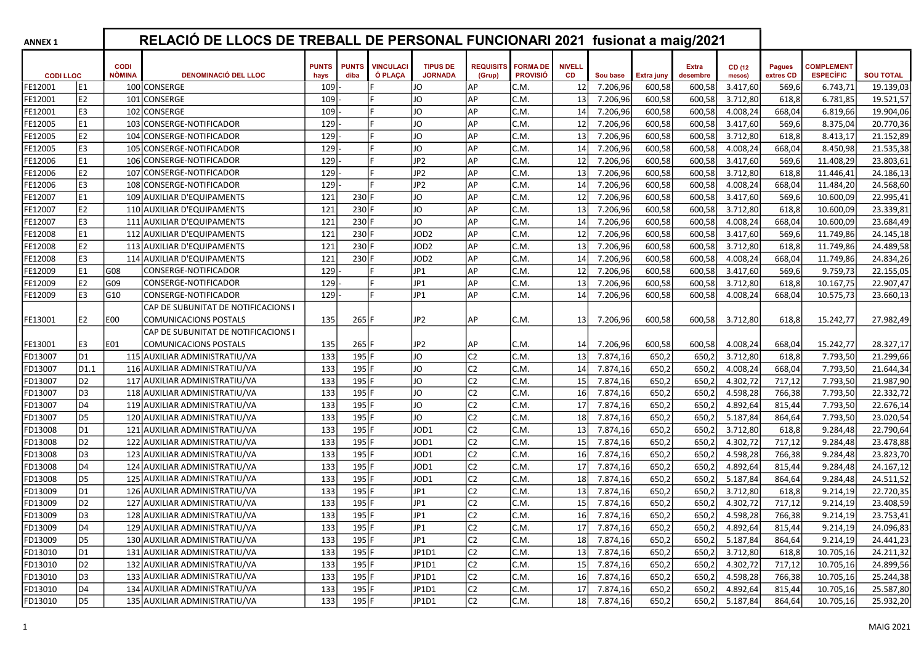| <b>ANNEX 1</b>  |                |                              | RELACIÓ DE LLOCS DE TREBALL DE PERSONAL FUNCIONARI 2021 fusionat a maig/2021 |                      |                      |                             |                                   |                            |                                    |                     |          |                   |                          |                      |                            |                                       |                  |
|-----------------|----------------|------------------------------|------------------------------------------------------------------------------|----------------------|----------------------|-----------------------------|-----------------------------------|----------------------------|------------------------------------|---------------------|----------|-------------------|--------------------------|----------------------|----------------------------|---------------------------------------|------------------|
| <b>CODILLOC</b> |                | <b>CODI</b><br><b>NÒMINA</b> | <b>DENOMINACIÓ DEL LLOC</b>                                                  | <b>PUNTS</b><br>hays | <b>PUNTS</b><br>diba | <b>VINCULACI</b><br>Ó PLAÇA | <b>TIPUS DE</b><br><b>JORNADA</b> | <b>REQUISITS</b><br>(Grup) | <b>FORMA DE</b><br><b>PROVISIÓ</b> | <b>NIVELL</b><br>CD | Sou base | <b>Extra juny</b> | <b>Extra</b><br>desembre | CD (12<br>mesos)     | <b>Pagues</b><br>extres CD | <b>COMPLEMENT</b><br><b>ESPECÍFIC</b> | <b>SOU TOTAL</b> |
| FE12001         | E1             |                              | 100 CONSERGE                                                                 | 109                  |                      |                             | JO                                | <b>AP</b>                  | C.M.                               | 12                  | 7.206,96 | 600,58            | 600,58                   | 3.417,60             | 569,6                      | 6.743,71                              | 19.139,03        |
| FE12001         | Е2             |                              | 101 CONSERGE                                                                 | 109                  |                      |                             | JO                                | <b>AP</b>                  | C.M.                               | 13                  | 7.206,96 | 600,58            | 600,58                   | 3.712,80             | 618,8                      | 6.781,85                              | 19.521,57        |
| FE12001         | E3             |                              | 102 CONSERGE                                                                 | 109                  |                      |                             | JO                                | <b>AP</b>                  | C.M                                | 14                  | 7.206,96 | 600,58            | 600,58                   | 4.008,24             | 668,04                     | 6.819,66                              | 19.904,06        |
| FE12005         | E1             |                              | 103 CONSERGE-NOTIFICADOR                                                     | 129                  |                      |                             | JO                                | <b>AP</b>                  | C.M.                               | 12                  | 7.206,96 | 600,58            | 600,58                   | 3.417,60             | 569,6                      | 8.375,04                              | 20.770,36        |
| FE12005         | Е2             |                              | 104 CONSERGE-NOTIFICADOR                                                     | 129                  |                      |                             | JO                                | <b>AP</b>                  | C.M.                               | 13                  | 7.206,96 | 600,58            | 600,58                   | 3.712,80             | 618,8                      | 8.413,17                              | 21.152,89        |
| FE12005         | E3             | 105                          | CONSERGE-NOTIFICADOR                                                         | 129                  |                      |                             | JO                                | <b>AP</b>                  | C.M.                               | 14                  | 7.206,96 | 600,58            | 600,58                   | 4.008,24             | 668,04                     | 8.450,98                              | 21.535,38        |
| FE12006         | E1             | 106l                         | CONSERGE-NOTIFICADOR                                                         | 129                  |                      |                             | JP <sub>2</sub>                   | <b>AP</b>                  | C.M.                               | 12                  | 7.206,96 | 600,58            | 600,58                   | 3.417,60             | 569,6                      | 11.408,29                             | 23.803,61        |
| FE12006         | Е2             |                              | 107 CONSERGE-NOTIFICADOR                                                     | 129                  |                      |                             | JP <sub>2</sub>                   | <b>AP</b>                  | C.M.                               | 13                  | 7.206,96 | 600,58            | 600,58                   | 3.712,80             | 618,8                      | 11.446,41                             | 24.186,13        |
| FE12006         | E3             |                              | 108 CONSERGE-NOTIFICADOR                                                     | 129                  |                      |                             | JP <sub>2</sub>                   | lap                        | C.M.                               | 14                  | 7.206,96 | 600,58            | 600,58                   | 4.008,24             | 668,04                     | 11.484,20                             | 24.568,60        |
| FE12007         | E1             |                              | 109 AUXILIAR D'EQUIPAMENTS                                                   | 121                  | 230                  |                             | JO                                | <b>AP</b>                  | C.M                                | 12                  | 7.206,96 | 600,58            | 600,58                   | 3.417,60             | 569,6                      | 10.600,09                             | 22.995,41        |
| FE12007         | Е2             |                              | 110 AUXILIAR D'EQUIPAMENTS                                                   | 121                  | 230                  |                             | JO                                | <b>AP</b>                  | C.M.                               | 13                  | 7.206,96 | 600,58            | 600,58                   | 3.712,80             | 618,8                      | 10.600,09                             | 23.339,81        |
| FE12007         | E3             |                              | 111 AUXILIAR D'EQUIPAMENTS                                                   | 121                  | 230                  |                             | JO                                | <b>AP</b>                  | C.M.                               | 14                  | 7.206,96 | 600,58            | 600,58                   | 4.008,24             | 668,04                     | 10.600,09                             | 23.684,49        |
| FE12008         | Ε1             |                              | 112 AUXILIAR D'EQUIPAMENTS                                                   | 121                  | 230                  |                             | JOD <sub>2</sub>                  | <b>AP</b>                  | C.M.                               | 12                  | 7.206,96 | 600,58            | 600,58                   | 3.417,60             | 569,6                      | 11.749,86                             | 24.145,18        |
| FE12008         | E <sub>2</sub> |                              | 113 AUXILIAR D'EQUIPAMENTS                                                   | 121                  | 230 <sub>I</sub> F   |                             | JOD <sub>2</sub>                  | <b>AP</b>                  | C.M.                               | 13                  | 7.206,96 | 600,58            | 600,58                   | 3.712,80             | 618,8                      | 11.749,86                             | 24.489,58        |
| FE12008         | E3             |                              | 114 AUXILIAR D'EQUIPAMENTS                                                   | 121                  | $230$ F              |                             | JOD <sub>2</sub>                  | <b>AP</b>                  | C.M.                               | 14                  | 7.206,96 | 600,58            | 600,58                   | 4.008,24             | 668,04                     | 11.749,86                             | 24.834,26        |
| FE12009         | E1             | G <sub>08</sub>              | CONSERGE-NOTIFICADOR                                                         | 129                  |                      |                             | JP1                               | <b>AP</b>                  | C.M.                               | 12                  | 7.206,96 | 600,58            | 600,58                   | 3.417,60             | 569,6                      | 9.759,73                              | 22.155,05        |
| FE12009         | E <sub>2</sub> | G <sub>09</sub>              | CONSERGE-NOTIFICADOR                                                         | 129                  |                      |                             | JP <sub>1</sub>                   | <b>AP</b>                  | C.M.                               | 13                  | 7.206,96 | 600,58            | 600,58                   | 3.712,80             | 618,8                      | 10.167,75                             | 22.907,47        |
| FE12009         | E3             | G10                          | CONSERGE-NOTIFICADOR                                                         | 129                  |                      |                             | JP <sub>1</sub>                   | lap                        | C.M.                               | 14                  | 7.206,96 | 600,58            | 600,58                   | 4.008,24             | 668,04                     | 10.575,73                             | 23.660,13        |
|                 |                |                              | CAP DE SUBUNITAT DE NOTIFICACIONS I                                          |                      |                      |                             |                                   |                            |                                    |                     |          |                   |                          |                      |                            |                                       |                  |
| FE13001         | E2             | <b>E00</b>                   | <b>COMUNICACIONS POSTALS</b>                                                 | 135                  | 265                  |                             | JP2                               | AP                         | C.M.                               | 13                  | 7.206,96 | 600,58            | 600,58                   | 3.712,80             | 618,8                      | 15.242,77                             | 27.982,49        |
|                 |                |                              | CAP DE SUBUNITAT DE NOTIFICACIONS I                                          |                      |                      |                             |                                   |                            |                                    |                     |          |                   |                          |                      |                            |                                       |                  |
| FE13001         | E3             | E01                          | COMUNICACIONS POSTALS                                                        | 135                  | 265                  |                             | JP <sub>2</sub>                   | AP                         | C.M.                               | 14                  | 7.206,96 | 600,58            | 600,58                   | 4.008,24             | 668,04                     | 15.242,77                             | 28.327,17        |
| FD13007         | D1             |                              | 115 AUXILIAR ADMINISTRATIU/VA                                                | 133                  | 195                  |                             | JO                                | C <sub>2</sub>             | C.M.                               | 13                  | 7.874,16 | 650,2             | 650,2                    | 3.712,80             | 618,8                      | 7.793,50                              | 21.299,66        |
| FD13007         | D1.1           |                              | 116 AUXILIAR ADMINISTRATIU/VA                                                | 133                  | 195                  |                             | JO                                | C <sub>2</sub>             | C.M.                               | 14                  | 7.874,16 | 650,2             | 650,2                    | 4.008,24             | 668,04                     | 7.793,50                              | 21.644,34        |
| FD13007         | D <sub>2</sub> |                              | 117 AUXILIAR ADMINISTRATIU/VA                                                | 133                  | 195                  |                             | JO                                | C <sub>2</sub>             | C.M                                | 15                  | 7.874,16 | 650,2             | 650,2                    | 4.302,72             | 717,12                     | 7.793,50                              | 21.987,90        |
| FD13007         | D <sub>3</sub> |                              | 118 AUXILIAR ADMINISTRATIU/VA                                                | 133                  | 195                  |                             | JO                                | C <sub>2</sub>             | C.M.                               | 16                  | 7.874,16 | 650,2             | 650,2                    | 4.598,28             | 766,38                     | 7.793,50                              | 22.332,72        |
| FD13007         | D4             |                              | 119 AUXILIAR ADMINISTRATIU/VA                                                | 133                  | 195                  |                             | JO                                | C <sub>2</sub>             | C.M.                               | 17                  | 7.874,16 | 650,2             | 650,2                    | 4.892,64             | 815,44                     | 7.793,50                              | 22.676,14        |
| FD13007         | D <sub>5</sub> |                              | 120 AUXILIAR ADMINISTRATIU/VA                                                | 133                  | 195                  |                             | JO                                | C <sub>2</sub>             | C.M                                | 18                  | 7.874,16 | 650,2             | 650,2                    | 5.187,84             | 864,64                     | 7.793,50                              | 23.020,54        |
| FD13008         | D1             |                              | 121 AUXILIAR ADMINISTRATIU/VA                                                | 133                  | 195                  |                             | JOD1                              | C <sub>2</sub>             | C.M.                               | 13                  | 7.874,16 | 650,2             | 650,2                    | 3.712,80             | 618,8                      | 9.284,48                              | 22.790,64        |
| FD13008         | D <sub>2</sub> |                              | 122 AUXILIAR ADMINISTRATIU/VA                                                | 133                  | 195                  |                             | JOD1                              | C <sub>2</sub>             | C.M.                               | 15                  | 7.874,16 | 650,2             | 650,2                    | 4.302,72             | 717,12                     | 9.284,48                              | 23.478,88        |
| FD13008         | D <sub>3</sub> |                              | 123 AUXILIAR ADMINISTRATIU/VA                                                | 133                  | 195                  |                             | JOD1                              | C <sub>2</sub>             | C.M.                               | 16                  | 7.874,16 | 650,2             | 650,2                    | 4.598,28             | 766,38                     | 9.284,48                              | 23.823,70        |
| FD13008         | D4             |                              | 124 AUXILIAR ADMINISTRATIU/VA                                                | 133                  | 195                  |                             | JOD1                              | C <sub>2</sub>             | C.M                                | 17                  | 7.874,16 | 650,2             | 650,2                    | 4.892,64             | 815,44                     | 9.284,48                              | 24.167,12        |
| FD13008         | D5             |                              | 125 AUXILIAR ADMINISTRATIU/VA                                                | 133                  | 195                  |                             | JOD1                              | C <sub>2</sub>             | C.M.                               | 18                  | 7.874,16 | 650,2             | 650,2                    | 5.187,84             | 864,64                     | 9.284,48                              | 24.511,52        |
| FD13009         | D1             |                              | 126 AUXILIAR ADMINISTRATIU/VA                                                | 133                  | 195                  |                             | JP <sub>1</sub>                   | C <sub>2</sub>             | C.M.                               | 13                  | 7.874,16 | 650,2             | 650,2                    | 3.712,80             | 618,8                      | 9.214,19                              | 22.720,35        |
| FD13009         | D <sub>2</sub> |                              | 127 AUXILIAR ADMINISTRATIU/VA                                                | 133                  | 195                  |                             | JP <sub>1</sub>                   | C <sub>2</sub>             | C.M.                               | 15                  | 7.874,16 | 650,2             | 650,2                    | 4.302,72             | 717,12                     | 9.214,19                              | 23.408,59        |
| FD13009         | D <sub>3</sub> |                              | 128 AUXILIAR ADMINISTRATIU/VA                                                | 133                  | $195$ F              |                             | JP1                               | lc2                        | C.M.                               | 16                  | 7.874,16 | 650,2             | 650,2                    | 4.598,28             | 766,38                     | 9.214,19                              | 23.753,41        |
| FD13009         | D4             |                              | 129 AUXILIAR ADMINISTRATIU/VA                                                | 133                  | $195$ F              |                             | JP1                               | C <sub>2</sub>             | C.M.                               | 17                  | 7.874,16 | 650,2             | 650,2                    | 4.892,64             | 815,44                     | 9.214,19                              | 24.096,83        |
| FD13009         | D5             |                              | 130 AUXILIAR ADMINISTRATIU/VA                                                | 133                  | 195 F                |                             | JP1                               | C <sub>2</sub>             | C.M.                               | 18                  | 7.874,16 | 650,2             | 650,2                    | 5.187,84             | 864,64                     | 9.214,19                              | 24.441,23        |
|                 | D1             |                              | 131 AUXILIAR ADMINISTRATIU/VA                                                | 133                  | 195 F                |                             | JP1D1                             | C <sub>2</sub>             | C.M.                               | 13                  | 7.874,16 |                   | 650,2                    |                      | 618,8                      |                                       |                  |
| FD13010         |                |                              | 132 AUXILIAR ADMINISTRATIU/VA                                                |                      |                      |                             |                                   | C <sub>2</sub>             |                                    |                     |          | 650,2             |                          | 3.712,80             |                            | 10.705,16                             | 24.211,32        |
| FD13010         | D <sub>2</sub> |                              | 133 AUXILIAR ADMINISTRATIU/VA                                                | 133                  | 195 F<br>195         |                             | JP1D1                             | C <sub>2</sub>             | C.M.                               | 15                  | 7.874,16 | 650,2             | 650,2                    | 4.302,72<br>4.598,28 | 717,12                     | 10.705,16                             | 24.899,56        |
| FD13010         | D <sub>3</sub> |                              | 134 AUXILIAR ADMINISTRATIU/VA                                                | 133                  |                      |                             | JP1D1                             |                            | C.M.                               | 16                  | 7.874,16 | 650,2             | 650,2                    |                      | 766,38                     | 10.705,16                             | 25.244,38        |
| FD13010         | D4             |                              |                                                                              | 133                  | 195 F                |                             | JP1D1                             | C <sub>2</sub>             | C.M.                               | 17                  | 7.874,16 | 650,2             | 650,2                    | 4.892,64             | 815,44                     | 10.705,16                             | 25.587,80        |
| FD13010         | D5             |                              | 135 AUXILIAR ADMINISTRATIU/VA                                                | 133                  | $195$ F              |                             | JP1D1                             | c2                         | C.M.                               | 18                  | 7.874,16 | 650,2             | 650,2                    | 5.187,84             | 864,64                     | 10.705,16                             | 25.932,20        |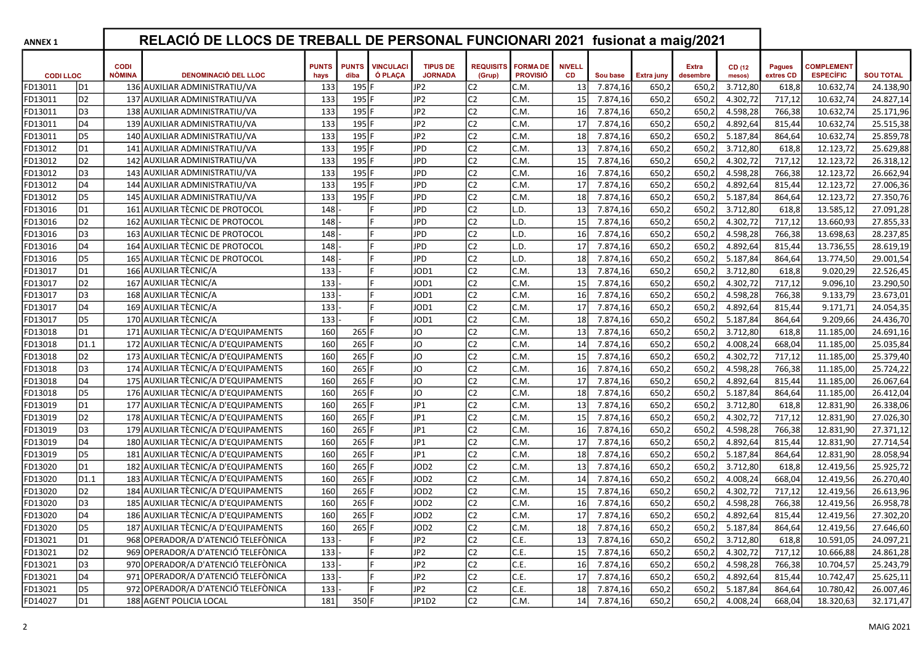| ANNEX 1         |                | RELACIÓ DE LLOCS DE TREBALL DE PERSONAL FUNCIONARI 2021 fusionat a maig/2021 |                      |                      |                             |                                   |                            |                                    |                     |          |                   |                          |                  |                            |                                       |                  |
|-----------------|----------------|------------------------------------------------------------------------------|----------------------|----------------------|-----------------------------|-----------------------------------|----------------------------|------------------------------------|---------------------|----------|-------------------|--------------------------|------------------|----------------------------|---------------------------------------|------------------|
| <b>CODILLOC</b> |                | <b>CODI</b><br><b>NÒMINA</b><br><b>DENOMINACIÓ DEL LLOC</b>                  | <b>PUNTS</b><br>hays | <b>PUNTS</b><br>diba | <b>VINCULACI</b><br>Ó PLAÇA | <b>TIPUS DE</b><br><b>JORNADA</b> | <b>REQUISITS</b><br>(Grup) | <b>FORMA DE</b><br><b>PROVISIÓ</b> | <b>NIVELL</b><br>CD | Sou base | <b>Extra juny</b> | <b>Extra</b><br>desembre | CD (12<br>mesos) | <b>Pagues</b><br>extres CD | <b>COMPLEMENT</b><br><b>ESPECÍFIC</b> | <b>SOU TOTAL</b> |
| FD13011         | D1             | 136 AUXILIAR ADMINISTRATIU/VA                                                | 133                  | 195                  |                             | JP <sub>2</sub>                   | C <sub>2</sub>             | C.M.                               | 13                  | 7.874,16 | 650,2             | 650,2                    | 3.712,80         | 618,8                      | 10.632,74                             | 24.138,90        |
| FD13011         | D2             | 137 AUXILIAR ADMINISTRATIU/VA                                                | 133                  | 195                  |                             | JP <sub>2</sub>                   | C <sub>2</sub>             | C.M.                               | 15                  | 7.874,16 | 650,2             | 650,2                    | 4.302,72         | 717,12                     | 10.632,74                             | 24.827,14        |
| FD13011         | D3             | 138 AUXILIAR ADMINISTRATIU/VA                                                | 133                  | 195                  |                             | JP <sub>2</sub>                   | C <sub>2</sub>             | C.M                                | 16                  | 7.874,16 | 650,2             | 650,2                    | 4.598,28         | 766,38                     | 10.632,74                             | 25.171,96        |
| FD13011         | D4             | 139 AUXILIAR ADMINISTRATIU/VA                                                | 133                  | 195                  |                             | JP <sub>2</sub>                   | C <sub>2</sub>             | C.M.                               | 17                  | 7.874,16 | 650,2             | 650,2                    | 4.892,64         | 815,44                     | 10.632,74                             | 25.515,38        |
| FD13011         | D5             | 140 AUXILIAR ADMINISTRATIU/VA                                                | 133                  | 195                  |                             | JP <sub>2</sub>                   | C <sub>2</sub>             | C.M.                               | 18                  | 7.874,16 | 650,2             | 650,2                    | 5.187,84         | 864,64                     | 10.632,74                             | 25.859,78        |
| FD13012         | D1             | 141 AUXILIAR ADMINISTRATIU/VA                                                | 133                  | 195                  |                             | <b>JPD</b>                        | C <sub>2</sub>             | C.M.                               | 13                  | 7.874,16 | 650,2             | 650,2                    | 3.712,80         | 618,8                      | 12.123,72                             | 25.629,88        |
| FD13012         | D <sub>2</sub> | 142 AUXILIAR ADMINISTRATIU/VA                                                | 133                  | 195                  |                             | <b>JPD</b>                        | C <sub>2</sub>             | C.M.                               | 15                  | 7.874,16 | 650,2             | 650,2                    | 4.302,72         | 717,12                     | 12.123,72                             | 26.318,12        |
| FD13012         | D <sub>3</sub> | 143 AUXILIAR ADMINISTRATIU/VA                                                | 133                  | 195                  |                             | <b>JPD</b>                        | C <sub>2</sub>             | C.M.                               | 16                  | 7.874,16 | 650,2             | 650,2                    | 4.598,28         | 766,38                     | 12.123,72                             | 26.662,94        |
| FD13012         | D4             | 144 AUXILIAR ADMINISTRATIU/VA                                                | 133                  | 195                  |                             | <b>JPD</b>                        | C <sub>2</sub>             | C.M                                | 17                  | 7.874,16 | 650,2             | 650,2                    | 4.892,64         | 815,44                     | 12.123,72                             | 27.006,36        |
| FD13012         | D5             | 145 AUXILIAR ADMINISTRATIU/VA                                                | 133                  | 195                  |                             | <b>JPD</b>                        | C <sub>2</sub>             | C.M                                | 18                  | 7.874,16 | 650,2             | 650,2                    | 5.187,84         | 864,64                     | 12.123,72                             | 27.350,76        |
| FD13016         | D1             | 161 AUXILIAR TÈCNIC DE PROTOCOL                                              | 148                  |                      |                             | <b>JPD</b>                        | C <sub>2</sub>             | D.                                 | 13                  | 7.874,16 | 650,2             | 650,2                    | 3.712,80         | 618,8                      | 13.585,12                             | 27.091,28        |
| FD13016         | D <sub>2</sub> | 162 AUXILIAR TÈCNIC DE PROTOCOL                                              | 148                  |                      |                             | <b>JPD</b>                        | C <sub>2</sub>             | L.D.                               | 15                  | 7.874,16 | 650,2             | 650,2                    | 4.302,72         | 717,12                     | 13.660,93                             | 27.855,33        |
| FD13016         | D3             | 163 AUXILIAR TÈCNIC DE PROTOCOL                                              | 148                  |                      |                             | <b>JPD</b>                        | C <sub>2</sub>             | L.D.                               | 16                  | 7.874,16 | 650,2             | 650,2                    | 4.598,28         | 766,38                     | 13.698,63                             | 28.237,85        |
| FD13016         | D4             | 164 AUXILIAR TÈCNIC DE PROTOCOL                                              | 148                  |                      |                             | <b>JPD</b>                        | C <sub>2</sub>             | L.D.                               | 17                  | 7.874,16 | 650,2             | 650,2                    | 4.892,64         | 815,44                     | 13.736,55                             | 28.619,19        |
| FD13016         | D <sub>5</sub> | 165 AUXILIAR TÈCNIC DE PROTOCOL                                              | 148                  |                      |                             | <b>JPD</b>                        | C <sub>2</sub>             | .D.                                | 18                  | 7.874,16 | 650,2             | 650,2                    | 5.187,84         | 864,64                     | 13.774,50                             | 29.001,54        |
| FD13017         | D1             | 166 AUXILIAR TÈCNIC/A                                                        | 133                  |                      |                             | JOD1                              | C <sub>2</sub>             | C.M                                | 13                  | 7.874,16 | 650,2             | 650,2                    | 3.712,80         | 618,8                      | 9.020,29                              | 22.526,45        |
| FD13017         | D <sub>2</sub> | 167 AUXILIAR TÈCNIC/A                                                        | 133                  |                      |                             | JOD1                              | C <sub>2</sub>             | C.M                                | 15                  | 7.874,16 | 650,2             | 650,2                    | 4.302,72         | 717,12                     | 9.096,10                              | 23.290,50        |
| FD13017         | D3             | 168 AUXILIAR TÈCNIC/A                                                        | 133                  |                      |                             | JOD1                              | C <sub>2</sub>             | C.M                                | 16                  | 7.874,16 | 650,2             | 650,2                    | 4.598,28         | 766,38                     | 9.133,79                              | 23.673,01        |
| FD13017         | D4             | 169 AUXILIAR TÈCNIC/A                                                        | 133                  |                      |                             | JOD1                              | C <sub>2</sub>             | C.M.                               | 17                  | 7.874,16 | 650,2             | 650,2                    | 4.892,64         | 815,44                     | 9.171,71                              | 24.054,35        |
| FD13017         | D5             | 170 AUXILIAR TÈCNIC/A                                                        | 133                  |                      |                             | JOD1                              | C <sub>2</sub>             | C.M.                               | 18                  | 7.874,16 | 650,2             | 650,2                    | 5.187,84         | 864,64                     | 9.209,66                              | 24.436,70        |
| FD13018         | D1             | 171 AUXILIAR TÈCNIC/A D'EQUIPAMENTS                                          | 160                  | 265                  |                             | JO                                | C <sub>2</sub>             | C.M.                               | 13                  | 7.874,16 | 650,2             | 650,2                    | 3.712,80         | 618,8                      | 11.185,00                             | 24.691,16        |
| FD13018         | D1.1           | 172 AUXILIAR TÉCNIC/A D'EQUIPAMENTS                                          | 160                  | 265                  |                             | JO                                | C <sub>2</sub>             | C.M.                               | 14                  | 7.874,16 | 650,2             | 650,2                    | 4.008,24         | 668,04                     | 11.185,00                             | 25.035,84        |
| FD13018         | D <sub>2</sub> | 173 AUXILIAR TÈCNIC/A D'EQUIPAMENTS                                          | 160                  | 265                  |                             | JO                                | C <sub>2</sub>             | C.M.                               | 15                  | 7.874,16 | 650,2             | 650,2                    | 4.302,72         | 717,12                     | 11.185,00                             | 25.379,40        |
| FD13018         | D <sub>3</sub> | 174 AUXILIAR TÈCNIC/A D'EQUIPAMENTS                                          | 160                  | 265                  |                             | JO                                | C <sub>2</sub>             | C.M.                               | 16                  | 7.874,16 | 650,2             | 650,2                    | 4.598,28         | 766,38                     | 11.185,00                             | 25.724,22        |
| FD13018         | D4             | 175 AUXILIAR TÈCNIC/A D'EQUIPAMENTS                                          | 160                  | 265                  |                             | JO                                | C <sub>2</sub>             | C.M                                | 17                  | 7.874,16 | 650,2             | 650,2                    | 4.892,64         | 815,44                     | 11.185,00                             | 26.067,64        |
| FD13018         | D <sub>5</sub> | 176 AUXILIAR TÈCNIC/A D'EQUIPAMENTS                                          | 160                  | 265                  |                             | JO                                | C <sub>2</sub>             | C.M.                               | 18                  | 7.874,16 | 650,2             | 650,2                    | 5.187,84         | 864,64                     | 11.185,00                             | 26.412,04        |
| FD13019         | D1             | 177 AUXILIAR TÈCNIC/A D'EQUIPAMENTS                                          | 160                  | 265                  |                             | JP <sub>1</sub>                   | C <sub>2</sub>             | C.M                                | 13                  | 7.874,16 | 650,2             | 650,2                    | 3.712,80         | 618,8                      | 12.831,90                             | 26.338,06        |
| FD13019         | D <sub>2</sub> | 178 AUXILIAR TÉCNIC/A D'EQUIPAMENTS                                          | 160                  | 265                  |                             | JP <sub>1</sub>                   | C <sub>2</sub>             | C.M                                | 15                  | 7.874,16 | 650,2             | 650,2                    | 4.302,72         | 717,12                     | 12.831,90                             | 27.026,30        |
| FD13019         | D <sub>3</sub> | 179 AUXILIAR TÉCNIC/A D'EQUIPAMENTS                                          | 160                  | 265 F                |                             | JP <sub>1</sub>                   | C <sub>2</sub>             | C.M.                               | 16                  | 7.874,16 | 650,2             | 650,2                    | 4.598,28         | 766,38                     | 12.831,90                             | 27.371,12        |
| FD13019         | D <sub>4</sub> | 180 AUXILIAR TÈCNIC/A D'EQUIPAMENTS                                          | 160                  | 265                  |                             | JP <sub>1</sub>                   | C <sub>2</sub>             | C.M.                               | 17                  | 7.874,16 | 650,2             | 650,2                    | 4.892,64         | 815,44                     | 12.831,90                             | 27.714,54        |
| FD13019         | D5             | 181 AUXILIAR TÈCNIC/A D'EQUIPAMENTS                                          | 160                  | 265                  |                             | JP1                               | C <sub>2</sub>             | C.M.                               | 18                  | 7.874,16 | 650,2             | 650,2                    | 5.187,84         | 864,64                     | 12.831,90                             | 28.058,94        |
| FD13020         | D1             | 182 AUXILIAR TÈCNIC/A D'EQUIPAMENTS                                          | 160                  | 265                  |                             | JOD <sub>2</sub>                  | C <sub>2</sub>             | C.M                                | 13                  | 7.874,16 | 650,2             | 650,2                    | 3.712,80         | 618,8                      | 12.419,56                             | 25.925,72        |
| FD13020         | D1.1           | 183 AUXILIAR TÈCNIC/A D'EQUIPAMENTS                                          | 160                  | 265                  |                             | JOD <sub>2</sub>                  | C <sub>2</sub>             | C.M.                               | 14                  | 7.874,16 | 650,2             | 650,2                    | 4.008,24         | 668,04                     | 12.419,56                             | 26.270,40        |
| FD13020         | D2             | 184 AUXILIAR TÈCNIC/A D'EQUIPAMENTS                                          | 160                  | 265                  |                             | JOD <sub>2</sub>                  | C <sub>2</sub>             | C.M.                               | 15                  | 7.874,16 | 650,2             | 650,                     | 4.302,72         | 717,12                     | 12.419,56                             | 26.613,96        |
| FD13020         | D3             | 185 AUXILIAR TÈCNIC/A D'EQUIPAMENTS                                          | 160                  | 265                  |                             | JOD <sub>2</sub>                  | C <sub>2</sub>             | C.M                                | 16                  | 7.874,16 | 650,2             | 650,2                    | 4.598,28         | 766,38                     | 12.419,56                             | 26.958,78        |
| FD13020         | D <sub>4</sub> | 186 AUXILIAR TÈCNIC/A D'EQUIPAMENTS                                          | 160                  | 265 F                |                             | JOD <sub>2</sub>                  | C <sub>2</sub>             | C.M.                               | 17                  | 7.874,16 | 650,2             | 650,2                    | 4.892,64         | 815,44                     | 12.419,56                             | 27.302,20        |
| FD13020         | D5             | 187 AUXILIAR TÈCNIC/A D'EQUIPAMENTS                                          | 160                  | 265 F                |                             | JOD <sub>2</sub>                  | C <sub>2</sub>             | C.M.                               | 18                  | 7.874,16 | 650,2             | 650,2                    | 5.187,84         | 864,64                     | 12.419,56                             | 27.646,60        |
| FD13021         | D1             | 968 OPERADOR/A D'ATENCIÓ TELEFÒNICA                                          | 133                  |                      |                             | JP <sub>2</sub>                   | $\overline{C2}$            | C.E.                               | 13                  | 7.874,16 | 650,2             | 650,2                    | 3.712,80         | 618,8                      | 10.591,05                             | 24.097,21        |
| FD13021         | D <sub>2</sub> | 969 OPERADOR/A D'ATENCIÓ TELEFÒNICA                                          | 133                  |                      |                             | JP <sub>2</sub>                   | C <sub>2</sub>             | C.E.                               | 15                  | 7.874,16 | 650,2             | 650,2                    | 4.302,72         | 717,12                     | 10.666,88                             | 24.861,28        |
| FD13021         | D3             | 970 OPERADOR/A D'ATENCIÓ TELEFÒNICA                                          | 133                  |                      |                             | JP <sub>2</sub>                   | C <sub>2</sub>             | C.E.                               | 16                  | 7.874,16 | 650,2             | 650,2                    | 4.598,28         | 766,38                     | 10.704,57                             | 25.243,79        |
| FD13021         | D4             | 971 OPERADOR/A D'ATENCIÓ TELEFÒNICA                                          | 133                  |                      |                             | JP2                               | C <sub>2</sub>             | C.E.                               | 17                  | 7.874,16 | 650,2             | 650,2                    | 4.892,64         | 815,44                     | 10.742,47                             | 25.625,11        |
| FD13021         | D5             | 972 OPERADOR/A D'ATENCIÓ TELEFÒNICA                                          | 133                  |                      |                             | JP <sub>2</sub>                   | C <sub>2</sub>             | C.E.                               | 18                  | 7.874,16 | 650,2             | 650,2                    | 5.187,84         | 864,64                     | 10.780,42                             | 26.007,46        |
| FD14027         | D1             | 188 AGENT POLICIA LOCAL                                                      | 181                  | 350 F                |                             | JP1D2                             | $\overline{C2}$            | C.M.                               | 14                  | 7.874,16 | 650,2             | 650,2                    | 4.008,24         | 668,04                     | 18.320,63                             | 32.171,47        |
|                 |                |                                                                              |                      |                      |                             |                                   |                            |                                    |                     |          |                   |                          |                  |                            |                                       |                  |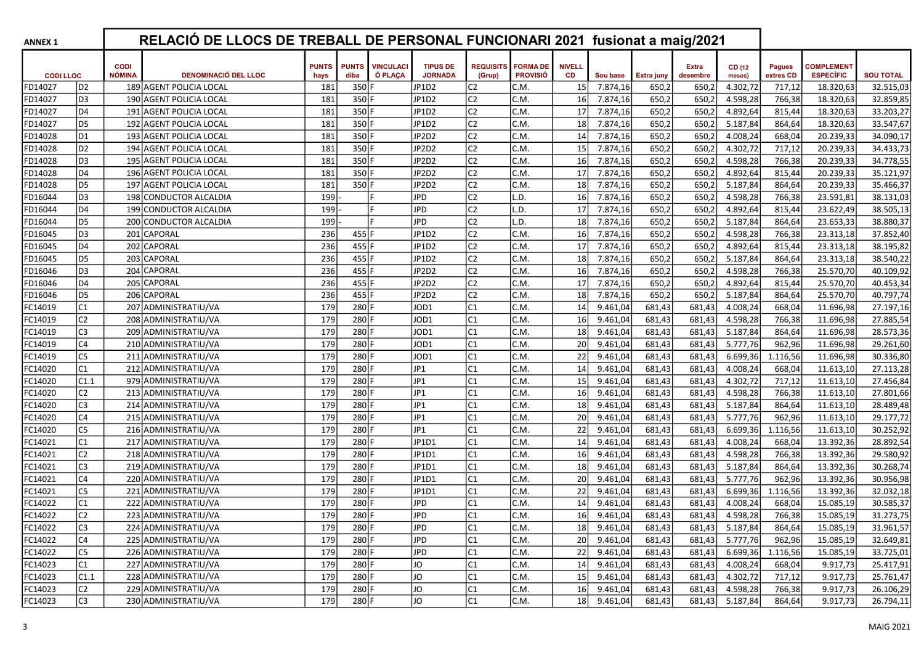| <b>ANNEX 1</b>  |                | RELACIÓ DE LLOCS DE TREBALL DE PERSONAL FUNCIONARI 2021 fusionat a maig/2021 |                      |                      |                             |                                   |                            |                                    |                     |          |                   |                          |                  |                            |                                       |                  |
|-----------------|----------------|------------------------------------------------------------------------------|----------------------|----------------------|-----------------------------|-----------------------------------|----------------------------|------------------------------------|---------------------|----------|-------------------|--------------------------|------------------|----------------------------|---------------------------------------|------------------|
| <b>CODILLOC</b> |                | <b>CODI</b><br><b>NÒMINA</b><br><b>DENOMINACIÓ DEL LLOC</b>                  | <b>PUNTS</b><br>hays | <b>PUNTS</b><br>diba | <b>VINCULACI</b><br>Ó PLAÇA | <b>TIPUS DE</b><br><b>JORNADA</b> | <b>REQUISITS</b><br>(Grup) | <b>FORMA DE</b><br><b>PROVISIÓ</b> | <b>NIVELL</b><br>CD | Sou base | <b>Extra juny</b> | <b>Extra</b><br>desembre | CD (12<br>mesos) | <b>Pagues</b><br>extres CD | <b>COMPLEMENT</b><br><b>ESPECÍFIC</b> | <b>SOU TOTAL</b> |
| FD14027         | D <sub>2</sub> | 189 AGENT POLICIA LOCAL                                                      | 181                  | 350                  |                             | JP1D2                             | C <sub>2</sub>             | C.M.                               | 15                  | 7.874,16 | 650,2             | 650,2                    | 4.302,72         | 717,12                     | 18.320,63                             | 32.515,03        |
| FD14027         | D <sub>3</sub> | 190 AGENT POLICIA LOCAL                                                      | 181                  | 350                  |                             | JP1D2                             | C <sub>2</sub>             | C.M.                               | 16                  | 7.874,16 | 650,2             | 650,2                    | 4.598,28         | 766,38                     | 18.320,63                             | 32.859,85        |
| FD14027         | D4             | 191 AGENT POLICIA LOCAL                                                      | 181                  | 350                  |                             | JP1D2                             | C <sub>2</sub>             | C.M                                | 17                  | 7.874,16 | 650,2             | 650,2                    | 4.892,64         | 815,44                     | 18.320,63                             | 33.203,27        |
| FD14027         | D5             | 192 AGENT POLICIA LOCAL                                                      | 181                  | 350                  |                             | JP1D2                             | C <sub>2</sub>             | C.M.                               | 18                  | 7.874,16 | 650,2             | 650,2                    | 5.187,84         | 864,64                     | 18.320,63                             | 33.547,67        |
| FD14028         | D <sub>1</sub> | 193 AGENT POLICIA LOCAL                                                      | 181                  | 350                  |                             | JP2D2                             | C <sub>2</sub>             | C.M.                               | 14                  | 7.874,16 | 650,2             | 650,2                    | 4.008,24         | 668,04                     | 20.239,33                             | 34.090,17        |
| FD14028         | D <sub>2</sub> | 194 AGENT POLICIA LOCAL                                                      | 181                  | 350                  |                             | JP2D2                             | C <sub>2</sub>             | C.M.                               | 15                  | 7.874,16 | 650,2             | 650,2                    | 4.302,72         | 717,12                     | 20.239,33                             | 34.433,73        |
| FD14028         | D <sub>3</sub> | 195 AGENT POLICIA LOCAL                                                      | 181                  | 350                  |                             | JP2D2                             | C <sub>2</sub>             | C.M                                | 16                  | 7.874,16 | 650,2             | 650,2                    | 4.598,28         | 766,38                     | 20.239,33                             | 34.778,55        |
| FD14028         | D <sub>4</sub> | 196 AGENT POLICIA LOCAL                                                      | 181                  | 350                  |                             | JP2D2                             | C <sub>2</sub>             | C.M.                               | 17                  | 7.874,16 | 650,2             | 650,2                    | 4.892,64         | 815,44                     | 20.239,33                             | 35.121,97        |
| FD14028         | D5             | 197 AGENT POLICIA LOCAL                                                      | 181                  | 350                  |                             | JP2D2                             | C <sub>2</sub>             | C.M                                | 18                  | 7.874,16 | 650,2             | 650,2                    | 5.187,84         | 864,64                     | 20.239,33                             | 35.466,37        |
| FD16044         | D <sub>3</sub> | 198 CONDUCTOR ALCALDIA                                                       | 199                  |                      |                             | <b>JPD</b>                        | C <sub>2</sub>             | .D.                                | 16                  | 7.874,16 | 650,2             | 650,2                    | 4.598,28         | 766,38                     | 23.591,81                             | 38.131,03        |
| FD16044         | D4             | 199 CONDUCTOR ALCALDIA                                                       | 199                  |                      |                             | <b>JPD</b>                        | C <sub>2</sub>             | .D.                                | 17                  | 7.874,16 | 650,2             | 650,2                    | 4.892,64         | 815,44                     | 23.622,49                             | 38.505,13        |
| FD16044         | D <sub>5</sub> | 200 CONDUCTOR ALCALDIA                                                       | 199                  |                      |                             | <b>JPD</b>                        | C <sub>2</sub>             | L.D.                               | 18                  | 7.874,16 | 650,2             | 650,2                    | 5.187,84         | 864,64                     | 23.653,33                             | 38.880,37        |
| FD16045         | D <sub>3</sub> | 201 CAPORAL                                                                  | 236                  | 455 F                |                             | JP1D2                             | C <sub>2</sub>             | C.M.                               | 16                  | 7.874,16 | 650,2             | 650,2                    | 4.598,28         | 766,38                     | 23.313,18                             | 37.852,40        |
| FD16045         | D4             | 202 CAPORAL                                                                  | 236                  | 455                  |                             | JP1D2                             | C <sub>2</sub>             | C.M                                | 17                  | 7.874,16 | 650,2             | 650,2                    | 4.892,64         | 815,44                     | 23.313,18                             | 38.195,82        |
| FD16045         | D <sub>5</sub> | 203 CAPORAL                                                                  | 236                  | 455 F                |                             | JP1D2                             | C <sub>2</sub>             | C.M.                               | 18                  | 7.874,16 | 650,2             | 650,2                    | 5.187,84         | 864,64                     | 23.313,18                             | 38.540,22        |
| FD16046         | D <sub>3</sub> | 204 CAPORAL                                                                  | 236                  | 455                  |                             | JP2D2                             | C <sub>2</sub>             | C.M.                               | 16                  | 7.874,16 | 650,2             | 650,2                    | 4.598,28         | 766,38                     | 25.570,70                             | 40.109,92        |
| FD16046         | D4             | 205 CAPORAL                                                                  | 236                  | 455                  |                             | JP2D2                             | C <sub>2</sub>             | C.M                                | 17                  | 7.874,16 | 650,2             | 650,2                    | 4.892,64         | 815,44                     | 25.570,70                             | 40.453,34        |
| FD16046         | D5             | 206 CAPORAL                                                                  | 236                  | 455                  |                             | JP2D2                             | C <sub>2</sub>             | C.M                                | 18                  | 7.874,16 | 650,2             | 650,2                    | 5.187,84         | 864,64                     | 25.570,70                             | 40.797,74        |
| FC14019         | C1             | 207 ADMINISTRATIU/VA                                                         | 179                  | 280                  |                             | JOD1                              | C <sub>1</sub>             | C.M.                               | 14                  | 9.461,04 | 681,43            | 681,43                   | 4.008,24         | 668,04                     | 11.696,98                             | 27.197,16        |
| FC14019         | C <sub>2</sub> | 208 ADMINISTRATIU/VA                                                         | 179                  | 280                  |                             | JOD1                              | C <sub>1</sub>             | C.M.                               | 16                  | 9.461,04 | 681,43            | 681,43                   | 4.598,28         | 766,38                     | 11.696,98                             | 27.885,54        |
| FC14019         | C3             | 209 ADMINISTRATIU/VA                                                         | 179                  | 280                  |                             | JOD1                              | C <sub>1</sub>             | C.M.                               | 18                  | 9.461,04 | 681,43            | 681,43                   | 5.187,84         | 864,64                     | 11.696,98                             | 28.573,36        |
| FC14019         | C4             | 210 ADMINISTRATIU/VA                                                         | 179                  | 280                  |                             | JOD1                              | C <sub>1</sub>             | C.M.                               | 20                  | 9.461,04 | 681,43            | 681,43                   | 5.777,76         | 962,96                     | 11.696,98                             | 29.261,60        |
| FC14019         | C5             | 211 ADMINISTRATIU/VA                                                         | 179                  | 280                  |                             | JOD1                              | C <sub>1</sub>             | C.M.                               | 22                  | 9.461,04 | 681,43            | 681,43                   | 6.699,36         | 1.116,56                   | 11.696,98                             | 30.336,80        |
| FC14020         | C1             | 212 ADMINISTRATIU/VA                                                         | 179                  | 280                  |                             | JP <sub>1</sub>                   | C <sub>1</sub>             | C.M                                | 14                  | 9.461,04 | 681,43            | 681,43                   | 4.008,24         | 668,04                     | 11.613,10                             | 27.113,28        |
| FC14020         | C1.1           | 979 ADMINISTRATIU/VA                                                         | 179                  | 280                  |                             | JP <sub>1</sub>                   | C <sub>1</sub>             | C.M                                | 15                  | 9.461,04 | 681,43            | 681,43                   | 4.302,72         | 717,12                     | 11.613,10                             | 27.456,84        |
| FC14020         | C2             | 213 ADMINISTRATIU/VA                                                         | 179                  | 280                  |                             | JP <sub>1</sub>                   | C <sub>1</sub>             | C.M.                               | 16                  | 9.461,04 | 681,43            | 681,43                   | 4.598,28         | 766,38                     | 11.613,10                             | 27.801,66        |
| FC14020         | C3             | 214 ADMINISTRATIU/VA                                                         | 179                  | 280                  |                             | JP <sub>1</sub>                   | C <sub>1</sub>             | C.M                                | 18                  | 9.461,04 | 681,43            | 681,43                   | 5.187,84         | 864,64                     | 11.613,10                             | 28.489,48        |
| FC14020         | C4             | 215 ADMINISTRATIU/VA                                                         | 179                  | 280                  |                             | JP <sub>1</sub>                   | C <sub>1</sub>             | C.M                                | 20                  | 9.461,04 | 681,43            | 681,43                   | 5.777,76         | 962,96                     | 11.613,10                             | 29.177,72        |
| FC14020         | C5             | 216 ADMINISTRATIU/VA                                                         | 179                  | 280                  |                             | JP <sub>1</sub>                   | C <sub>1</sub>             | C.M.                               | 22                  | 9.461,04 | 681,43            | 681,43                   | 6.699,36         | 1.116,56                   | 11.613,10                             | 30.252,92        |
| FC14021         | C1             | 217 ADMINISTRATIU/VA                                                         | 179                  | 280                  |                             | JP1D1                             | C <sub>1</sub>             | C.M.                               | 14                  | 9.461,04 | 681,43            | 681,43                   | 4.008,24         | 668,04                     | 13.392,36                             | 28.892,54        |
| FC14021         | C2             | 218 ADMINISTRATIU/VA                                                         | 179                  | 280                  |                             | JP1D1                             | C <sub>1</sub>             | C.M.                               | 16                  | 9.461,04 | 681,43            | 681,43                   | 4.598,28         | 766,38                     | 13.392,36                             | 29.580,92        |
| FC14021         | C3             | 219 ADMINISTRATIU/VA                                                         | 179                  | 280                  |                             | JP1D1                             | C <sub>1</sub>             | C.M                                | 18                  | 9.461,04 | 681,43            | 681,43                   | 5.187,84         | 864,64                     | 13.392,36                             | 30.268,74        |
| FC14021         | C4             | 220 ADMINISTRATIU/VA                                                         | 179                  | 280                  |                             | JP1D1                             | C <sub>1</sub>             | C.M.                               | 20                  | 9.461,04 | 681,43            | 681,43                   | 5.777,76         | 962,96                     | 13.392,36                             | 30.956,98        |
| FC14021         | C5             | 221 ADMINISTRATIU/VA                                                         | 179                  | 280                  |                             | JP1D1                             | C <sub>1</sub>             | C.M.                               | 22                  | 9.461,04 | 681,43            | 681,43                   | 6.699,36         | 1.116,56                   | 13.392,36                             | 32.032,18        |
| FC14022         | C1             | 222 ADMINISTRATIU/VA                                                         | 179                  | 280                  |                             | <b>JPD</b>                        | C <sub>1</sub>             | C.M                                | 14                  | 9.461,04 | 681,43            | 681,43                   | 4.008,24         | 668,04                     | 15.085,19                             | 30.585,37        |
| FC14022         | C <sub>2</sub> | 223 ADMINISTRATIU/VA                                                         | 179                  | 280F                 |                             | <b>JPD</b>                        | lc1                        | C.M.                               | 16                  | 9.461,04 | 681,43            | 681,43                   | 4.598,28         | 766,38                     | 15.085.19                             | 31.273,75        |
| FC14022         | C3             | 224 ADMINISTRATIU/VA                                                         | 179                  | 280 F                |                             | <b>JPD</b>                        | C1                         | C.M.                               | 18                  | 9.461,04 | 681,43            | 681,43                   | 5.187,84         | 864,64                     | 15.085,19                             | 31.961,57        |
| FC14022         | C4             | 225 ADMINISTRATIU/VA                                                         | 179                  | 280 F                |                             | <b>JPD</b>                        | C1                         | C.M.                               | 20                  | 9.461,04 | 681,43            | 681,43                   | 5.777,76         | 962,96                     | 15.085,19                             | 32.649,81        |
| FC14022         | C5             | 226 ADMINISTRATIU/VA                                                         | 179                  | 280 F                |                             | <b>JPD</b>                        | C <sub>1</sub>             | C.M.                               | 22                  | 9.461,04 | 681,43            | 681,43                   | 6.699,36         | 1.116,56                   | 15.085,19                             | 33.725,01        |
| FC14023         | C1             | 227 ADMINISTRATIU/VA                                                         | 179                  | 280 F                |                             | JO                                | C <sub>1</sub>             | C.M.                               | 14                  | 9.461,04 | 681,43            | 681,43                   | 4.008,24         | 668,04                     | 9.917,73                              | 25.417,91        |
| FC14023         | C1.1           | 228 ADMINISTRATIU/VA                                                         | 179                  | 280 F                |                             | JO                                | C <sub>1</sub>             | C.M.                               | 15                  | 9.461,04 | 681,43            | 681,43                   | 4.302,72         | 717,12                     | 9.917,73                              | 25.761,47        |
| FC14023         | C2             | 229 ADMINISTRATIU/VA                                                         | 179                  | 280 F                |                             | JO                                | C1                         | C.M.                               | 16                  | 9.461,04 | 681,43            | 681,43                   | 4.598,28         | 766,38                     | 9.917,73                              | 26.106,29        |
| FC14023         | C3             | 230 ADMINISTRATIU/VA                                                         | 179                  | 280 F                |                             | JO                                | C1                         | C.M.                               | 18                  | 9.461,04 | 681,43            | 681,43                   | 5.187,84         | 864,64                     | 9.917,73                              | 26.794,11        |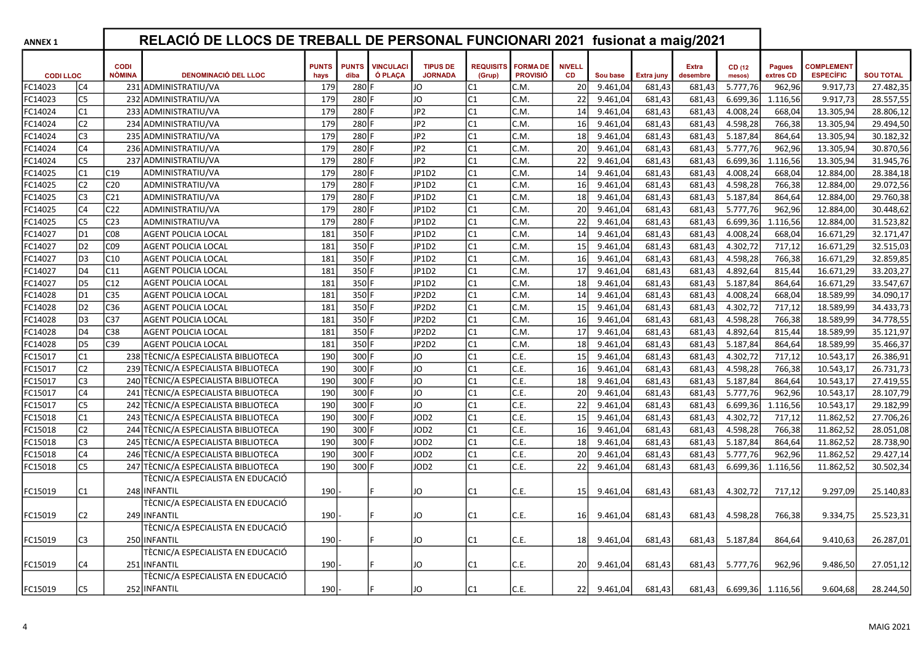| <b>ANNEX 1</b>  |                |                              | RELACIÓ DE LLOCS DE TREBALL DE PERSONAL FUNCIONARI 2021 fusionat a maig/2021 |                      |                      |                             |                                   |                            |                                    |                     |          |                   |                          |                  |                            |                                       |                  |
|-----------------|----------------|------------------------------|------------------------------------------------------------------------------|----------------------|----------------------|-----------------------------|-----------------------------------|----------------------------|------------------------------------|---------------------|----------|-------------------|--------------------------|------------------|----------------------------|---------------------------------------|------------------|
| <b>CODILLOC</b> |                | <b>CODI</b><br><b>NÒMINA</b> | <b>DENOMINACIÓ DEL LLOC</b>                                                  | <b>PUNTS</b><br>hays | <b>PUNTS</b><br>diba | <b>VINCULACI</b><br>Ó PLACA | <b>TIPUS DE</b><br><b>JORNADA</b> | <b>REQUISITS</b><br>(Grup) | <b>FORMA DE</b><br><b>PROVISIÓ</b> | <b>NIVELL</b><br>CD | Sou base | <b>Extra juny</b> | <b>Extra</b><br>desembre | CD (12<br>mesos) | <b>Pagues</b><br>extres CD | <b>COMPLEMENT</b><br><b>ESPECÍFIC</b> | <b>SOU TOTAL</b> |
| FC14023         | C <sub>4</sub> |                              | 231 ADMINISTRATIU/VA                                                         | 179                  | 280                  |                             | JO                                | lC1                        | C.M.                               | 20                  | 9.461,04 | 681,43            | 681,43                   | 5.777,76         | 962,96                     | 9.917,73                              | 27.482,35        |
| FC14023         | C5             |                              | 232 ADMINISTRATIU/VA                                                         | 179                  | 280 F                |                             | JO                                | lc1                        | C.M.                               | 22                  | 9.461,04 | 681,43            | 681,43                   | 6.699,36         | 1.116,56                   | 9.917,73                              | 28.557,55        |
| FC14024         | C1             |                              | 233 ADMINISTRATIU/VA                                                         | 179                  | 280 F                |                             | JP <sub>2</sub>                   | IC1                        | C.M.                               | 14                  | 9.461,04 | 681,43            | 681,43                   | 4.008,24         | 668,04                     | 13.305,94                             | 28.806,12        |
| FC14024         | C <sub>2</sub> |                              | 234 ADMINISTRATIU/VA                                                         | 179                  | $280$ F              |                             | JP <sub>2</sub>                   | lc1                        | C.M.                               | 16                  | 9.461,04 | 681,43            | 681,43                   | 4.598,28         | 766,38                     | 13.305,94                             | 29.494,50        |
| FC14024         | C3             |                              | 235 ADMINISTRATIU/VA                                                         | 179                  | 280 F                |                             | JP <sub>2</sub>                   | IC1                        | C.M.                               | 18                  | 9.461,04 | 681,43            | 681,43                   | 5.187,84         | 864,64                     | 13.305,94                             | 30.182,32        |
| FC14024         | C4             |                              | 236 ADMINISTRATIU/VA                                                         | 179                  | 280F                 |                             | JP <sub>2</sub>                   | C1                         | C.M.                               | 20                  | 9.461,04 | 681,43            | 681,43                   | 5.777,76         | 962,96                     | 13.305,94                             | 30.870,56        |
| FC14024         | C <sub>5</sub> |                              | 237 ADMINISTRATIU/VA                                                         | 179                  | 280 F                |                             | JP <sub>2</sub>                   | lc1                        | C.M.                               | 22                  | 9.461,04 | 681,43            | 681,43                   | 6.699,36         | 1.116,56                   | 13.305,94                             | 31.945,76        |
| FC14025         | C1             | C19                          | ADMINISTRATIU/VA                                                             | 179                  | 280 F                |                             | JP1D2                             | lc1                        | C.M.                               | 14                  | 9.461,04 | 681,43            | 681,43                   | 4.008,24         | 668,04                     | 12.884,00                             | 28.384,18        |
| FC14025         | C <sub>2</sub> | C20                          | ADMINISTRATIU/VA                                                             | 179                  | 280 F                |                             | JP1D2                             | C1                         | C.M.                               | 16                  | 9.461,04 | 681,43            | 681,43                   | 4.598,28         | 766,38                     | 12.884,00                             | 29.072,56        |
| FC14025         | C <sub>3</sub> | C <sub>21</sub>              | ADMINISTRATIU/VA                                                             | 179                  | 280 F                |                             | JP1D2                             | lc1                        | C.M.                               | 18                  | 9.461,04 | 681,43            | 681,43                   | 5.187,84         | 864,64                     | 12.884,00                             | 29.760,38        |
| FC14025         | C4             | C <sub>22</sub>              | ADMINISTRATIU/VA                                                             | 179                  | 280 F                |                             | JP1D2                             | IC1                        | C.M.                               | 20                  | 9.461,04 | 681,43            | 681,43                   | 5.777,76         | 962,96                     | 12.884,00                             | 30.448,62        |
| FC14025         | C <sub>5</sub> | C <sub>23</sub>              | ADMINISTRATIU/VA                                                             | 179                  | 280 F                |                             | JP1D2                             | IC1                        | C.M.                               | 22                  | 9.461,04 | 681,43            | 681,43                   | 6.699,36         | 1.116,56                   | 12.884,00                             | 31.523,82        |
| FC14027         | D <sub>1</sub> | $\overline{CO8}$             | AGENT POLICIA LOCAL                                                          | 181                  | 350 F                |                             | JP1D2                             | C1                         | C.M.                               | 14                  | 9.461,04 | 681,43            | 681,43                   | 4.008,24         | 668,04                     | 16.671,29                             | 32.171,47        |
| FC14027         | D <sub>2</sub> | C09                          | <b>AGENT POLICIA LOCAL</b>                                                   | 181                  | 350 F                |                             | JP1D2                             | IC1                        | C.M.                               | 15                  | 9.461,04 | 681,43            | 681,43                   | 4.302,72         | 717,12                     | 16.671,29                             | 32.515,03        |
| FC14027         | D <sub>3</sub> | C10                          | AGENT POLICIA LOCAL                                                          | 181                  | 350F                 |                             | JP1D2                             | lc1                        | C.M.                               | 16                  | 9.461,04 | 681,43            | 681,43                   | 4.598,28         | 766,38                     | 16.671,29                             | 32.859,85        |
| FC14027         | D <sub>4</sub> | C11                          | AGENT POLICIA LOCAL                                                          | 181                  | 350F                 |                             | JP1D2                             | C1                         | C.M.                               | 17                  | 9.461,04 | 681,43            | 681,43                   | 4.892,64         | 815,44                     | 16.671,29                             | 33.203,27        |
| FC14027         | D <sub>5</sub> | C12                          | AGENT POLICIA LOCAL                                                          | 181                  | 350 F                |                             | JP1D2                             | lc1                        | C.M.                               | 18                  | 9.461,04 | 681,43            | 681,43                   | 5.187,84         | 864,64                     | 16.671,29                             | 33.547,67        |
| FC14028         | D <sub>1</sub> | C35                          | <b>AGENT POLICIA LOCAL</b>                                                   | 181                  | 350F                 |                             | JP2D2                             | lc1                        | C.M.                               | 14                  | 9.461,04 | 681,43            | 681,43                   | 4.008,24         | 668,04                     | 18.589,99                             | 34.090,17        |
| FC14028         | D <sub>2</sub> | C36                          | <b>AGENT POLICIA LOCAL</b>                                                   | 181                  | 350F                 |                             | JP2D2                             | C1                         | C.M.                               | 15                  | 9.461,04 | 681,43            | 681,43                   | 4.302,72         | 717,12                     | 18.589,99                             | 34.433,73        |
| FC14028         | D <sub>3</sub> | C <sub>37</sub>              | <b>AGENT POLICIA LOCAL</b>                                                   | 181                  | 350F                 |                             | JP2D2                             | lc1                        | C.M.                               | 16                  | 9.461,04 | 681,43            | 681,43                   | 4.598,28         | 766,38                     | 18.589,99                             | 34.778,55        |
| FC14028         | D <sub>4</sub> | C38                          | <b>AGENT POLICIA LOCAL</b>                                                   | 181                  | 350F                 |                             | JP2D2                             | lc1                        | C.M.                               | 17                  | 9.461,04 | 681,43            | 681,43                   | 4.892,64         | 815,44                     | 18.589,99                             | 35.121,97        |
| FC14028         | D <sub>5</sub> | C39                          | <b>AGENT POLICIA LOCAL</b>                                                   | 181                  | 350F                 |                             | JP2D2                             | lc1                        | C.M.                               | 18                  | 9.461,04 | 681,43            | 681,43                   | 5.187,84         | 864,64                     | 18.589,99                             | 35.466,37        |
| FC15017         | C1             |                              | 238 TÈCNIC/A ESPECIALISTA BIBLIOTECA                                         | 190                  | 300 F                |                             | JO                                | lc1                        | C.E.                               | 15                  | 9.461,04 | 681,43            | 681,43                   | 4.302,72         | 717,12                     | 10.543,17                             | 26.386,91        |
| FC15017         | C <sub>2</sub> |                              | 239 TÈCNIC/A ESPECIALISTA BIBLIOTECA                                         | 190                  | 300 F                |                             | JO                                | lc1                        | C.E.                               | 16                  | 9.461,04 | 681,43            | 681,43                   | 4.598,28         | 766,38                     | 10.543,17                             | 26.731,73        |
| FC15017         | C3             |                              | 240 TÈCNIC/A ESPECIALISTA BIBLIOTECA                                         | 190                  | 300 F                |                             | JO                                | lc1                        | C.E.                               | 18                  | 9.461,04 | 681,43            | 681,43                   | 5.187,84         | 864,64                     | 10.543,17                             | 27.419,55        |
| FC15017         | C4             |                              | 241 TÈCNIC/A ESPECIALISTA BIBLIOTECA                                         | 190                  | $300$ F              |                             | <b>JO</b>                         | IC1                        | C.E.                               | 20                  | 9.461,04 | 681,43            | 681,43                   | 5.777,76         | 962,96                     | 10.543,17                             | 28.107,79        |
| FC15017         | C5             |                              | 242 TÈCNIC/A ESPECIALISTA BIBLIOTECA                                         | 190                  | 300 F                |                             | JO                                | lc1                        | C.E.                               | 22                  | 9.461,04 | 681,43            | 681,43                   | 6.699,36         | 1.116,56                   | 10.543,17                             | 29.182,99        |
| FC15018         | C1             |                              | 243 TÈCNIC/A ESPECIALISTA BIBLIOTECA                                         | 190                  | 300 F                |                             | JOD <sub>2</sub>                  | lc1                        | C.E.                               | 15                  | 9.461,04 | 681,43            | 681,43                   | 4.302,72         | 717,12                     | 11.862,52                             | 27.706,26        |
| FC15018         | C <sub>2</sub> |                              | 244 TÈCNIC/A ESPECIALISTA BIBLIOTECA                                         | 190                  | 300 F                |                             | JOD <sub>2</sub>                  | IC1                        | C.E.                               | 16                  | 9.461,04 | 681,43            | 681,43                   | 4.598,28         | 766,38                     | 11.862,52                             | 28.051,08        |
| FC15018         | C <sub>3</sub> |                              | 245 TÈCNIC/A ESPECIALISTA BIBLIOTECA                                         | 190                  | 300 F                |                             | JOD <sub>2</sub>                  | lc1                        | C.E.                               | 18                  | 9.461,04 | 681,43            | 681,43                   | 5.187,84         | 864,64                     | 11.862,52                             | 28.738,90        |
| FC15018         | C4             |                              | 246 TÈCNIC/A ESPECIALISTA BIBLIOTECA                                         | 190                  | 300 F                |                             | JOD <sub>2</sub>                  | IC1                        | C.E.                               | 20                  | 9.461,04 | 681,43            | 681,43                   | 5.777,76         | 962,96                     | 11.862,52                             | 29.427,14        |
| FC15018         | C <sub>5</sub> |                              | 247 TÈCNIC/A ESPECIALISTA BIBLIOTECA                                         | 190                  | 300 F                |                             | JOD <sub>2</sub>                  | C1                         | C.E.                               | 22                  | 9.461,04 | 681,43            | 681,43                   | 6.699,36         | 1.116,56                   | 11.862,52                             | 30.502,34        |
|                 |                |                              | TÈCNIC/A ESPECIALISTA EN EDUCACIÓ                                            |                      |                      |                             |                                   |                            |                                    |                     |          |                   |                          |                  |                            |                                       |                  |
| FC15019         | C1             |                              | 248 INFANTIL                                                                 | 190                  |                      |                             | JO                                | IC1                        | C.E.                               | 15                  | 9.461,04 | 681,43            | 681,43                   | 4.302,72         | 717,12                     | 9.297,09                              | 25.140,83        |
|                 |                |                              | TÈCNIC/A ESPECIALISTA EN EDUCACIÓ                                            |                      |                      |                             |                                   |                            |                                    |                     |          |                   |                          |                  |                            |                                       |                  |
| FC15019         | C <sub>2</sub> |                              | 249 INFANTIL                                                                 | 190                  |                      |                             | JO                                | IC1                        | C.E.                               | 16                  | 9.461,04 | 681,43            | 681,43                   | 4.598,28         | 766,38                     | 9.334,75                              | 25.523,31        |
|                 |                |                              | TÈCNIC/A ESPECIALISTA EN EDUCACIÓ                                            |                      |                      |                             |                                   |                            |                                    |                     |          |                   |                          |                  |                            |                                       |                  |
| FC15019         | C3             |                              | 250 INFANTIL                                                                 | 190                  |                      |                             | JO                                | lC1                        | C.E.                               | 18 <sup>1</sup>     | 9.461,04 | 681,43            | 681,43                   | 5.187,84         | 864,64                     | 9.410,63                              | 26.287,01        |
|                 |                |                              | TÈCNIC/A ESPECIALISTA EN EDUCACIÓ                                            |                      |                      |                             |                                   |                            |                                    |                     |          |                   |                          |                  |                            |                                       |                  |
| FC15019         | C4             |                              | 251 INFANTIL                                                                 | 190                  |                      |                             | JO                                | lC1                        | C.E.                               | 20 <sup>1</sup>     | 9.461,04 | 681,43            | 681,43                   | 5.777,76         | 962,96                     | 9.486,50                              | 27.051,12        |
|                 |                |                              | TÈCNIC/A ESPECIALISTA EN EDUCACIÓ                                            |                      |                      |                             |                                   |                            |                                    |                     |          |                   |                          |                  |                            |                                       |                  |
| FC15019         | C5             |                              | 252 INFANTIL                                                                 | 190                  |                      |                             | JO                                | IC1                        | C.E.                               | 22                  | 9.461,04 | 681,43            | 681,43                   | 6.699,36         | 1.116,56                   | 9.604,68                              | 28.244,50        |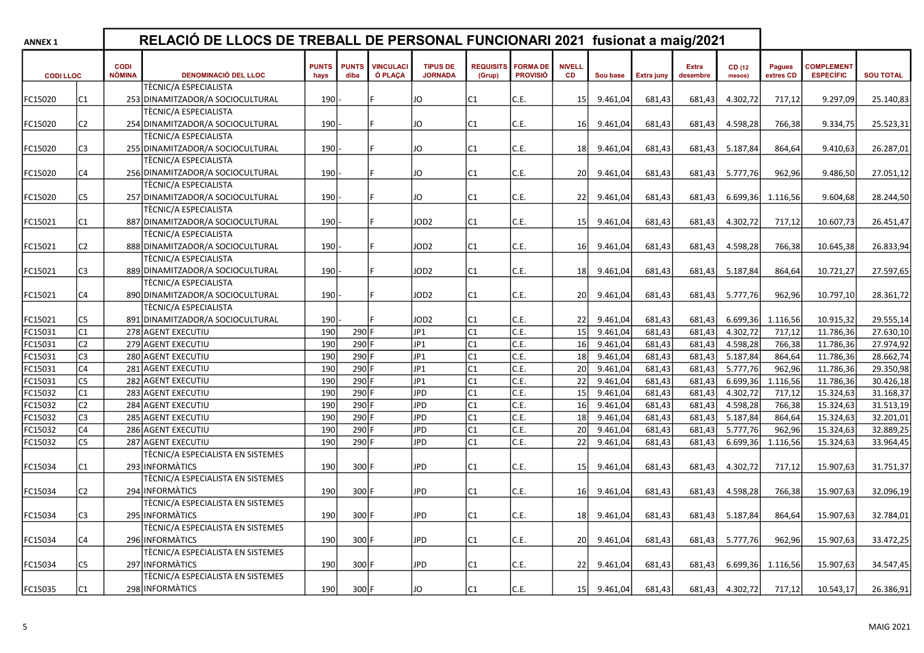| <b>ANNEX 1</b>  |                |                              | RELACIÓ DE LLOCS DE TREBALL DE PERSONAL FUNCIONARI 2021 fusionat a maig/2021 |                      |                      |                             |                                   |                            |                                    |                            |          |                   |                   |                  |                            |                                       |                  |
|-----------------|----------------|------------------------------|------------------------------------------------------------------------------|----------------------|----------------------|-----------------------------|-----------------------------------|----------------------------|------------------------------------|----------------------------|----------|-------------------|-------------------|------------------|----------------------------|---------------------------------------|------------------|
| <b>CODILLOC</b> |                | <b>CODI</b><br><b>NÒMINA</b> | <b>DENOMINACIÓ DEL LLOC</b>                                                  | <b>PUNTS</b><br>hays | <b>PUNTS</b><br>diba | <b>VINCULACI</b><br>Ó PLACA | <b>TIPUS DE</b><br><b>JORNADA</b> | <b>REQUISITS</b><br>(Grup) | <b>FORMA DE</b><br><b>PROVISIÓ</b> | <b>NIVELL</b><br><b>CD</b> | Sou base | <b>Extra juny</b> | Extra<br>desembre | CD (12<br>mesos) | <b>Pagues</b><br>extres CD | <b>COMPLEMENT</b><br><b>ESPECÍFIC</b> | <b>SOU TOTAL</b> |
|                 |                |                              | TÈCNIC/A ESPECIALISTA                                                        |                      |                      |                             |                                   |                            |                                    |                            |          |                   |                   |                  |                            |                                       |                  |
| FC15020         | C1             |                              | 253 DINAMITZADOR/A SOCIOCULTURAL                                             | 190                  |                      |                             | JO                                | IC1                        | C.E.                               | 15                         | 9.461,04 | 681,43            | 681,43            | 4.302,72         | 717,12                     | 9.297,09                              | 25.140,83        |
|                 |                |                              | TÈCNIC/A ESPECIALISTA                                                        |                      |                      |                             |                                   |                            |                                    |                            |          |                   |                   |                  |                            |                                       |                  |
| FC15020         | C2             |                              | 254 DINAMITZADOR/A SOCIOCULTURAL                                             | 190                  |                      |                             | JO                                | IC1                        | C.E.                               | 16                         | 9.461,04 | 681,43            | 681,43            | 4.598,28         | 766,38                     | 9.334,75                              | 25.523,31        |
|                 |                |                              | TÈCNIC/A ESPECIALISTA                                                        |                      |                      |                             |                                   |                            |                                    |                            |          |                   |                   |                  |                            |                                       |                  |
| FC15020         | C3             |                              | 255 DINAMITZADOR/A SOCIOCULTURAL                                             | 190                  |                      |                             | JO                                | C1                         | C.E.                               | 18                         | 9.461,04 | 681,43            | 681,43            | 5.187,84         | 864,64                     | 9.410,63                              | 26.287,01        |
|                 |                |                              | TÈCNIC/A ESPECIALISTA                                                        |                      |                      |                             |                                   |                            |                                    |                            |          |                   |                   |                  |                            |                                       |                  |
| FC15020         | C4             |                              | 256 DINAMITZADOR/A SOCIOCULTURAL                                             | 190l                 |                      |                             | JO                                | lc1                        | C.E.                               | 20 <sup>1</sup>            | 9.461,04 | 681,43            | 681,43            | 5.777,76         | 962,96                     | 9.486,50                              | 27.051,12        |
|                 |                |                              | TÈCNIC/A ESPECIALISTA                                                        |                      |                      |                             |                                   |                            |                                    |                            |          |                   |                   |                  |                            |                                       |                  |
| FC15020         | C5             |                              | 257 DINAMITZADOR/A SOCIOCULTURAL                                             | 190                  |                      |                             | JO                                | lc1                        | C.E.                               | 22                         | 9.461,04 | 681,43            | 681,43            | 6.699,36         | 1.116,56                   | 9.604,68                              | 28.244,50        |
|                 |                |                              | TÈCNIC/A ESPECIALISTA                                                        |                      |                      |                             |                                   |                            |                                    |                            |          |                   |                   |                  |                            |                                       |                  |
| FC15021         | C1             |                              | 887 DINAMITZADOR/A SOCIOCULTURAL                                             | 190                  |                      |                             | JOD <sub>2</sub>                  | lC1                        | IC.E.                              | 15                         | 9.461,04 | 681,43            | 681,43            | 4.302,72         | 717,12                     | 10.607,73                             | 26.451,47        |
|                 |                |                              | TÈCNIC/A ESPECIALISTA                                                        |                      |                      |                             |                                   |                            |                                    |                            |          |                   |                   |                  |                            |                                       |                  |
| FC15021         | C <sub>2</sub> |                              | 888 DINAMITZADOR/A SOCIOCULTURAL                                             | 190                  |                      |                             | JOD <sub>2</sub>                  | lc1                        | C.E.                               | 16                         | 9.461,04 | 681,43            | 681,43            | 4.598,28         | 766,38                     | 10.645,38                             | 26.833,94        |
|                 |                |                              | TÈCNIC/A ESPECIALISTA                                                        |                      |                      |                             |                                   |                            |                                    |                            |          |                   |                   |                  |                            |                                       |                  |
| FC15021         | C3             |                              | 889 DINAMITZADOR/A SOCIOCULTURAL                                             | 190                  |                      |                             | JOD <sub>2</sub>                  | C1                         | C.E.                               | 18                         | 9.461,04 | 681,43            | 681,43            | 5.187,84         | 864,64                     | 10.721,27                             | 27.597,65        |
|                 |                |                              | TÈCNIC/A ESPECIALISTA                                                        |                      |                      |                             |                                   |                            |                                    |                            |          |                   |                   |                  |                            |                                       |                  |
| FC15021         | C4             |                              | 890 DINAMITZADOR/A SOCIOCULTURAL                                             | 190                  |                      |                             | JOD2                              | IC1                        | C.E.                               | 20                         | 9.461,04 | 681,43            | 681,43            | 5.777,76         | 962,96                     | 10.797,10                             | 28.361,72        |
|                 |                |                              | TÈCNIC/A ESPECIALISTA                                                        |                      |                      |                             |                                   |                            |                                    |                            |          |                   |                   |                  |                            |                                       |                  |
| FC15021         | C5             |                              | 891 DINAMITZADOR/A SOCIOCULTURAL                                             | 190                  |                      |                             | JOD <sub>2</sub>                  | lC1                        | C.E.                               | 22                         | 9.461,04 | 681,43            | 681,43            | 6.699,36         | 1.116,56                   | 10.915,32                             | 29.555,14        |
| FC15031         | C1             |                              | 278 AGENT EXECUTIU                                                           | 190                  | 290 F                |                             | JP1                               | lc1                        | C.E.                               | 15                         | 9.461,04 | 681,43            | 681,43            | 4.302,72         | 717,12                     | 11.786,36                             | 27.630,10        |
| FC15031         | C <sub>2</sub> |                              | 279 AGENT EXECUTIU                                                           | 190                  | 290 F                |                             | JP1                               | lc1                        | C.E.                               | 16                         | 9.461,04 | 681,43            | 681,43            | 4.598,28         | 766,38                     | 11.786,36                             | 27.974,92        |
| FC15031         | C3             |                              | 280 AGENT EXECUTIU                                                           | 190                  | 290 F                |                             | JP1                               | lc1                        | C.E.                               | 18                         | 9.461,04 | 681,43            | 681,43            | 5.187,84         | 864,64                     | 11.786,36                             | 28.662,74        |
| FC15031         | C <sub>4</sub> |                              | 281 AGENT EXECUTIU                                                           | 190                  | 290 F                |                             | JP1                               | lc1                        | C.E.                               | 20                         | 9.461,04 | 681,43            | 681,43            | 5.777,76         | 962,96                     | 11.786,36                             | 29.350,98        |
| FC15031         | C <sub>5</sub> |                              | 282 AGENT EXECUTIU                                                           | 190                  | 290 F                |                             | JP1                               | lc1                        | C.E.                               | 22                         | 9.461,04 | 681,43            | 681,43            | 6.699,36         | 1.116,56                   | 11.786,36                             | 30.426,18        |
| FC15032         | C1             |                              | 283 AGENT EXECUTIU                                                           | 190                  | 290 F                |                             | <b>JPD</b>                        | IC1                        | C.E.                               | 15                         | 9.461,04 | 681,43            | 681,43            | 4.302,72         | 717,12                     | 15.324,63                             | 31.168,37        |
| FC15032         | C <sub>2</sub> |                              | 284 AGENT EXECUTIU                                                           | 190                  | 290 F                |                             | <b>JPD</b>                        | IC1                        | C.E.                               | 16                         | 9.461,04 | 681,43            | 681,43            | 4.598,28         | 766,38                     | 15.324,63                             | 31.513,19        |
| FC15032         | C <sub>3</sub> |                              | 285 AGENT EXECUTIU                                                           | 190                  | 290 F                |                             | <b>JPD</b>                        | C1                         | C.E.                               | 18                         | 9.461,04 | 681,43            | 681,43            | 5.187,84         | 864,64                     | 15.324,63                             | 32.201,01        |
| FC15032         | C4             |                              | 286 AGENT EXECUTIU                                                           | 190                  | 290 F                |                             | <b>JPD</b>                        | C1                         | C.E.                               | 20                         | 9.461,04 | 681,43            | 681,43            | 5.777,76         | 962,96                     | 15.324,63                             | 32.889,25        |
| FC15032         | C5             |                              | 287 AGENT EXECUTIU                                                           | 190                  | 290 F                |                             | <b>JPD</b>                        | IC1                        | C.E.                               | 22                         | 9.461,04 | 681,43            | 681,43            | 6.699,36         | 1.116,56                   | 15.324,63                             | 33.964,45        |
|                 |                |                              | TÈCNIC/A ESPECIALISTA EN SISTEMES                                            |                      |                      |                             |                                   |                            |                                    |                            |          |                   |                   |                  |                            |                                       |                  |
| FC15034         | C1             |                              | 293 INFORMATICS                                                              | 190                  | 300 F                |                             | <b>JPD</b>                        | IC1                        | C.E.                               | 15                         | 9.461,04 | 681,43            | 681,43            | 4.302,72         | 717,12                     | 15.907,63                             | 31.751,37        |
|                 |                |                              | TÈCNIC/A ESPECIALISTA EN SISTEMES                                            |                      |                      |                             |                                   |                            |                                    |                            |          |                   |                   |                  |                            |                                       |                  |
| FC15034         | C <sub>2</sub> |                              | 294 INFORMATICS                                                              | 190                  | 300 F                |                             | <b>JPD</b>                        | lC1                        | C.E.                               | 16                         | 9.461,04 | 681,43            | 681,43            | 4.598,28         | 766,38                     | 15.907,63                             | 32.096,19        |
|                 |                |                              | TÈCNIC/A ESPECIALISTA EN SISTEMES                                            |                      |                      |                             |                                   |                            |                                    |                            |          |                   |                   |                  |                            |                                       |                  |
| FC15034         | C <sub>3</sub> |                              | 295 INFORMATICS                                                              | 190                  | 300                  |                             | <b>JPD</b>                        | lC1                        | C.E.                               | 18                         | 9.461,04 | 681,43            | 681,43            | 5.187,84         | 864,64                     | 15.907,63                             | 32.784,01        |
|                 |                |                              | TÈCNIC/A ESPECIALISTA EN SISTEMES                                            |                      |                      |                             |                                   |                            |                                    |                            |          |                   |                   |                  |                            |                                       |                  |
| FC15034         | C4             |                              | 296 INFORMATICS                                                              | 190                  | 300 F                |                             | <b>JPD</b>                        | IC1                        | C.E.                               | 20 <sup>1</sup>            | 9.461,04 | 681,43            | 681,43            | 5.777,76         | 962,96                     | 15.907,63                             | 33.472,25        |
|                 |                |                              | TÈCNIC/A ESPECIALISTA EN SISTEMES                                            |                      |                      |                             |                                   |                            |                                    |                            |          |                   |                   |                  |                            |                                       |                  |
| FC15034         | C5             |                              | 297 INFORMATICS                                                              | 190                  | 300 F                |                             | <b>JPD</b>                        | lC1                        | C.E.                               | 22                         | 9.461,04 | 681.43            | 681.43            | 6.699,36         | 1.116,56                   | 15.907.63                             | 34.547,45        |
|                 |                |                              | TÈCNIC/A ESPECIALISTA EN SISTEMES                                            |                      |                      |                             |                                   |                            |                                    |                            |          |                   |                   |                  |                            |                                       |                  |
| FC15035         | C1             |                              | 298 INFORMATICS                                                              | 190                  | 300 F                |                             | JO.                               | IC1                        | C.E.                               | 15                         | 9.461,04 | 681,43            | 681,43            | 4.302,72         | 717,12                     | 10.543,17                             | 26.386,91        |
|                 |                |                              |                                                                              |                      |                      |                             |                                   |                            |                                    |                            |          |                   |                   |                  |                            |                                       |                  |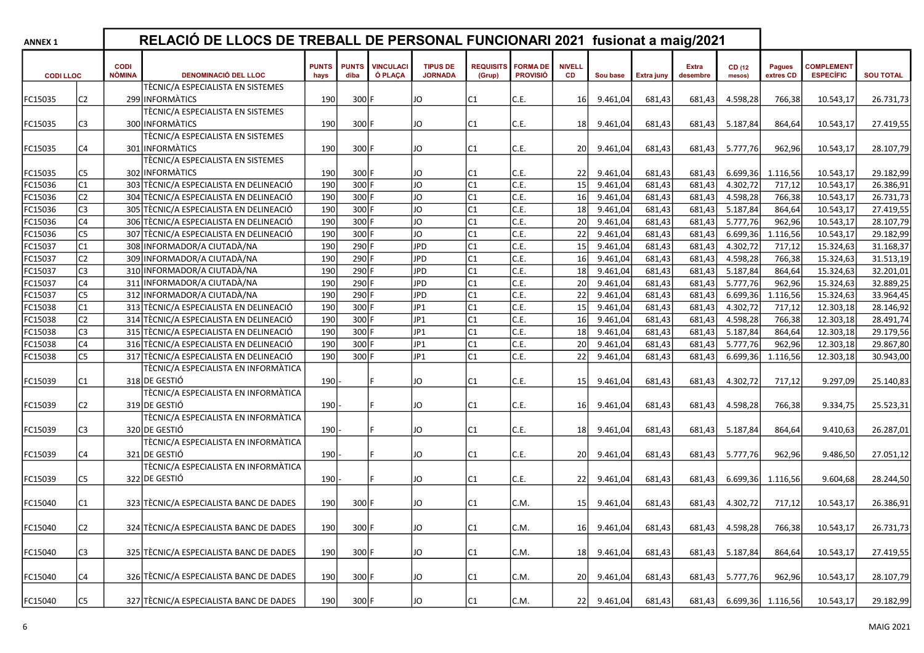| <b>ANNEX 1</b>  |                |                       | RELACIÓ DE LLOCS DE TREBALL DE PERSONAL FUNCIONARI 2021 fusionat a maig/2021 |                      |                      |                             |                                   |                            |                                    |                     |             |            |                   |                  |                            |                                       |                  |
|-----------------|----------------|-----------------------|------------------------------------------------------------------------------|----------------------|----------------------|-----------------------------|-----------------------------------|----------------------------|------------------------------------|---------------------|-------------|------------|-------------------|------------------|----------------------------|---------------------------------------|------------------|
| <b>CODILLOC</b> |                | <b>CODI</b><br>NÒMINA | <b>DENOMINACIÓ DEL LLOC</b>                                                  | <b>PUNTS</b><br>hays | <b>PUNTS</b><br>diba | <b>VINCULACI</b><br>Ó PLAÇA | <b>TIPUS DE</b><br><b>JORNADA</b> | <b>REQUISITS</b><br>(Grup) | <b>FORMA DE</b><br><b>PROVISIÓ</b> | <b>NIVELL</b><br>CD | Sou base    | Extra juny | Extra<br>desembre | CD (12<br>mesos) | <b>Pagues</b><br>extres CD | <b>COMPLEMENT</b><br><b>ESPECÍFIC</b> | <b>SOU TOTAL</b> |
|                 |                |                       | TÈCNIC/A ESPECIALISTA EN SISTEMES                                            |                      |                      |                             |                                   |                            |                                    |                     |             |            |                   |                  |                            |                                       |                  |
| FC15035         | C <sub>2</sub> |                       | 299 INFORMATICS                                                              | 190                  | 300 F                |                             | JO                                | IC1                        | C.E.                               | 16 <sup>1</sup>     | 9.461,04    | 681,43     | 681,43            | 4.598,28         | 766,38                     | 10.543,17                             | 26.731,73        |
|                 |                |                       | TÈCNIC/A ESPECIALISTA EN SISTEMES                                            |                      |                      |                             |                                   |                            |                                    |                     |             |            |                   |                  |                            |                                       |                  |
| FC15035         | C3             |                       | 300 INFORMATICS                                                              | 190                  | 300 F                |                             | JO                                | IC1                        | C.E.                               | 18                  | 9.461,04    | 681,43     | 681,43            | 5.187,84         | 864,64                     | 10.543,17                             | 27.419,55        |
|                 |                |                       | TÈCNIC/A ESPECIALISTA EN SISTEMES                                            |                      |                      |                             |                                   |                            |                                    |                     |             |            |                   |                  |                            |                                       |                  |
| FC15035         | C4             |                       | 301 INFORMATICS                                                              | 190                  | 300 F                |                             | JO                                | IC1                        | C.E.                               | <b>20</b>           | 9.461,04    | 681,43     | 681,43            | 5.777,76         | 962,96                     | 10.543,17                             | 28.107,79        |
|                 |                |                       | TÈCNIC/A ESPECIALISTA EN SISTEMES                                            |                      |                      |                             |                                   |                            |                                    |                     |             |            |                   |                  |                            |                                       |                  |
| FC15035         | C5             |                       | 302 INFORMATICS                                                              | 190                  | 300 F                |                             | JO                                | IC1                        | C.E.                               | 22                  | 9.461,04    | 681,43     | 681,43            | 6.699,36         | 1.116,56                   | 10.543,17                             | 29.182,99        |
| FC15036         | C1             |                       | 303 TÈCNIC/A ESPECIALISTA EN DELINEACIÓ                                      | 190                  | 300 F                |                             | <b>JO</b>                         | C <sub>1</sub>             | C.E.                               | 15                  | 9.461,04    | 681,43     | 681,43            | 4.302,72         | 717,12                     | 10.543,17                             | 26.386,91        |
| FC15036         | C <sub>2</sub> |                       | 304 TÈCNIC/A ESPECIALISTA EN DELINEACIÓ                                      | 190                  | 300 F                |                             | <b>JO</b>                         | IC1                        | C.E.                               | 16                  | 9.461,04    | 681,43     | 681,43            | 4.598,28         | 766,38                     | 10.543,17                             | 26.731,73        |
| FC15036         | C <sub>3</sub> |                       | 305 TÈCNIC/A ESPECIALISTA EN DELINEACIÓ                                      | 190                  | 300 F                |                             | <b>JO</b>                         | IC1                        | C.E.                               | 18                  | 9.461,04    | 681,43     | 681,43            | 5.187,84         | 864,64                     | 10.543,17                             | 27.419,55        |
| FC15036         | C <sub>4</sub> |                       | 306 TÈCNIC/A ESPECIALISTA EN DELINEACIÓ                                      | 190                  | 300 F                |                             | <b>JO</b>                         | lc1                        | C.E.                               | 20                  | 9.461,04    | 681,43     | 681,43            | 5.777,76         | 962,96                     | 10.543,17                             | 28.107,79        |
| FC15036         | C5             |                       | 307 TÈCNIC/A ESPECIALISTA EN DELINEACIÓ                                      | 190                  | 300 F                |                             | JO                                | C <sub>1</sub>             | C.E.                               | 22                  | 9.461,04    | 681,43     | 681,43            | 6.699,36         | 1.116,56                   | 10.543,17                             | 29.182,99        |
| FC15037         | C1             |                       | 308 INFORMADOR/A CIUTADÀ/NA                                                  | 190                  | 290 F                |                             | <b>JPD</b>                        | IC1                        | C.E.                               | 15                  | 9.461,04    | 681,43     | 681,43            | 4.302,72         | 717,12                     | 15.324,63                             | 31.168,37        |
| FC15037         | C <sub>2</sub> |                       | 309 INFORMADOR/A CIUTADÀ/NA                                                  | 190                  | 290 F                |                             | <b>JPD</b>                        | IC1                        | C.E.                               | 16                  | 9.461,04    | 681,43     | 681,43            | 4.598,28         | 766,38                     | 15.324,63                             | 31.513,19        |
| FC15037         | C3             |                       | 310 INFORMADOR/A CIUTADÀ/NA                                                  | 190                  | 290 F                |                             | <b>JPD</b>                        | IC1                        | C.E.                               | 18                  | 9.461,04    | 681,43     | 681,43            | 5.187,84         | 864,64                     | 15.324,63                             | 32.201,01        |
| FC15037         | C <sub>4</sub> |                       | 311 INFORMADOR/A CIUTADA/NA                                                  | 190                  | 290 F                |                             | <b>JPD</b>                        | C <sub>1</sub>             | C.E.                               | 20                  | 9.461,04    | 681,43     | 681,43            | 5.777,76         | 962,96                     | 15.324,63                             | 32.889,25        |
| FC15037         | C5             |                       | 312 INFORMADOR/A CIUTADÀ/NA                                                  | 190                  | 290 F                |                             | <b>JPD</b>                        | IC1                        | C.E.                               | 22                  | 9.461,04    | 681,43     | 681,43            | 6.699,36         | 1.116,56                   | 15.324,63                             | 33.964,45        |
| FC15038         | C <sub>1</sub> |                       | 313 TÈCNIC/A ESPECIALISTA EN DELINEACIÓ                                      | 190                  | 300 F                |                             | JP1                               | lc1                        | C.E.                               | 15                  | 9.461,04    | 681,43     | 681,43            | 4.302,72         | 717,12                     | 12.303,18                             | 28.146,92        |
| FC15038         | C <sub>2</sub> |                       | 314 TÈCNIC/A ESPECIALISTA EN DELINEACIÓ                                      | 190                  | 300 F                |                             | JP1                               | IC1                        | C.E.                               | 16                  | 9.461,04    | 681,43     | 681,43            | 4.598,28         | 766,38                     | 12.303,18                             | 28.491,74        |
| FC15038         | C <sub>3</sub> |                       | 315 TÈCNIC/A ESPECIALISTA EN DELINEACIÓ                                      | 190                  | 300 F                |                             | JP <sub>1</sub>                   | IC1                        | C.E.                               | 18                  | 9.461,04    | 681,43     | 681,43            | 5.187,84         | 864,64                     | 12.303,18                             | 29.179,56        |
| FC15038         | C <sub>4</sub> |                       | 316 TÈCNIC/A ESPECIALISTA EN DELINEACIÓ                                      | 190                  | 300 F                |                             | JP1                               | C <sub>1</sub>             | C.E.                               | 20                  | 9.461,04    | 681,43     | 681,43            | 5.777,76         | 962,96                     | 12.303,18                             | 29.867,80        |
| FC15038         | C <sub>5</sub> |                       | 317 TÈCNIC/A ESPECIALISTA EN DELINEACIÓ                                      | 190                  | 300 F                |                             | JP1                               | lc1                        | C.E.                               | 22                  | 9.461,04    | 681,43     | 681,43            | 6.699,36         | 1.116,56                   | 12.303,18                             | 30.943,00        |
|                 |                |                       | TÈCNIC/A ESPECIALISTA EN INFORMÀTICA                                         |                      |                      |                             |                                   |                            |                                    |                     |             |            |                   |                  |                            |                                       |                  |
| FC15039         | C1             |                       | 318 DE GESTIÓ                                                                | 190                  |                      |                             | JO                                | IC1                        | C.E.                               | 15                  | 9.461,04    | 681,43     | 681,43            | 4.302,72         | 717,12                     | 9.297,09                              | 25.140,83        |
|                 |                |                       | TÈCNIC/A ESPECIALISTA EN INFORMÀTICA                                         |                      |                      |                             |                                   |                            |                                    |                     |             |            |                   |                  |                            |                                       |                  |
| FC15039         | C2             |                       | 319 DE GESTIÓ                                                                | 190                  |                      |                             | JO                                | IC1                        | C.E.                               | <b>16</b>           | 9.461,04    | 681,43     | 681,43            | 4.598,28         | 766,38                     | 9.334,75                              | 25.523,31        |
|                 |                |                       | TÈCNIC/A ESPECIALISTA EN INFORMÀTICA                                         |                      |                      |                             |                                   |                            |                                    |                     |             |            |                   |                  |                            |                                       |                  |
| FC15039         | C <sub>3</sub> |                       | 320 DE GESTIÓ                                                                | 190                  |                      |                             | JO                                | IC1                        | C.E.                               | 18 <sup>l</sup>     | 9.461,04    | 681,43     | 681,43            | 5.187,84         | 864,64                     | 9.410,63                              | 26.287,01        |
|                 |                |                       | TÈCNIC/A ESPECIALISTA EN INFORMÀTICA                                         |                      |                      |                             |                                   |                            |                                    |                     |             |            |                   |                  |                            |                                       |                  |
| FC15039         | C4             |                       | 321 DE GESTIÓ                                                                | 190                  |                      |                             | JO                                | IC1                        | C.E.                               | 20                  | 9.461,04    | 681,43     | 681,43            | 5.777,76         | 962,96                     | 9.486,50                              | 27.051,12        |
|                 |                |                       | TÈCNIC/A ESPECIALISTA EN INFORMÀTICA                                         |                      |                      |                             |                                   |                            |                                    |                     |             |            |                   |                  |                            |                                       |                  |
| FC15039         | C5             |                       | 322 DE GESTIÓ                                                                | 190                  |                      |                             | JO                                | IC1                        | C.E.                               | 22                  | 9.461,04    | 681,43     | 681,43            | 6.699,36         | 1.116.56                   | 9.604,68                              | 28.244,50        |
|                 |                |                       |                                                                              |                      |                      |                             |                                   |                            |                                    |                     |             |            |                   |                  |                            |                                       |                  |
| FC15040         | C1             |                       | 323 TÉCNIC/A ESPECIALISTA BANC DE DADES                                      | 190                  | 300                  |                             | JO                                | IC1                        | C.M.                               | 15                  | 9.461,04    | 681,43     | 681,43            | 4.302,72         | 717,12                     | 10.543,17                             | 26.386,91        |
|                 |                |                       |                                                                              |                      |                      |                             |                                   |                            |                                    |                     |             |            |                   |                  |                            |                                       |                  |
| FC15040         | C <sub>2</sub> |                       | 324 TÈCNIC/A ESPECIALISTA BANC DE DADES                                      | 190                  | $300$ F              |                             | JO                                | C <sub>1</sub>             | C.M.                               | 16                  | 9.461,04    | 681,43     | 681,43            | 4.598,28         | 766,38                     | 10.543,17                             | 26.731,73        |
|                 |                |                       |                                                                              |                      |                      |                             |                                   |                            |                                    |                     |             |            |                   |                  |                            |                                       |                  |
| FC15040         | C3             |                       | 325 TÈCNIC/A ESPECIALISTA BANC DE DADES                                      | 190                  | 300 F                |                             | JO                                | C <sub>1</sub>             | C.M.                               | 18                  | 9.461,04    | 681,43     | 681,43            | 5.187,84         | 864,64                     | 10.543,17                             | 27.419,55        |
|                 |                |                       |                                                                              |                      |                      |                             |                                   |                            |                                    |                     |             |            |                   |                  |                            |                                       |                  |
| FC15040         | C4             |                       | 326 TÈCNIC/A ESPECIALISTA BANC DE DADES                                      | 190                  | 300 F                |                             | JO                                | IC1                        | C.M.                               |                     | 20 9.461,04 | 681,43     | 681,43            | 5.777,76         | 962,96                     | 10.543,17                             | 28.107,79        |
|                 |                |                       |                                                                              |                      |                      |                             |                                   |                            |                                    |                     |             |            |                   |                  |                            |                                       |                  |
| FC15040         | C5             |                       | 327 TÈCNIC/A ESPECIALISTA BANC DE DADES                                      | 190                  | 300 F                |                             | JO                                | C <sub>1</sub>             | C.M.                               |                     | 22 9.461,04 | 681,43     | 681,43            |                  | 6.699,36 1.116,56          | 10.543,17                             | 29.182,99        |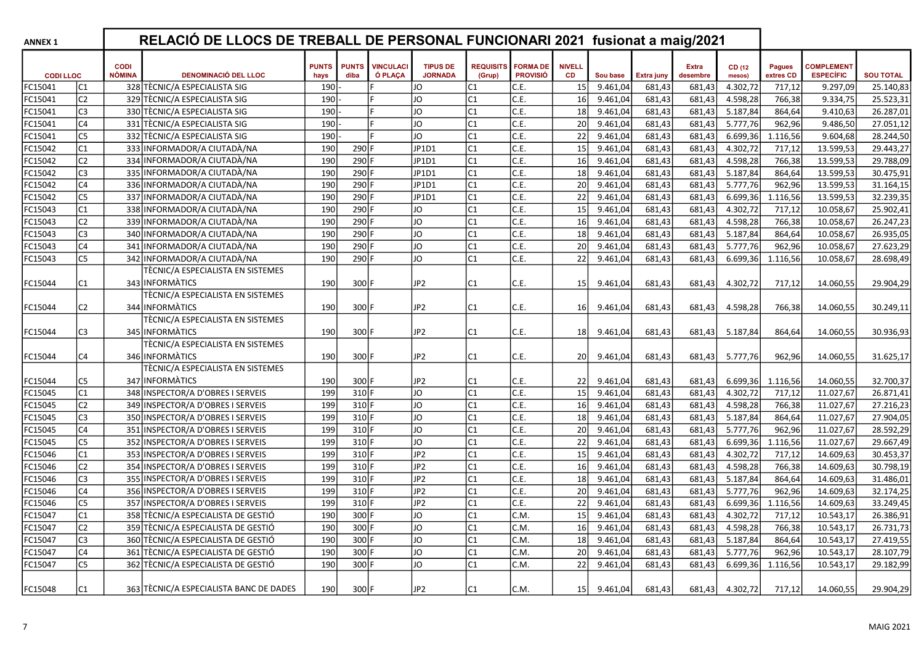| <b>ANNEX 1</b>  |                |                              | RELACIÓ DE LLOCS DE TREBALL DE PERSONAL FUNCIONARI 2021 fusionat a maig/2021 |                      |                      |                             |                                   |                            |                                    |                     |          |                   |                          |                  |                            |                                       |                  |
|-----------------|----------------|------------------------------|------------------------------------------------------------------------------|----------------------|----------------------|-----------------------------|-----------------------------------|----------------------------|------------------------------------|---------------------|----------|-------------------|--------------------------|------------------|----------------------------|---------------------------------------|------------------|
| <b>CODILLOC</b> |                | <b>CODI</b><br><b>NÒMINA</b> | <b>DENOMINACIÓ DEL LLOC</b>                                                  | <b>PUNTS</b><br>hays | <b>PUNTS</b><br>diba | <b>VINCULACI</b><br>Ó PLACA | <b>TIPUS DE</b><br><b>JORNADA</b> | <b>REQUISITS</b><br>(Grup) | <b>FORMA DE</b><br><b>PROVISIÓ</b> | <b>NIVELL</b><br>CD | Sou base | <b>Extra juny</b> | <b>Extra</b><br>desembre | CD (12<br>mesos) | <b>Pagues</b><br>extres CD | <b>COMPLEMENT</b><br><b>ESPECÍFIC</b> | <b>SOU TOTAL</b> |
| FC15041         | C1             |                              | 328 TÈCNIC/A ESPECIALISTA SIG                                                | 190                  |                      |                             | JO                                | lC1                        | C.E.                               | 15                  | 9.461.04 | 681,43            | 681,43                   | 4.302,72         | 717.12                     | 9.297,09                              | 25.140,83        |
| FC15041         | C <sub>2</sub> |                              | 329 TÈCNIC/A ESPECIALISTA SIG                                                | 190                  |                      |                             | JO                                | lc1                        | C.E.                               | 16                  | 9.461,04 | 681,43            | 681,43                   | 4.598,28         | 766,38                     | 9.334,75                              | 25.523,31        |
| FC15041         | C3             |                              | 330 TÈCNIC/A ESPECIALISTA SIG                                                | 190                  |                      |                             | JO                                | IC1                        | C.E.                               | 18                  | 9.461,04 | 681,43            | 681,43                   | 5.187,84         | 864,64                     | 9.410,63                              | 26.287,01        |
| FC15041         | C <sub>4</sub> |                              | 331 TÈCNIC/A ESPECIALISTA SIG                                                | 190                  |                      |                             | JO                                | lc1                        | C.E.                               | 20l                 | 9.461,04 | 681,43            | 681,43                   | 5.777,76         | 962,96                     | 9.486,50                              | 27.051,12        |
| FC15041         | C <sub>5</sub> |                              | 332 TÈCNIC/A ESPECIALISTA SIG                                                | 190                  |                      |                             | <b>JO</b>                         | lc1                        | C.E.                               | 22                  | 9.461,04 | 681,43            | 681,43                   | 6.699,36         | 1.116,56                   | 9.604,68                              | 28.244,50        |
| FC15042         | C1             |                              | 333 INFORMADOR/A CIUTADÀ/NA                                                  | 190                  | 290 F                |                             | JP1D1                             | C1                         | C.E.                               | 15                  | 9.461,04 | 681,43            | 681,43                   | 4.302,72         | 717,12                     | 13.599,53                             | 29.443,27        |
| FC15042         | C <sub>2</sub> |                              | 334 INFORMADOR/A CIUTADÀ/NA                                                  | 190                  | 290 F                |                             | JP1D1                             | lc1                        | C.E.                               | 16                  | 9.461,04 | 681,43            | 681,43                   | 4.598,28         | 766,38                     | 13.599,53                             | 29.788,09        |
| FC15042         | C <sub>3</sub> |                              | 335 INFORMADOR/A CIUTADÀ/NA                                                  | 190                  | 290 F                |                             | JP1D1                             | lc1                        | C.E.                               | 18                  | 9.461,04 | 681,43            | 681,43                   | 5.187,84         | 864,64                     | 13.599,53                             | 30.475,91        |
| FC15042         | C <sub>4</sub> |                              | 336 INFORMADOR/A CIUTADÀ/NA                                                  | 190                  | 290 F                |                             | JP1D1                             | lc1                        | C.E.                               | 20 <sup>1</sup>     | 9.461,04 | 681,43            | 681,43                   | 5.777,76         | 962,96                     | 13.599,53                             | 31.164,15        |
| FC15042         | C <sub>5</sub> |                              | 337 INFORMADOR/A CIUTADÀ/NA                                                  | 190                  | 290 F                |                             | JP1D1                             | lc1                        | C.E.                               | 22                  | 9.461,04 | 681,43            | 681,43                   | 6.699,36         | 1.116,56                   | 13.599,53                             | 32.239,35        |
| FC15043         | C1             |                              | 338 INFORMADOR/A CIUTADÀ/NA                                                  | 190                  | 290 F                |                             | JO                                | lc1                        | C.E.                               | 15                  | 9.461,04 | 681,43            | 681,43                   | 4.302,72         | 717,12                     | 10.058,67                             | 25.902,41        |
| FC15043         | C <sub>2</sub> |                              | 339 INFORMADOR/A CIUTADÀ/NA                                                  | 190                  | 290 F                |                             | JO                                | lc1                        | C.E.                               | 16                  | 9.461,04 | 681,43            | 681,43                   | 4.598,28         | 766,38                     | 10.058,67                             | 26.247,23        |
| FC15043         | C <sub>3</sub> |                              | 340 INFORMADOR/A CIUTADÀ/NA                                                  | 190                  | 290 F                |                             | JO                                | lc1                        | C.E.                               | 18                  | 9.461,04 | 681,43            | 681,43                   | 5.187,84         | 864,64                     | 10.058,67                             | 26.935,05        |
| FC15043         | C <sub>4</sub> |                              | 341 INFORMADOR/A CIUTADÀ/NA                                                  | 190                  | 290                  |                             | JO                                | lc1                        | C.E.                               | 20                  | 9.461,04 | 681,43            | 681,43                   | 5.777,76         | 962,96                     | 10.058,67                             | 27.623,29        |
| FC15043         | C <sub>5</sub> |                              | 342 INFORMADOR/A CIUTADÀ/NA                                                  | 190                  | 290                  |                             | JO                                | lc1                        | C.E.                               | 22                  | 9.461,04 | 681,43            | 681,43                   | 6.699,36         | 1.116,56                   | 10.058,67                             | 28.698,49        |
|                 |                |                              | TÈCNIC/A ESPECIALISTA EN SISTEMES                                            |                      |                      |                             |                                   |                            |                                    |                     |          |                   |                          |                  |                            |                                       |                  |
| FC15044         | C1             |                              | 343 INFORMATICS                                                              | 190                  | 300 F                |                             | JP2                               | lC1                        | C.E.                               | 15                  | 9.461.04 | 681.43            | 681,43                   | 4.302,72         | 717,12                     | 14.060,55                             | 29.904,29        |
|                 |                |                              | TÈCNIC/A ESPECIALISTA EN SISTEMES                                            |                      |                      |                             |                                   |                            |                                    |                     |          |                   |                          |                  |                            |                                       |                  |
| FC15044         | C <sub>2</sub> |                              | 344 INFORMATICS                                                              | 190                  | 300 F                |                             | JP <sub>2</sub>                   | C1                         | C.E.                               | 16                  | 9.461,04 | 681,43            | 681,43                   | 4.598,28         | 766,38                     | 14.060,55                             | 30.249,11        |
|                 |                |                              | TÈCNIC/A ESPECIALISTA EN SISTEMES                                            |                      |                      |                             |                                   |                            |                                    |                     |          |                   |                          |                  |                            |                                       |                  |
| FC15044         | C3             |                              | 345 INFORMATICS                                                              | 190                  | 300 F                |                             | JP <sub>2</sub>                   | IC1                        | C.E.                               | 18                  | 9.461,04 | 681,43            | 681,43                   | 5.187,84         | 864,64                     | 14.060,55                             | 30.936,93        |
|                 |                |                              | TÈCNIC/A ESPECIALISTA EN SISTEMES                                            |                      |                      |                             |                                   |                            |                                    |                     |          |                   |                          |                  |                            |                                       |                  |
| FC15044         | C4             |                              | 346 INFORMATICS                                                              | 190                  | 300                  |                             | JP <sub>2</sub>                   | IC1                        | C.E.                               | 20                  | 9.461,04 | 681,43            | 681,43                   | 5.777,76         | 962,96                     | 14.060,55                             | 31.625,17        |
|                 |                |                              | TÈCNIC/A ESPECIALISTA EN SISTEMES                                            |                      |                      |                             |                                   |                            |                                    |                     |          |                   |                          |                  |                            |                                       |                  |
| FC15044         | C5             |                              | 347 INFORMATICS                                                              | 190                  | 300 F                |                             | JP <sub>2</sub>                   | lC1                        | C.E.                               | 22                  | 9.461,04 | 681,43            | 681,43                   | 6.699,36         | 1.116,56                   | 14.060,55                             | 32.700,37        |
| FC15045         | C1             |                              | 348 INSPECTOR/A D'OBRES I SERVEIS                                            | 199                  | 310 F                |                             | JO                                | lc1                        | C.E.                               | 15                  | 9.461,04 | 681,43            | 681,43                   | 4.302,72         | 717,12                     | 11.027,67                             | 26.871,41        |
| FC15045         | C <sub>2</sub> |                              | 349 INSPECTOR/A D'OBRES I SERVEIS                                            | 199                  | 310F                 |                             | JO                                | lc1                        | C.E.                               | 16                  | 9.461,04 | 681,43            | 681,43                   | 4.598,28         | 766,38                     | 11.027,67                             | 27.216,23        |
| FC15045         | C <sub>3</sub> |                              | 350 INSPECTOR/A D'OBRES I SERVEIS                                            | 199                  | 310 F                |                             | <b>JO</b>                         | lc1                        | C.E.                               | 18                  | 9.461,04 | 681,43            | 681,43                   | 5.187,84         | 864,64                     | 11.027,67                             | 27.904,05        |
| FC15045         | C <sub>4</sub> |                              | 351 INSPECTOR/A D'OBRES I SERVEIS                                            | 199                  | 310F                 |                             | JO                                | C <sub>1</sub>             | C.E.                               | 20                  | 9.461,04 | 681,43            | 681,43                   | 5.777,76         | 962,96                     | 11.027,67                             | 28.592,29        |
| FC15045         | C <sub>5</sub> |                              | 352 INSPECTOR/A D'OBRES I SERVEIS                                            | 199                  | 310F                 |                             | JO                                | lc1                        | C.E.                               | 22                  | 9.461,04 | 681,43            | 681,43                   | 6.699,36         | 1.116,56                   | 11.027,67                             | 29.667,49        |
| FC15046         | C <sub>1</sub> |                              | 353 INSPECTOR/A D'OBRES I SERVEIS                                            | 199                  | 310 F                |                             | JP <sub>2</sub>                   | lc1                        | C.E.                               | 15                  | 9.461,04 | 681,43            | 681,43                   | 4.302,72         | 717,12                     | 14.609,63                             | 30.453,37        |
| FC15046         | C <sub>2</sub> |                              | 354 INSPECTOR/A D'OBRES I SERVEIS                                            | 199                  | 310F                 |                             | JP <sub>2</sub>                   | lc1                        | C.E.                               | 16                  | 9.461,04 | 681,43            | 681,43                   | 4.598,28         | 766,38                     | 14.609,63                             | 30.798,19        |
| FC15046         | C <sub>3</sub> |                              | 355 INSPECTOR/A D'OBRES I SERVEIS                                            | 199                  | 310 <sub>F</sub>     |                             | JP <sub>2</sub>                   | lc1                        | C.E.                               | 18                  | 9.461,04 | 681,43            | 681,43                   | 5.187,84         | 864,64                     | 14.609,63                             | 31.486,01        |
| FC15046         | C4             |                              | 356 INSPECTOR/A D'OBRES I SERVEIS                                            | 199                  | 310F                 |                             | JP <sub>2</sub>                   | lc1                        | C.E.                               | 20                  | 9.461,04 | 681,43            | 681,43                   | 5.777,76         | 962,96                     | 14.609,63                             | 32.174,25        |
| FC15046         | C5             |                              | 357 INSPECTOR/A D'OBRES I SERVEIS                                            | 199                  | 310F                 |                             | JP <sub>2</sub>                   | lc1                        | C.E.                               | 22                  | 9.461,04 | 681,43            | 681,43                   | 6.699,36         | 1.116,56                   | 14.609,63                             | 33.249,45        |
| FC15047         | C1             |                              | 358 TÈCNIC/A ESPECIALISTA DE GESTIÓ                                          | 190                  | 300 F                |                             | JO                                | lc1                        | C.M.                               | 15                  | 9.461,04 | 681,43            | 681,43                   | 4.302,72         | 717,12                     | 10.543,17                             | 26.386,91        |
| FC15047         | C <sub>2</sub> |                              | 359 TÈCNIC/A ESPECIALISTA DE GESTIÓ                                          | 190                  | 300 F                |                             | JO                                | lc1                        | C.M.                               | 16                  | 9.461,04 | 681,43            | 681,43                   | 4.598,28         | 766,38                     | 10.543,17                             | 26.731,73        |
| FC15047         | C <sub>3</sub> |                              | 360 TÈCNIC/A ESPECIALISTA DE GESTIÓ                                          | 190                  | 300 <sub>1</sub>     |                             | JO                                | lc1                        | C.M.                               | 18                  | 9.461,04 | 681,43            | 681,43                   | 5.187,84         | 864,64                     | 10.543,17                             | 27.419,55        |
| FC15047         | C4             |                              | 361 TÈCNIC/A ESPECIALISTA DE GESTIÓ                                          | 190                  | 300 F                |                             | JO                                | IC1                        | C.M.                               | 20                  | 9.461,04 | 681,43            | 681,43                   | 5.777,76         | 962,96                     | 10.543,17                             | 28.107,79        |
| FC15047         | C5             |                              | 362 TÈCNIC/A ESPECIALISTA DE GESTIÓ                                          | 190                  | 300 F                |                             | JO                                | lc1                        | C.M.                               | 22                  | 9.461,04 | 681,43            | 681,43                   | 6.699,36         | 1.116,56                   | 10.543,17                             | 29.182,99        |
|                 |                |                              |                                                                              |                      |                      |                             |                                   |                            |                                    |                     |          |                   |                          |                  |                            |                                       |                  |
| FC15048         | C1             |                              | 363 TÈCNIC/A ESPECIALISTA BANC DE DADES                                      | 190                  | 300 F                |                             | JP <sub>2</sub>                   | IC1                        | C.M.                               | 15 <sup>1</sup>     | 9.461,04 | 681,43            | 681,43                   | 4.302,72         | 717,12                     | 14.060,55                             | 29.904,29        |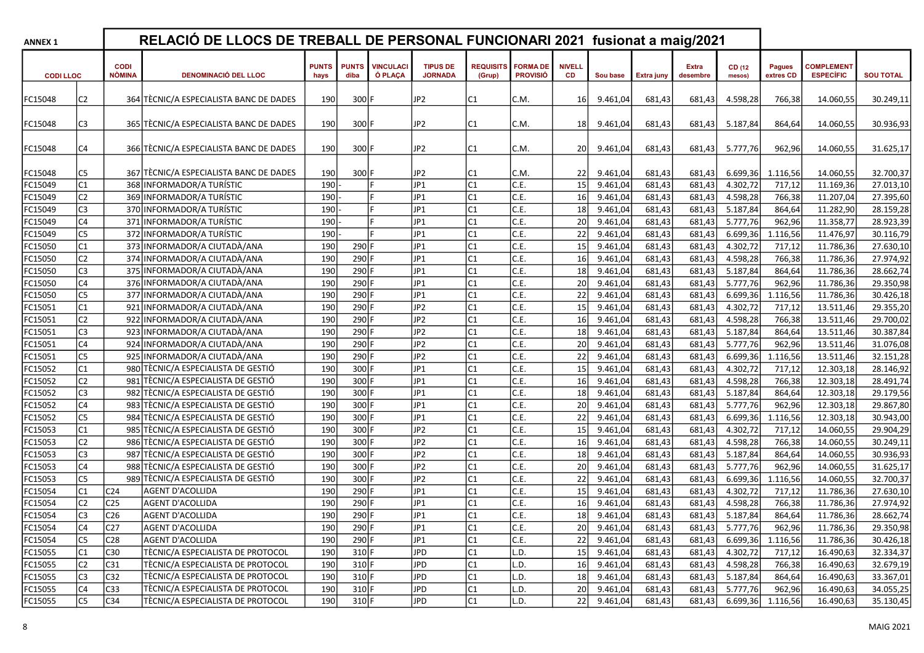|                           |                              | RELACIÓ DE LLOCS DE TREBALL DE PERSONAL FUNCIONARI 2021 fusionat a maig/2021 |                      |                      |                      |                                   |                            |                                    |                     |          |                   |                          |                  |                            |                                       |                  |
|---------------------------|------------------------------|------------------------------------------------------------------------------|----------------------|----------------------|----------------------|-----------------------------------|----------------------------|------------------------------------|---------------------|----------|-------------------|--------------------------|------------------|----------------------------|---------------------------------------|------------------|
| <b>CODILLOC</b>           | <b>CODI</b><br><b>NÒMINA</b> | <b>DENOMINACIÓ DEL LLOC</b>                                                  | <b>PUNTS</b><br>hays | <b>PUNTS</b><br>diba | VINCULACI<br>Ó PLAÇA | <b>TIPUS DE</b><br><b>JORNADA</b> | <b>REQUISITS</b><br>(Grup) | <b>FORMA DE</b><br><b>PROVISIÓ</b> | <b>NIVELL</b><br>CD | Sou base | <b>Extra juny</b> | <b>Extra</b><br>desembre | CD (12<br>mesos) | <b>Pagues</b><br>extres CD | <b>COMPLEMENT</b><br><b>ESPECÍFIC</b> | <b>SOU TOTAL</b> |
| C <sub>2</sub><br>FC15048 |                              | 364 TÈCNIC/A ESPECIALISTA BANC DE DADES                                      | 190                  | 300 F                |                      | JP2                               | C <sub>1</sub>             | C.M.                               | 16                  | 9.461,04 | 681,43            | 681,43                   | 4.598,28         | 766,38                     | 14.060,55                             | 30.249,11        |
| FC15048<br>C3             |                              | 365 TÉCNIC/A ESPECIALISTA BANC DE DADES                                      | 190                  | 300 F                |                      | JP2                               | C <sub>1</sub>             | C.M.                               | 18                  | 9.461,04 | 681,43            | 681,43                   | 5.187,84         | 864,64                     | 14.060,55                             | 30.936,93        |
| FC15048<br>C4             |                              | 366 TÈCNIC/A ESPECIALISTA BANC DE DADES                                      | 190                  | $300$                |                      | JP2                               | C <sub>1</sub>             | C.M.                               | 20                  | 9.461,04 | 681,43            | 681,43                   | 5.777,76         | 962,96                     | 14.060,55                             | 31.625,17        |
| FC15048<br>C5             |                              | 367 TÉCNIC/A ESPECIALISTA BANC DE DADES                                      | 190                  | 300 F                |                      | JP <sub>2</sub>                   | C <sub>1</sub>             | C.M.                               | 22                  | 9.461,04 | 681,43            | 681,43                   | 6.699,36         | 1.116,56                   | 14.060,55                             | 32.700,37        |
| FC15049<br>C1             |                              | 368 INFORMADOR/A TURÍSTIC                                                    | 190                  |                      |                      | JP <sub>1</sub>                   | C1                         | C.E.                               | 15                  | 9.461,04 | 681,43            | 681,43                   | 4.302,72         | 717,12                     | 11.169,36                             | 27.013,10        |
| C <sub>2</sub><br>FC15049 |                              | 369 INFORMADOR/A TURÍSTIC                                                    | 190                  |                      |                      | JP <sub>1</sub>                   | C <sub>1</sub>             | C.E.                               | 16                  | 9.461,04 | 681,43            | 681,43                   | 4.598,28         | 766,38                     | 11.207,04                             | 27.395,60        |
| FC15049<br>C3             |                              | 370 INFORMADOR/A TURÍSTIC                                                    | 190                  |                      |                      | JP <sub>1</sub>                   | C <sub>1</sub>             | C.E.                               | 18                  | 9.461,04 | 681,43            | 681,43                   | 5.187,84         | 864,64                     | 11.282,90                             | 28.159,28        |
| FC15049<br>C <sub>4</sub> |                              | 371 INFORMADOR/A TURÍSTIC                                                    | 190                  |                      |                      | JP <sub>1</sub>                   | C <sub>1</sub>             | C.E.                               | 20                  | 9.461,04 | 681,43            | 681,43                   | 5.777,76         | 962,96                     | 11.358,77                             | 28.923,39        |
| FC15049<br>C5             |                              | 372 INFORMADOR/A TURÍSTIC                                                    | 190                  |                      |                      | JP <sub>1</sub>                   | C <sub>1</sub>             | C.E.                               | 22                  | 9.461,04 | 681,43            | 681,43                   | 6.699,36         | 1.116,56                   | 11.476,97                             | 30.116,79        |
| C1<br>FC15050             |                              | 373 INFORMADOR/A CIUTADÀ/ANA                                                 | 190                  | 290 F                |                      | JP <sub>1</sub>                   | C <sub>1</sub>             | C.E.                               | 15                  | 9.461,04 | 681,43            | 681,43                   | 4.302,72         | 717,12                     | 11.786,36                             | 27.630,10        |
| C <sub>2</sub><br>FC15050 |                              | 374 INFORMADOR/A CIUTADÀ/ANA                                                 | 190                  | 290 <sub>F</sub>     |                      | JP <sub>1</sub>                   | C <sub>1</sub>             | C.E.                               | 16                  | 9.461,04 | 681,43            | 681,43                   | 4.598,28         | 766,38                     | 11.786,36                             | 27.974,92        |
| FC15050<br>C3             |                              | 375 INFORMADOR/A CIUTADÀ/ANA                                                 | 190                  | 290                  |                      | JP <sub>1</sub>                   | C <sub>1</sub>             | C.E.                               | 18                  | 9.461,04 | 681,43            | 681,43                   | 5.187,84         | 864,64                     | 11.786,36                             | 28.662,74        |
| FC15050<br>C4             |                              | 376 INFORMADOR/A CIUTADÀ/ANA                                                 | 190                  | 290                  |                      | JP <sub>1</sub>                   | C1                         | C.E.                               | 20                  | 9.461,04 | 681,43            | 681,43                   | 5.777,76         | 962,96                     | 11.786,36                             | 29.350,98        |
| FC15050<br>C5             |                              | 377 INFORMADOR/A CIUTADÀ/ANA                                                 | 190                  | 290                  |                      | JP <sub>1</sub>                   | C <sub>1</sub>             | C.E.                               | 22                  | 9.461,04 | 681,43            | 681,43                   | 6.699,36         | 1.116,56                   | 11.786,36                             | 30.426,18        |
| C1<br>FC15051             |                              | 921 INFORMADOR/A CIUTADÀ/ANA                                                 | 190                  | 290                  |                      | JP <sub>2</sub>                   | C1                         | C.E.                               | 15                  | 9.461,04 | 681,43            | 681,43                   | 4.302,72         | 717,12                     | 13.511,46                             | 29.355,20        |
| C <sub>2</sub><br>FC15051 | 922 l                        | INFORMADOR/A CIUTADÀ/ANA                                                     | 190                  | 290 F                |                      | JP <sub>2</sub>                   | C <sub>1</sub>             | C.E.                               | 16                  | 9.461,04 | 681,43            | 681,43                   | 4.598,28         | 766,38                     | 13.511,46                             | 29.700,02        |
| C3<br>FC15051             |                              | 923 INFORMADOR/A CIUTADÀ/ANA                                                 | 190                  | 290 F                |                      | JP <sub>2</sub>                   | C <sub>1</sub>             | C.E.                               | 18                  | 9.461,04 | 681,43            | 681,43                   | 5.187,84         | 864,64                     | 13.511,46                             | 30.387,84        |
| FC15051<br>C4             |                              | 924 INFORMADOR/A CIUTADÀ/ANA                                                 | 190                  | 290 <sub>I</sub>     |                      | JP <sub>2</sub>                   | C <sub>1</sub>             | C.E.                               | 20                  | 9.461,04 | 681,43            | 681,43                   | 5.777,76         | 962,96                     | 13.511,46                             | 31.076,08        |
| C <sub>5</sub><br>FC15051 |                              | 925 INFORMADOR/A CIUTADÀ/ANA                                                 | 190                  | 290                  |                      | JP <sub>2</sub>                   | C <sub>1</sub>             | C.E.                               | 22                  | 9.461,04 | 681,43            | 681,43                   | 6.699,36         | 1.116,56                   | 13.511,46                             | 32.151,28        |
| FC15052<br>C1             |                              | 980 TÈCNIC/A ESPECIALISTA DE GESTIÓ                                          | 190                  | 300                  |                      | JP1                               | C1                         | C.E.                               | 15                  | 9.461,04 | 681,43            | 681,43                   | 4.302,72         | 717,12                     | 12.303,18                             | 28.146,92        |
| FC15052<br>C2             |                              | 981 TÈCNIC/A ESPECIALISTA DE GESTIÓ                                          | 190                  | 300                  |                      | JP <sub>1</sub>                   | C <sub>1</sub>             | C.E.                               | 16                  | 9.461,04 | 681,43            | 681,43                   | 4.598,28         | 766,38                     | 12.303,18                             | 28.491,74        |
| C <sub>3</sub><br>FC15052 |                              | 982 TÈCNIC/A ESPECIALISTA DE GESTIÓ                                          | 190                  | 300                  |                      | JP <sub>1</sub>                   | C <sub>1</sub>             | C.E.                               | 18                  | 9.461,04 | 681,43            | 681,43                   | 5.187,84         | 864,64                     | 12.303,18                             | 29.179,56        |
| FC15052<br>C4             |                              | 983 TÈCNIC/A ESPECIALISTA DE GESTIÓ                                          | 190                  | 300 F                |                      | JP <sub>1</sub>                   | C <sub>1</sub>             | C.E.                               | 20                  | 9.461,04 | 681,43            | 681,43                   | 5.777,76         | 962,96                     | 12.303,18                             | 29.867,80        |
| C5<br>FC15052             |                              | 984 TÈCNIC/A ESPECIALISTA DE GESTIÓ                                          | 190                  | 300 F                |                      | JP1                               | C <sub>1</sub>             | C.E.                               | 22                  | 9.461,04 | 681,43            | 681,43                   | 6.699,36         | 1.116,56                   | 12.303,18                             | 30.943,00        |
| C1<br>FC15053             |                              | 985 TÈCNIC/A ESPECIALISTA DE GESTIÓ                                          | 190                  | 300                  |                      | JP <sub>2</sub>                   | C <sub>1</sub>             | C.E.                               | 15                  | 9.461,04 | 681,43            | 681,43                   | 4.302,72         | 717,12                     | 14.060,55                             | 29.904,29        |
| FC15053<br>C <sub>2</sub> |                              | 986 TÈCNIC/A ESPECIALISTA DE GESTIÓ                                          | 190                  | 300 F                |                      | JP <sub>2</sub>                   | C <sub>1</sub>             | C.E.                               | 16                  | 9.461,04 | 681,43            | 681,43                   | 4.598,28         | 766,38                     | 14.060,55                             | 30.249,11        |
| FC15053<br>C3             |                              | 987 TÈCNIC/A ESPECIALISTA DE GESTIÓ                                          | 190                  | 300                  |                      | JP <sub>2</sub>                   | C1                         | C.E.                               | 18                  | 9.461,04 | 681,43            | 681,43                   | 5.187,84         | 864,64                     | 14.060,55                             | 30.936,93        |
| FC15053<br>C4             |                              | 988 TÈCNIC/A ESPECIALISTA DE GESTIÓ                                          | 190                  | 300                  |                      | JP <sub>2</sub>                   | C <sub>1</sub>             | C.E.                               | 20                  | 9.461,04 | 681,43            | 681,43                   | 5.777,76         | 962,96                     | 14.060,55                             | 31.625,17        |
| C <sub>5</sub><br>FC15053 |                              | 989 TÈCNIC/A ESPECIALISTA DE GESTIÓ                                          | 190                  | 300                  |                      | JP <sub>2</sub>                   | C1                         | C.E.                               | 22                  | 9.461,04 | 681,43            | 681,43                   | 6.699,36         | 1.116,56                   | 14.060,55                             | 32.700.37        |
| FC15054<br>C1             | C <sub>24</sub>              | <b>AGENT D'ACOLLIDA</b>                                                      | 190                  | 290 F                |                      | JP <sub>1</sub>                   | C <sub>1</sub>             | C.E.                               | 15                  | 9.461,04 | 681,43            | 681,43                   | 4.302,72         | 717,12                     | 11.786,36                             | 27.630,10        |
| C <sub>2</sub><br>FC15054 | C <sub>25</sub>              | AGENT D'ACOLLIDA                                                             | 190                  | 290                  |                      | JP <sub>1</sub>                   | C <sub>1</sub>             | C.E.                               | 16                  | 9.461,04 | 681,43            | 681,43                   | 4.598,28         | 766,38                     | 11.786,36                             | 27.974,92        |
| FC15054<br>C <sub>3</sub> | C <sub>26</sub>              | AGENT D'ACOLLIDA                                                             | 190                  | 290 F                |                      | JP1                               | C <sub>1</sub>             | C.E.                               | 18                  | 9.461,04 | 681,43            | 681,43                   | 5.187,84         | 864,64                     | 11.786,36                             | 28.662,74        |
| FC15054<br>C4             | C27                          | <b>AGENT D'ACOLLIDA</b>                                                      | 190                  | 290 F                |                      | JP1                               | C1                         | C.E.                               | 20                  | 9.461,04 | 681,43            | 681,43                   | 5.777,76         | 962,96                     | 11.786,36                             | 29.350,98        |
| FC15054<br>C5             | C28                          | AGENT D'ACOLLIDA                                                             | 190                  | 290 F                |                      | JP1                               | C1                         | C.E.                               | 22                  | 9.461,04 | 681,43            | 681,43                   | 6.699,36         | 1.116,56                   | 11.786,36                             | 30.426,18        |
| FC15055<br>C1             | C30                          | TÈCNIC/A ESPECIALISTA DE PROTOCOL                                            | 190                  | 310 F                |                      | <b>JPD</b>                        | C <sub>1</sub>             | L.D.                               | 15                  | 9.461,04 | 681,43            | 681,43                   | 4.302,72         | 717,12                     | 16.490,63                             | 32.334,37        |
| C <sub>2</sub><br>FC15055 | C31                          | TÈCNIC/A ESPECIALISTA DE PROTOCOL                                            | 190                  | 310 F                |                      | JPD                               | C <sub>1</sub>             | L.D.                               | 16                  | 9.461,04 | 681,43            | 681,43                   | 4.598,28         | 766,38                     | 16.490,63                             | 32.679,19        |
| C <sub>3</sub><br>FC15055 | C32                          | TÈCNIC/A ESPECIALISTA DE PROTOCOL                                            | 190                  | 310 F                |                      | <b>JPD</b>                        | C1                         | L.D.                               | 18                  | 9.461,04 | 681,43            | 681,43                   | 5.187,84         | 864,64                     | 16.490,63                             | 33.367,01        |
| C4<br>FC15055             | C33                          | TÈCNIC/A ESPECIALISTA DE PROTOCOL                                            | 190                  | 310 F                |                      | <b>JPD</b>                        | C1                         | L.D.                               | 20                  | 9.461,04 | 681,43            | 681,43                   | 5.777,76         | 962,96                     | 16.490,63                             | 34.055,25        |
| C5<br>FC15055             | C34                          | TÈCNIC/A ESPECIALISTA DE PROTOCOL                                            | 190                  | 310 F                |                      | <b>JPD</b>                        | C <sub>1</sub>             | L.D.                               | 22                  | 9.461,04 | 681,43            | 681,43                   | 6.699,36         | 1.116,56                   | 16.490,63                             | 35.130,45        |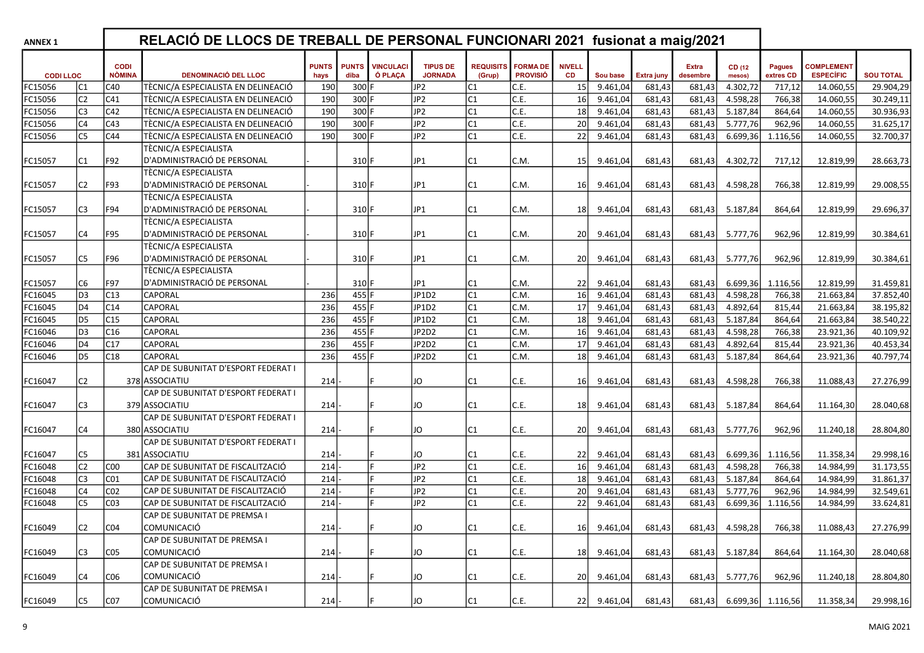| <b>ANNEX 1</b>  |                |                              | RELACIÓ DE LLOCS DE TREBALL DE PERSONAL FUNCIONARI 2021 fusionat a maig/2021 |                      |                      |                             |                                   |                            |                                    |                     |          |                   |                          |                  |                            |                                       |                  |
|-----------------|----------------|------------------------------|------------------------------------------------------------------------------|----------------------|----------------------|-----------------------------|-----------------------------------|----------------------------|------------------------------------|---------------------|----------|-------------------|--------------------------|------------------|----------------------------|---------------------------------------|------------------|
| <b>CODILLOC</b> |                | <b>CODI</b><br><b>NÒMINA</b> | <b>DENOMINACIÓ DEL LLOC</b>                                                  | <b>PUNTS</b><br>hays | <b>PUNTS</b><br>diba | <b>VINCULACI</b><br>Ó PLAÇA | <b>TIPUS DE</b><br><b>JORNADA</b> | <b>REQUISITS</b><br>(Grup) | <b>FORMA DE</b><br><b>PROVISIÓ</b> | <b>NIVELL</b><br>CD | Sou base | <b>Extra juny</b> | <b>Extra</b><br>desembre | CD (12<br>mesos) | <b>Pagues</b><br>extres CD | <b>COMPLEMENT</b><br><b>ESPECÍFIC</b> | <b>SOU TOTAL</b> |
| FC15056         | C1             | C40                          | TÈCNIC/A ESPECIALISTA EN DELINEACIÓ                                          | 190                  | $300$ F              |                             | JP <sub>2</sub>                   | lc1                        | C.E.                               | 15                  | 9.461,04 | 681,43            | 681,43                   | 4.302,72         | 717,12                     | 14.060,55                             | 29.904,29        |
| FC15056         | C <sub>2</sub> | $ C41\rangle$                | TÈCNIC/A ESPECIALISTA EN DELINEACIÓ                                          | 190                  | 300 F                |                             | JP <sub>2</sub>                   | IC1                        | C.E.                               | 16                  | 9.461,04 | 681,43            | 681,43                   | 4.598,28         | 766,38                     | 14.060,55                             | 30.249,11        |
| FC15056         | C <sub>3</sub> | C42                          | TÈCNIC/A ESPECIALISTA EN DELINEACIÓ                                          | 190                  | 300 F                |                             | JP <sub>2</sub>                   | C <sub>1</sub>             | C.E.                               | 18                  | 9.461,04 | 681,43            | 681,43                   | 5.187,84         | 864,64                     | 14.060,55                             | 30.936,93        |
| FC15056         | C <sub>4</sub> | C43                          | TÈCNIC/A ESPECIALISTA EN DELINEACIÓ                                          | 190                  | 300 F                |                             | JP <sub>2</sub>                   | IC1                        | C.E.                               | 20 <sup>1</sup>     | 9.461,04 | 681,43            | 681,43                   | 5.777,76         | 962,96                     | 14.060,55                             | 31.625,17        |
| FC15056         | C <sub>5</sub> | C44                          | TÈCNIC/A ESPECIALISTA EN DELINEACIÓ                                          | 190                  | 300 F                |                             | JP <sub>2</sub>                   | C <sub>1</sub>             | C.E.                               | 22                  | 9.461,04 | 681,43            | 681,43                   | 6.699,36         | 1.116,56                   | 14.060,55                             | 32.700,37        |
|                 |                |                              | TÈCNIC/A ESPECIALISTA                                                        |                      |                      |                             |                                   |                            |                                    |                     |          |                   |                          |                  |                            |                                       |                  |
| FC15057         | C1             | F92                          | D'ADMINISTRACIÓ DE PERSONAL                                                  |                      | 310 F                |                             | JP1                               | IC1                        | C.M.                               | 15                  | 9.461,04 | 681,43            | 681,43                   | 4.302,72         | 717,12                     | 12.819,99                             | 28.663,73        |
|                 |                |                              | TÈCNIC/A ESPECIALISTA                                                        |                      |                      |                             |                                   |                            |                                    |                     |          |                   |                          |                  |                            |                                       |                  |
| FC15057         | C2             | F93                          | D'ADMINISTRACIÓ DE PERSONAL                                                  |                      | 310F                 |                             | JP1                               | IC1                        | C.M.                               | 16                  | 9.461,04 | 681,43            | 681,43                   | 4.598,28         | 766,38                     | 12.819,99                             | 29.008,55        |
|                 |                |                              | TÈCNIC/A ESPECIALISTA                                                        |                      |                      |                             |                                   |                            |                                    |                     |          |                   |                          |                  |                            |                                       |                  |
| FC15057         | C <sub>3</sub> | F94                          | D'ADMINISTRACIÓ DE PERSONAL                                                  |                      | 310 F                |                             | JP1                               | IC1                        | C.M.                               | 18                  | 9.461,04 | 681,43            | 681,43                   | 5.187,84         | 864,64                     | 12.819,99                             | 29.696,37        |
|                 |                |                              | TÈCNIC/A ESPECIALISTA                                                        |                      |                      |                             |                                   |                            |                                    |                     |          |                   |                          |                  |                            |                                       |                  |
| FC15057         | C4             | F95                          | D'ADMINISTRACIÓ DE PERSONAL                                                  |                      | 310 F                |                             | JP1                               | IC1                        | C.M.                               | 20 <sup>1</sup>     | 9.461,04 | 681,43            | 681,43                   | 5.777,76         | 962,96                     | 12.819,99                             | 30.384,61        |
|                 |                |                              | TÈCNIC/A ESPECIALISTA                                                        |                      |                      |                             |                                   |                            |                                    |                     |          |                   |                          |                  |                            |                                       |                  |
| FC15057         | C <sub>5</sub> | F96                          | D'ADMINISTRACIÓ DE PERSONAL                                                  |                      | 310 F                |                             | JP1                               | IC1                        | C.M.                               | 20 <sup>1</sup>     | 9.461,04 | 681,43            | 681,43                   | 5.777,76         | 962,96                     | 12.819,99                             | 30.384,61        |
|                 |                |                              | TÈCNIC/A ESPECIALISTA                                                        |                      |                      |                             |                                   |                            |                                    |                     |          |                   |                          |                  |                            |                                       |                  |
| FC15057         | C6             | F97                          | D'ADMINISTRACIÓ DE PERSONAL                                                  |                      | 310 F                |                             | JP1                               | IC1                        | C.M.                               | 22                  | 9.461,04 | 681,43            | 681,43                   | 6.699,36         | 1.116,56                   | 12.819,99                             | 31.459,81        |
| FC16045         | D <sub>3</sub> | C <sub>13</sub>              | CAPORAL                                                                      | 236                  | 455 F                |                             | JP1D2                             | $ c_1 $                    | C.M.                               | 16                  | 9.461,04 | 681,43            | 681,43                   | 4.598,28         | 766,38                     | 21.663,84                             | 37.852,40        |
| FC16045         | D <sub>4</sub> | C14                          | CAPORAL                                                                      | 236                  | 455 F                |                             | JP1D2                             | C <sub>1</sub>             | C.M.                               | 17                  | 9.461,04 | 681,43            | 681,43                   | 4.892,64         | 815,44                     | 21.663,84                             | 38.195,82        |
| FC16045         | D5             | C15                          | CAPORAL                                                                      | 236                  | 455 F                |                             | JP1D2                             | C <sub>1</sub>             | C.M.                               | 18                  | 9.461,04 | 681,43            | 681,43                   | 5.187,84         | 864,64                     | 21.663,84                             | 38.540,22        |
| FC16046         | D <sub>3</sub> | C16                          | CAPORAL                                                                      | 236                  | 455 F                |                             | JP2D2                             | C <sub>1</sub>             | C.M.                               | 16                  | 9.461,04 | 681,43            | 681,43                   | 4.598,28         | 766,38                     | 23.921,36                             | 40.109,92        |
| FC16046         | D <sub>4</sub> | C17                          | CAPORAL                                                                      | 236                  | 455 F                |                             | JP2D2                             | C <sub>1</sub>             | C.M.                               | 17                  | 9.461,04 | 681,43            | 681,43                   | 4.892,64         | 815,44                     | 23.921,36                             | 40.453,34        |
| FC16046         | D <sub>5</sub> | C18                          | CAPORAL                                                                      | 236                  | 455 F                |                             | JP2D2                             | C <sub>1</sub>             | C.M.                               | 18                  | 9.461,04 | 681,43            | 681,43                   | 5.187,84         | 864,64                     | 23.921,36                             | 40.797,74        |
|                 |                |                              | CAP DE SUBUNITAT D'ESPORT FEDERAT I                                          |                      |                      |                             |                                   |                            |                                    |                     |          |                   |                          |                  |                            |                                       |                  |
| FC16047         | C2             |                              | 378 ASSOCIATIU                                                               | 214                  |                      |                             | JO                                | IC1                        | C.E.                               | <b>16</b>           | 9.461,04 | 681,43            | 681,43                   | 4.598,28         | 766,38                     | 11.088,43                             | 27.276,99        |
|                 |                |                              | CAP DE SUBUNITAT D'ESPORT FEDERAT I                                          |                      |                      |                             |                                   |                            |                                    |                     |          |                   |                          |                  |                            |                                       |                  |
| FC16047         | C3             |                              | 379 ASSOCIATIU                                                               | 214                  |                      |                             | JO                                | IC1                        | C.E.                               | 18 <sup>1</sup>     | 9.461,04 | 681,43            | 681,43                   | 5.187,84         | 864,64                     | 11.164,30                             | 28.040,68        |
|                 |                |                              | CAP DE SUBUNITAT D'ESPORT FEDERAT I                                          |                      |                      |                             |                                   |                            |                                    |                     |          |                   |                          |                  |                            |                                       |                  |
| FC16047         | C4             |                              | 380 ASSOCIATIU                                                               | 214                  |                      |                             | JO                                | IC1                        | C.E.                               | <b>20</b>           | 9.461,04 | 681,43            | 681,43                   | 5.777,76         | 962,96                     | 11.240,18                             | 28.804,80        |
|                 |                |                              | CAP DE SUBUNITAT D'ESPORT FEDERAT I                                          |                      |                      |                             |                                   |                            |                                    |                     |          |                   |                          |                  |                            |                                       |                  |
| FC16047         | C5             |                              | 381 ASSOCIATIU                                                               | 214                  |                      |                             | JO                                | IC1                        | C.E.                               | 22                  | 9.461,04 | 681,43            | 681,43                   | 6.699,36         | 1.116,56                   | 11.358,34                             | 29.998,16        |
| FC16048         | C <sub>2</sub> | coo                          | CAP DE SUBUNITAT DE FISCALITZACIÓ                                            | 214                  |                      |                             | JP <sub>2</sub>                   | C <sub>1</sub>             | C.E.                               | 16                  | 9.461,04 | 681,43            | 681,43                   | 4.598,28         | 766,38                     | 14.984,99                             | 31.173,55        |
| FC16048         | C3             | CO <sub>1</sub>              | CAP DE SUBUNITAT DE FISCALITZACIÓ                                            | 214                  |                      |                             | JP <sub>2</sub>                   | IC1                        | C.E.                               | 18                  | 9.461,04 | 681,43            | 681,43                   | 5.187,84         | 864,64                     | 14.984,99                             | 31.861,37        |
| FC16048         | C <sub>4</sub> | CO <sub>2</sub>              | CAP DE SUBUNITAT DE FISCALITZACIÓ                                            | 214                  |                      |                             | JP <sub>2</sub>                   | IC1                        | C.E.                               | 20 <sup>1</sup>     | 9.461,04 | 681,43            | 681,43                   | 5.777,76         | 962,96                     | 14.984,99                             | 32.549,61        |
| FC16048         | C <sub>5</sub> | C <sub>03</sub>              | CAP DE SUBUNITAT DE FISCALITZACIÓ                                            | 214                  |                      |                             | JP <sub>2</sub>                   | C <sub>1</sub>             | C.E.                               | 22                  | 9.461,04 | 681,43            | 681,43                   | 6.699,36         | 1.116,56                   | 14.984,99                             | 33.624,81        |
|                 |                |                              | CAP DE SUBUNITAT DE PREMSA I                                                 |                      |                      |                             |                                   |                            |                                    |                     |          |                   |                          |                  |                            |                                       |                  |
| FC16049         | C <sub>2</sub> | CO4                          | COMUNICACIÓ                                                                  | 214                  |                      | F                           | <b>JO</b>                         | C <sub>1</sub>             | C.E.                               | 16                  | 9.461,04 | 681,43            | 681,43                   | 4.598,28         | 766,38                     | 11.088,43                             | 27.276,99        |
|                 |                |                              | CAP DE SUBUNITAT DE PREMSA I                                                 |                      |                      |                             |                                   |                            |                                    |                     |          |                   |                          |                  |                            |                                       |                  |
| FC16049         | C <sub>3</sub> | ICO <sub>5</sub>             | COMUNICACIÓ                                                                  | 214                  |                      |                             | JO                                | C1                         | C.E.                               | 18                  | 9.461,04 | 681,43            | 681,43                   | 5.187,84         | 864,64                     | 11.164,30                             | 28.040,68        |
|                 |                |                              | CAP DE SUBUNITAT DE PREMSA I                                                 |                      |                      |                             |                                   |                            |                                    |                     |          |                   |                          |                  |                            |                                       |                  |
| FC16049         | C4             | C06                          | COMUNICACIÓ                                                                  | 214                  |                      |                             | JO                                | IC1                        | C.E.                               | 20                  | 9.461,04 | 681,43            | 681,43                   | 5.777,76         | 962,96                     | 11.240,18                             | 28.804,80        |
|                 |                |                              | CAP DE SUBUNITAT DE PREMSA I                                                 |                      |                      |                             |                                   |                            |                                    |                     |          |                   |                          |                  |                            |                                       |                  |
|                 | C <sub>5</sub> | CO7                          | COMUNICACIÓ                                                                  |                      |                      |                             |                                   |                            |                                    |                     |          | 681,43            |                          |                  |                            | 11.358,34                             |                  |
| FC16049         |                |                              |                                                                              | 214                  |                      |                             | JO                                | C1                         | C.E.                               | 22                  | 9.461,04 |                   | 681,43                   |                  | 6.699,36 1.116,56          |                                       | 29.998,16        |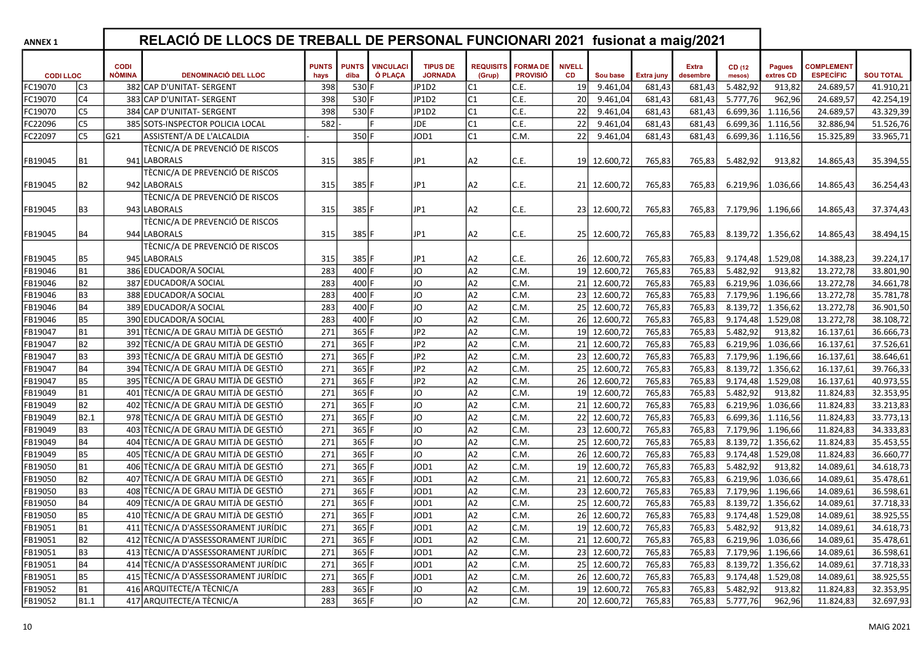| <b>ANNEX 1</b>  |                  |                              | RELACIÓ DE LLOCS DE TREBALL DE PERSONAL FUNCIONARI 2021 fusionat a maig/2021 |                      |                      |                             |                                   |                            |                                    |                     |              |                   |                          |                  |                            |                                       |                  |
|-----------------|------------------|------------------------------|------------------------------------------------------------------------------|----------------------|----------------------|-----------------------------|-----------------------------------|----------------------------|------------------------------------|---------------------|--------------|-------------------|--------------------------|------------------|----------------------------|---------------------------------------|------------------|
| <b>CODILLOC</b> |                  | <b>CODI</b><br><b>NÒMINA</b> | <b>DENOMINACIÓ DEL LLOC</b>                                                  | <b>PUNTS</b><br>hays | <b>PUNTS</b><br>diba | <b>VINCULACI</b><br>Ó PLACA | <b>TIPUS DE</b><br><b>JORNADA</b> | <b>REQUISITS</b><br>(Grup) | <b>FORMA DE</b><br><b>PROVISIÓ</b> | <b>NIVELL</b><br>CD | Sou base     | <b>Extra juny</b> | <b>Extra</b><br>desembre | CD (12<br>mesos) | <b>Pagues</b><br>extres CD | <b>COMPLEMENT</b><br><b>ESPECÍFIC</b> | <b>SOU TOTAL</b> |
| FC19070         | C <sub>3</sub>   |                              | 382 CAP D'UNITAT- SERGENT                                                    | 398                  | 530                  |                             | JP1D2                             | C <sub>1</sub>             | C.E.                               | 19                  | 9.461,04     | 681,43            | 681,43                   | 5.482,92         | 913,82                     | 24.689,57                             | 41.910,21        |
| FC19070         | C4               |                              | 383 CAP D'UNITAT- SERGENT                                                    | 398                  | 530                  |                             | JP1D2                             | C <sub>1</sub>             | C.E.                               | 20                  | 9.461,04     | 681,43            | 681,43                   | 5.777,76         | 962,96                     | 24.689,57                             | 42.254,19        |
| FC19070         | C5               |                              | 384 CAP D'UNITAT- SERGENT                                                    | 398                  | 530                  |                             | JP1D2                             | C <sub>1</sub>             | C.E.                               | 22                  | 9.461,04     | 681,43            | 681,43                   | 6.699,36         | 1.116,56                   | 24.689,57                             | 43.329,39        |
| FC22096         | C5               |                              | 385 SOTS-INSPECTOR POLICIA LOCAL                                             | 582                  |                      |                             | <b>JDE</b>                        | C <sub>1</sub>             | C.E.                               | 22                  | 9.461,04     | 681,43            | 681,43                   | 6.699,36         | 1.116,56                   | 32.886,94                             | 51.526,76        |
| FC22097         | C5               | G21                          | ASSISTENT/A DE L'ALCALDIA                                                    |                      | 350 F                |                             | JOD1                              | C <sub>1</sub>             | C.M.                               | 22                  | 9.461,04     | 681,43            | 681,43                   | 6.699,36         | 1.116,56                   | 15.325,89                             | 33.965,71        |
|                 |                  |                              | TÈCNIC/A DE PREVENCIÓ DE RISCOS                                              |                      |                      |                             |                                   |                            |                                    |                     |              |                   |                          |                  |                            |                                       |                  |
| FB19045         | B1               |                              | 941 LABORALS                                                                 | 315                  | 385                  |                             | JP <sub>1</sub>                   | A <sub>2</sub>             | C.E.                               |                     | 19 12.600,72 | 765,83            | 765,83                   | 5.482,92         | 913,82                     | 14.865,43                             | 35.394,55        |
|                 |                  |                              | TÈCNIC/A DE PREVENCIÓ DE RISCOS                                              |                      |                      |                             |                                   |                            |                                    |                     |              |                   |                          |                  |                            |                                       |                  |
| FB19045         | B2               |                              | 942 LABORALS                                                                 | 315                  | 385 F                |                             | JP1                               | A <sub>2</sub>             | C.E.                               |                     | 21 12.600,72 | 765,83            | 765,83                   | 6.219,96         | 1.036,66                   | 14.865,43                             | 36.254,43        |
|                 |                  |                              | TÈCNIC/A DE PREVENCIÓ DE RISCOS                                              |                      |                      |                             |                                   |                            |                                    |                     |              |                   |                          |                  |                            |                                       |                  |
| FB19045         | B3               |                              | 943 LABORALS                                                                 | 315                  | 385 F                |                             | JP1                               | A <sub>2</sub>             | C.E.                               |                     | 23 12.600,72 | 765,83            | 765,83                   |                  | 7.179,96 1.196,66          | 14.865,43                             | 37.374,43        |
|                 |                  |                              | TÈCNIC/A DE PREVENCIÓ DE RISCOS                                              |                      |                      |                             |                                   |                            |                                    |                     |              |                   |                          |                  |                            |                                       |                  |
| FB19045         | Β4               |                              | 944 LABORALS                                                                 | 315                  | 385 F                |                             | JP1                               | A2                         | C.E.                               |                     | 25 12.600,72 | 765,83            | 765,83                   |                  | 8.139,72 1.356,62          | 14.865,43                             | 38.494,15        |
|                 |                  |                              | TÈCNIC/A DE PREVENCIÓ DE RISCOS                                              |                      |                      |                             |                                   |                            |                                    |                     |              |                   |                          |                  |                            |                                       |                  |
| FB19045         | B5               |                              | 945 LABORALS                                                                 | 315                  | 385                  |                             | JP1                               | A2                         | C.E.                               |                     | 26 12.600,72 | 765,83            | 765,83                   | 9.174,48         | 1.529,08                   | 14.388,23                             | 39.224,17        |
| FB19046         | <b>B1</b>        |                              | 386 EDUCADOR/A SOCIAL                                                        | 283                  | 400                  |                             | JO                                | A <sub>2</sub>             | C.M.                               |                     | 19 12.600,72 | 765,83            | 765,83                   | 5.482,92         | 913,82                     | 13.272,78                             | 33.801,90        |
| FB19046         | <b>B2</b>        |                              | 387 EDUCADOR/A SOCIAL                                                        | 283                  | 400                  |                             | JO                                | A2                         | C.M.                               |                     | 21 12.600,72 | 765,83            | 765,83                   | 6.219,96         | 1.036,66                   | 13.272,78                             | 34.661,78        |
| FB19046         | B <sub>3</sub>   |                              | 388 EDUCADOR/A SOCIAL                                                        | 283                  | 400                  |                             | JO                                | A2                         | C.M.                               |                     | 23 12.600,72 | 765,83            | 765,83                   | 7.179,96         | 1.196,66                   | 13.272,78                             | 35.781,78        |
| FB19046         | <b>B4</b>        |                              | 389 EDUCADOR/A SOCIAL                                                        | 283                  | 400                  |                             | JO                                | A2                         | C.M.                               | 25                  | 12.600,72    | 765,83            | 765,83                   | 8.139,72         | 1.356,62                   | 13.272,78                             | 36.901,50        |
| FB19046         | <b>B5</b>        |                              | 390 EDUCADOR/A SOCIAL                                                        | 283                  | 400                  |                             | JO                                | A <sub>2</sub>             | C.M.                               |                     | 26 12.600,72 | 765,83            | 765,83                   | 9.174,48         | 1.529,08                   | 13.272,78                             | 38.108,72        |
| FB19047         | <b>B1</b>        |                              | 391 TÈCNIC/A DE GRAU MITJÀ DE GESTIÓ                                         | 271                  | 365                  |                             | JP <sub>2</sub>                   | A <sub>2</sub>             | C.M.                               |                     | 19 12.600,72 | 765,83            | 765,83                   | 5.482,92         | 913,82                     | 16.137,61                             | 36.666,73        |
| FB19047         | <b>B2</b>        |                              | 392 TÈCNIC/A DE GRAU MITJÀ DE GESTIÓ                                         | 271                  | 365                  |                             | JP <sub>2</sub>                   | A <sub>2</sub>             | C.M.                               | 21                  | 12.600,72    | 765,83            | 765,83                   | 6.219,96         | 1.036,66                   | 16.137,61                             | 37.526,61        |
| FB19047         | B <sub>3</sub>   |                              | 393 TÈCNIC/A DE GRAU MITJÀ DE GESTIÓ                                         | 271                  | 365                  |                             | JP <sub>2</sub>                   | A <sub>2</sub>             | C.M.                               | 23                  | 12.600,72    | 765,83            | 765,83                   | 7.179,96         | 1.196,66                   | 16.137,61                             | 38.646,61        |
| FB19047         | <b>B4</b>        |                              | 394 TÈCNIC/A DE GRAU MITJÀ DE GESTIÓ                                         | 271                  | 365                  |                             | JP <sub>2</sub>                   | A <sub>2</sub>             | C.M.                               | 25                  | 12.600,72    | 765,83            | 765,83                   | 8.139,72         | 1.356,62                   | 16.137,61                             | 39.766,33        |
| FB19047         | <b>B5</b>        |                              | 395 TÈCNIC/A DE GRAU MITJÀ DE GESTIÓ                                         | 271                  | 365                  |                             | JP <sub>2</sub>                   | A2                         | C.M.                               | 26                  | 12.600,72    | 765,83            | 765,83                   | 9.174,48         | 1.529,08                   | 16.137,61                             | 40.973,55        |
| FB19049         | <b>B1</b>        |                              | 401 TÈCNIC/A DE GRAU MITJÀ DE GESTIÓ                                         | 271                  | 365                  |                             | JO                                | A2                         | C.M.                               | 19 <sup>1</sup>     | 12.600,72    | 765,83            | 765,83                   | 5.482,92         | 913,82                     | 11.824,83                             | 32.353,95        |
| FB19049         | <b>B2</b>        |                              | 402 TÈCNIC/A DE GRAU MITJÀ DE GESTIÓ                                         | 271                  | 365                  |                             | JO                                | A <sub>2</sub>             | C.M.                               |                     | 21 12.600,72 | 765,83            | 765,83                   | 6.219,96         | 1.036,66                   | 11.824,83                             | 33.213,83        |
| FB19049         | B <sub>2.1</sub> |                              | 978 TÈCNIC/A DE GRAU MITJÀ DE GESTIÓ                                         | 271                  | 365                  |                             | JO                                | A <sub>2</sub>             | C.M.                               |                     | 22 12.600,72 | 765,83            | 765,83                   | 6.699,36         | 1.116,56                   | 11.824,83                             | 33.773,13        |
| FB19049         | B <sub>3</sub>   |                              | 403 TÈCNIC/A DE GRAU MITJÀ DE GESTIÓ                                         | 271                  | 365 F                |                             | JO                                | A <sub>2</sub>             | C.M.                               | 23                  | 12.600,72    | 765,83            | 765,83                   | 7.179,96         | 1.196,66                   | 11.824,83                             | 34.333,83        |
| FB19049         | <b>B4</b>        |                              | 404 TÈCNIC/A DE GRAU MITJÀ DE GESTIÓ                                         | 271                  | 365                  |                             | JO                                | A <sub>2</sub>             | C.M.                               | 25                  | 12.600,72    | 765,83            | 765,83                   | 8.139,72         | 1.356,62                   | 11.824,83                             | 35.453,55        |
| FB19049         | <b>B5</b>        |                              | 405 TÈCNIC/A DE GRAU MITJÀ DE GESTIÓ                                         | 271                  | 365                  |                             | JO                                | A <sub>2</sub>             | C.M.                               |                     | 26 12.600,72 | 765,83            | 765,83                   | 9.174,48         | 1.529,08                   | 11.824,83                             | 36.660,77        |
| FB19050         | B1               |                              | 406 TÈCNIC/A DE GRAU MITJÀ DE GESTIÓ                                         | 271                  | 365                  |                             | JOD1                              | A <sub>2</sub>             | C.M.                               |                     | 19 12.600,72 | 765,83            | 765,83                   | 5.482,92         | 913,82                     | 14.089,61                             | 34.618,73        |
| FB19050         | <b>B2</b>        |                              | 407 TÈCNIC/A DE GRAU MITJÀ DE GESTIÓ                                         | 271                  | 365                  |                             | JOD1                              | A <sub>2</sub>             | C.M.                               | 21                  | 12.600,72    | 765,83            | 765,83                   | 6.219,96         | 1.036,66                   | 14.089,61                             | 35.478,61        |
| FB19050         | B <sub>3</sub>   |                              | 408 TÈCNIC/A DE GRAU MITJÀ DE GESTIÓ                                         | 271                  | 365                  |                             | JOD1                              | A <sub>2</sub>             | C.M.                               |                     | 23 12.600,72 | 765,83            | 765,83                   | 7.179,96         | 1.196,66                   | 14.089,61                             | 36.598,61        |
| FB19050         | <b>B4</b>        |                              | 409 TÈCNIC/A DE GRAU MITJÀ DE GESTIÓ                                         | 271                  | 365                  |                             | JOD1                              | A <sub>2</sub>             | C.M.                               |                     | 25 12.600,72 | 765,83            | 765,83                   | 8.139,72         | 1.356,62                   | 14.089,61                             | 37.718,33        |
| FB19050         | <b>B5</b>        |                              | 410 TÈCNIC/A DE GRAU MITJÀ DE GESTIÓ                                         | 271                  | $365$ F              |                             | JOD1                              | A <sub>2</sub>             | C.M.                               | 26                  | 12.600,72    | 765,83            | 765,83                   | 9.174,48         | 1.529,08                   | 14.089,61                             | 38.925,55        |
| FB19051         | B1               |                              | 411 TÈCNIC/A D'ASSESSORAMENT JURÍDIC                                         | 271                  | $365$ F              |                             | JOD1                              | A <sub>2</sub>             | C.M.                               |                     | 19 12.600,72 | 765,83            | 765,83                   | 5.482,92         | 913,82                     | 14.089,61                             | 34.618,73        |
| FB19051         | B <sub>2</sub>   |                              | 412 TÈCNIC/A D'ASSESSORAMENT JURÍDIC                                         | 271                  | $365$ F              |                             | JOD1                              | A <sub>2</sub>             | C.M.                               |                     | 21 12.600,72 | 765,83            | 765,83                   | 6.219,96         | 1.036,66                   | 14.089,61                             | 35.478,61        |
| FB19051         | B <sub>3</sub>   |                              | 413 TÈCNIC/A D'ASSESSORAMENT JURÍDIC                                         | 271                  | 365 F                |                             | JOD1                              | A <sub>2</sub>             | C.M.                               |                     | 23 12.600,72 | 765,83            | 765,83                   | 7.179,96         | 1.196,66                   | 14.089,61                             | 36.598,61        |
| FB19051         | B4               |                              | 414 TÈCNIC/A D'ASSESSORAMENT JURÍDIC                                         | 271                  | 365 F                |                             | JOD1                              | A <sub>2</sub>             | C.M.                               |                     | 25 12.600,72 | 765,83            | 765,83                   | 8.139,72         | 1.356,62                   | 14.089,61                             | 37.718,33        |
| FB19051         | B5               |                              | 415 TÈCNIC/A D'ASSESSORAMENT JURÍDIC                                         | 271                  | 365 F                |                             | JOD1                              | A <sub>2</sub>             | C.M.                               |                     | 26 12.600,72 | 765,83            | 765,83                   | 9.174,48         | 1.529,08                   | 14.089,61                             | 38.925,55        |
| FB19052         | B1               |                              | 416 ARQUITECTE/A TÈCNIC/A                                                    | 283                  | $365$ F              |                             | JO                                | A <sub>2</sub>             | C.M.                               |                     | 19 12.600,72 | 765,83            | 765,83                   | 5.482,92         | 913,82                     | 11.824,83                             | 32.353,95        |
| FB19052         | B <sub>1.1</sub> |                              | 417 ARQUITECTE/A TÈCNIC/A                                                    | 283                  | $365$ F              |                             | JO                                | A <sub>2</sub>             | C.M.                               |                     | 20 12.600,72 | 765,83            | 765,83                   | 5.777,76         | 962,96                     | 11.824,83                             | 32.697,93        |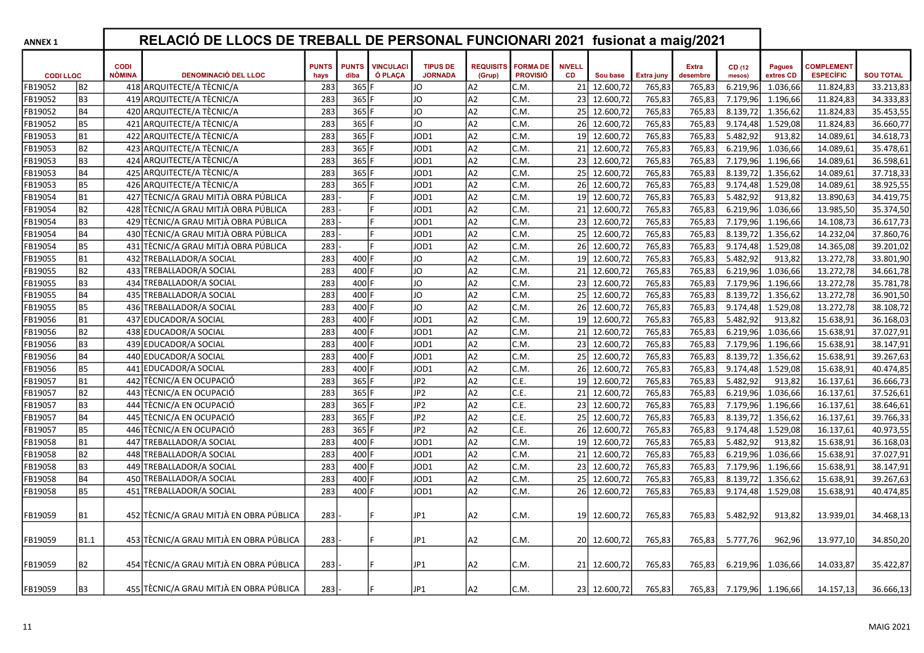| <b>ANNEX 1</b>  |                |                              | RELACIÓ DE LLOCS DE TREBALL DE PERSONAL FUNCIONARI 2021 fusionat a maig/2021 |                      |                      |                             |                                   |                            |                                    |                     |              |                   |                          |                  |                            |                                       |                  |
|-----------------|----------------|------------------------------|------------------------------------------------------------------------------|----------------------|----------------------|-----------------------------|-----------------------------------|----------------------------|------------------------------------|---------------------|--------------|-------------------|--------------------------|------------------|----------------------------|---------------------------------------|------------------|
| <b>CODILLOC</b> |                | <b>CODI</b><br><b>NÒMINA</b> | <b>DENOMINACIÓ DEL LLOC</b>                                                  | <b>PUNTS</b><br>hays | <b>PUNTS</b><br>diba | <b>VINCULACI</b><br>Ó PLAÇA | <b>TIPUS DE</b><br><b>JORNADA</b> | <b>REQUISITS</b><br>(Grup) | <b>FORMA DE</b><br><b>PROVISIÓ</b> | <b>NIVELL</b><br>CD | Sou base     | <b>Extra juny</b> | <b>Extra</b><br>desembre | CD (12<br>mesos) | <b>Pagues</b><br>extres CD | <b>COMPLEMENT</b><br><b>ESPECÍFIC</b> | <b>SOU TOTAL</b> |
| FB19052         | B <sub>2</sub> | 418                          | ARQUITECTE/A TÈCNIC/A                                                        | 283                  | 365                  |                             | <b>JO</b>                         | A2                         | C.M.                               | 21                  | 12.600,72    | 765,83            | 765,83                   | 6.219,96         | 1.036,66                   | 11.824,83                             | 33.213,83        |
| FB19052         | B3             | 419 l                        | ARQUITECTE/A TÈCNIC/A                                                        | 283                  | 365 F                |                             | JO                                | A2                         | C.M.                               | 23                  | 12.600,72    | 765,83            | 765,83                   | 7.179,96         | 1.196,66                   | 11.824,83                             | 34.333,83        |
| FB19052         | <b>B4</b>      |                              | 420 ARQUITECTE/A TÈCNIC/A                                                    | 283                  | 365 F                |                             | JO                                | A2                         | C.M.                               | 25                  | 12.600,72    | 765,83            | 765,83                   | 8.139,72         | 1.356,62                   | 11.824,83                             | 35.453,55        |
| FB19052         | <b>B5</b>      |                              | 421 ARQUITECTE/A TÈCNIC/A                                                    | 283                  | 365 F                |                             | JO                                | la2                        | C.M.                               | 26                  | 12.600,72    | 765,83            | 765,83                   | 9.174,48         | 1.529,08                   | 11.824,83                             | 36.660,77        |
| FB19053         | <b>B1</b>      | 422                          | ARQUITECTE/A TÈCNIC/A                                                        | 283                  | 365 F                |                             | JOD1                              | A2                         | C.M.                               |                     | 19 12.600,72 | 765,83            | 765,83                   | 5.482,92         | 913,82                     | 14.089,61                             | 34.618,73        |
| FB19053         | <b>B2</b>      |                              | 423 ARQUITECTE/A TÈCNIC/A                                                    | 283                  | 365F                 |                             | JOD1                              | A2                         | C.M.                               | 21                  | 12.600,72    | 765,83            | 765,83                   | 6.219,96         | 1.036,66                   | 14.089,61                             | 35.478,61        |
| FB19053         | B <sub>3</sub> |                              | 424 ARQUITECTE/A TÈCNIC/A                                                    | 283                  | 365 F                |                             | JOD1                              | A2                         | C.M.                               | 23 <sup>1</sup>     | 12.600,72    | 765,83            | 765,83                   | 7.179,96         | 1.196,66                   | 14.089,61                             | 36.598,61        |
| FB19053         | <b>B4</b>      |                              | 425 ARQUITECTE/A TÈCNIC/A                                                    | 283                  | 365 F                |                             | JOD1                              | A2                         | C.M.                               | 25                  | 12.600,72    | 765,83            | 765,83                   | 8.139,72         | 1.356,62                   | 14.089,61                             | 37.718,33        |
| FB19053         | <b>B5</b>      |                              | 426 ARQUITECTE/A TÈCNIC/A                                                    | 283                  | 365 F                |                             | JOD1                              | A2                         | C.M.                               | 26                  | 12.600,72    | 765,83            | 765,83                   | 9.174,48         | 1.529,08                   | 14.089,61                             | 38.925,55        |
| FB19054         | <b>B1</b>      |                              | 427 TÈCNIC/A GRAU MITJÀ OBRA PÚBLICA                                         | 283                  |                      |                             | JOD1                              | A2                         | C.M.                               | 19                  | 12.600,72    | 765,83            | 765,83                   | 5.482,92         | 913,82                     | 13.890,63                             | 34.419,75        |
| FB19054         | B2             |                              | 428 TÈCNIC/A GRAU MITJÀ OBRA PÚBLICA                                         | 283                  |                      |                             | JOD1                              | A <sub>2</sub>             | C.M.                               | 21                  | 12.600,72    | 765,83            | 765,83                   | 6.219,96         | 1.036,66                   | 13.985,50                             | 35.374,50        |
| FB19054         | B <sub>3</sub> |                              | 429 TÈCNIC/A GRAU MITJÀ OBRA PÚBLICA                                         | 283                  |                      |                             | JOD1                              | A2                         | C.M.                               | 23 <sup>1</sup>     | 12.600,72    | 765,83            | 765,83                   | 7.179,96         | 1.196,66                   | 14.108,73                             | 36.617,73        |
| FB19054         | <b>B4</b>      |                              | 430 TÈCNIC/A GRAU MITJÀ OBRA PÚBLICA                                         | 283                  |                      | IF                          | JOD1                              | la2                        | C.M.                               | 25                  | 12.600,72    | 765,83            | 765,83                   | 8.139,72         | 1.356,62                   | 14.232,04                             | 37.860,76        |
| FB19054         | <b>B5</b>      |                              | 431 TÈCNIC/A GRAU MITJÀ OBRA PÚBLICA                                         | 283                  |                      |                             | JOD1                              | la2                        | C.M.                               | 26 l                | 12.600,72    | 765,83            | 765,83                   | 9.174,48         | 1.529,08                   | 14.365,08                             | 39.201,02        |
| FB19055         | <b>B1</b>      | 432 l                        | TREBALLADOR/A SOCIAL                                                         | 283                  | 400 F                |                             | JO                                | la2                        | C.M.                               | 19 <sup>1</sup>     | 12.600,72    | 765,83            | 765,83                   | 5.482,92         | 913,82                     | 13.272,78                             | 33.801,90        |
| FB19055         | <b>B2</b>      |                              | 433 TREBALLADOR/A SOCIAL                                                     | 283                  | 400                  |                             | JO                                | A <sub>2</sub>             | C.M.                               | 21                  | 12.600,72    | 765,83            | 765,83                   | 6.219,96         | 1.036,66                   | 13.272,78                             | 34.661,78        |
| FB19055         | B <sub>3</sub> |                              | 434 TREBALLADOR/A SOCIAL                                                     | 283                  | 400 F                |                             | JO                                | la2                        | C.M.                               | 23 <sup>1</sup>     | 12.600,72    | 765,83            | 765,83                   | 7.179,96         | 1.196,66                   | 13.272,78                             | 35.781,78        |
| FB19055         | <b>B4</b>      |                              | 435 TREBALLADOR/A SOCIAL                                                     | 283                  | 400 F                |                             | JO                                | la2                        | C.M.                               | 25                  | 12.600,72    | 765,83            | 765,83                   | 8.139,72         | 1.356,62                   | 13.272,78                             | 36.901,50        |
| FB19055         | <b>B5</b>      |                              | 436 TREBALLADOR/A SOCIAL                                                     | 283                  | 400                  |                             | JO                                | A2                         | C.M.                               | 26                  | 12.600,72    | 765,83            | 765,83                   | 9.174,48         | 1.529,08                   | 13.272,78                             | 38.108,72        |
| FB19056         | <b>B1</b>      | 437 l                        | EDUCADOR/A SOCIAL                                                            | 283                  | 400                  |                             | JOD1                              | A <sub>2</sub>             | C.M.                               |                     | 19 12.600,72 | 765,83            | 765,83                   | 5.482,92         | 913,82                     | 15.638,91                             | 36.168,03        |
| FB19056         | B2             |                              | 438 EDUCADOR/A SOCIAL                                                        | 283                  | 400 F                |                             | JOD1                              | A2                         | C.M.                               | 21                  | 12.600,72    | 765,83            | 765,83                   | 6.219,96         | 1.036,66                   | 15.638,91                             | 37.027,91        |
| FB19056         | B3             |                              | 439 EDUCADOR/A SOCIAL                                                        | 283                  | 400                  |                             | JOD1                              | A2                         | C.M.                               | 23                  | 12.600,72    | 765,83            | 765,83                   | 7.179,96         | 1.196,66                   | 15.638,91                             | 38.147,91        |
| FB19056         | <b>B4</b>      |                              | 440 EDUCADOR/A SOCIAL                                                        | 283                  | 400 F                |                             | JOD1                              | A2                         | C.M.                               | 25                  | 12.600,72    | 765,83            | 765,83                   | 8.139,72         | 1.356,62                   | 15.638,91                             | 39.267,63        |
| FB19056         | <b>B5</b>      | 441                          | EDUCADOR/A SOCIAL                                                            | 283                  | 400                  |                             | JOD1                              | A2                         | C.M.                               | 26                  | 12.600,72    | 765,83            | 765,83                   | 9.174,48         | 1.529,08                   | 15.638,91                             | 40.474,85        |
| FB19057         | <b>B1</b>      |                              | 442 TÈCNIC/A EN OCUPACIÓ                                                     | 283                  | 365 F                |                             | JP <sub>2</sub>                   | A2                         | C.E.                               |                     | 19 12.600,72 | 765,83            | 765,83                   | 5.482,92         | 913,82                     | 16.137,61                             | 36.666,73        |
| FB19057         | <b>B2</b>      |                              | 443 TÈCNIC/A EN OCUPACIÓ                                                     | 283                  | 365 F                |                             | JP <sub>2</sub>                   | A2                         | C.E.                               | 21                  | 12.600,72    | 765,83            | 765,83                   | 6.219,96         | 1.036,66                   | 16.137,61                             | 37.526,61        |
| FB19057         | B <sub>3</sub> |                              | 444 TÈCNIC/A EN OCUPACIÓ                                                     | 283                  | 365 F                |                             | JP <sub>2</sub>                   | la2                        | C.E.                               | 23                  | 12.600,72    | 765,83            | 765,83                   | 7.179,96         | 1.196,66                   | 16.137,61                             | 38.646,61        |
| FB19057         | <b>B4</b>      |                              | 445 TÈCNIC/A EN OCUPACIÓ                                                     | 283                  | 365 F                |                             | JP <sub>2</sub>                   | A2                         | C.E.                               | 25                  | 12.600,72    | 765,83            | 765,83                   | 8.139,72         | 1.356,62                   | 16.137,61                             | 39.766,33        |
| FB19057         | <b>B5</b>      |                              | 446 TÈCNIC/A EN OCUPACIÓ                                                     | 283                  | 365 F                |                             | JP <sub>2</sub>                   | A2                         | C.E.                               | 26                  | 12.600,72    | 765,83            | 765,83                   | 9.174,48         | 1.529,08                   | 16.137,61                             | 40.973,55        |
| FB19058         | <b>B1</b>      | 447                          | TREBALLADOR/A SOCIAL                                                         | 283                  | 400                  |                             | JOD1                              | A2                         | C.M.                               | 19 <sup>1</sup>     | 12.600,72    | 765,83            | 765,83                   | 5.482,92         | 913,82                     | 15.638,91                             | 36.168,03        |
| FB19058         | <b>B2</b>      |                              | 448 TREBALLADOR/A SOCIAL                                                     | 283                  | 400 F                |                             | JOD1                              | A2                         | C.M.                               | 21                  | 12.600,72    | 765,83            | 765,83                   | 6.219,96         | 1.036,66                   | 15.638,91                             | 37.027,91        |
| FB19058         | B <sub>3</sub> |                              | 449 TREBALLADOR/A SOCIAL                                                     | 283                  | 400 F                |                             | JOD1                              | A2                         | C.M.                               | 23 <sup>1</sup>     | 12.600,72    | 765,83            | 765,83                   | 7.179,96         | 1.196,66                   | 15.638,91                             | 38.147,91        |
| FB19058         | <b>B4</b>      |                              | 450 TREBALLADOR/A SOCIAL                                                     | 283                  | 400 F                |                             | JOD1                              | A2                         | C.M.                               |                     | 25 12.600,72 | 765,83            | 765,83                   | 8.139,72         | 1.356,62                   | 15.638,91                             | 39.267,63        |
| FB19058         | <b>B5</b>      |                              | 451 TREBALLADOR/A SOCIAL                                                     | 283                  | 400 F                |                             | JOD1                              | la2                        | C.M.                               |                     | 26 12.600,72 | 765,83            | 765,83                   | 9.174,48         | 1.529,08                   | 15.638,91                             | 40.474,85        |
|                 |                |                              |                                                                              |                      |                      |                             |                                   |                            |                                    |                     |              |                   |                          |                  |                            |                                       |                  |
| FB19059         | B1             |                              | 452 TÈCNIC/A GRAU MITJÀ EN OBRA PÚBLICA                                      | 283                  |                      |                             | JP1                               | A2                         | C.M.                               |                     | 19 12.600,72 | 765,83            | 765,83                   | 5.482,92         | 913,82                     | 13.939,01                             | 34.468,13        |
|                 |                |                              |                                                                              |                      |                      |                             |                                   |                            |                                    |                     |              |                   |                          |                  |                            |                                       |                  |
| FB19059         | <b>B1.1</b>    |                              | 453 TÈCNIC/A GRAU MITJÀ EN OBRA PÚBLICA                                      | 283                  |                      |                             | JP1                               | A2                         | C.M.                               |                     | 20 12.600,72 | 765,83            | 765,83                   | 5.777,76         | 962,96                     | 13.977,10                             | 34.850,20        |
|                 |                |                              |                                                                              |                      |                      |                             |                                   |                            |                                    |                     |              |                   |                          |                  |                            |                                       |                  |
| FB19059         | B2             |                              | 454 TÈCNIC/A GRAU MITJÀ EN OBRA PÚBLICA                                      | 283                  |                      |                             | JP1                               | A2                         | C.M.                               |                     | 21 12.600,72 | 765,83            | 765,83                   | 6.219,96         | 1.036,66                   | 14.033,87                             | 35.422,87        |
|                 |                |                              |                                                                              |                      |                      |                             |                                   |                            |                                    |                     |              |                   |                          |                  |                            |                                       |                  |
| FB19059         | B <sub>3</sub> |                              | 455 TÈCNIC/A GRAU MITJÀ EN OBRA PÚBLICA                                      | 283                  |                      |                             | JP1                               | A2                         | C.M.                               |                     | 23 12.600,72 | 765,83            | 765,83                   |                  | 7.179,96 1.196,66          | 14.157,13                             | 36.666,13        |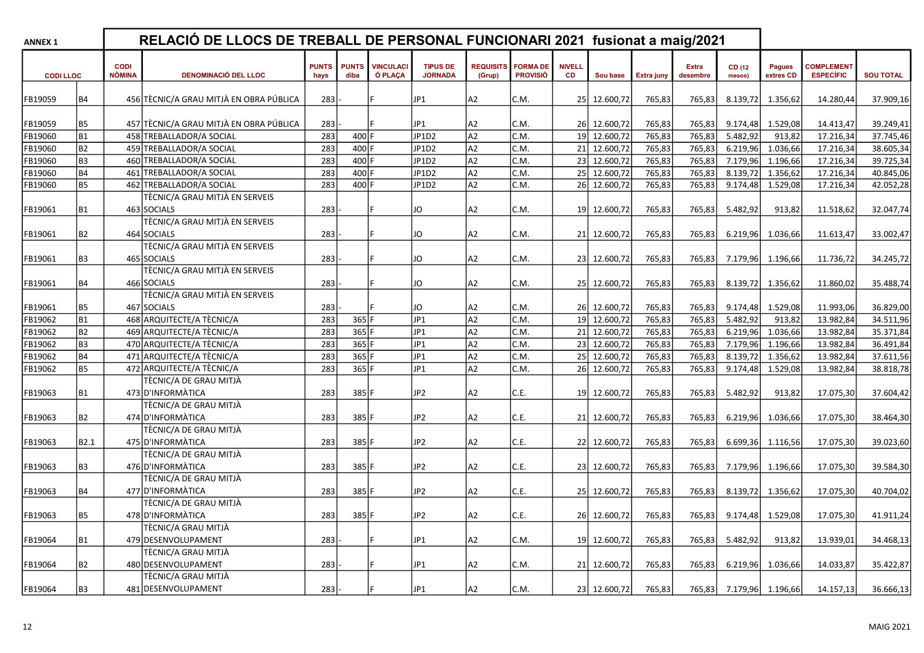| <b>ANNEX 1</b>  |                  |                              | RELACIÓ DE LLOCS DE TREBALL DE PERSONAL FUNCIONARI 2021 fusionat a maig/2021 |                      |                      |                             |                                   |                            |                                    |                            |              |            |                          |                  |                            |                                       |                  |
|-----------------|------------------|------------------------------|------------------------------------------------------------------------------|----------------------|----------------------|-----------------------------|-----------------------------------|----------------------------|------------------------------------|----------------------------|--------------|------------|--------------------------|------------------|----------------------------|---------------------------------------|------------------|
| <b>CODILLOC</b> |                  | <b>CODI</b><br><b>NÒMINA</b> | <b>DENOMINACIÓ DEL LLOC</b>                                                  | <b>PUNTS</b><br>hays | <b>PUNTS</b><br>diba | <b>VINCULACI</b><br>Ó PLACA | <b>TIPUS DE</b><br><b>JORNADA</b> | <b>REQUISITS</b><br>(Grup) | <b>FORMA DE</b><br><b>PROVISIÓ</b> | <b>NIVELL</b><br><b>CD</b> | Sou base     | Extra juny | <b>Extra</b><br>desembre | CD (12<br>mesos) | <b>Pagues</b><br>extres CD | <b>COMPLEMENT</b><br><b>ESPECÍFIC</b> | <b>SOU TOTAL</b> |
| FB19059         | <b>B4</b>        |                              | 456 TÈCNIC/A GRAU MITJÀ EN OBRA PÚBLICA                                      | 283                  |                      |                             | JP1                               | A <sub>2</sub>             | C.M.                               |                            | 25 12.600,72 | 765,83     | 765,83                   | 8.139,72         | 1.356,62                   | 14.280,44                             | 37.909,16        |
|                 |                  |                              |                                                                              |                      |                      |                             |                                   |                            |                                    |                            |              |            |                          |                  |                            |                                       |                  |
| FB19059         | <b>B5</b>        |                              | 457 TÈCNIC/A GRAU MITJÀ EN OBRA PÚBLICA                                      | 283                  |                      |                             | JP1                               | A2                         | C.M.                               |                            | 26 12.600,72 | 765,83     | 765,83                   | 9.174,48         | 1.529,08                   | 14.413,47                             | 39.249,41        |
| FB19060         | <b>B1</b>        |                              | 458 TREBALLADOR/A SOCIAL                                                     | 283                  | 400 F                |                             | JP1D2                             | la2                        | C.M.                               |                            | 19 12.600,72 | 765,83     | 765,83                   | 5.482,92         | 913,82                     | 17.216,34                             | 37.745,46        |
| FB19060         | <b>B2</b>        |                              | 459 TREBALLADOR/A SOCIAL                                                     | 283                  | 400 F                |                             | JP1D2                             | A2                         | C.M.                               |                            | 21 12.600,72 | 765,83     | 765,83                   | 6.219,96         | 1.036,66                   | 17.216,34                             | 38.605,34        |
| FB19060         | B <sub>3</sub>   |                              | 460 TREBALLADOR/A SOCIAL                                                     | 283                  | 400 F                |                             | JP1D2                             | $\overline{A2}$            | C.M.                               |                            | 23 12.600,72 | 765,83     | 765,83                   | 7.179,96         | 1.196,66                   | 17.216,34                             | 39.725,34        |
| FB19060         | <b>B4</b>        |                              | 461 TREBALLADOR/A SOCIAL                                                     | 283                  | 400 F                |                             | JP1D2                             | A2                         | C.M.                               | 25                         | 12.600,72    | 765,83     | 765,83                   | 8.139,72         | 1.356,62                   | 17.216,34                             | 40.845,06        |
| FB19060         | <b>B5</b>        |                              | 462 TREBALLADOR/A SOCIAL                                                     | 283                  | 400 F                |                             | JP1D2                             | A2                         | C.M.                               |                            | 26 12.600,72 | 765,83     | 765,83                   | 9.174,48         | 1.529,08                   | 17.216,34                             | 42.052,28        |
|                 |                  |                              | TÈCNIC/A GRAU MITJÀ EN SERVEIS                                               |                      |                      |                             |                                   |                            |                                    |                            |              |            |                          |                  |                            |                                       |                  |
| FB19061         | В1               |                              | 463 SOCIALS                                                                  | 283                  |                      |                             | JO                                | A <sub>2</sub>             | C.M.                               |                            | 19 12.600,72 | 765,83     | 765,83                   | 5.482,92         | 913,82                     | 11.518,62                             | 32.047,74        |
|                 |                  |                              | TÈCNIC/A GRAU MITJÀ EN SERVEIS                                               |                      |                      |                             |                                   |                            |                                    |                            |              |            |                          |                  |                            |                                       |                  |
| FB19061         | B2               |                              | 464 SOCIALS                                                                  | 283                  |                      |                             | JO.                               | A <sub>2</sub>             | C.M.                               |                            | 21 12.600,72 | 765,83     | 765,83                   | 6.219,96         | 1.036,66                   | 11.613,47                             | 33.002,47        |
|                 |                  |                              | TÈCNIC/A GRAU MITJÀ EN SERVEIS                                               |                      |                      |                             |                                   |                            |                                    |                            |              |            |                          |                  |                            |                                       |                  |
| FB19061         | B3               |                              | 465 SOCIALS                                                                  | 283                  |                      |                             | JO                                | A <sub>2</sub>             | C.M.                               |                            | 23 12.600,72 | 765,83     | 765,83                   | 7.179,96         | 1.196,66                   | 11.736,72                             | 34.245,72        |
|                 |                  |                              | TÈCNIC/A GRAU MITJÀ EN SERVEIS                                               |                      |                      |                             |                                   |                            |                                    |                            |              |            |                          |                  |                            |                                       |                  |
| FB19061         | <b>B4</b>        |                              | 466 SOCIALS                                                                  | 283                  |                      |                             | JO                                | A <sub>2</sub>             | C.M.                               |                            | 25 12.600,72 | 765,83     | 765,83                   | 8.139,72         | 1.356,62                   | 11.860,02                             | 35.488,74        |
|                 |                  |                              | TÈCNIC/A GRAU MITJÀ EN SERVEIS                                               |                      |                      |                             |                                   |                            |                                    |                            |              |            |                          |                  |                            |                                       |                  |
| FB19061         | <b>B5</b>        |                              | 467 SOCIALS                                                                  | 283                  |                      |                             | JO                                | A2                         | C.M.                               |                            | 26 12.600,72 | 765,83     | 765,83                   | 9.174,48         | 1.529,08                   | 11.993,06                             | 36.829,00        |
| FB19062         | <b>B1</b>        |                              | 468 ARQUITECTE/A TÈCNIC/A                                                    | 283                  | $365$ F              |                             | JP1                               | A2                         | C.M.                               |                            | 19 12.600,72 | 765,83     | 765,83                   | 5.482,92         | 913,82                     | 13.982,84                             | 34.511,96        |
| FB19062         | <b>B2</b>        |                              | 469 ARQUITECTE/A TÈCNIC/A                                                    | 283                  | 365 F                |                             | JP1                               | A2                         | C.M.                               |                            | 21 12.600,72 | 765,83     | 765,83                   | 6.219,96         | 1.036,66                   | 13.982,84                             | 35.371,84        |
| FB19062         | B <sub>3</sub>   |                              | 470 ARQUITECTE/A TÈCNIC/A                                                    | 283                  | 365 F                |                             | JP1                               | A <sub>2</sub>             | C.M.                               |                            | 23 12.600,72 | 765,83     | 765,83                   | 7.179,96         | 1.196,66                   | 13.982,84                             | 36.491,84        |
| FB19062         | <b>B4</b>        |                              | 471 ARQUITECTE/A TÈCNIC/A                                                    | 283                  | 365 F                |                             | JP1                               | A2                         | C.M.                               |                            | 25 12.600,72 | 765,83     | 765,83                   | 8.139,72         | 1.356,62                   | 13.982,84                             | 37.611,56        |
| FB19062         | <b>B5</b>        |                              | 472 ARQUITECTE/A TÈCNIC/A                                                    | 283                  | 365 F                |                             | JP1                               | A2                         | C.M.                               |                            | 26 12.600,72 | 765,83     | 765,83                   | 9.174,48         | 1.529,08                   | 13.982,84                             | 38.818,78        |
|                 |                  |                              | TÈCNIC/A DE GRAU MITJÀ                                                       |                      |                      |                             |                                   |                            |                                    |                            |              |            |                          |                  |                            |                                       |                  |
| FB19063         | <b>B1</b>        |                              | 473 D'INFORMATICA                                                            | 283                  | 385 F                |                             | JP <sub>2</sub>                   | lA2                        | C.E.                               |                            | 19 12.600,72 | 765,83     | 765.83                   | 5.482,92         | 913,82                     | 17.075,30                             | 37.604,42        |
|                 |                  |                              | TÈCNIC/A DE GRAU MITJÀ                                                       |                      |                      |                             |                                   |                            |                                    |                            |              |            |                          |                  |                            |                                       |                  |
| FB19063         | <b>B2</b>        |                              | 474 D'INFORMATICA                                                            | 283                  | 385 F                |                             | JP <sub>2</sub>                   | A2                         | C.E.                               |                            | 21 12.600,72 | 765,83     | 765,83                   | 6.219,96         | 1.036,66                   | 17.075,30                             | 38.464,30        |
|                 |                  |                              | TÈCNIC/A DE GRAU MITJÀ                                                       |                      |                      |                             |                                   |                            |                                    |                            |              |            |                          |                  |                            |                                       |                  |
| FB19063         | B <sub>2.1</sub> |                              | 475 D'INFORMATICA                                                            | 283                  | 385 F                |                             | JP <sub>2</sub>                   | A2                         | C.E.                               |                            | 22 12.600,72 | 765,83     | 765,83                   | 6.699,36         | 1.116,56                   | 17.075,30                             | 39.023,60        |
|                 |                  |                              | TÈCNIC/A DE GRAU MITJÀ                                                       |                      |                      |                             |                                   |                            |                                    |                            |              |            |                          |                  |                            |                                       |                  |
| FB19063         | B <sub>3</sub>   |                              | 476 D'INFORMATICA                                                            | 283                  | 385 F                |                             | JP <sub>2</sub>                   | A2                         | C.E.                               |                            | 23 12.600,72 | 765,83     | 765,83                   |                  | 7.179,96 1.196,66          | 17.075,30                             | 39.584,30        |
|                 |                  |                              | TÈCNIC/A DE GRAU MITJÀ                                                       |                      |                      |                             |                                   |                            |                                    |                            |              |            |                          |                  |                            |                                       |                  |
| FB19063         | <b>B4</b>        |                              | 477 D'INFORMÀTICA                                                            | 283                  | 385 F                |                             | JP <sub>2</sub>                   | A2                         | C.E.                               |                            | 25 12.600,72 | 765,83     | 765,83                   | 8.139,72         | 1.356,62                   | 17.075,30                             | 40.704,02        |
|                 |                  |                              | TÈCNIC/A DE GRAU MITJÀ                                                       |                      |                      |                             |                                   |                            |                                    |                            |              |            |                          |                  |                            |                                       |                  |
| FB19063         | <b>B5</b>        |                              | 478 D'INFORMATICA                                                            | 283                  | 385 F                |                             | JP2                               | A2                         | C.E.                               |                            | 26 12.600,72 | 765,83     | 765,83                   | 9.174,48         | 1.529,08                   | 17.075,30                             | 41.911,24        |
|                 |                  |                              | TÈCNIC/A GRAU MITJÀ                                                          |                      |                      |                             |                                   |                            |                                    |                            |              |            |                          |                  |                            |                                       |                  |
| FB19064         | B1               |                              | 479 DESENVOLUPAMENT                                                          | 283                  |                      |                             | JP1                               | A <sub>2</sub>             | C.M.                               |                            | 19 12.600,72 | 765,83     | 765,83                   | 5.482,92         | 913,82                     | 13.939,01                             | 34.468,13        |
|                 |                  |                              | TÈCNIC/A GRAU MITJÀ                                                          |                      |                      |                             |                                   |                            |                                    |                            |              |            |                          |                  |                            |                                       |                  |
| FB19064         | <b>B2</b>        |                              | 480 DESENVOLUPAMENT                                                          | 283                  |                      |                             | JP1                               | A <sub>2</sub>             | C.M.                               |                            | 21 12.600,72 | 765,83     | 765.83                   | 6.219,96         | 1.036,66                   | 14.033.87                             | 35.422,87        |
|                 |                  |                              | TÈCNIC/A GRAU MITJÀ                                                          |                      |                      |                             |                                   |                            |                                    |                            |              |            |                          |                  |                            |                                       |                  |
| FB19064         | B <sub>3</sub>   |                              | 481 DESENVOLUPAMENT                                                          | 283                  |                      |                             | JP1                               | A2                         | C.M.                               |                            | 23 12.600,72 | 765,83     | 765,83                   |                  | 7.179,96 1.196,66          | 14.157,13                             | 36.666,13        |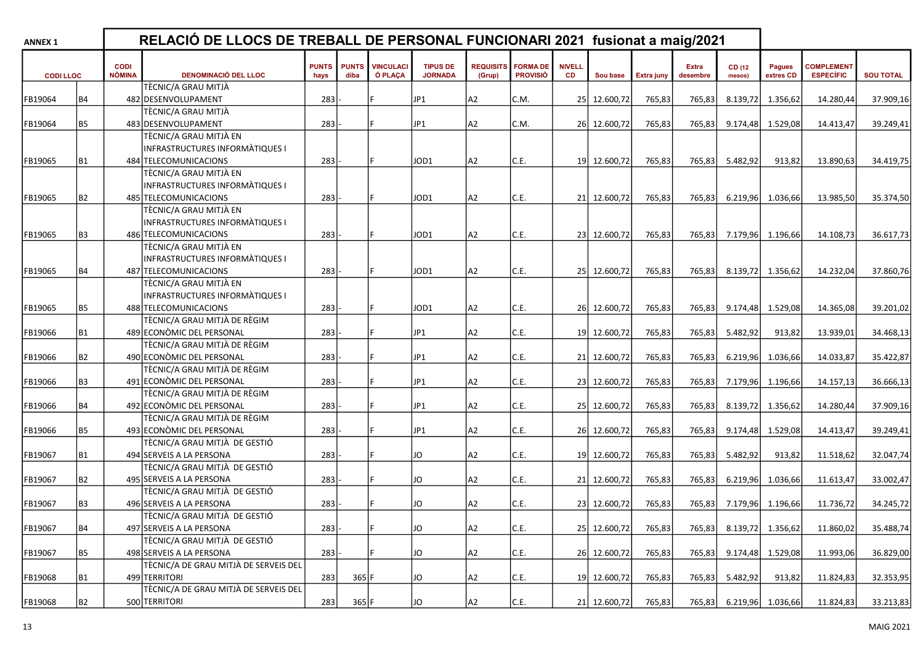| <b>ANNEX 1</b>  |                |                       | RELACIÓ DE LLOCS DE TREBALL DE PERSONAL FUNCIONARI 2021 fusionat a maig/2021 |                      |                      |                             |                                   |                            |                                    |                            |              |            |                          |                  |                            |                                       |                  |
|-----------------|----------------|-----------------------|------------------------------------------------------------------------------|----------------------|----------------------|-----------------------------|-----------------------------------|----------------------------|------------------------------------|----------------------------|--------------|------------|--------------------------|------------------|----------------------------|---------------------------------------|------------------|
| <b>CODILLOC</b> |                | <b>CODI</b><br>NÒMINA | <b>DENOMINACIÓ DEL LLOC</b>                                                  | <b>PUNTS</b><br>hays | <b>PUNTS</b><br>diba | <b>VINCULACI</b><br>Ó PLAÇA | <b>TIPUS DE</b><br><b>JORNADA</b> | <b>REQUISITS</b><br>(Grup) | <b>FORMA DE</b><br><b>PROVISIÓ</b> | <b>NIVELL</b><br><b>CD</b> | Sou base     | Extra juny | <b>Extra</b><br>desembre | CD (12<br>mesos) | <b>Pagues</b><br>extres CD | <b>COMPLEMENT</b><br><b>ESPECÍFIC</b> | <b>SOU TOTAL</b> |
|                 |                |                       | TÈCNIC/A GRAU MITJÀ                                                          |                      |                      |                             |                                   |                            |                                    |                            |              |            |                          |                  |                            |                                       |                  |
| FB19064         | <b>B4</b>      |                       | 482 DESENVOLUPAMENT                                                          | 283                  |                      |                             | JP1                               | A2                         | C.M.                               |                            | 25 12.600,72 | 765,83     | 765,83                   | 8.139,72         | 1.356,62                   | 14.280,44                             | 37.909,16        |
|                 |                |                       | TÈCNIC/A GRAU MITJÀ                                                          |                      |                      |                             |                                   |                            |                                    |                            |              |            |                          |                  |                            |                                       |                  |
| FB19064         | <b>B5</b>      |                       | 483 DESENVOLUPAMENT                                                          | 283                  |                      |                             | JP1                               | A2                         | C.M.                               |                            | 26 12.600,72 | 765,83     | 765,83                   | 9.174,48         | 1.529,08                   | 14.413,47                             | 39.249,41        |
|                 |                |                       | TÈCNIC/A GRAU MITJÀ EN                                                       |                      |                      |                             |                                   |                            |                                    |                            |              |            |                          |                  |                            |                                       |                  |
|                 |                |                       | INFRASTRUCTURES INFORMATIQUES I                                              |                      |                      |                             |                                   |                            |                                    |                            |              |            |                          |                  |                            |                                       |                  |
| FB19065         | <b>B1</b>      |                       | 484 TELECOMUNICACIONS                                                        | 283                  |                      |                             | JOD1                              | A <sub>2</sub>             | C.E.                               |                            | 19 12.600.72 | 765,83     | 765,83                   | 5.482,92         | 913,82                     | 13.890,63                             | 34.419,75        |
|                 |                |                       | TÈCNIC/A GRAU MITJÀ EN                                                       |                      |                      |                             |                                   |                            |                                    |                            |              |            |                          |                  |                            |                                       |                  |
|                 |                |                       | <b>INFRASTRUCTURES INFORMATIQUES I</b>                                       |                      |                      |                             |                                   |                            |                                    |                            |              |            |                          |                  |                            |                                       |                  |
| FB19065         | <b>B2</b>      |                       | 485 TELECOMUNICACIONS                                                        | 283                  |                      |                             | JOD1                              | A <sub>2</sub>             | C.E.                               |                            | 21 12.600,72 | 765,83     | 765,83                   | 6.219,96         | 1.036,66                   | 13.985,50                             | 35.374,50        |
|                 |                |                       | TÈCNIC/A GRAU MITJÀ EN                                                       |                      |                      |                             |                                   |                            |                                    |                            |              |            |                          |                  |                            |                                       |                  |
|                 |                |                       | INFRASTRUCTURES INFORMATIQUES I                                              |                      |                      |                             |                                   |                            |                                    |                            |              |            |                          |                  |                            |                                       |                  |
| FB19065         | B <sub>3</sub> |                       | 486 TELECOMUNICACIONS                                                        | 283                  |                      |                             | JOD1                              | A <sub>2</sub>             | C.E.                               |                            | 23 12.600,72 | 765,83     | 765,83                   |                  | 7.179,96 1.196,66          | 14.108,73                             | 36.617,73        |
|                 |                |                       | TÈCNIC/A GRAU MITJÀ EN                                                       |                      |                      |                             |                                   |                            |                                    |                            |              |            |                          |                  |                            |                                       |                  |
|                 |                |                       | INFRASTRUCTURES INFORMÀTIQUES I                                              |                      |                      |                             |                                   |                            |                                    |                            |              |            |                          |                  |                            |                                       |                  |
| FB19065         | <b>B4</b>      |                       | 487 TELECOMUNICACIONS                                                        | 283                  |                      |                             | JOD1                              | A2                         | C.E.                               |                            | 25 12.600,72 | 765,83     | 765,83                   | 8.139,72         | 1.356,62                   | 14.232,04                             | 37.860,76        |
|                 |                |                       | TÈCNIC/A GRAU MITJÀ EN                                                       |                      |                      |                             |                                   |                            |                                    |                            |              |            |                          |                  |                            |                                       |                  |
|                 |                |                       | <b>INFRASTRUCTURES INFORMATIQUES I</b>                                       |                      |                      |                             |                                   |                            |                                    |                            |              |            |                          |                  |                            |                                       |                  |
| FB19065         | <b>B5</b>      |                       | 488 TELECOMUNICACIONS                                                        | 283                  |                      |                             | JOD1                              | A <sub>2</sub>             | C.E.                               |                            | 26 12.600,72 | 765,83     | 765,83                   | 9.174,48         | 1.529,08                   | 14.365,08                             | 39.201,02        |
|                 |                |                       | TÈCNIC/A GRAU MITJÀ DE RÈGIM                                                 |                      |                      |                             |                                   |                            |                                    |                            |              |            |                          |                  |                            |                                       |                  |
| FB19066         | <b>B1</b>      |                       | 489 ECONÒMIC DEL PERSONAL                                                    | 283                  |                      |                             | JP1                               | A2                         | C.E.                               |                            | 19 12.600,72 | 765,83     | 765,83                   | 5.482,92         | 913,82                     | 13.939,01                             | 34.468,13        |
|                 |                |                       | TÈCNIC/A GRAU MITJÀ DE RÈGIM                                                 |                      |                      |                             |                                   |                            |                                    |                            |              |            |                          |                  |                            |                                       |                  |
| FB19066         | <b>B2</b>      |                       | 490 ECONOMIC DEL PERSONAL                                                    | 283                  |                      |                             | JP1                               | A <sub>2</sub>             | C.E.                               |                            | 21 12.600,72 | 765,83     | 765,83                   | 6.219,96         | 1.036,66                   | 14.033,87                             | 35.422,87        |
|                 |                |                       | TÈCNIC/A GRAU MITJÀ DE RÈGIM                                                 |                      |                      |                             |                                   |                            |                                    |                            |              |            |                          |                  |                            |                                       |                  |
| FB19066         | B <sub>3</sub> |                       | 491 ECONOMIC DEL PERSONAL                                                    | 283                  |                      |                             | JP1                               | A2                         | C.E.                               |                            | 23 12.600,72 | 765,83     | 765,83                   |                  | 7.179,96 1.196,66          | 14.157,13                             | 36.666,13        |
|                 |                |                       | TÈCNIC/A GRAU MITJÀ DE RÈGIM                                                 |                      |                      |                             |                                   |                            |                                    |                            |              |            |                          |                  |                            |                                       |                  |
| FB19066         | <b>B4</b>      |                       | 492 ECONOMIC DEL PERSONAL                                                    | 283                  |                      |                             | JP1                               | A2                         | C.E.                               |                            | 25 12.600,72 | 765,83     | 765,83                   |                  | 8.139,72 1.356,62          | 14.280,44                             | 37.909,16        |
|                 |                |                       | TÈCNIC/A GRAU MITJÀ DE RÈGIM                                                 |                      |                      |                             |                                   |                            |                                    |                            |              |            |                          |                  |                            |                                       |                  |
| FB19066         | <b>B5</b>      |                       | 493 ECONOMIC DEL PERSONAL                                                    | 283                  |                      |                             | JP1                               | A2                         | C.E.                               |                            | 26 12.600,72 | 765,83     | 765,83                   |                  | 9.174,48 1.529,08          | 14.413,47                             | 39.249,41        |
|                 |                |                       | TÈCNIC/A GRAU MITJÀ DE GESTIÓ                                                |                      |                      |                             |                                   |                            |                                    |                            |              |            |                          |                  |                            |                                       |                  |
| FB19067         | <b>B1</b>      |                       | 494 SERVEIS A LA PERSONA                                                     | 283                  |                      |                             | JO                                | A2                         | C.E.                               |                            | 19 12.600,72 | 765,83     | 765,83                   | 5.482,92         | 913,82                     | 11.518,62                             | 32.047,74        |
|                 |                |                       | TÈCNIC/A GRAU MITJÀ DE GESTIÓ                                                |                      |                      |                             |                                   |                            |                                    |                            |              |            |                          |                  |                            |                                       |                  |
| FB19067         | <b>B2</b>      |                       | 495 SERVEIS A LA PERSONA                                                     | 283                  |                      |                             | JO                                | A <sub>2</sub>             | C.E.                               |                            | 21 12.600,72 | 765,83     | 765,83                   | 6.219,96         | 1.036,66                   | 11.613,47                             | 33.002,47        |
|                 |                |                       | TÈCNIC/A GRAU MITJÀ DE GESTIÓ                                                |                      |                      |                             |                                   |                            |                                    |                            |              |            |                          |                  |                            |                                       |                  |
| FB19067         | B3             |                       | 496 SERVEIS A LA PERSONA                                                     | 283                  |                      |                             | JO                                | A <sub>2</sub>             | C.E.                               |                            | 23 12.600,72 | 765,83     | 765,83                   | 7.179,96         | 1.196,66                   | 11.736,72                             | 34.245,72        |
|                 |                |                       | TÈCNIC/A GRAU MITJÀ DE GESTIÓ                                                |                      |                      |                             |                                   |                            |                                    |                            |              |            |                          |                  |                            |                                       |                  |
| FB19067         | <b>B4</b>      |                       | 497 SERVEIS A LA PERSONA                                                     | 283                  |                      |                             | <b>JO</b>                         | A <sub>2</sub>             | C.E.                               |                            | 25 12.600,72 | 765,83     | 765,83                   |                  | 8.139,72 1.356,62          | 11.860,02                             | 35.488,74        |
|                 |                |                       | TÈCNIC/A GRAU MITJÀ DE GESTIÓ                                                |                      |                      |                             |                                   |                            |                                    |                            |              |            |                          |                  |                            |                                       |                  |
| FB19067         | B5             |                       | 498 SERVEIS A LA PERSONA                                                     | 283                  |                      |                             | JO                                | A <sub>2</sub>             | C.E.                               |                            | 26 12.600,72 | 765,83     | 765,83                   |                  | 9.174,48 1.529,08          | 11.993,06                             | 36.829,00        |
|                 |                |                       | TÈCNIC/A DE GRAU MITJÀ DE SERVEIS DEL                                        |                      |                      |                             |                                   |                            |                                    |                            |              |            |                          |                  |                            |                                       |                  |
| FB19068         | B1             |                       | 499 TERRITORI                                                                | 283                  | $365$ F              |                             | JO                                | A2                         | C.E.                               |                            | 19 12.600,72 | 765,83     | 765,83                   | 5.482,92         | 913,82                     | 11.824,83                             | 32.353,95        |
|                 |                |                       | TÈCNIC/A DE GRAU MITJÀ DE SERVEIS DEL                                        |                      |                      |                             |                                   |                            |                                    |                            |              |            |                          |                  |                            |                                       |                  |
| FB19068         | B2             |                       | 500 TERRITORI                                                                | 283                  | 365 F                |                             | JO                                | A <sub>2</sub>             | C.E.                               |                            | 21 12.600,72 | 765,83     | 765,83                   |                  | 6.219,96 1.036,66          | 11.824,83                             | 33.213,83        |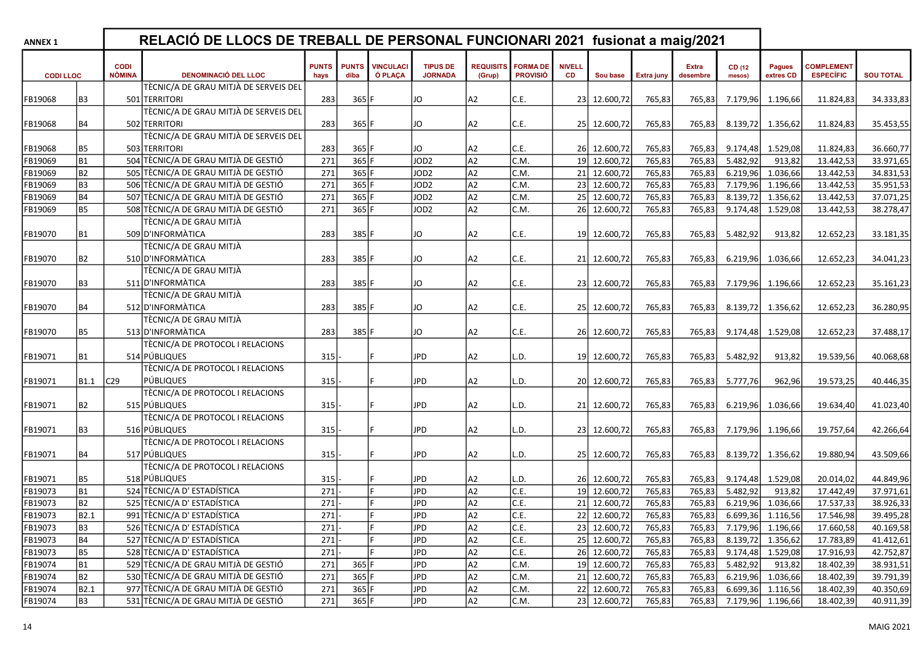| <b>ANNEX 1</b>  |                |                       | RELACIÓ DE LLOCS DE TREBALL DE PERSONAL FUNCIONARI 2021 fusionat a maig/2021 |                      |                      |                             |                                   |                            |                                    |                            |              |            |                          |                  |                            |                                       |                  |
|-----------------|----------------|-----------------------|------------------------------------------------------------------------------|----------------------|----------------------|-----------------------------|-----------------------------------|----------------------------|------------------------------------|----------------------------|--------------|------------|--------------------------|------------------|----------------------------|---------------------------------------|------------------|
| <b>CODILLOC</b> |                | <b>CODI</b><br>NÒMINA | <b>DENOMINACIÓ DEL LLOC</b>                                                  | <b>PUNTS</b><br>hays | <b>PUNTS</b><br>diba | <b>VINCULACI</b><br>Ó PLAÇA | <b>TIPUS DE</b><br><b>JORNADA</b> | <b>REQUISITS</b><br>(Grup) | <b>FORMA DE</b><br><b>PROVISIÓ</b> | <b>NIVELL</b><br><b>CD</b> | Sou base     | Extra juny | <b>Extra</b><br>desembre | CD (12<br>mesos) | <b>Pagues</b><br>extres CD | <b>COMPLEMENT</b><br><b>ESPECÍFIC</b> | <b>SOU TOTAL</b> |
|                 |                |                       | TÈCNIC/A DE GRAU MITJÀ DE SERVEIS DEL                                        |                      |                      |                             |                                   |                            |                                    |                            |              |            |                          |                  |                            |                                       |                  |
| FB19068         | B <sub>3</sub> |                       | 501 TERRITORI                                                                | 283                  | 365 F                |                             | JO                                | A2                         | C.E.                               |                            | 23 12.600,72 | 765,83     | 765,83                   | 7.179,96         | 1.196,66                   | 11.824,83                             | 34.333,83        |
|                 |                |                       | TÈCNIC/A DE GRAU MITJÀ DE SERVEIS DEL                                        |                      |                      |                             |                                   |                            |                                    |                            |              |            |                          |                  |                            |                                       |                  |
| FB19068         | <b>B4</b>      |                       | 502 TERRITORI                                                                | 283                  | 365 F                |                             | JO                                | A <sub>2</sub>             | C.E.                               | 25 <sub>1</sub>            | 12.600,72    | 765,83     | 765,83                   | 8.139,72         | 1.356,62                   | 11.824,83                             | 35.453,55        |
|                 |                |                       | TÈCNIC/A DE GRAU MITJÀ DE SERVEIS DEL                                        |                      |                      |                             |                                   |                            |                                    |                            |              |            |                          |                  |                            |                                       |                  |
| FB19068         | B5             |                       | 503 TERRITORI                                                                | 283                  | 365 F                |                             | JO                                | A2                         | C.E.                               |                            | 26 12.600,72 | 765,83     | 765,83                   | 9.174,48         | 1.529,08                   | 11.824,83                             | 36.660,77        |
| FB19069         | <b>B1</b>      |                       | 504 TÈCNIC/A DE GRAU MITJÀ DE GESTIÓ                                         | 271                  | $365$ F              |                             | JOD <sub>2</sub>                  | A <sub>2</sub>             | C.M.                               | 19 <sup>1</sup>            | 12.600,72    | 765,83     | 765,83                   | 5.482,92         | 913,82                     | 13.442,53                             | 33.971,65        |
| FB19069         | <b>B2</b>      |                       | 505 TÈCNIC/A DE GRAU MITJÀ DE GESTIÓ                                         | 271                  | 365 F                |                             | JOD <sub>2</sub>                  | A <sub>2</sub>             | C.M.                               |                            | 21 12.600,72 | 765,83     | 765,83                   | 6.219,96         | 1.036,66                   | 13.442,53                             | 34.831,53        |
| FB19069         | B <sub>3</sub> |                       | 506 TÈCNIC/A DE GRAU MITJÀ DE GESTIÓ                                         | 271                  | 365 F                |                             | JOD <sub>2</sub>                  | A <sub>2</sub>             | C.M.                               |                            | 23 12.600,72 | 765,83     | 765,83                   | 7.179,96         | 1.196,66                   | 13.442,53                             | 35.951,53        |
| FB19069         | <b>B4</b>      |                       | 507 TÈCNIC/A DE GRAU MITJÀ DE GESTIÓ                                         | 271                  | 365 F                |                             | JOD <sub>2</sub>                  | A <sub>2</sub>             | C.M.                               | 25                         | 12.600,72    | 765,83     | 765,83                   | 8.139,72         | 1.356,62                   | 13.442,53                             | 37.071,25        |
| FB19069         | <b>B5</b>      |                       | 508 TÈCNIC/A DE GRAU MITJÀ DE GESTIÓ                                         | 271                  | 365 F                |                             | JOD <sub>2</sub>                  | A <sub>2</sub>             | C.M.                               | 26                         | 12.600,72    | 765,83     | 765,83                   | 9.174,48         | 1.529,08                   | 13.442,53                             | 38.278,47        |
|                 |                |                       | TÈCNIC/A DE GRAU MITJÀ                                                       |                      |                      |                             |                                   |                            |                                    |                            |              |            |                          |                  |                            |                                       |                  |
| FB19070         | <b>B1</b>      |                       | 509 D'INFORMATICA                                                            | 283                  | 385 F                |                             | JO                                | A <sub>2</sub>             | C.E.                               |                            | 19 12.600,72 | 765,83     | 765,83                   | 5.482,92         | 913,82                     | 12.652,23                             | 33.181,35        |
|                 |                |                       | TÈCNIC/A DE GRAU MITJÀ                                                       |                      |                      |                             |                                   |                            |                                    |                            |              |            |                          |                  |                            |                                       |                  |
| FB19070         | <b>B2</b>      |                       | 510 D'INFORMÀTICA                                                            | 283                  | 385 F                |                             | JO                                | A <sub>2</sub>             | C.E.                               |                            | 21 12.600,72 | 765,83     | 765,83                   | 6.219,96         | 1.036,66                   | 12.652,23                             | 34.041,23        |
|                 |                |                       | TÈCNIC/A DE GRAU MITJÀ                                                       |                      |                      |                             |                                   |                            |                                    |                            |              |            |                          |                  |                            |                                       |                  |
| FB19070         | B <sub>3</sub> |                       | 511 D'INFORMÀTICA                                                            | 283                  | 385 F                |                             | JO                                | A2                         | C.E.                               |                            | 23 12.600,72 | 765,83     | 765,83                   | 7.179,96         | 1.196,66                   | 12.652,23                             | 35.161,23        |
|                 |                |                       | TÈCNIC/A DE GRAU MITJÀ                                                       |                      |                      |                             |                                   |                            |                                    |                            |              |            |                          |                  |                            |                                       |                  |
| FB19070         | <b>B4</b>      |                       | 512 D'INFORMATICA                                                            | 283                  | 385 F                |                             | JO                                | A2                         | C.E.                               |                            | 25 12.600,72 | 765,83     | 765,83                   | 8.139,72         | 1.356,62                   | 12.652,23                             | 36.280,95        |
|                 |                |                       | TÈCNIC/A DE GRAU MITJÀ                                                       |                      |                      |                             |                                   |                            |                                    |                            |              |            |                          |                  |                            |                                       |                  |
| FB19070         | <b>B5</b>      |                       | 513 D'INFORMATICA                                                            | 283                  | 385 F                |                             | JO                                | A <sub>2</sub>             | C.E.                               |                            | 26 12.600,72 | 765,83     | 765,83                   | 9.174,48         | 1.529,08                   | 12.652,23                             | 37.488,17        |
|                 |                |                       | TÈCNIC/A DE PROTOCOL I RELACIONS                                             |                      |                      |                             |                                   |                            |                                    |                            |              |            |                          |                  |                            |                                       |                  |
| FB19071         | <b>B1</b>      |                       | 514 PÚBLIQUES                                                                | 315                  |                      |                             | <b>JPD</b>                        | A2                         | L.D.                               |                            | 19 12.600,72 | 765,83     | 765,83                   | 5.482,92         | 913,82                     | 19.539,56                             | 40.068,68        |
|                 |                |                       | TÈCNIC/A DE PROTOCOL I RELACIONS                                             |                      |                      |                             |                                   |                            |                                    |                            |              |            |                          |                  |                            |                                       |                  |
| FB19071         | <b>B1.1</b>    | C29                   | PÚBLIQUES                                                                    | 315                  |                      |                             | <b>JPD</b>                        | A2                         | L.D.                               |                            | 20 12.600,72 | 765,83     | 765,83                   | 5.777,76         | 962,96                     | 19.573,25                             | 40.446,35        |
|                 |                |                       | TÈCNIC/A DE PROTOCOL I RELACIONS                                             |                      |                      |                             |                                   |                            |                                    |                            |              |            |                          |                  |                            |                                       |                  |
| FB19071         | <b>B2</b>      |                       | 515 PÚBLIQUES                                                                | 315                  |                      |                             | <b>JPD</b>                        | A2                         | L.D.                               |                            | 21 12.600,72 | 765,83     | 765,83                   | 6.219,96         | 1.036,66                   | 19.634,40                             | 41.023,40        |
|                 |                |                       | TÈCNIC/A DE PROTOCOL I RELACIONS                                             |                      |                      |                             |                                   |                            |                                    |                            |              |            |                          |                  |                            |                                       |                  |
| FB19071         | B <sub>3</sub> |                       | 516 PÚBLIQUES                                                                | 315                  |                      |                             | <b>JPD</b>                        | A2                         | L.D.                               |                            | 23 12.600,72 | 765,83     | 765,83                   | 7.179,96         | 1.196,66                   | 19.757,64                             | 42.266,64        |
|                 |                |                       | TÈCNIC/A DE PROTOCOL I RELACIONS                                             |                      |                      |                             |                                   |                            |                                    |                            |              |            |                          |                  |                            |                                       |                  |
| FB19071         | <b>B4</b>      |                       | 517 PÚBLIQUES                                                                | 315                  |                      |                             | <b>JPD</b>                        | A2                         | L.D.                               |                            | 25 12.600,72 | 765,83     | 765,83                   | 8.139,72         | 1.356,62                   | 19.880,94                             | 43.509,66        |
|                 |                |                       | TÈCNIC/A DE PROTOCOL I RELACIONS                                             |                      |                      |                             |                                   |                            |                                    |                            |              |            |                          |                  |                            |                                       |                  |
| FB19071         | <b>B5</b>      |                       | 518 PÚBLIQUES                                                                | 315                  |                      |                             | <b>JPD</b>                        | A2                         | L.D.                               |                            | 26 12.600,72 | 765,83     | 765,83                   | 9.174,48         | 1.529,08                   | 20.014,02                             | 44.849,96        |
| FB19073         | <b>B1</b>      |                       | 524 TÈCNIC/A D' ESTADÍSTICA                                                  | 271                  |                      |                             | <b>JPD</b>                        | A <sub>2</sub>             | C.E.                               |                            | 19 12.600,72 | 765,83     | 765,83                   | 5.482,92         | 913,82                     | 17.442,49                             | 37.971,61        |
| FB19073         | <b>B2</b>      |                       | 525 TÈCNIC/A D' ESTADÍSTICA                                                  | 271                  |                      |                             | <b>JPD</b>                        | A <sub>2</sub>             | C.E.                               |                            | 21 12.600,72 | 765,83     | 765,83                   | 6.219,96         | 1.036,66                   | 17.537,33                             | 38.926,33        |
| FB19073         | B2.1           |                       | 991 TÈCNIC/A D' ESTADÍSTICA                                                  | 271                  |                      |                             | <b>JPD</b>                        | A <sub>2</sub>             | C.E.                               | 22                         | 12.600,72    | 765,83     | 765,83                   | 6.699,36         | 1.116,56                   | 17.546,98                             | 39.495,28        |
| FB19073         | l B3           |                       | 526 TÈCNIC/A D' ESTADÍSTICA                                                  | 271                  |                      | IF                          | <b>JPD</b>                        | A <sub>2</sub>             | C.E.                               |                            | 23 12.600,72 | 765,83     | 765,83                   |                  | 7.179,96 1.196,66          | 17.660,58                             | 40.169,58        |
| FB19073         | <b>B4</b>      |                       | 527 TÈCNIC/A D' ESTADÍSTICA                                                  | 271                  |                      |                             | <b>JPD</b>                        | A <sub>2</sub>             | C.E.                               |                            | 25 12.600,72 | 765,83     | 765,83                   |                  | 8.139,72 1.356,62          | 17.783,89                             | 41.412,61        |
| FB19073         | B <sub>5</sub> |                       | 528 TÈCNIC/A D' ESTADÍSTICA                                                  | 271                  |                      |                             | <b>JPD</b>                        | A <sub>2</sub>             | C.E.                               |                            | 26 12.600,72 | 765,83     | 765,83                   |                  | 9.174,48 1.529,08          | 17.916,93                             | 42.752,87        |
| FB19074         | <b>B1</b>      |                       | 529 TÈCNIC/A DE GRAU MITJÀ DE GESTIÓ                                         | 271                  | 365 F                |                             | <b>JPD</b>                        | A <sub>2</sub>             | C.M.                               |                            | 19 12.600,72 | 765,83     | 765,83                   | 5.482,92         | 913,82                     | 18.402,39                             | 38.931,51        |
| FB19074         | <b>B2</b>      |                       | 530 TÈCNIC/A DE GRAU MITJÀ DE GESTIÓ                                         | 271                  | 365 F                |                             | <b>JPD</b>                        | A <sub>2</sub>             | C.M.                               |                            | 21 12.600,72 | 765,83     | 765,83                   | 6.219,96         | 1.036,66                   | 18.402,39                             | 39.791,39        |
| FB19074         | B2.1           |                       | 977 TÈCNIC/A DE GRAU MITJÀ DE GESTIÓ                                         | 271                  | 365 F                |                             | <b>JPD</b>                        | A <sub>2</sub>             | C.M.                               |                            | 22 12.600,72 | 765,83     | 765,83                   |                  | 6.699,36 1.116,56          | 18.402,39                             | 40.350,69        |
| FB19074         | B <sub>3</sub> |                       | 531 TÈCNIC/A DE GRAU MITJÀ DE GESTIÓ                                         | 271                  | $365$ F              |                             | <b>JPD</b>                        | A <sub>2</sub>             | C.M.                               |                            | 23 12.600,72 | 765,83     | 765,83                   |                  | 7.179,96 1.196,66          | 18.402,39                             | 40.911,39        |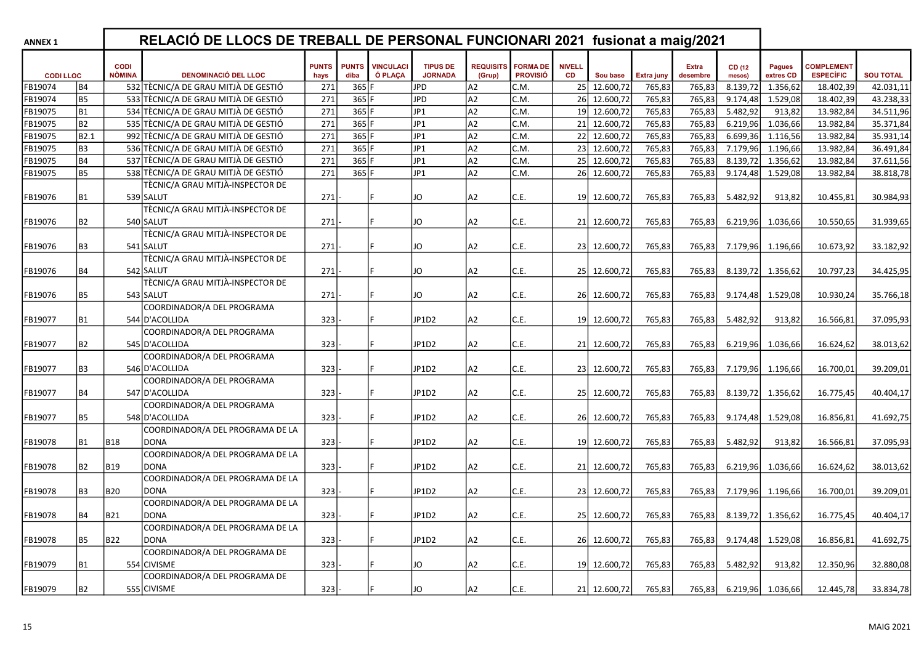| <b>ANNEX 1</b>  |                |                              | RELACIÓ DE LLOCS DE TREBALL DE PERSONAL FUNCIONARI 2021 fusionat a maig/2021 |                      |                      |                             |                                   |                            |                                    |                            |              |                   |                          |                  |                            |                                       |                  |
|-----------------|----------------|------------------------------|------------------------------------------------------------------------------|----------------------|----------------------|-----------------------------|-----------------------------------|----------------------------|------------------------------------|----------------------------|--------------|-------------------|--------------------------|------------------|----------------------------|---------------------------------------|------------------|
| <b>CODILLOC</b> |                | <b>CODI</b><br><b>NÒMINA</b> | <b>DENOMINACIÓ DEL LLOC</b>                                                  | <b>PUNTS</b><br>hays | <b>PUNTS</b><br>diba | <b>VINCULACI</b><br>Ó PLACA | <b>TIPUS DE</b><br><b>JORNADA</b> | <b>REQUISITS</b><br>(Grup) | <b>FORMA DE</b><br><b>PROVISIÓ</b> | <b>NIVELL</b><br><b>CD</b> | Sou base     | <b>Extra juny</b> | <b>Extra</b><br>desembre | CD (12<br>mesos) | <b>Pagues</b><br>extres CD | <b>COMPLEMENT</b><br><b>ESPECÍFIC</b> | <b>SOU TOTAL</b> |
| FB19074         | <b>B4</b>      |                              | 532 TÈCNIC/A DE GRAU MITJÀ DE GESTIÓ                                         | 271                  | 365                  |                             | <b>JPD</b>                        | A2                         | C.M.                               | 25                         | 12.600,72    | 765,83            | 765,83                   | 8.139,72         | 1.356,62                   | 18.402,39                             | 42.031,11        |
| FB19074         | <b>B5</b>      |                              | 533 TÈCNIC/A DE GRAU MITJÀ DE GESTIÓ                                         | 271                  | $365$ F              |                             | <b>JPD</b>                        | A2                         | C.M.                               | 26 l                       | 12.600,72    | 765,83            | 765,83                   | 9.174,48         | 1.529,08                   | 18.402,39                             | 43.238,33        |
| FB19075         | <b>B1</b>      |                              | 534 TÈCNIC/A DE GRAU MITJÀ DE GESTIÓ                                         | 271                  | 365 F                |                             | JPI                               | A2                         | C.M.                               |                            | 19 12.600,72 | 765,83            | 765,83                   | 5.482,92         | 913,82                     | 13.982,84                             | 34.511,96        |
| FB19075         | <b>B2</b>      |                              | 535 TÈCNIC/A DE GRAU MITJÀ DE GESTIÓ                                         | 271                  | 365 F                |                             | JP1                               | A2                         | C.M.                               |                            | 21 12.600,72 | 765,83            | 765,83                   | 6.219,96         | 1.036,66                   | 13.982,84                             | 35.371,84        |
| FB19075         | B2.1           |                              | 992 TÈCNIC/A DE GRAU MITJÀ DE GESTIÓ                                         | 271                  | 365 F                |                             | JP1                               | A2                         | C.M.                               |                            | 22 12.600,72 | 765,83            | 765,83                   | 6.699,36         | 1.116,56                   | 13.982,84                             | 35.931,14        |
| FB19075         | B <sub>3</sub> |                              | 536 TÈCNIC/A DE GRAU MITJÀ DE GESTIÓ                                         | 271                  | 365 F                |                             | JP1                               | A2                         | lc.m.                              | 23                         | 12.600,72    | 765,83            | 765,83                   | 7.179,96         | 1.196,66                   | 13.982,84                             | 36.491,84        |
| FB19075         | <b>B4</b>      |                              | 537 TÈCNIC/A DE GRAU MITJÀ DE GESTIÓ                                         | 271                  | 365 F                |                             | JP1                               | A2                         | C.M.                               | 25                         | 12.600,72    | 765,83            | 765,83                   | 8.139,72         | 1.356,62                   | 13.982,84                             | 37.611,56        |
| FB19075         | <b>B5</b>      |                              | 538 TÈCNIC/A DE GRAU MITJÀ DE GESTIÓ                                         | 271                  | 365 F                |                             | JP1                               | A2                         | C.M.                               |                            | 26 12.600,72 | 765,83            | 765,83                   | 9.174,48         | 1.529,08                   | 13.982,84                             | 38.818,78        |
|                 |                |                              | TÈCNIC/A GRAU MITJÀ-INSPECTOR DE                                             |                      |                      |                             |                                   |                            |                                    |                            |              |                   |                          |                  |                            |                                       |                  |
| FB19076         | <b>B1</b>      |                              | 539 SALUT                                                                    | 271                  |                      |                             | JO                                | A2                         | C.E.                               |                            | 19 12.600,72 | 765,83            | 765,83                   | 5.482,92         | 913,82                     | 10.455,81                             | 30.984,93        |
|                 |                |                              | TÈCNIC/A GRAU MITJÀ-INSPECTOR DE                                             |                      |                      |                             |                                   |                            |                                    |                            |              |                   |                          |                  |                            |                                       |                  |
| FB19076         | B2             |                              | 540 SALUT                                                                    | 271                  |                      |                             | JO                                | A2                         | C.E.                               |                            | 21 12.600,72 | 765,83            | 765,83                   | 6.219,96         | 1.036,66                   | 10.550,65                             | 31.939,65        |
|                 |                |                              | TÈCNIC/A GRAU MITJÀ-INSPECTOR DE                                             |                      |                      |                             |                                   |                            |                                    |                            |              |                   |                          |                  |                            |                                       |                  |
| FB19076         | B <sub>3</sub> |                              | 541 SALUT                                                                    | 271                  |                      |                             | JO                                | A2                         | C.E.                               | 23                         | 12.600,72    | 765,83            | 765,83                   | 7.179,96         | 1.196,66                   | 10.673,92                             | 33.182,92        |
|                 |                |                              | TÈCNIC/A GRAU MITJÀ-INSPECTOR DE                                             |                      |                      |                             |                                   |                            |                                    |                            |              |                   |                          |                  |                            |                                       |                  |
| FB19076         | <b>B4</b>      |                              | 542 SALUT                                                                    | 271                  |                      |                             | JO                                | А2                         | C.E.                               |                            | 25 12.600,72 | 765,83            | 765,83                   | 8.139,72         | 1.356,62                   | 10.797,23                             | 34.425,95        |
|                 |                |                              | TÈCNIC/A GRAU MITJÀ-INSPECTOR DE                                             |                      |                      |                             |                                   |                            |                                    |                            |              |                   |                          |                  |                            |                                       |                  |
| FB19076         | <b>B5</b>      |                              | 543 SALUT                                                                    | 271                  |                      |                             | JO                                | A2                         | C.E.                               |                            | 26 12.600,72 | 765,83            | 765,83                   | 9.174,48         | 1.529,08                   | 10.930,24                             | 35.766,18        |
|                 |                |                              | COORDINADOR/A DEL PROGRAMA                                                   |                      |                      |                             |                                   |                            |                                    |                            |              |                   |                          |                  |                            |                                       |                  |
| FB19077         | В1             |                              | 544 D'ACOLLIDA                                                               | 323                  |                      |                             | JP1D2                             | A2                         | C.E.                               |                            | 19 12.600,72 | 765,83            | 765,83                   | 5.482,92         | 913,82                     | 16.566,81                             | 37.095,93        |
|                 |                |                              | COORDINADOR/A DEL PROGRAMA                                                   |                      |                      |                             |                                   |                            |                                    |                            |              |                   |                          |                  |                            |                                       |                  |
| FB19077         | B2             |                              | 545 D'ACOLLIDA                                                               | 323                  |                      |                             | JP1D2                             | A2                         | IC.E.                              |                            | 21 12.600,72 | 765,83            | 765.83                   | 6.219,96         | 1.036,66                   | 16.624,62                             | 38.013,62        |
|                 |                |                              | COORDINADOR/A DEL PROGRAMA                                                   |                      |                      |                             |                                   |                            |                                    |                            |              |                   |                          |                  |                            |                                       |                  |
| FB19077         | B <sub>3</sub> |                              | 546 D'ACOLLIDA                                                               | 323                  |                      |                             | JP1D2                             | A2                         | C.E.                               |                            | 23 12.600,72 | 765,83            | 765,83                   | 7.179,96         | 1.196,66                   | 16.700,01                             | 39.209,01        |
|                 |                |                              | COORDINADOR/A DEL PROGRAMA                                                   |                      |                      |                             |                                   |                            |                                    |                            |              |                   |                          |                  |                            |                                       |                  |
| FB19077         | <b>B4</b>      |                              | 547 D'ACOLLIDA                                                               | 323                  |                      |                             | JP1D2                             | A2                         | IC.E.                              |                            | 25 12.600,72 | 765,83            | 765,83                   | 8.139,72         | 1.356,62                   | 16.775,45                             | 40.404,17        |
|                 |                |                              | COORDINADOR/A DEL PROGRAMA                                                   |                      |                      |                             |                                   |                            |                                    |                            |              |                   |                          |                  |                            |                                       |                  |
| FB19077         | <b>B5</b>      |                              | 548 D'ACOLLIDA                                                               | 323                  |                      |                             | JP1D2                             | A2                         | C.E.                               |                            | 26 12.600,72 | 765,83            | 765,83                   | 9.174,48         | 1.529,08                   | 16.856,81                             | 41.692,75        |
|                 |                |                              | COORDINADOR/A DEL PROGRAMA DE LA                                             |                      |                      |                             |                                   |                            |                                    |                            |              |                   |                          |                  |                            |                                       |                  |
| FB19078         | <b>B1</b>      | <b>B18</b>                   | <b>DONA</b>                                                                  | 323                  |                      |                             | JP1D2                             | A2                         | C.E.                               |                            | 19 12.600,72 | 765,83            | 765,83                   | 5.482,92         | 913,82                     | 16.566,81                             | 37.095,93        |
|                 |                |                              | COORDINADOR/A DEL PROGRAMA DE LA                                             |                      |                      |                             |                                   |                            |                                    |                            |              |                   |                          |                  |                            |                                       |                  |
| FB19078         | <b>B2</b>      | lB19                         | <b>DONA</b>                                                                  | 323                  |                      |                             | JP1D2                             | A2                         | C.E.                               |                            | 21 12.600,72 | 765,83            | 765,83                   | 6.219,96         | 1.036,66                   | 16.624,62                             | 38.013,62        |
|                 |                |                              | COORDINADOR/A DEL PROGRAMA DE LA                                             |                      |                      |                             |                                   |                            |                                    |                            |              |                   |                          |                  |                            |                                       |                  |
| FB19078         | B <sub>3</sub> | <b>B20</b>                   | DONA                                                                         | 323                  |                      |                             | JP1D2                             | A2                         | C.E.                               |                            | 23 12.600,72 | 765,83            | 765,83                   | 7.179,96         | 1.196,66                   | 16.700,01                             | 39.209,01        |
|                 |                |                              | COORDINADOR/A DEL PROGRAMA DE LA                                             |                      |                      |                             |                                   |                            |                                    |                            |              |                   |                          |                  |                            |                                       |                  |
| FB19078         | <b>B4</b>      | <b>B21</b>                   | <b>DONA</b>                                                                  | 323                  |                      |                             | JP1D2                             | A2                         | C.E.                               | 25I                        | 12.600,72    | 765,83            | 765,83                   | 8.139,72         | 1.356,62                   | 16.775,45                             | 40.404,17        |
|                 |                |                              | COORDINADOR/A DEL PROGRAMA DE LA                                             |                      |                      |                             |                                   |                            |                                    |                            |              |                   |                          |                  |                            |                                       |                  |
| FB19078         | B5             | <b>B22</b>                   | <b>DONA</b>                                                                  | 323                  |                      |                             | JP1D2                             | A2                         | C.E.                               |                            | 26 12.600,72 | 765,83            | 765,83                   | 9.174,48         | 1.529,08                   | 16.856,81                             | 41.692,75        |
|                 |                |                              | COORDINADOR/A DEL PROGRAMA DE                                                |                      |                      |                             |                                   |                            |                                    |                            |              |                   |                          |                  |                            |                                       |                  |
| FB19079         | B1             |                              | 554 CIVISME                                                                  | 323                  |                      |                             | JO                                | А2                         | C.E.                               | 19 <sup>1</sup>            | 12.600,72    | 765,83            | 765,83                   | 5.482,92         | 913,82                     | 12.350,96                             | 32.880,08        |
|                 |                |                              | COORDINADOR/A DEL PROGRAMA DE                                                |                      |                      |                             |                                   |                            |                                    |                            |              |                   |                          |                  |                            |                                       |                  |
| FB19079         | <b>B2</b>      |                              | 555 CIVISME                                                                  | 323                  |                      |                             | JO                                | A2                         | C.E.                               |                            | 21 12.600,72 | 765,83            | 765,83                   | 6.219,96         | 1.036,66                   | 12.445,78                             | 33.834,78        |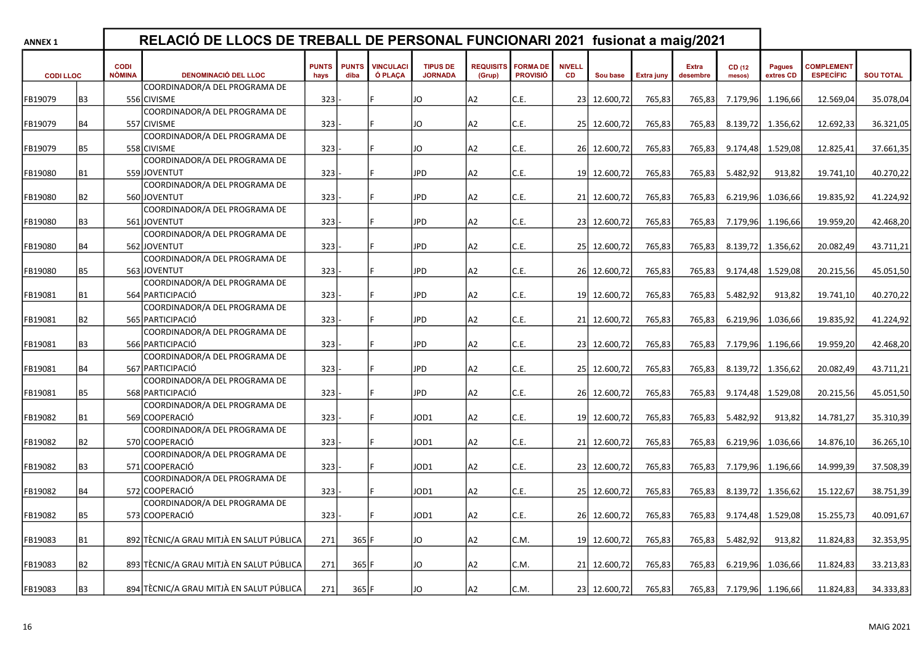| <b>ANNEX 1</b>  |                |                       | RELACIÓ DE LLOCS DE TREBALL DE PERSONAL FUNCIONARI 2021 fusionat a maig/2021 |                      |                      |                             |                                   |                            |                                    |                            |              |            |                          |                  |                            |                                       |                  |
|-----------------|----------------|-----------------------|------------------------------------------------------------------------------|----------------------|----------------------|-----------------------------|-----------------------------------|----------------------------|------------------------------------|----------------------------|--------------|------------|--------------------------|------------------|----------------------------|---------------------------------------|------------------|
| <b>CODILLOC</b> |                | <b>CODI</b><br>NÒMINA | <b>DENOMINACIÓ DEL LLOC</b>                                                  | <b>PUNTS</b><br>hays | <b>PUNTS</b><br>diba | <b>VINCULACI</b><br>Ó PLACA | <b>TIPUS DE</b><br><b>JORNADA</b> | <b>REQUISITS</b><br>(Grup) | <b>FORMA DE</b><br><b>PROVISIÓ</b> | <b>NIVELL</b><br><b>CD</b> | Sou base     | Extra juny | <b>Extra</b><br>desembre | CD (12<br>mesos) | <b>Pagues</b><br>extres CD | <b>COMPLEMENT</b><br><b>ESPECÍFIC</b> | <b>SOU TOTAL</b> |
|                 |                |                       | COORDINADOR/A DEL PROGRAMA DE                                                |                      |                      |                             |                                   |                            |                                    |                            |              |            |                          |                  |                            |                                       |                  |
| FB19079         | B <sub>3</sub> |                       | 556 CIVISME                                                                  | 323                  |                      |                             | JO                                | A2                         | C.E.                               |                            | 23 12.600,72 | 765,83     | 765,83                   | 7.179,96         | 1.196,66                   | 12.569,04                             | 35.078,04        |
|                 |                |                       | COORDINADOR/A DEL PROGRAMA DE                                                |                      |                      |                             |                                   |                            |                                    |                            |              |            |                          |                  |                            |                                       |                  |
| FB19079         | <b>B4</b>      |                       | 557 CIVISME                                                                  | 323                  |                      |                             | JO                                | A <sub>2</sub>             | C.E.                               |                            | 25 12.600,72 | 765,83     | 765,83                   | 8.139,72         | 1.356,62                   | 12.692,33                             | 36.321,05        |
|                 |                |                       | COORDINADOR/A DEL PROGRAMA DE                                                |                      |                      |                             |                                   |                            |                                    |                            |              |            |                          |                  |                            |                                       |                  |
| FB19079         | <b>B5</b>      |                       | 558 CIVISME                                                                  | 323                  |                      |                             | JO                                | A <sub>2</sub>             | C.E.                               |                            | 26 12.600,72 | 765,83     | 765,83                   | 9.174,48         | 1.529,08                   | 12.825,41                             | 37.661,35        |
|                 |                |                       | COORDINADOR/A DEL PROGRAMA DE                                                |                      |                      |                             |                                   |                            |                                    |                            |              |            |                          |                  |                            |                                       |                  |
| FB19080         | <b>B1</b>      |                       | 559JJOVENTUT                                                                 | 323                  |                      |                             | <b>JPD</b>                        | IA2                        | C.E.                               |                            | 19 12.600,72 | 765,83     | 765,83                   | 5.482,92         | 913,82                     | 19.741,10                             | 40.270,22        |
|                 |                |                       | COORDINADOR/A DEL PROGRAMA DE                                                |                      |                      |                             |                                   |                            |                                    |                            |              |            |                          |                  |                            |                                       |                  |
| FB19080         | <b>B2</b>      |                       | 560JJOVENTUT                                                                 | 323                  |                      |                             | <b>JPD</b>                        | A <sub>2</sub>             | C.E.                               |                            | 21 12.600,72 | 765,83     | 765,83                   | 6.219,96         | 1.036,66                   | 19.835,92                             | 41.224,92        |
|                 |                |                       | COORDINADOR/A DEL PROGRAMA DE                                                |                      |                      |                             |                                   |                            |                                    |                            |              |            |                          |                  |                            |                                       |                  |
| FB19080         | B3             |                       | 561 JOVENTUT                                                                 | 323                  |                      |                             | <b>JPD</b>                        | A <sub>2</sub>             | C.E.                               |                            | 23 12.600,72 | 765,83     | 765,83                   | 7.179,96         | 1.196,66                   | 19.959,20                             | 42.468,20        |
|                 |                |                       | COORDINADOR/A DEL PROGRAMA DE                                                |                      |                      |                             |                                   |                            |                                    |                            |              |            |                          |                  |                            |                                       |                  |
| FB19080         | <b>B4</b>      |                       | 562 JOVENTUT                                                                 | 323                  |                      |                             | <b>JPD</b>                        | A <sub>2</sub>             | C.E.                               | 25                         | 12.600,72    | 765,83     | 765,83                   | 8.139,72         | 1.356,62                   | 20.082,49                             | 43.711,21        |
|                 |                |                       | COORDINADOR/A DEL PROGRAMA DE                                                |                      |                      |                             |                                   |                            |                                    |                            |              |            |                          |                  |                            |                                       |                  |
| FB19080         | <b>B5</b>      |                       | 563JJOVENTUT                                                                 | 323                  |                      |                             | <b>JPD</b>                        | A <sub>2</sub>             | C.E.                               |                            | 26 12.600,72 | 765,83     | 765,83                   | 9.174,48         | 1.529,08                   | 20.215,56                             | 45.051,50        |
|                 |                |                       | COORDINADOR/A DEL PROGRAMA DE                                                |                      |                      |                             |                                   |                            |                                    |                            |              |            |                          |                  |                            |                                       |                  |
| FB19081         | <b>B1</b>      |                       | 564 PARTICIPACIÓ                                                             | 323                  |                      |                             | <b>JPD</b>                        | lA2                        | C.E.                               |                            | 19 12.600,72 | 765,83     | 765,83                   | 5.482,92         | 913,82                     | 19.741,10                             | 40.270,22        |
|                 |                |                       | COORDINADOR/A DEL PROGRAMA DE                                                |                      |                      |                             |                                   |                            |                                    |                            |              |            |                          |                  |                            |                                       |                  |
| FB19081         | <b>B2</b>      |                       | 565 PARTICIPACIÓ                                                             | 323                  |                      |                             | <b>JPD</b>                        | A <sub>2</sub>             | C.E.                               |                            | 21 12.600,72 | 765,83     | 765,83                   | 6.219,96         | 1.036,66                   | 19.835,92                             | 41.224,92        |
|                 |                |                       | COORDINADOR/A DEL PROGRAMA DE                                                |                      |                      |                             |                                   |                            |                                    |                            |              |            |                          |                  |                            |                                       |                  |
| FB19081         | B <sub>3</sub> |                       | 566 PARTICIPACIÓ                                                             | 323                  |                      |                             | <b>JPD</b>                        | A <sub>2</sub>             | C.E.                               |                            | 23 12.600,72 | 765,83     | 765,83                   |                  | 7.179,96 1.196,66          | 19.959,20                             | 42.468,20        |
|                 |                |                       | COORDINADOR/A DEL PROGRAMA DE                                                |                      |                      |                             |                                   |                            |                                    |                            |              |            |                          |                  |                            |                                       |                  |
| FB19081         | <b>B4</b>      |                       | 567 PARTICIPACIÓ                                                             | 323                  |                      |                             | <b>JPD</b>                        | A <sub>2</sub>             | C.E.                               |                            | 25 12.600,72 | 765,83     | 765,83                   | 8.139,72         | 1.356,62                   | 20.082,49                             | 43.711,21        |
|                 |                |                       | COORDINADOR/A DEL PROGRAMA DE                                                |                      |                      |                             |                                   |                            |                                    |                            |              |            |                          |                  |                            |                                       |                  |
| FB19081         | <b>B5</b>      |                       | 568 PARTICIPACIÓ                                                             | 323                  |                      |                             | <b>JPD</b>                        | A <sub>2</sub>             | C.E.                               |                            | 26 12.600,72 | 765,83     | 765,83                   | 9.174,48         | 1.529,08                   | 20.215,56                             | 45.051,50        |
|                 |                |                       | COORDINADOR/A DEL PROGRAMA DE                                                |                      |                      |                             |                                   |                            |                                    |                            |              |            |                          |                  |                            |                                       |                  |
| FB19082         | <b>B1</b>      |                       | 569 COOPERACIÓ                                                               | 323                  |                      |                             | JOD1                              | A <sub>2</sub>             | C.E.                               |                            | 19 12.600,72 | 765,83     | 765,83                   | 5.482,92         | 913,82                     | 14.781,27                             | 35.310,39        |
|                 |                |                       | COORDINADOR/A DEL PROGRAMA DE                                                |                      |                      |                             |                                   |                            |                                    |                            |              |            |                          |                  |                            |                                       |                  |
| FB19082         | B2             |                       | 570 COOPERACIÓ                                                               | 323                  |                      |                             | JOD1                              |                            | C.E.                               |                            | 21 12.600,72 |            |                          | 6.219,96         | 1.036,66                   |                                       |                  |
|                 |                |                       |                                                                              |                      |                      |                             |                                   | A <sub>2</sub>             |                                    |                            |              | 765,83     | 765,83                   |                  |                            | 14.876,10                             | 36.265,10        |
|                 |                |                       | COORDINADOR/A DEL PROGRAMA DE<br>571 COOPERACIÓ                              |                      |                      |                             |                                   |                            |                                    |                            |              | 765,83     |                          |                  |                            |                                       |                  |
| FB19082         | B <sub>3</sub> |                       |                                                                              | 323                  |                      |                             | JOD1                              | A <sub>2</sub>             | C.E.                               |                            | 23 12.600,72 |            | 765,83                   | 7.179,96         | 1.196,66                   | 14.999,39                             | 37.508,39        |
|                 |                |                       | COORDINADOR/A DEL PROGRAMA DE                                                |                      |                      |                             |                                   |                            |                                    |                            |              |            |                          |                  |                            |                                       |                  |
| FB19082         | <b>B4</b>      |                       | 572 COOPERACIÓ                                                               | 323                  |                      |                             | JOD1                              | A <sub>2</sub>             | C.E.                               |                            | 25 12.600,72 | 765,83     | 765,83                   | 8.139,72         | 1.356,62                   | 15.122,67                             | 38.751,39        |
|                 |                |                       | COORDINADOR/A DEL PROGRAMA DE                                                |                      |                      |                             |                                   |                            |                                    |                            |              |            |                          |                  |                            |                                       |                  |
| FB19082         | <b>B5</b>      |                       | 573 COOPERACIÓ                                                               | 323                  |                      |                             | JOD1                              | A <sub>2</sub>             | C.E.                               |                            | 26 12.600,72 | 765,83     | 765,83                   | 9.174,48         | 1.529,08                   | 15.255,73                             | 40.091,67        |
|                 |                |                       |                                                                              |                      |                      |                             |                                   |                            |                                    |                            |              |            |                          |                  |                            |                                       |                  |
| FB19083         | <b>B1</b>      |                       | 892 TÈCNIC/A GRAU MITJÀ EN SALUT PÚBLICA                                     | 271                  | 365 F                |                             | JO                                | A2                         | C.M.                               |                            | 19 12.600,72 | 765,83     | 765,83                   | 5.482,92         | 913,82                     | 11.824,83                             | 32.353,95        |
|                 |                |                       |                                                                              |                      |                      |                             |                                   |                            |                                    |                            |              |            |                          |                  |                            |                                       |                  |
| FB19083         | <b>B2</b>      |                       | 893 TÈCNIC/A GRAU MITJÀ EN SALUT PÚBLICA                                     | 271                  | 365 F                |                             | JO                                | A <sub>2</sub>             | C.M.                               |                            | 21 12.600,72 | 765,83     | 765,83                   | 6.219,96         | 1.036,66                   | 11.824,83                             | 33.213,83        |
|                 |                |                       |                                                                              |                      |                      |                             |                                   |                            |                                    |                            |              |            |                          |                  |                            |                                       |                  |
| FB19083         | B <sub>3</sub> |                       | 894 TÈCNIC/A GRAU MITJÀ EN SALUT PÚBLICA                                     | 271                  | 365 F                |                             | <b>JO</b>                         | A <sub>2</sub>             | C.M.                               |                            | 23 12.600,72 | 765,83     | 765,83                   |                  | 7.179,96 1.196,66          | 11.824,83                             | 34.333,83        |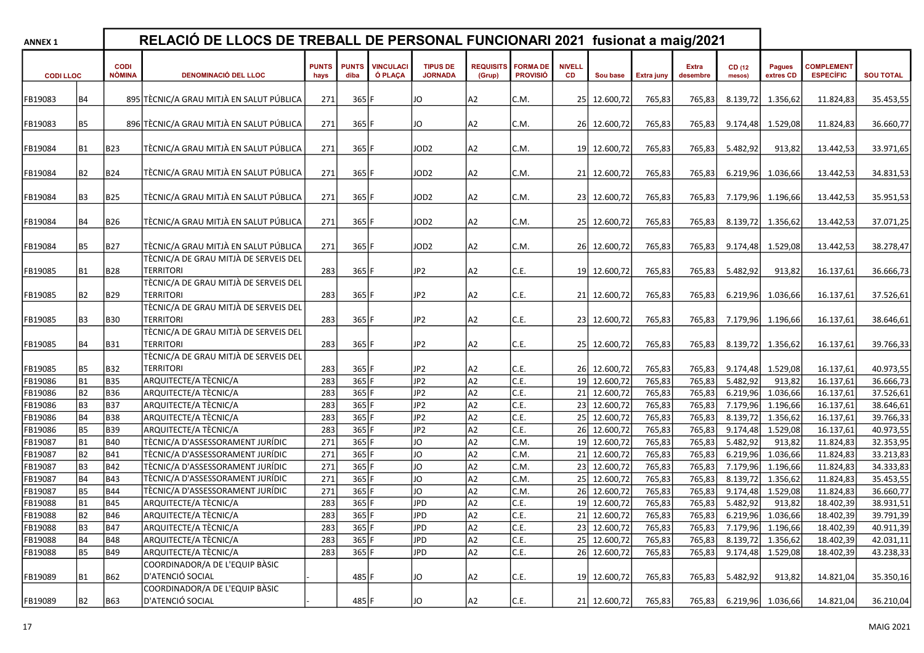| <b>ANNEX 1</b>  |                |                              | RELACIÓ DE LLOCS DE TREBALL DE PERSONAL FUNCIONARI 2021 fusionat a maig/2021 |                      |                      |                             |                                   |                            |                                    |                     |              |            |                          |                          |                            |                                       |                  |
|-----------------|----------------|------------------------------|------------------------------------------------------------------------------|----------------------|----------------------|-----------------------------|-----------------------------------|----------------------------|------------------------------------|---------------------|--------------|------------|--------------------------|--------------------------|----------------------------|---------------------------------------|------------------|
| <b>CODILLOC</b> |                | <b>CODI</b><br><b>NÒMINA</b> | <b>DENOMINACIÓ DEL LLOC</b>                                                  | <b>PUNTS</b><br>hays | <b>PUNTS</b><br>diba | <b>VINCULACI</b><br>Ó PLAÇA | <b>TIPUS DE</b><br><b>JORNADA</b> | <b>REQUISITS</b><br>(Grup) | <b>FORMA DE</b><br><b>PROVISIÓ</b> | <b>NIVELL</b><br>CD | Sou base     | Extra juny | <b>Extra</b><br>desembre | CD (12<br>mesos)         | <b>Pagues</b><br>extres CD | <b>COMPLEMENT</b><br><b>ESPECÍFIC</b> | <b>SOU TOTAL</b> |
| FB19083         | <b>B4</b>      |                              | 895 TÈCNIC/A GRAU MITJÀ EN SALUT PÚBLICA                                     | 271                  | 365 F                |                             | JO                                | A <sub>2</sub>             | C.M.                               |                     | 25 12.600,72 | 765,83     | 765,83                   | 8.139,72                 | 1.356,62                   | 11.824,83                             | 35.453,55        |
| FB19083         | <b>B5</b>      |                              | 896 TÈCNIC/A GRAU MITJÀ EN SALUT PÚBLICA                                     | 271                  | 365 F                |                             | JO                                | A2                         | C.M.                               |                     | 26 12.600,72 | 765,83     | 765,83                   | 9.174,48                 | 1.529,08                   | 11.824,83                             | 36.660,77        |
| FB19084         | B1             | B23                          | TÈCNIC/A GRAU MITJÀ EN SALUT PÚBLICA                                         | 271                  | $365$ F              |                             | JOD2                              | A2                         | C.M.                               |                     | 19 12.600,72 | 765,83     | 765,83                   | 5.482,92                 | 913,82                     | 13.442,53                             | 33.971,65        |
| FB19084         | <b>B2</b>      | B24                          | TÈCNIC/A GRAU MITJÀ EN SALUT PÚBLICA                                         | 271                  | 365 F                |                             | JOD2                              | A <sub>2</sub>             | C.M.                               |                     | 21 12.600,72 | 765,83     | 765,83                   | 6.219,96                 | 1.036,66                   | 13.442,53                             | 34.831,53        |
| FB19084         | B <sub>3</sub> | B25                          | TÈCNIC/A GRAU MITJÀ EN SALUT PÚBLICA                                         | 271                  | 365 F                |                             | JOD2                              | A <sub>2</sub>             | C.M.                               |                     | 23 12.600,72 | 765,83     | 765,83                   | 7.179,96                 | 1.196,66                   | 13.442,53                             | 35.951,53        |
| FB19084         | В4             | B26                          | TÈCNIC/A GRAU MITJÀ EN SALUT PÚBLICA                                         | 271                  | 365 F                |                             | JOD <sub>2</sub>                  | A2                         | C.M.                               |                     | 25 12.600,72 | 765,83     | 765,83                   | 8.139,72                 | 1.356,62                   | 13.442,53                             | 37.071,25        |
| FB19084         | <b>B5</b>      | B27                          | TÈCNIC/A GRAU MITJÀ EN SALUT PÚBLICA                                         | 271                  | 365 F                |                             | JOD2                              | A <sub>2</sub>             | C.M.                               |                     | 26 12.600,72 | 765,83     | 765,83                   | 9.174,48                 | 1.529,08                   | 13.442,53                             | 38.278,47        |
| FB19085         | <b>B1</b>      | <b>B28</b>                   | TÈCNIC/A DE GRAU MITJÀ DE SERVEIS DEL<br><b>TERRITORI</b>                    | 283                  | 365 F                |                             | JP <sub>2</sub>                   | A2                         | C.E.                               |                     | 19 12.600,72 | 765,83     | 765,83                   | 5.482,92                 | 913,82                     | 16.137,61                             | 36.666,73        |
| FB19085         | B2             | B29                          | TÈCNIC/A DE GRAU MITJÀ DE SERVEIS DEL<br><b>TERRITORI</b>                    | 283                  | 365 F                |                             | JP <sub>2</sub>                   | A2                         | C.E.                               |                     | 21 12.600,72 | 765,83     | 765,83                   | 6.219,96                 | 1.036,66                   | 16.137,61                             | 37.526,61        |
| FB19085         | B3             | B30                          | TÈCNIC/A DE GRAU MITJÀ DE SERVEIS DEL<br><b>TERRITORI</b>                    | 283                  | 365 F                |                             | JP <sub>2</sub>                   | A2                         | C.E.                               |                     | 23 12.600,72 | 765,83     | 765,83                   | 7.179,96                 | 1.196,66                   | 16.137,61                             | 38.646,61        |
| FB19085         | B4             | B31                          | TÈCNIC/A DE GRAU MITJÀ DE SERVEIS DEL<br><b>TERRITORI</b>                    | 283                  | 365 F                |                             | JP <sub>2</sub>                   | A2                         | C.E.                               |                     | 25 12.600,72 | 765,83     | 765,83                   | 8.139,72                 | 1.356,62                   | 16.137,61                             | 39.766,33        |
| FB19085         | <b>B5</b>      | B32                          | TÈCNIC/A DE GRAU MITJÀ DE SERVEIS DEL<br><b>TERRITORI</b>                    | 283                  | 365 F                |                             | JP <sub>2</sub>                   | A2                         | C.E.                               |                     | 26 12.600,72 | 765,83     | 765,83                   | 9.174,48                 | 1.529,08                   | 16.137,61                             | 40.973,55        |
| FB19086         | <b>B1</b>      | B35                          | ARQUITECTE/A TÈCNIC/A                                                        | 283                  | 365 F                |                             | JP <sub>2</sub>                   | A <sub>2</sub>             | C.E.                               | 19 <sup>1</sup>     | 12.600,72    | 765,83     | 765,83                   | 5.482,92                 | 913,82                     | 16.137,61                             | 36.666,73        |
| FB19086         | <b>B2</b>      | <b>B36</b>                   | ARQUITECTE/A TÈCNIC/A                                                        | 283                  | 365 F                |                             | JP <sub>2</sub>                   | A <sub>2</sub>             | C.E.                               |                     | 21 12.600,72 | 765,83     | 765,83                   | 6.219,96                 | 1.036,66                   | 16.137,61                             | 37.526,61        |
| FB19086         | B <sub>3</sub> | <b>B37</b>                   | ARQUITECTE/A TÈCNIC/A                                                        | 283                  | 365 F                |                             | JP <sub>2</sub>                   | A <sub>2</sub>             | C.E.                               |                     | 23 12.600,72 | 765,83     | 765,83                   | 7.179,96                 | 1.196,66                   | 16.137,61                             | 38.646,61        |
| FB19086         | <b>B4</b>      | <b>B38</b>                   | ARQUITECTE/A TÈCNIC/A                                                        | 283                  | 365 F                |                             | JP2                               | A <sub>2</sub>             | C.E.                               |                     | 25 12.600,72 | 765,83     | 765,83                   | 8.139,72                 | 1.356,62                   | 16.137,61                             | 39.766,33        |
| FB19086         | <b>B5</b>      | <b>B39</b>                   | ARQUITECTE/A TÈCNIC/A                                                        | 283                  | 365 F                |                             | JP <sub>2</sub>                   | A <sub>2</sub>             | C.E.                               | 26                  | 12.600,72    | 765,83     | 765,83                   | 9.174,48                 | 1.529,08                   | 16.137,61                             | 40.973,55        |
| FB19087         | <b>B1</b>      | <b>B40</b>                   | TÈCNIC/A D'ASSESSORAMENT JURÍDIC                                             | 271                  | 365 F                |                             | JO                                | A <sub>2</sub>             | C.M.                               |                     | 19 12.600,72 | 765,83     | 765,83                   | 5.482,92                 | 913,82                     | 11.824,83                             | 32.353,95        |
| FB19087         | <b>B2</b>      | <b>B41</b>                   | TÈCNIC/A D'ASSESSORAMENT JURÍDIC                                             | 271                  | 365 F                |                             | <b>JO</b>                         | A <sub>2</sub>             | C.M.                               |                     | 21 12.600,72 | 765,83     | 765,83                   | 6.219,96                 | 1.036,66                   | 11.824,83                             | 33.213,83        |
| FB19087         | B <sub>3</sub> | <b>B42</b>                   | TÈCNIC/A D'ASSESSORAMENT JURÍDIC                                             | 271                  | 365 F                |                             | <b>JO</b>                         | A <sub>2</sub>             | C.M.                               |                     | 23 12.600,72 | 765,83     | 765,83                   | 7.179,96                 | 1.196,66                   | 11.824,83                             | 34.333,83        |
| FB19087         | <b>B4</b>      | <b>B43</b>                   | TÈCNIC/A D'ASSESSORAMENT JURÍDIC                                             | 271                  | 365 F                |                             | <b>JO</b>                         | la2                        | C.M.                               | 25                  | 12.600,72    | 765,83     | 765,83                   | 8.139,72                 | 1.356,62                   | 11.824,83                             | 35.453,55        |
| FB19087         | <b>B5</b>      | <b>B44</b>                   | TÈCNIC/A D'ASSESSORAMENT JURÍDIC                                             | 271                  | 365 F                |                             | JO                                | A <sub>2</sub>             | C.M.                               |                     | 26 12.600,72 | 765,83     | 765,83                   | 9.174,48                 | 1.529,08                   | 11.824,83                             | 36.660,77        |
| FB19088         | <b>B1</b>      | <b>B45</b>                   | ARQUITECTE/A TÈCNIC/A                                                        | 283                  | 365 F                |                             | <b>JPD</b>                        | A <sub>2</sub>             | C.E.                               | 19 <sup>1</sup>     | 12.600,72    | 765,83     | 765,83                   | 5.482,92                 | 913,82                     | 18.402,39                             | 38.931,51        |
| FB19088         | <b>B2</b>      | B46                          | ARQUITECTE/A TÈCNIC/A                                                        | 283                  | $365$ F              |                             | <b>JPD</b>                        | A <sub>2</sub>             | C.E.                               | 21                  | 12.600,72    | 765,83     | 765,83                   | 6.219,96                 | 1.036,66                   | 18.402,39                             | 39.791,39        |
| FB19088         | B <sub>3</sub> | B47                          | ARQUITECTE/A TÈCNIC/A                                                        | 283                  | 365 F                |                             | <b>JPD</b>                        | A <sub>2</sub>             | C.E.                               |                     | 23 12.600,72 | 765,83     | 765,83                   |                          | 7.179,96 1.196,66          | 18.402,39                             | 40.911,39        |
| FB19088         | <b>B4</b>      | B48                          | ARQUITECTE/A TÈCNIC/A                                                        | 283                  | $365$ F              |                             | <b>JPD</b>                        | $\overline{A2}$            | C.E.                               |                     | 25 12.600,72 | 765,83     | 765,83                   |                          | 8.139,72 1.356,62          | 18.402,39                             | 42.031,11        |
| FB19088         | <b>B5</b>      | B49                          | ARQUITECTE/A TÈCNIC/A                                                        | 283                  | 365 F                |                             | <b>JPD</b>                        | A <sub>2</sub>             | C.E.                               |                     | 26 12.600,72 | 765,83     | 765,83                   |                          | 9.174,48 1.529,08          | 18.402,39                             | 43.238,33        |
| FB19089         | B1             | B62                          | COORDINADOR/A DE L'EQUIP BÀSIC<br>D'ATENCIÓ SOCIAL                           |                      | 485 F                |                             | JO                                | A2                         | C.E.                               |                     | 19 12.600,72 | 765,83     |                          | 765,83 5.482,92          | 913,82                     | 14.821,04                             | 35.350,16        |
|                 |                |                              | COORDINADOR/A DE L'EQUIP BÀSIC                                               |                      |                      |                             |                                   |                            |                                    |                     |              |            |                          |                          |                            |                                       |                  |
| FB19089         | B2             | B63                          | D'ATENCIÓ SOCIAL                                                             |                      | 485 F                |                             | JO                                | A <sub>2</sub>             | C.E.                               |                     | 21 12.600,72 | 765,83     |                          | 765,83 6.219,96 1.036,66 |                            | 14.821,04                             | 36.210,04        |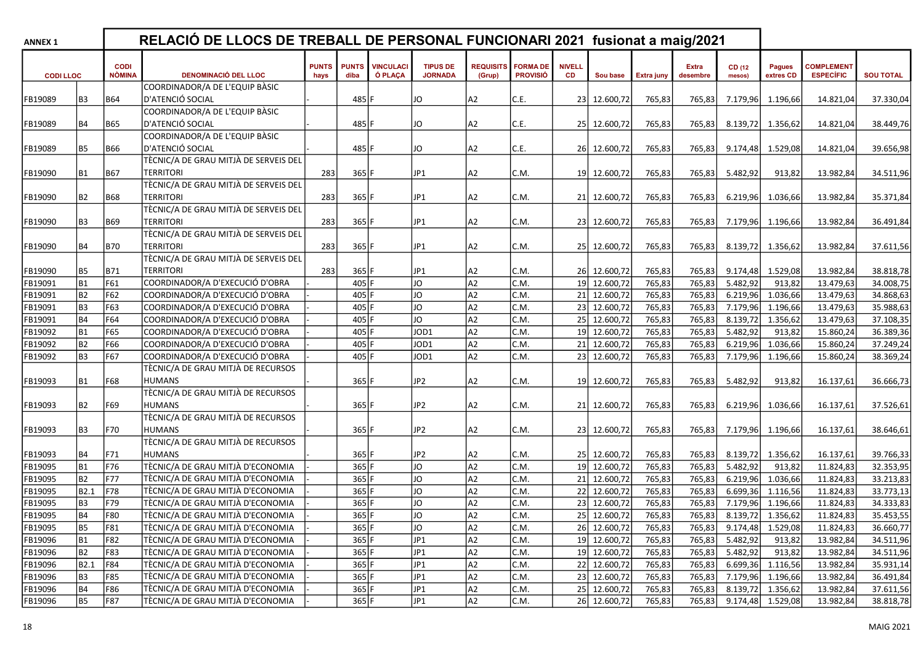| <b>ANNEX 1</b>  |                  |                       | RELACIÓ DE LLOCS DE TREBALL DE PERSONAL FUNCIONARI 2021 fusionat a maig/2021 |                      |                      |                             |                                   |                            |                                    |                     |              |                   |                          |                  |                            |                                       |                  |
|-----------------|------------------|-----------------------|------------------------------------------------------------------------------|----------------------|----------------------|-----------------------------|-----------------------------------|----------------------------|------------------------------------|---------------------|--------------|-------------------|--------------------------|------------------|----------------------------|---------------------------------------|------------------|
| <b>CODILLOC</b> |                  | <b>CODI</b><br>NÒMINA | <b>DENOMINACIÓ DEL LLOC</b>                                                  | <b>PUNTS</b><br>hays | <b>PUNTS</b><br>diba | <b>VINCULACI</b><br>Ó PLAÇA | <b>TIPUS DE</b><br><b>JORNADA</b> | <b>REQUISITS</b><br>(Grup) | <b>FORMA DE</b><br><b>PROVISIÓ</b> | <b>NIVELL</b><br>CD | Sou base     | <b>Extra juny</b> | <b>Extra</b><br>desembre | CD (12<br>mesos) | <b>Pagues</b><br>extres CD | <b>COMPLEMENT</b><br><b>ESPECÍFIC</b> | <b>SOU TOTAL</b> |
|                 |                  |                       | COORDINADOR/A DE L'EQUIP BÀSIC                                               |                      |                      |                             |                                   |                            |                                    |                     |              |                   |                          |                  |                            |                                       |                  |
| FB19089         | B <sub>3</sub>   | <b>B64</b>            | D'ATENCIÓ SOCIAL                                                             |                      | 485 F                |                             | JO                                | A <sub>2</sub>             | C.E.                               |                     | 23 12.600,72 | 765,83            | 765,83                   | 7.179,96         | 1.196,66                   | 14.821,04                             | 37.330,04        |
|                 |                  |                       | COORDINADOR/A DE L'EQUIP BÀSIC                                               |                      |                      |                             |                                   |                            |                                    |                     |              |                   |                          |                  |                            |                                       |                  |
| FB19089         | <b>B4</b>        | B65                   | D'ATENCIÓ SOCIAL                                                             |                      | 485 F                |                             | JO                                | A <sub>2</sub>             | C.E.                               |                     | 25 12.600,72 | 765,83            | 765,83                   | 8.139,72         | 1.356,62                   | 14.821,04                             | 38.449,76        |
|                 |                  |                       | COORDINADOR/A DE L'EQUIP BÀSIC                                               |                      |                      |                             |                                   |                            |                                    |                     |              |                   |                          |                  |                            |                                       |                  |
| FB19089         | <b>B5</b>        | B66                   | D'ATENCIÓ SOCIAL                                                             |                      | 485 F                |                             | JO                                | A <sub>2</sub>             | C.E.                               |                     | 26 12.600,72 | 765,83            | 765,83                   | 9.174,48         | 1.529,08                   | 14.821,04                             | 39.656,98        |
| FB19090         | <b>B1</b>        | B67                   | TÈCNIC/A DE GRAU MITJÀ DE SERVEIS DEL<br>TERRITORI                           | 283                  | 365 F                |                             | JP1                               | A2                         | C.M.                               |                     | 19 12.600,72 | 765,83            | 765,83                   | 5.482,92         | 913,82                     | 13.982,84                             | 34.511,96        |
|                 |                  |                       | TÈCNIC/A DE GRAU MITJÀ DE SERVEIS DEL                                        |                      |                      |                             |                                   |                            |                                    |                     |              |                   |                          |                  |                            |                                       |                  |
| FB19090         | <b>B2</b>        | B68                   | <b>TERRITORI</b>                                                             | 283                  | 365 F                |                             | JP1                               | A <sub>2</sub>             | C.M.                               |                     | 21 12.600,72 | 765,83            | 765,83                   | 6.219,96         | 1.036,66                   | 13.982,84                             | 35.371,84        |
|                 |                  |                       | TÈCNIC/A DE GRAU MITJÀ DE SERVEIS DEL                                        |                      |                      |                             |                                   |                            |                                    |                     |              |                   |                          |                  |                            |                                       |                  |
| FB19090         | B <sub>3</sub>   | B69                   | <b>TERRITORI</b>                                                             | 283                  | 365 F                |                             | JP1                               | A2                         | C.M.                               |                     | 23 12.600,72 | 765,83            | 765,83                   |                  | 7.179,96 1.196,66          | 13.982,84                             | 36.491,84        |
|                 |                  |                       | TÈCNIC/A DE GRAU MITJÀ DE SERVEIS DEL                                        |                      |                      |                             |                                   |                            |                                    |                     |              |                   |                          |                  |                            |                                       |                  |
| FB19090         | <b>B4</b>        | <b>B70</b>            | TERRITORI                                                                    | 283                  | 365 F                |                             | JP1                               | A2                         | C.M.                               |                     | 25 12.600,72 | 765,83            | 765,83                   | 8.139,72         | 1.356,62                   | 13.982,84                             | 37.611,56        |
|                 |                  |                       | TÈCNIC/A DE GRAU MITJÀ DE SERVEIS DEL                                        |                      |                      |                             |                                   |                            |                                    |                     |              |                   |                          |                  |                            |                                       |                  |
| FB19090         | <b>B5</b>        | B71                   | <b>TERRITORI</b>                                                             | 283                  | 365 F                |                             | JP1                               | A2                         | C.M.                               |                     | 26 12.600,72 | 765,83            | 765,83                   | 9.174,48         | 1.529,08                   | 13.982,84                             | 38.818,78        |
| FB19091         | <b>B1</b>        | F61                   | COORDINADOR/A D'EXECUCIÓ D'OBRA                                              |                      | 405                  |                             | JO                                | A <sub>2</sub>             | C.M.                               |                     | 19 12.600,72 | 765,83            | 765,83                   | 5.482,92         | 913,82                     | 13.479,63                             | 34.008,75        |
| FB19091         | B <sub>2</sub>   | F62                   | COORDINADOR/A D'EXECUCIÓ D'OBRA                                              |                      | 405 F                |                             | JO                                | A <sub>2</sub>             | C.M.                               |                     | 21 12.600,72 | 765,83            | 765,83                   | 6.219,96         | 1.036,66                   | 13.479,63                             | 34.868,63        |
| FB19091         | B <sub>3</sub>   | F63                   | COORDINADOR/A D'EXECUCIÓ D'OBRA                                              |                      | 405                  |                             | JO                                | A <sub>2</sub>             | C.M.                               |                     | 23 12.600,72 | 765,83            | 765,83                   | 7.179,96         | 1.196,66                   | 13.479,63                             | 35.988,63        |
| FB19091         | <b>B4</b>        | F64                   | COORDINADOR/A D'EXECUCIÓ D'OBRA                                              |                      | 405 F                |                             | <b>JO</b>                         | A <sub>2</sub>             | C.M.                               |                     | 25 12.600,72 | 765,83            | 765,83                   | 8.139,72         | 1.356,62                   | 13.479,63                             | 37.108,35        |
| FB19092         | <b>B1</b>        | F65                   | COORDINADOR/A D'EXECUCIÓ D'OBRA                                              |                      | 405 F                |                             | JOD1                              | $\overline{A2}$            | C.M.                               |                     | 19 12.600,72 | 765,83            | 765,83                   | 5.482,92         | 913,82                     | 15.860,24                             | 36.389,36        |
| FB19092         | <b>B2</b>        | F66                   | COORDINADOR/A D'EXECUCIÓ D'OBRA                                              |                      | 405 F                |                             | JOD1                              | A <sub>2</sub>             | C.M.                               |                     | 21 12.600,72 | 765,83            | 765,83                   | 6.219,96         | 1.036,66                   | 15.860,24                             | 37.249,24        |
| FB19092         | B <sub>3</sub>   | F67                   | COORDINADOR/A D'EXECUCIÓ D'OBRA                                              |                      | 405                  |                             | JOD1                              | $\overline{A2}$            | C.M.                               |                     | 23 12.600,72 | 765,83            | 765,83                   | 7.179,96         | 1.196,66                   | 15.860,24                             | 38.369,24        |
|                 |                  |                       | TÈCNIC/A DE GRAU MITJÀ DE RECURSOS                                           |                      |                      |                             |                                   |                            |                                    |                     |              |                   |                          |                  |                            |                                       |                  |
| FB19093         | lB1              | F68                   | <b>HUMANS</b>                                                                |                      | 365 F                |                             | JP <sub>2</sub>                   | A <sub>2</sub>             | C.M.                               |                     | 19 12.600,72 | 765,83            | 765,83                   | 5.482,92         | 913,82                     | 16.137,61                             | 36.666,73        |
|                 |                  |                       | TÈCNIC/A DE GRAU MITJÀ DE RECURSOS                                           |                      |                      |                             |                                   |                            |                                    |                     |              |                   |                          |                  |                            |                                       |                  |
| FB19093         | <b>B2</b>        | F69                   | <b>HUMANS</b>                                                                |                      | 365 F                |                             | JP <sub>2</sub>                   | A2                         | C.M.                               |                     | 21 12.600,72 | 765,83            | 765,83                   |                  | 6.219,96 1.036,66          | 16.137,61                             | 37.526,61        |
|                 |                  |                       | TÈCNIC/A DE GRAU MITJÀ DE RECURSOS                                           |                      |                      |                             |                                   |                            |                                    |                     |              |                   |                          |                  |                            |                                       |                  |
| FB19093         | B <sub>3</sub>   | F70                   | <b>HUMANS</b>                                                                |                      | 365 F                |                             | JP <sub>2</sub>                   | IA2                        | C.M.                               |                     | 23 12.600,72 | 765,83            | 765,83                   | 7.179,96         | 1.196,66                   | 16.137,61                             | 38.646,61        |
|                 |                  |                       | TÈCNIC/A DE GRAU MITJÀ DE RECURSOS                                           |                      |                      |                             |                                   |                            |                                    |                     |              |                   |                          |                  |                            |                                       |                  |
| FB19093         | <b>B4</b>        | F71                   | <b>HUMANS</b>                                                                |                      | 365 F                |                             | JP <sub>2</sub>                   | A <sub>2</sub>             | C.M.                               |                     | 25 12.600,72 | 765,83            | 765,83                   | 8.139,72         | 1.356,62                   | 16.137,61                             | 39.766,33        |
| FB19095         | <b>B1</b>        | F76                   | TÈCNIC/A DE GRAU MITJÀ D'ECONOMIA                                            |                      | 365 F                |                             | JO                                | A <sub>2</sub>             | C.M.                               |                     | 19 12.600,72 | 765,83            | 765,83                   | 5.482,92         | 913,82                     | 11.824,83                             | 32.353,95        |
| FB19095         | <b>B2</b>        | F77                   | TÈCNIC/A DE GRAU MITJÀ D'ECONOMIA                                            |                      | 365 F                |                             | JO                                | A <sub>2</sub>             | C.M.                               |                     | 21 12.600,72 | 765,83            | 765,83                   | 6.219,96         | 1.036,66                   | 11.824,83                             | 33.213,83        |
| FB19095         | B <sub>2.1</sub> | F78                   | TÈCNIC/A DE GRAU MITJÀ D'ECONOMIA                                            |                      | 365 F                |                             | JO                                | A <sub>2</sub>             | C.M.                               |                     | 22 12.600,72 | 765,83            | 765,83                   | 6.699,36         | 1.116,56                   | 11.824,83                             | 33.773,13        |
| FB19095         | B <sub>3</sub>   | F79                   | TÈCNIC/A DE GRAU MITJÀ D'ECONOMIA                                            |                      | 365 F                |                             | JO                                | A <sub>2</sub>             | C.M.                               | 23                  | 12.600,72    | 765,83            | 765,83                   | 7.179,96         | 1.196,66                   | 11.824,83                             | 34.333,83        |
| FB19095         | B4               | F80                   | TÈCNIC/A DE GRAU MITJÀ D'ECONOMIA                                            |                      | 365 F                |                             | <b>JO</b>                         | A <sub>2</sub>             | C.M.                               | 25                  | 12.600,72    | 765,83            | 765,83                   | 8.139,72         | 1.356,62                   | 11.824,83                             | 35.453,55        |
| FB19095         | B5               | F81                   | TÈCNIC/A DE GRAU MITJÀ D'ECONOMIA                                            |                      | 365 F                |                             | <b>JO</b>                         | A <sub>2</sub>             | C.M.                               |                     | 26 12.600,72 | 765,83            | 765,83                   |                  | 9.174,48 1.529,08          | 11.824,83                             | 36.660,77        |
| FB19096         | B1               | F82                   | TÈCNIC/A DE GRAU MITJÀ D'ECONOMIA                                            |                      | 365 F                |                             | JP1                               | A <sub>2</sub>             | C.M.                               |                     | 19 12.600,72 | 765,83            | 765,83                   | 5.482,92         | 913,82                     | 13.982,84                             | 34.511,96        |
| FB19096         | B <sub>2</sub>   | F83                   | TÈCNIC/A DE GRAU MITJÀ D'ECONOMIA                                            |                      | 365 F                |                             | JP1                               | A <sub>2</sub>             | C.M.                               |                     | 19 12.600,72 | 765,83            | 765,83                   | 5.482,92         | 913,82                     | 13.982,84                             | 34.511,96        |
| FB19096         | B <sub>2.1</sub> | F84                   | TÈCNIC/A DE GRAU MITJÀ D'ECONOMIA                                            |                      | 365 F                |                             | JP1                               | A <sub>2</sub>             | C.M.                               |                     | 22 12.600,72 | 765,83            | 765,83                   | 6.699,36         | 1.116,56                   | 13.982,84                             | 35.931,14        |
| FB19096         | lB3              | F85                   | TÈCNIC/A DE GRAU MITJÀ D'ECONOMIA                                            |                      | 365 F                |                             | JP1                               | A <sub>2</sub>             | C.M.                               |                     | 23 12.600,72 | 765,83            | 765,83                   | 7.179,96         | 1.196,66                   | 13.982,84                             | 36.491,84        |
| FB19096         | B4               | F86                   | TÈCNIC/A DE GRAU MITJÀ D'ECONOMIA                                            |                      | 365 F                |                             | JP1                               | A <sub>2</sub>             | C.M.                               |                     | 25 12.600,72 | 765,83            | 765,83                   |                  | 8.139,72 1.356,62          | 13.982,84                             | 37.611,56        |
| FB19096         | <b>B5</b>        | F87                   | TÈCNIC/A DE GRAU MITJÀ D'ECONOMIA                                            |                      | 365 F                |                             | JP1                               | A <sub>2</sub>             | C.M.                               |                     | 26 12.600,72 | 765,83            | 765,83                   |                  | 9.174,48 1.529,08          | 13.982,84                             | 38.818,78        |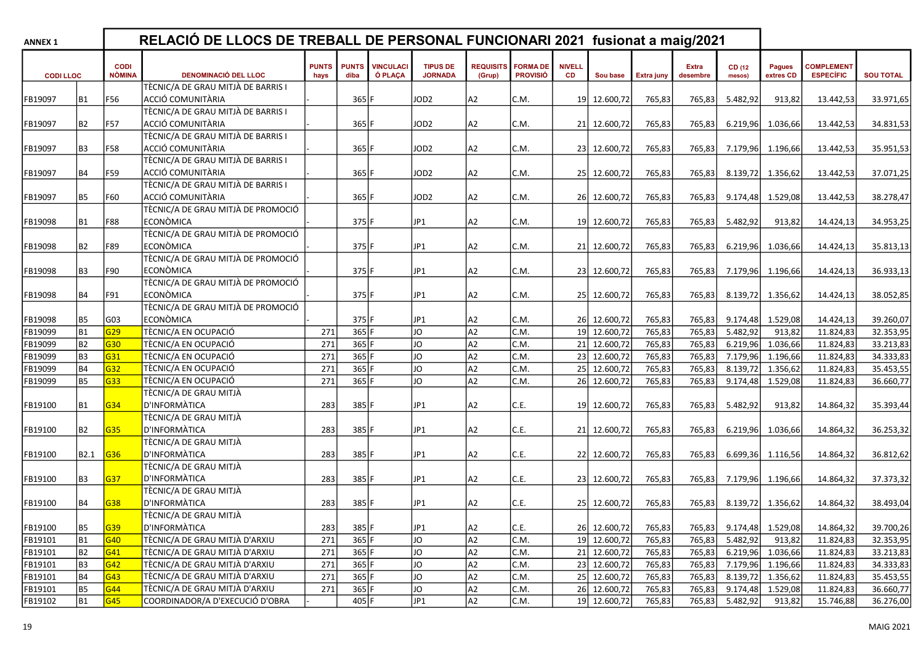| <b>ANNEX 1</b>     |                |                       | RELACIÓ DE LLOCS DE TREBALL DE PERSONAL FUNCIONARI 2021 fusionat a maig/2021 |                      |                      |                             |                                   |                                  |                                    |                     |              |                   |                          |                          |                            |                                       |                        |
|--------------------|----------------|-----------------------|------------------------------------------------------------------------------|----------------------|----------------------|-----------------------------|-----------------------------------|----------------------------------|------------------------------------|---------------------|--------------|-------------------|--------------------------|--------------------------|----------------------------|---------------------------------------|------------------------|
| <b>CODILLOC</b>    |                | <b>CODI</b><br>NÒMINA | <b>DENOMINACIÓ DEL LLOC</b>                                                  | <b>PUNTS</b><br>hays | <b>PUNTS</b><br>diba | <b>VINCULACI</b><br>Ó PLACA | <b>TIPUS DE</b><br><b>JORNADA</b> | <b>REQUISITS</b><br>(Grup)       | <b>FORMA DE</b><br><b>PROVISIÓ</b> | <b>NIVELL</b><br>CD | Sou base     | <b>Extra juny</b> | <b>Extra</b><br>desembre | CD (12<br>mesos)         | <b>Pagues</b><br>extres CD | <b>COMPLEMENT</b><br><b>ESPECÍFIC</b> | <b>SOU TOTAL</b>       |
|                    |                |                       | TÈCNIC/A DE GRAU MITJÀ DE BARRIS I                                           |                      |                      |                             |                                   |                                  |                                    |                     |              |                   |                          |                          |                            |                                       |                        |
| FB19097            | <b>B1</b>      | F56                   | <b>ACCIÓ COMUNITÀRIA</b>                                                     |                      | 365 F                |                             | JOD <sub>2</sub>                  | A <sub>2</sub>                   | C.M.                               |                     | 19 12.600,72 | 765,83            | 765,83                   | 5.482,92                 | 913,82                     | 13.442,53                             | 33.971,65              |
| FB19097            | <b>B2</b>      | F57                   | TÈCNIC/A DE GRAU MITJÀ DE BARRIS I<br>ACCIÓ COMUNITÀRIA                      |                      | 365 F                |                             | JOD <sub>2</sub>                  | A2                               | C.M.                               |                     | 21 12.600,72 | 765,83            | 765,83                   | 6.219,96                 | 1.036,66                   | 13.442,53                             | 34.831,53              |
|                    |                |                       | TÈCNIC/A DE GRAU MITJÀ DE BARRIS I                                           |                      |                      |                             |                                   |                                  |                                    |                     |              |                   |                          |                          |                            |                                       |                        |
| FB19097            | B <sub>3</sub> | F58                   | <b>ACCIÓ COMUNITÀRIA</b>                                                     |                      | 365 F                |                             | JOD <sub>2</sub>                  | A <sub>2</sub>                   | C.M.                               |                     | 23 12.600,72 | 765,83            | 765,83                   | 7.179,96                 | 1.196,66                   | 13.442,53                             | 35.951,53              |
|                    |                |                       | TÈCNIC/A DE GRAU MITJÀ DE BARRIS I                                           |                      |                      |                             |                                   |                                  |                                    |                     |              |                   |                          |                          |                            |                                       |                        |
| FB19097            | <b>B4</b>      | F59                   | ACCIÓ COMUNITÀRIA                                                            |                      | 365 F                |                             | JOD2                              | A <sub>2</sub>                   | C.M.                               |                     | 25 12.600,72 | 765,83            | 765,83                   | 8.139,72                 | 1.356,62                   | 13.442,53                             | 37.071,25              |
|                    |                |                       | TÈCNIC/A DE GRAU MITJÀ DE BARRIS I                                           |                      |                      |                             |                                   |                                  |                                    |                     |              |                   |                          |                          |                            |                                       |                        |
| FB19097            | <b>B5</b>      | F60                   | ACCIÓ COMUNITÀRIA                                                            |                      | 365 F                |                             | JOD <sub>2</sub>                  | A2                               | C.M.                               |                     | 26 12.600,72 | 765,83            | 765,83                   | 9.174,48                 | 1.529,08                   | 13.442,53                             | 38.278,47              |
|                    |                |                       | TÈCNIC/A DE GRAU MITJÀ DE PROMOCIÓ                                           |                      |                      |                             |                                   |                                  |                                    |                     |              |                   |                          |                          |                            |                                       |                        |
| FB19098            | <b>B1</b>      | F88                   | <b>ECONÒMICA</b>                                                             |                      | 375 F                |                             | JP1                               | A2                               | C.M.                               |                     | 19 12.600,72 | 765,83            | 765,83                   | 5.482,92                 | 913,82                     | 14.424,13                             | 34.953,25              |
|                    |                |                       | TÈCNIC/A DE GRAU MITJÀ DE PROMOCIÓ                                           |                      |                      |                             |                                   |                                  |                                    |                     |              |                   |                          |                          |                            |                                       |                        |
| FB19098            | l B2           | F89                   | <b>ECONÒMICA</b>                                                             |                      | 375 F                |                             | JP1                               | A <sub>2</sub>                   | C.M.                               |                     | 21 12.600,72 | 765,83            | 765,83                   | 6.219,96                 | 1.036,66                   | 14.424,13                             | 35.813,13              |
|                    |                |                       | TÈCNIC/A DE GRAU MITJÀ DE PROMOCIÓ                                           |                      |                      |                             |                                   |                                  |                                    |                     |              |                   |                          |                          |                            |                                       |                        |
| FB19098            | B <sub>3</sub> | F90                   | <b>ECONÒMICA</b>                                                             |                      | 375 F                |                             | JP1                               | A <sub>2</sub>                   | C.M.                               |                     | 23 12.600,72 | 765,83            | 765,83                   | 7.179,96                 | 1.196,66                   | 14.424,13                             | 36.933,13              |
|                    |                |                       | TÈCNIC/A DE GRAU MITJÀ DE PROMOCIÓ                                           |                      |                      |                             |                                   |                                  |                                    |                     |              |                   |                          |                          |                            |                                       |                        |
| FB19098            | <b>B4</b>      | F91                   | <b>ECONÒMICA</b>                                                             |                      | 375 F                |                             | JP1                               | IA2                              | C.M.                               |                     | 25 12.600,72 | 765,83            | 765,83                   | 8.139,72                 | 1.356,62                   | 14.424,13                             | 38.052,85              |
|                    |                |                       | TÈCNIC/A DE GRAU MITJÀ DE PROMOCIÓ                                           |                      |                      |                             |                                   |                                  |                                    |                     |              |                   |                          |                          |                            |                                       |                        |
| FB19098            | <b>B5</b>      | GO3                   | <b>ECONÒMICA</b>                                                             |                      | 375 F                |                             | JP1                               | A2                               | C.M.                               |                     | 26 12.600,72 | 765,83            | 765,83                   | 9.174,48                 | 1.529,08                   | 14.424,13                             | 39.260,07              |
| FB19099            | lB1            | G <sub>29</sub>       | TÈCNIC/A EN OCUPACIÓ                                                         | 271                  | 365 F                |                             | JO                                | $\overline{A2}$                  | C.M.                               |                     | 19 12.600,72 | 765,83            | 765,83                   | 5.482,92                 | 913,82                     | 11.824,83                             | 32.353,95              |
| FB19099            | B2             | G <sub>30</sub>       | TÈCNIC/A EN OCUPACIÓ                                                         | 271                  | 365 F                |                             | JO                                | A <sub>2</sub>                   | C.M.                               |                     | 21 12.600,72 | 765,83            | 765,83                   | 6.219,96                 | 1.036,66                   | 11.824,83                             | 33.213,83              |
| FB19099            | B <sub>3</sub> | $\sqrt{G31}$          | TÈCNIC/A EN OCUPACIÓ                                                         | 271                  | 365 F                |                             | <b>JO</b>                         | A <sub>2</sub>                   | C.M.                               |                     | 23 12.600,72 | 765,83            | 765,83                   | 7.179,96                 | 1.196,66                   | 11.824,83                             | 34.333,83              |
| FB19099            | <b>B4</b>      | G <sub>32</sub>       | TÈCNIC/A EN OCUPACIÓ                                                         | 271                  | 365 F                |                             | JO                                | A <sub>2</sub>                   | C.M.                               | 25                  | 12.600,72    | 765,83            | 765,83                   | 8.139,72                 | 1.356,62                   | 11.824,83                             | 35.453,55              |
| FB19099            | lb5.           | G <sub>33</sub>       | TÈCNIC/A EN OCUPACIÓ                                                         | 271                  | 365 F                |                             | JO                                | $\overline{A2}$                  | C.M.                               |                     | 26 12.600,72 | 765,83            | 765,83                   | 9.174,48                 | 1.529,08                   | 11.824,83                             | 36.660,77              |
|                    |                |                       | TÈCNIC/A DE GRAU MITJÀ                                                       |                      |                      |                             |                                   |                                  |                                    |                     |              |                   |                          |                          |                            |                                       |                        |
| FB19100            | <b>B1</b>      | G <sub>34</sub>       | <b>D'INFORMÀTICA</b>                                                         | 283                  | 385 F                |                             | JP1                               | A2                               | C.E.                               |                     | 19 12.600,72 | 765,83            | 765,83                   | 5.482,92                 | 913,82                     | 14.864,32                             | 35.393,44              |
|                    |                |                       | TÈCNIC/A DE GRAU MITJÀ                                                       |                      |                      |                             |                                   |                                  |                                    |                     |              |                   |                          |                          |                            |                                       |                        |
| FB19100            | <b>B2</b>      | G <sub>35</sub>       | <b>D'INFORMÀTICA</b>                                                         | 283                  | 385 F                |                             | JP1                               | IA2                              | C.E.                               |                     | 21 12.600,72 | 765,83            | 765,83                   | 6.219,96                 | 1.036,66                   | 14.864,32                             | 36.253,32              |
|                    |                |                       | TÈCNIC/A DE GRAU MITJÀ                                                       |                      |                      |                             |                                   |                                  |                                    |                     |              |                   |                          |                          |                            |                                       |                        |
| FB19100            | B2.1           | G36                   | <b>D'INFORMÀTICA</b><br>TÈCNIC/A DE GRAU MITJÀ                               | 283                  | 385 F                |                             | JP1                               | A <sub>2</sub>                   | C.E.                               |                     | 22 12.600,72 | 765,83            | 765,83                   | 6.699,36                 | 1.116,56                   | 14.864,32                             | 36.812,62              |
|                    |                |                       | <b>D'INFORMÀTICA</b>                                                         |                      |                      |                             |                                   |                                  |                                    |                     |              |                   |                          |                          |                            |                                       |                        |
| FB19100            | lB3            | G <sub>37</sub>       | TÈCNIC/A DE GRAU MITJÀ                                                       | 283                  | 385 F                |                             | JP1                               | A2                               | C.E.                               |                     | 23 12.600,72 | 765,83            | 765,83                   | 7.179,96                 | 1.196,66                   | 14.864,32                             | 37.373,32              |
| FB19100            | <b>B4</b>      | G38                   | <b>D'INFORMÀTICA</b>                                                         | 283                  | 385 F                |                             | JP1                               | A2                               | C.E.                               | 25                  | 12.600,72    | 765,83            | 765,83                   | 8.139,72                 |                            |                                       | 38.493,04              |
|                    |                |                       | TÈCNIC/A DE GRAU MITJÀ                                                       |                      |                      |                             |                                   |                                  |                                    |                     |              |                   |                          |                          | 1.356,62                   | 14.864,32                             |                        |
|                    | B5             | G <sub>39</sub>       | D'INFORMATICA                                                                | 283                  | 385 F                |                             | JP1                               |                                  | C.E.                               |                     | 26 12.600,72 |                   |                          | 765,83 9.174,48 1.529,08 |                            |                                       |                        |
| FB19100<br>FB19101 | B1             | $\sqrt{G40}$          | TÈCNIC/A DE GRAU MITJÀ D'ARXIU                                               | 271                  | 365 F                |                             | <b>JO</b>                         | A <sub>2</sub><br>A <sub>2</sub> | C.M.                               |                     | 19 12.600,72 | 765,83<br>765,83  | 765,83                   | 5.482,92                 | 913,82                     | 14.864,32<br>11.824,83                | 39.700,26<br>32.353,95 |
| FB19101            | B2             | $\sqrt{\frac{G41}{}}$ | TÈCNIC/A DE GRAU MITJÀ D'ARXIU                                               | 271                  | 365 F                |                             | JO                                | A <sub>2</sub>                   | C.M.                               |                     | 21 12.600,72 | 765,83            | 765,83                   |                          | 6.219,96 1.036,66          | 11.824,83                             | 33.213,83              |
| FB19101            | B3             | G42                   | TÈCNIC/A DE GRAU MITJÀ D'ARXIU                                               | 271                  | 365 F                |                             | <b>JO</b>                         | A <sub>2</sub>                   | C.M.                               |                     | 23 12.600,72 | 765,83            | 765,83                   | 7.179,96                 | 1.196,66                   | 11.824,83                             | 34.333,83              |
| FB19101            | B4             | G <sub>43</sub>       | TÈCNIC/A DE GRAU MITJÀ D'ARXIU                                               | 271                  | 365 F                |                             | <b>JO</b>                         | A <sub>2</sub>                   | C.M.                               |                     | 25 12.600,72 | 765,83            | 765,83                   |                          | 8.139,72 1.356,62          | 11.824,83                             | 35.453,55              |
| FB19101            | l B5           | G <sub>44</sub>       | TÈCNIC/A DE GRAU MITJÀ D'ARXIU                                               | 271                  | 365 F                |                             | JO                                | A <sub>2</sub>                   | C.M.                               |                     | 26 12.600,72 | 765,83            | 765,83                   | 9.174,48                 | 1.529,08                   | 11.824,83                             | 36.660,77              |
| FB19102            | B1             | G45                   | COORDINADOR/A D'EXECUCIÓ D'OBRA                                              |                      | 405 F                |                             | JP1                               | A <sub>2</sub>                   | C.M.                               |                     | 19 12.600,72 | 765,83            | 765,83                   | 5.482,92                 | 913,82                     | 15.746,88                             | 36.276,00              |
|                    |                |                       |                                                                              |                      |                      |                             |                                   |                                  |                                    |                     |              |                   |                          |                          |                            |                                       |                        |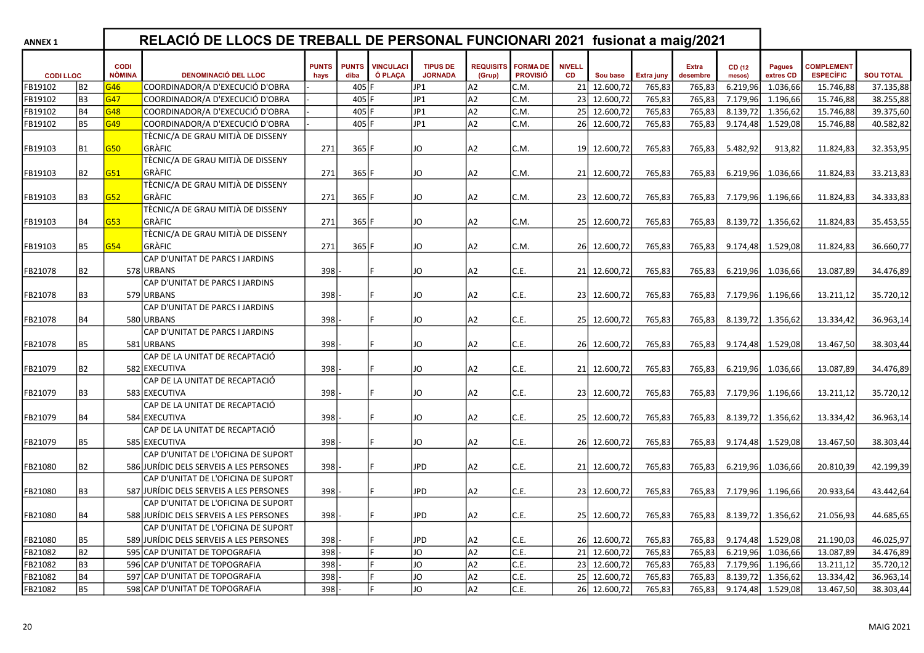| <b>ANNEX 1</b>  |                |                              | RELACIÓ DE LLOCS DE TREBALL DE PERSONAL FUNCIONARI 2021 fusionat a maig/2021 |                      |                      |                            |                                   |                            |                                    |                            |              |                   |                   |                  |                            |                                       |                  |
|-----------------|----------------|------------------------------|------------------------------------------------------------------------------|----------------------|----------------------|----------------------------|-----------------------------------|----------------------------|------------------------------------|----------------------------|--------------|-------------------|-------------------|------------------|----------------------------|---------------------------------------|------------------|
| <b>CODILLOC</b> |                | <b>CODI</b><br><b>NÒMINA</b> | <b>DENOMINACIÓ DEL LLOC</b>                                                  | <b>PUNTS</b><br>hays | <b>PUNTS</b><br>diba | <b>VINCULAC</b><br>Ó PLACA | <b>TIPUS DE</b><br><b>JORNADA</b> | <b>REQUISITS</b><br>(Grup) | <b>FORMA DE</b><br><b>PROVISIÓ</b> | <b>NIVELL</b><br><b>CD</b> | Sou base     | <b>Extra juny</b> | Extra<br>desembre | CD (12<br>mesos) | <b>Pagues</b><br>extres CD | <b>COMPLEMENT</b><br><b>ESPECÍFIC</b> | <b>SOU TOTAL</b> |
| FB19102         | l B2           | G46                          | COORDINADOR/A D'EXECUCIÓ D'OBRA                                              |                      | 405                  |                            | JP <sub>1</sub>                   | la2                        | C.M.                               | 21                         | 12.600.72    | 765,83            | 765,83            | 6.219,96         | 1.036,66                   | 15.746.88                             | 37.135,88        |
| FB19102         | B <sub>3</sub> | G47                          | COORDINADOR/A D'EXECUCIÓ D'OBRA                                              |                      | 405                  |                            | JP1                               | A <sub>2</sub>             | C.M.                               |                            | 23 12.600,72 | 765,83            | 765,83            | 7.179,96         | 1.196,66                   | 15.746,88                             | 38.255,88        |
| FB19102         | <b>B4</b>      | G48                          | COORDINADOR/A D'EXECUCIÓ D'OBRA                                              |                      | 405 F                |                            | JP <sub>1</sub>                   | $\overline{A2}$            | C.M.                               |                            | 25 12.600,72 | 765,83            | 765,83            | 8.139,72         | 1.356,62                   | 15.746,88                             | 39.375,60        |
| FB19102         | <b>B5</b>      | G <sub>49</sub>              | COORDINADOR/A D'EXECUCIÓ D'OBRA                                              |                      | 405 F                |                            | JP <sub>1</sub>                   | la2                        | C.M.                               |                            | 26 12.600.72 | 765.83            | 765.83            | 9.174.48         | 1.529,08                   | 15.746.88                             | 40.582,82        |
|                 |                |                              | TÈCNIC/A DE GRAU MITJÀ DE DISSENY                                            |                      |                      |                            |                                   |                            |                                    |                            |              |                   |                   |                  |                            |                                       |                  |
| FB19103         | <b>B1</b>      | G <sub>50</sub>              | GRÀFIC                                                                       | 271                  | 365 F                |                            | JO                                | A <sub>2</sub>             | C.M.                               |                            | 19 12.600,72 | 765,83            | 765,83            | 5.482,92         | 913,82                     | 11.824,83                             | 32.353,95        |
|                 |                |                              | TÈCNIC/A DE GRAU MITJÀ DE DISSENY                                            |                      |                      |                            |                                   |                            |                                    |                            |              |                   |                   |                  |                            |                                       |                  |
| FB19103         | <b>B2</b>      | G <sub>51</sub>              | GRÀFIC                                                                       | 271                  | 365 F                |                            | JO                                | lA2                        | C.M.                               |                            | 21 12.600,72 | 765.83            | 765.83            | 6.219,96         | 1.036,66                   | 11.824,83                             | 33.213,83        |
|                 |                |                              | TÈCNIC/A DE GRAU MITJÀ DE DISSENY                                            |                      |                      |                            |                                   |                            |                                    |                            |              |                   |                   |                  |                            |                                       |                  |
| FB19103         | B <sub>3</sub> | G52                          | GRÀFIC                                                                       | 271                  | 365 F                |                            | JO                                | A <sub>2</sub>             | C.M.                               |                            | 23 12.600,72 | 765,83            | 765,83            | 7.179,96         | 1.196,66                   | 11.824,83                             | 34.333,83        |
|                 |                |                              | TÈCNIC/A DE GRAU MITJÀ DE DISSENY                                            |                      |                      |                            |                                   |                            |                                    |                            |              |                   |                   |                  |                            |                                       |                  |
| FB19103         | <b>B4</b>      | G53                          | GRÀFIC                                                                       | 271                  | 365 F                |                            | JO                                | A <sub>2</sub>             | C.M.                               |                            | 25 12.600,72 | 765,83            | 765,83            | 8.139,72         | 1.356,62                   | 11.824,83                             | 35.453,55        |
|                 |                |                              | TÈCNIC/A DE GRAU MITJÀ DE DISSENY                                            |                      |                      |                            |                                   |                            |                                    |                            |              |                   |                   |                  |                            |                                       |                  |
| FB19103         | <b>B5</b>      | G54                          | GRÀFIC                                                                       | 271                  | 365 F                |                            | JO                                | A <sub>2</sub>             | C.M.                               |                            | 26 12.600,72 | 765,83            | 765,83            | 9.174,48         | 1.529,08                   | 11.824,83                             | 36.660,77        |
|                 |                |                              | CAP D'UNITAT DE PARCS I JARDINS                                              |                      |                      |                            |                                   |                            |                                    |                            |              |                   |                   |                  |                            |                                       |                  |
| FB21078         | <b>B2</b>      |                              | 578 URBANS                                                                   | 398                  |                      |                            | JO                                | A <sub>2</sub>             | C.E.                               |                            | 21 12.600,72 | 765,83            | 765,83            | 6.219,96         | 1.036,66                   | 13.087,89                             | 34.476,89        |
|                 |                |                              | CAP D'UNITAT DE PARCS I JARDINS                                              |                      |                      |                            |                                   |                            |                                    |                            |              |                   |                   |                  |                            |                                       |                  |
| FB21078         | B <sub>3</sub> |                              | 579 URBANS                                                                   | 398                  |                      |                            | JO                                | A <sub>2</sub>             | C.E.                               |                            | 23 12.600,72 | 765,83            | 765,83            | 7.179,96         | 1.196,66                   | 13.211,12                             | 35.720,12        |
|                 |                |                              | CAP D'UNITAT DE PARCS I JARDINS                                              |                      |                      |                            |                                   |                            |                                    |                            |              |                   |                   |                  |                            |                                       |                  |
| FB21078         | B4             |                              | 580URBANS                                                                    | 398                  |                      |                            | JO                                | A <sub>2</sub>             | C.E.                               |                            | 25 12.600,72 | 765,83            | 765,83            | 8.139,72         | 1.356,62                   | 13.334,42                             | 36.963,14        |
|                 |                |                              | CAP D'UNITAT DE PARCS I JARDINS                                              |                      |                      |                            |                                   |                            |                                    |                            |              |                   |                   |                  |                            |                                       |                  |
| FB21078         | <b>B5</b>      |                              | 581 URBANS                                                                   | 398                  |                      |                            | JO                                | A <sub>2</sub>             | C.E.                               |                            | 26 12.600,72 | 765,83            | 765,83            | 9.174,48         | 1.529,08                   | 13.467,50                             | 38.303,44        |
|                 |                |                              | CAP DE LA UNITAT DE RECAPTACIÓ                                               |                      |                      |                            |                                   |                            |                                    |                            |              |                   |                   |                  |                            |                                       |                  |
| FB21079         | <b>B2</b>      |                              | 582 EXECUTIVA                                                                | 398                  |                      |                            | JO                                | A <sub>2</sub>             | C.E.                               |                            | 21 12.600,72 | 765,83            | 765,83            | 6.219,96         | 1.036,66                   | 13.087,89                             | 34.476,89        |
|                 |                |                              | CAP DE LA UNITAT DE RECAPTACIÓ                                               |                      |                      |                            |                                   |                            |                                    |                            |              |                   |                   |                  |                            |                                       |                  |
| FB21079         | B <sub>3</sub> |                              | 583 EXECUTIVA                                                                | 398                  |                      |                            | JO                                | A <sub>2</sub>             | C.E.                               |                            | 23 12.600,72 | 765,83            | 765,83            | 7.179,96         | 1.196,66                   | 13.211,12                             | 35.720,12        |
|                 |                |                              | CAP DE LA UNITAT DE RECAPTACIÓ                                               |                      |                      |                            |                                   |                            |                                    |                            |              |                   |                   |                  |                            |                                       |                  |
| FB21079         | <b>B4</b>      |                              | 584 EXECUTIVA                                                                | 398                  |                      |                            | JO                                | A <sub>2</sub>             | C.E.                               |                            | 25 12.600,72 | 765,83            | 765,83            |                  | 8.139,72 1.356,62          | 13.334,42                             | 36.963,14        |
|                 |                |                              | CAP DE LA UNITAT DE RECAPTACIÓ                                               |                      |                      |                            |                                   |                            |                                    |                            |              |                   |                   |                  |                            |                                       |                  |
| FB21079         | <b>B5</b>      |                              | 585 EXECUTIVA                                                                | 398                  |                      |                            | JO                                | A <sub>2</sub>             | C.E.                               |                            | 26 12.600,72 | 765,83            | 765,83            | 9.174,48         | 1.529,08                   | 13.467,50                             | 38.303,44        |
|                 |                |                              | CAP D'UNITAT DE L'OFICINA DE SUPORT                                          |                      |                      |                            |                                   |                            |                                    |                            |              |                   |                   |                  |                            |                                       |                  |
| FB21080         | <b>B2</b>      |                              | 586 JURÍDIC DELS SERVEIS A LES PERSONES                                      | 398                  |                      |                            | <b>JPD</b>                        | A <sub>2</sub>             | C.E.                               |                            | 21 12.600,72 | 765,83            | 765,83            | 6.219,96         | 1.036,66                   | 20.810,39                             | 42.199,39        |
|                 |                |                              | CAP D'UNITAT DE L'OFICINA DE SUPORT                                          |                      |                      |                            |                                   |                            |                                    |                            |              |                   |                   |                  |                            |                                       |                  |
|                 |                |                              |                                                                              |                      |                      |                            | <b>JPD</b>                        |                            |                                    |                            |              |                   |                   |                  |                            |                                       |                  |
| FB21080         | B <sub>3</sub> |                              | 587 JURÍDIC DELS SERVEIS A LES PERSONES                                      | 398                  |                      |                            |                                   | A <sub>2</sub>             | C.E.                               |                            | 23 12.600,72 | 765,83            | 765,83            | 7.179,96         | 1.196,66                   | 20.933,64                             | 43.442,64        |
|                 |                |                              | CAP D'UNITAT DE L'OFICINA DE SUPORT                                          |                      |                      |                            |                                   |                            |                                    |                            |              |                   |                   |                  |                            |                                       |                  |
| FB21080         | <b>B4</b>      |                              | 588 JURÍDIC DELS SERVEIS A LES PERSONES                                      | 398                  |                      |                            | <b>JPD</b>                        | A <sub>2</sub>             | C.E.                               | 25                         | 12.600,72    | 765,83            | 765,83            | 8.139,72         | 1.356,62                   | 21.056,93                             | 44.685,65        |
|                 |                |                              | CAP D'UNITAT DE L'OFICINA DE SUPORT                                          |                      |                      |                            |                                   |                            |                                    |                            |              |                   |                   |                  |                            |                                       |                  |
| FB21080         | <b>B5</b>      |                              | 589 JURÍDIC DELS SERVEIS A LES PERSONES                                      | 398                  |                      |                            | <b>JPD</b>                        | A <sub>2</sub>             | C.E.                               |                            | 26 12.600,72 | 765,83            | 765,83            | 9.174,48         | 1.529,08                   | 21.190,03                             | 46.025,97        |
| FB21082         | <b>B2</b>      |                              | 595 CAP D'UNITAT DE TOPOGRAFIA                                               | 398                  |                      |                            | <b>JO</b>                         | $\overline{A2}$            | C.E.                               |                            | 21 12.600,72 | 765,83            | 765,83            | 6.219,96         | 1.036,66                   | 13.087,89                             | 34.476,89        |
| FB21082         | B <sub>3</sub> |                              | 596 CAP D'UNITAT DE TOPOGRAFIA                                               | 398                  |                      |                            | JO                                | la2                        | C.E.                               |                            | 23 12.600,72 | 765,83            | 765,83            | 7.179,96         | 1.196,66                   | 13.211,12                             | 35.720,12        |
| FB21082         | <b>B4</b>      |                              | 597 CAP D'UNITAT DE TOPOGRAFIA                                               | 398                  |                      |                            | JO                                | $\overline{A2}$            | C.E.                               |                            | 25 12.600,72 | 765,83            | 765,83            | 8.139,72         | 1.356,62                   | 13.334,42                             | 36.963,14        |
| FB21082         | <b>B5</b>      |                              | 598 CAP D'UNITAT DE TOPOGRAFIA                                               | 398                  |                      |                            | JO                                | A <sub>2</sub>             | C.E.                               |                            | 26 12.600,72 | 765,83            | 765,83            | 9.174,48         | 1.529,08                   | 13.467,50                             | 38.303,44        |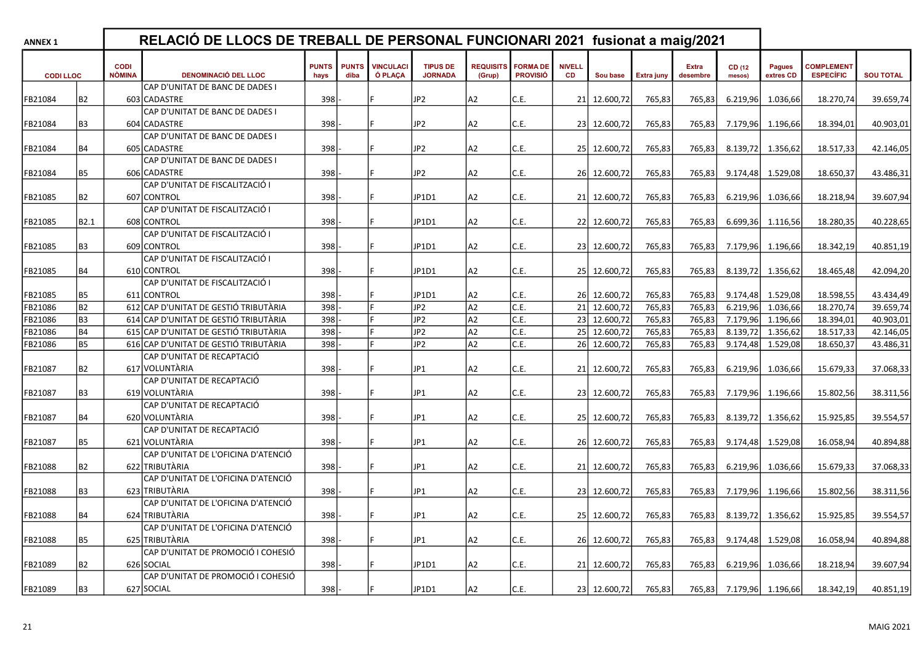| <b>ANNEX 1</b>  |                  |                       | RELACIÓ DE LLOCS DE TREBALL DE PERSONAL FUNCIONARI 2021 fusionat a maig/2021 |                      |                      |                             |                                   |                            |                                    |                            |              |            |                          |                  |                            |                                       |                  |
|-----------------|------------------|-----------------------|------------------------------------------------------------------------------|----------------------|----------------------|-----------------------------|-----------------------------------|----------------------------|------------------------------------|----------------------------|--------------|------------|--------------------------|------------------|----------------------------|---------------------------------------|------------------|
| <b>CODILLOC</b> |                  | <b>CODI</b><br>NÒMINA | <b>DENOMINACIÓ DEL LLOC</b>                                                  | <b>PUNTS</b><br>hays | <b>PUNTS</b><br>diba | <b>VINCULACI</b><br>Ó PLACA | <b>TIPUS DE</b><br><b>JORNADA</b> | <b>REQUISITS</b><br>(Grup) | <b>FORMA DE</b><br><b>PROVISIÓ</b> | <b>NIVELL</b><br><b>CD</b> | Sou base     | Extra juny | <b>Extra</b><br>desembre | CD (12<br>mesos) | <b>Pagues</b><br>extres CD | <b>COMPLEMENT</b><br><b>ESPECÍFIC</b> | <b>SOU TOTAL</b> |
|                 |                  |                       | CAP D'UNITAT DE BANC DE DADES I                                              |                      |                      |                             |                                   |                            |                                    |                            |              |            |                          |                  |                            |                                       |                  |
| FB21084         | B2               |                       | 603 CADASTRE                                                                 | 398                  |                      |                             | JP <sub>2</sub>                   | A2                         | C.E.                               |                            | 21 12.600,72 | 765,83     | 765,83                   | 6.219,96         | 1.036,66                   | 18.270,74                             | 39.659,74        |
|                 |                  |                       | CAP D'UNITAT DE BANC DE DADES I                                              |                      |                      |                             |                                   |                            |                                    |                            |              |            |                          |                  |                            |                                       |                  |
| FB21084         | B <sub>3</sub>   |                       | 604 CADASTRE                                                                 | 398                  |                      |                             | JP <sub>2</sub>                   | A2                         | C.E.                               |                            | 23 12.600,72 | 765,83     | 765,83                   | 7.179,96         | 1.196,66                   | 18.394,01                             | 40.903,01        |
|                 |                  |                       | CAP D'UNITAT DE BANC DE DADES I                                              |                      |                      |                             |                                   |                            |                                    |                            |              |            |                          |                  |                            |                                       |                  |
| FB21084         | <b>B4</b>        |                       | 605 CADASTRE                                                                 | 398                  |                      |                             | JP <sub>2</sub>                   | A2                         | C.E.                               |                            | 25 12.600,72 | 765,83     | 765,83                   | 8.139,72         | 1.356,62                   | 18.517,33                             | 42.146,05        |
|                 |                  |                       | CAP D'UNITAT DE BANC DE DADES I                                              |                      |                      |                             |                                   |                            |                                    |                            |              |            |                          |                  |                            |                                       |                  |
| FB21084         | <b>B5</b>        |                       | 606 CADASTRE                                                                 | 398                  |                      |                             | JP2                               | A2                         | C.E.                               |                            | 26 12.600,72 | 765,83     | 765,83                   | 9.174,48         | 1.529,08                   | 18.650,37                             | 43.486,31        |
|                 |                  |                       | CAP D'UNITAT DE FISCALITZACIÓ I                                              |                      |                      |                             |                                   |                            |                                    |                            |              |            |                          |                  |                            |                                       |                  |
| FB21085         | <b>B2</b>        |                       | 607 CONTROL                                                                  | 398                  |                      |                             | JP1D1                             | A2                         | C.E.                               |                            | 21 12.600,72 | 765,83     | 765,83                   | 6.219,96         | 1.036,66                   | 18.218,94                             | 39.607,94        |
|                 |                  |                       | CAP D'UNITAT DE FISCALITZACIÓ I                                              |                      |                      |                             |                                   |                            |                                    |                            |              |            |                          |                  |                            |                                       |                  |
| FB21085         | B <sub>2.1</sub> |                       | 608 CONTROL                                                                  | 398                  |                      |                             | JP1D1                             | A2                         | IC.E.                              |                            | 22 12.600,72 | 765,83     | 765,83                   | 6.699,36         | 1.116,56                   | 18.280,35                             | 40.228,65        |
|                 |                  |                       | CAP D'UNITAT DE FISCALITZACIÓ I                                              |                      |                      |                             |                                   |                            |                                    |                            |              |            |                          |                  |                            |                                       |                  |
| FB21085         | B <sub>3</sub>   |                       | 609 CONTROL                                                                  | 398                  |                      |                             | JP1D1                             | A2                         | C.E.                               |                            | 23 12.600,72 | 765,83     | 765,83                   | 7.179,96         | 1.196,66                   | 18.342,19                             | 40.851,19        |
|                 |                  |                       | CAP D'UNITAT DE FISCALITZACIÓ I                                              |                      |                      |                             |                                   |                            |                                    |                            |              |            |                          |                  |                            |                                       |                  |
| FB21085         | <b>B4</b>        |                       | 610 CONTROL                                                                  | 398                  |                      |                             | JP1D1                             | A2                         | C.E.                               |                            | 25 12.600,72 | 765,83     | 765,83                   | 8.139,72         | 1.356,62                   | 18.465,48                             | 42.094,20        |
|                 |                  |                       | CAP D'UNITAT DE FISCALITZACIÓ I                                              |                      |                      |                             |                                   |                            |                                    |                            |              |            |                          |                  |                            |                                       |                  |
| FB21085         | <b>B5</b>        |                       | 611 CONTROL                                                                  | 398                  |                      |                             | JP1D1                             | A <sub>2</sub>             | C.E.                               |                            | 26 12.600,72 | 765,83     | 765,83                   | 9.174,48         | 1.529,08                   | 18.598,55                             | 43.434,49        |
| FB21086         | <b>B2</b>        |                       | 612 CAP D'UNITAT DE GESTIÓ TRIBUTÀRIA                                        | 398                  |                      |                             | JP <sub>2</sub>                   | A <sub>2</sub>             | C.E.                               |                            | 21 12.600,72 | 765,83     | 765,83                   | 6.219,96         | 1.036,66                   | 18.270,74                             | 39.659,74        |
| FB21086         | B <sub>3</sub>   |                       | 614 CAP D'UNITAT DE GESTIÓ TRIBUTÀRIA                                        | 398                  |                      |                             | JP <sub>2</sub>                   | la2                        | C.E.                               |                            | 23 12.600,72 | 765,83     | 765,83                   | 7.179,96         | 1.196,66                   | 18.394,01                             | 40.903,01        |
| FB21086         | <b>B4</b>        |                       | 615 CAP D'UNITAT DE GESTIÓ TRIBUTÀRIA                                        | 398                  |                      |                             | JP <sub>2</sub>                   | A2                         | C.E.                               |                            | 25 12.600,72 | 765,83     | 765,83                   | 8.139,72         | 1.356,62                   | 18.517,33                             | 42.146,05        |
| FB21086         | <b>B5</b>        |                       | 616 CAP D'UNITAT DE GESTIÓ TRIBUTÀRIA                                        | 398                  |                      |                             | JP <sub>2</sub>                   | la2                        | C.E.                               |                            | 26 12.600,72 | 765,83     | 765,83                   | 9.174,48         | 1.529,08                   | 18.650,37                             | 43.486,31        |
|                 |                  |                       | CAP D'UNITAT DE RECAPTACIÓ                                                   |                      |                      |                             |                                   |                            |                                    |                            |              |            |                          |                  |                            |                                       |                  |
| FB21087         | <b>B2</b>        |                       | 617 VOLUNTARIA                                                               | 398                  |                      |                             | JP1                               | A2                         | C.E.                               |                            | 21 12.600,72 | 765,83     | 765,83                   | 6.219,96         | 1.036,66                   | 15.679,33                             | 37.068,33        |
|                 |                  |                       | CAP D'UNITAT DE RECAPTACIÓ                                                   |                      |                      |                             |                                   |                            |                                    |                            |              |            |                          |                  |                            |                                       |                  |
| FB21087         | B <sub>3</sub>   |                       | 619 VOLUNTARIA                                                               | 398                  |                      |                             | JP1                               | A2                         | C.E.                               |                            | 23 12.600,72 | 765,83     | 765,83                   | 7.179,96         | 1.196,66                   | 15.802,56                             | 38.311,56        |
|                 |                  |                       | CAP D'UNITAT DE RECAPTACIÓ                                                   |                      |                      |                             |                                   |                            |                                    |                            |              |            |                          |                  |                            |                                       |                  |
| FB21087         | <b>B4</b>        |                       | 620 VOLUNTARIA                                                               | 398                  |                      |                             | JP1                               | A2                         | C.E.                               |                            | 25 12.600,72 | 765,83     | 765,83                   |                  | 8.139,72 1.356,62          | 15.925,85                             | 39.554,57        |
|                 |                  |                       | CAP D'UNITAT DE RECAPTACIÓ                                                   |                      |                      |                             |                                   |                            |                                    |                            |              |            |                          |                  |                            |                                       |                  |
| FB21087         | <b>B5</b>        |                       | 621 VOLUNTÀRIA                                                               | 398                  |                      |                             | JP1                               | A2                         | C.E.                               |                            | 26 12.600,72 | 765,83     | 765,83                   | 9.174,48         | 1.529,08                   | 16.058,94                             | 40.894,88        |
|                 |                  |                       | CAP D'UNITAT DE L'OFICINA D'ATENCIÓ                                          |                      |                      |                             |                                   |                            |                                    |                            |              |            |                          |                  |                            |                                       |                  |
|                 |                  |                       | 622 TRIBUTÀRIA                                                               |                      |                      |                             |                                   |                            |                                    |                            |              |            |                          |                  |                            |                                       |                  |
| FB21088         | <b>B2</b>        |                       |                                                                              | 398                  |                      |                             | JP1                               | A2                         | C.E.                               |                            | 21 12.600,72 | 765,83     | 765,83                   | 6.219,96         | 1.036,66                   | 15.679,33                             | 37.068,33        |
|                 |                  |                       | CAP D'UNITAT DE L'OFICINA D'ATENCIÓ                                          |                      |                      |                             |                                   |                            |                                    |                            |              |            |                          |                  |                            |                                       |                  |
| FB21088         | B <sub>3</sub>   |                       | 623 TRIBUTÀRIA                                                               | 398                  |                      |                             | JP1                               | A2                         | C.E.                               |                            | 23 12.600,72 | 765,83     | 765,83                   | 7.179,96         | 1.196,66                   | 15.802,56                             | 38.311,56        |
|                 |                  |                       | CAP D'UNITAT DE L'OFICINA D'ATENCIÓ                                          |                      |                      |                             |                                   |                            |                                    |                            |              |            |                          |                  |                            |                                       |                  |
| FB21088         | <b>B4</b>        |                       | 624 TRIBUTÀRIA                                                               | 398                  |                      |                             | JP1                               | A2                         | C.E.                               |                            | 25 12.600,72 | 765,83     | 765,83                   | 8.139,72         | 1.356,62                   | 15.925,85                             | 39.554,57        |
|                 |                  |                       | CAP D'UNITAT DE L'OFICINA D'ATENCIÓ                                          |                      |                      |                             |                                   |                            |                                    |                            |              |            |                          |                  |                            |                                       |                  |
| FB21088         | <b>B5</b>        |                       | 625 TRIBUTÀRIA                                                               | 398                  |                      |                             | JP1                               | A <sub>2</sub>             | C.E.                               |                            | 26 12.600,72 | 765,83     | 765,83                   | 9.174,48         | 1.529,08                   | 16.058,94                             | 40.894,88        |
|                 |                  |                       | CAP D'UNITAT DE PROMOCIÓ I COHESIÓ                                           |                      |                      |                             |                                   |                            |                                    |                            |              |            |                          |                  |                            |                                       |                  |
| FB21089         | <b>B2</b>        |                       | 626 SOCIAL                                                                   | 398                  |                      |                             | JP1D1                             | A2                         | C.E.                               |                            | 21 12.600,72 | 765.83     | 765.83                   | 6.219,96         | 1.036,66                   | 18.218.94                             | 39.607,94        |
|                 |                  |                       | CAP D'UNITAT DE PROMOCIÓ I COHESIÓ                                           |                      |                      |                             |                                   |                            |                                    |                            |              |            |                          |                  |                            |                                       |                  |
| FB21089         | B <sub>3</sub>   |                       | 627 SOCIAL                                                                   | 398                  |                      |                             | JP1D1                             | A2                         | C.E.                               |                            | 23 12.600,72 | 765,83     | 765,83                   |                  | 7.179,96 1.196,66          | 18.342,19                             | 40.851,19        |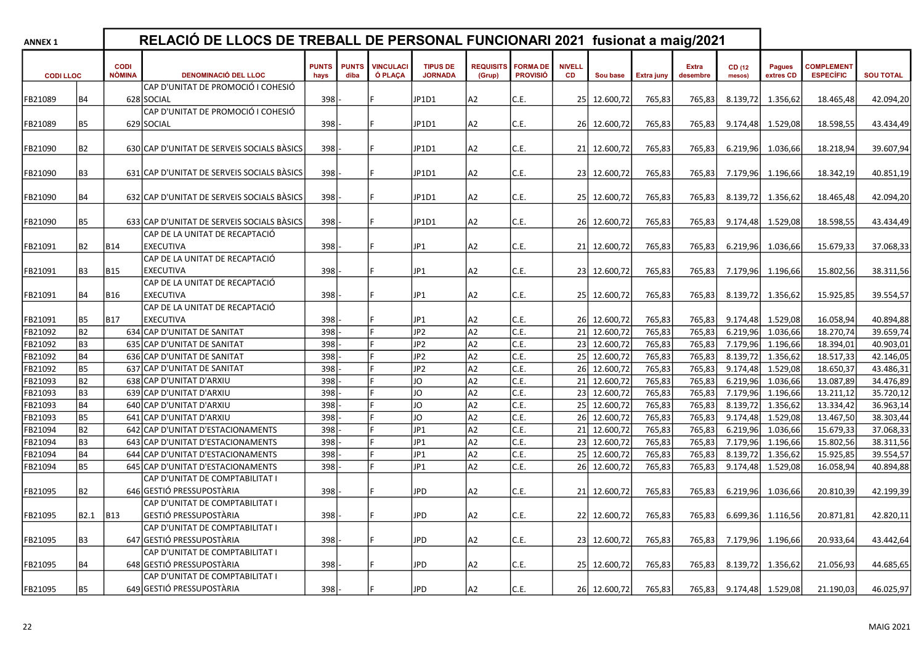| <b>ANNEX 1</b>  |                |                              | RELACIÓ DE LLOCS DE TREBALL DE PERSONAL FUNCIONARI 2021 fusionat a maig/2021 |                      |                      |                             |                                   |                            |                                    |                            |              |                   |                          |                   |                            |                                       |                  |
|-----------------|----------------|------------------------------|------------------------------------------------------------------------------|----------------------|----------------------|-----------------------------|-----------------------------------|----------------------------|------------------------------------|----------------------------|--------------|-------------------|--------------------------|-------------------|----------------------------|---------------------------------------|------------------|
| <b>CODILLOC</b> |                | <b>CODI</b><br><b>NÒMINA</b> | <b>DENOMINACIÓ DEL LLOC</b>                                                  | <b>PUNTS</b><br>hays | <b>PUNTS</b><br>diba | <b>VINCULACI</b><br>Ó PLACA | <b>TIPUS DE</b><br><b>JORNADA</b> | <b>REQUISITS</b><br>(Grup) | <b>FORMA DE</b><br><b>PROVISIÓ</b> | <b>NIVELL</b><br><b>CD</b> | Sou base     | <b>Extra juny</b> | <b>Extra</b><br>desembre | CD (12)<br>mesos) | <b>Pagues</b><br>extres CD | <b>COMPLEMENT</b><br><b>ESPECÍFIC</b> | <b>SOU TOTAL</b> |
|                 |                |                              | CAP D'UNITAT DE PROMOCIÓ I COHESIÓ                                           |                      |                      |                             |                                   |                            |                                    |                            |              |                   |                          |                   |                            |                                       |                  |
| FB21089         | <b>B4</b>      |                              | 628 SOCIAL                                                                   | 398                  |                      |                             | JP1D1                             | A2                         | C.E.                               |                            | 25 12.600,72 | 765,83            | 765,83                   | 8.139,72          | 1.356,62                   | 18.465,48                             | 42.094,20        |
|                 |                |                              | CAP D'UNITAT DE PROMOCIÓ I COHESIÓ                                           |                      |                      |                             |                                   |                            |                                    |                            |              |                   |                          |                   |                            |                                       |                  |
| FB21089         | <b>B5</b>      |                              | 629 SOCIAL                                                                   | 398                  |                      |                             | JP1D1                             | lA2                        | C.E.                               |                            | 26 12.600.72 | 765.83            | 765.83                   | 9.174.48          | 1.529,08                   | 18.598,55                             | 43.434,49        |
|                 |                |                              |                                                                              |                      |                      |                             |                                   |                            |                                    |                            |              |                   |                          |                   |                            |                                       |                  |
| FB21090         | B2             |                              | 630 CAP D'UNITAT DE SERVEIS SOCIALS BÀSICS                                   | 398                  |                      |                             | JP1D1                             | A2                         | C.E.                               |                            | 21 12.600,72 | 765,83            | 765,83                   | 6.219,96          | 1.036,66                   | 18.218,94                             | 39.607,94        |
|                 |                |                              |                                                                              |                      |                      |                             |                                   |                            |                                    |                            |              |                   |                          |                   |                            |                                       |                  |
| FB21090         | B <sub>3</sub> |                              | 631 CAP D'UNITAT DE SERVEIS SOCIALS BÀSICS                                   | 398                  |                      |                             | JP1D1                             | A2                         | C.E.                               |                            | 23 12.600,72 | 765,83            | 765,83                   | 7.179,96          | 1.196,66                   | 18.342,19                             | 40.851,19        |
|                 |                |                              |                                                                              |                      |                      |                             |                                   |                            |                                    |                            |              |                   |                          |                   |                            |                                       |                  |
| FB21090         | <b>B4</b>      |                              | 632 CAP D'UNITAT DE SERVEIS SOCIALS BÀSICS                                   | 398                  |                      |                             | JP1D1                             | A <sub>2</sub>             | C.E.                               |                            | 25 12.600,72 | 765,83            | 765,83                   | 8.139,72          | 1.356,62                   | 18.465,48                             | 42.094,20        |
|                 |                |                              |                                                                              |                      |                      |                             |                                   |                            |                                    |                            |              |                   |                          |                   |                            |                                       |                  |
| FB21090         | <b>B5</b>      |                              | 633 CAP D'UNITAT DE SERVEIS SOCIALS BÀSICS                                   | 398                  |                      |                             | JP1D1                             | A2                         | C.E.                               |                            | 26 12.600,72 | 765,83            | 765,83                   | 9.174,48          | 1.529,08                   | 18.598,55                             | 43.434,49        |
|                 |                |                              | CAP DE LA UNITAT DE RECAPTACIÓ                                               |                      |                      |                             |                                   |                            |                                    |                            |              |                   |                          |                   |                            |                                       |                  |
| FB21091         | <b>B2</b>      | B14                          | <b>EXECUTIVA</b>                                                             | 398                  |                      |                             | JP1                               | A2                         | C.E.                               |                            | 21 12.600,72 | 765,83            | 765,83                   | 6.219,96          | 1.036,66                   | 15.679,33                             | 37.068,33        |
|                 |                |                              | CAP DE LA UNITAT DE RECAPTACIÓ                                               |                      |                      |                             |                                   |                            |                                    |                            |              |                   |                          |                   |                            |                                       |                  |
| FB21091         | B <sub>3</sub> | <b>B</b> 15                  | <b>EXECUTIVA</b>                                                             | 398                  |                      |                             | JP1                               | A2                         | C.E.                               |                            | 23 12.600,72 | 765,83            | 765,83                   | 7.179,96          | 1.196,66                   | 15.802,56                             | 38.311,56        |
|                 |                |                              | CAP DE LA UNITAT DE RECAPTACIÓ                                               |                      |                      |                             |                                   |                            |                                    |                            |              |                   |                          |                   |                            |                                       |                  |
| FB21091         | <b>B4</b>      | B16                          | <b>EXECUTIVA</b>                                                             | 398                  |                      |                             | JP1                               | A2                         | C.E.                               |                            | 25 12.600,72 | 765,83            | 765,83                   | 8.139,72          | 1.356,62                   | 15.925,85                             | 39.554,57        |
|                 |                |                              | CAP DE LA UNITAT DE RECAPTACIÓ                                               |                      |                      |                             |                                   |                            |                                    |                            |              |                   |                          |                   |                            |                                       |                  |
| FB21091         | B5             | <b>B17</b>                   | <b>EXECUTIVA</b>                                                             | 398                  |                      |                             | JP1                               | A2                         | C.E.                               |                            | 26 12.600,72 | 765,83            | 765,83                   | 9.174,48          | 1.529,08                   | 16.058,94                             | 40.894,88        |
| FB21092         | <b>B2</b>      |                              | 634 CAP D'UNITAT DE SANITAT                                                  | 398                  |                      |                             | JP <sub>2</sub>                   | A <sub>2</sub>             | C.E.                               |                            | 21 12.600,72 | 765,83            | 765,83                   | 6.219,96          | 1.036,66                   | 18.270,74                             | 39.659,74        |
| FB21092         | B <sub>3</sub> |                              | 635 CAP D'UNITAT DE SANITAT                                                  | 398                  |                      |                             | JP <sub>2</sub>                   | la2                        | C.E.                               |                            | 23 12.600,72 | 765,83            | 765,83                   | 7.179,96          | 1.196,66                   | 18.394,01                             | 40.903,01        |
| FB21092         | <b>B4</b>      |                              | 636 CAP D'UNITAT DE SANITAT                                                  | 398                  |                      |                             | JP <sub>2</sub>                   | A2                         | C.E.                               |                            | 25 12.600,72 | 765,83            | 765,83                   | 8.139,72          | 1.356,62                   | 18.517,33                             | 42.146,05        |
| FB21092         | <b>B5</b>      |                              | 637 CAP D'UNITAT DE SANITAT                                                  | 398                  |                      |                             | JP <sub>2</sub>                   | A <sub>2</sub>             | C.E.                               | 26                         | 12.600,72    | 765,83            | 765,83                   | 9.174,48          | 1.529,08                   | 18.650,37                             | 43.486,31        |
| FB21093         | B2             |                              | 638 CAP D'UNITAT D'ARXIU                                                     | 398                  |                      |                             | JO                                | A2                         | C.E.                               |                            | 21 12.600,72 | 765,83            | 765,83                   | 6.219,96          | 1.036,66                   | 13.087,89                             | 34.476,89        |
| FB21093         | B <sub>3</sub> |                              | 639 CAP D'UNITAT D'ARXIU                                                     | 398                  |                      |                             | JO                                | A2                         | C.E.                               |                            | 23 12.600,72 | 765,83            | 765,83                   | 7.179,96          | 1.196,66                   | 13.211,12                             | 35.720,12        |
| FB21093         | <b>B4</b>      |                              | 640 CAP D'UNITAT D'ARXIU                                                     | 398                  |                      |                             | JO                                | A2                         | C.E.                               |                            | 25 12.600,72 | 765,83            | 765,83                   | 8.139,72          | 1.356,62                   | 13.334,42                             | 36.963,14        |
| FB21093         | <b>B5</b>      |                              | 641 CAP D'UNITAT D'ARXIU                                                     | 398                  |                      |                             | <b>JO</b>                         | A2                         | C.E.                               |                            | 26 12.600,72 | 765,83            | 765,83                   | 9.174,48          | 1.529,08                   | 13.467,50                             | 38.303,44        |
| FB21094         | <b>B2</b>      |                              | 642 CAP D'UNITAT D'ESTACIONAMENTS                                            | 398                  |                      |                             | JP1                               | A2                         | C.E.                               |                            | 21 12.600,72 | 765,83            | 765,83                   | 6.219,96          | 1.036,66                   | 15.679,33                             | 37.068,33        |
| FB21094         | B <sub>3</sub> |                              | 643 CAP D'UNITAT D'ESTACIONAMENTS                                            | 398                  |                      |                             | JP1                               | la2                        | C.E.                               |                            | 23 12.600,72 | 765,83            | 765,83                   | 7.179,96          | 1.196,66                   | 15.802,56                             | 38.311,56        |
| FB21094         | <b>B4</b>      |                              | 644 CAP D'UNITAT D'ESTACIONAMENTS                                            | 398                  |                      |                             | JP1                               | la2                        | C.E.                               |                            | 25 12.600,72 | 765,83            | 765,83                   | 8.139,72          | 1.356,62                   | 15.925,85                             | 39.554,57        |
| FB21094         | <b>B5</b>      |                              | 645 CAP D'UNITAT D'ESTACIONAMENTS                                            | 398                  |                      |                             | JP1                               | la2                        | C.E.                               |                            | 26 12.600,72 | 765,83            | 765,83                   | 9.174,48          | 1.529,08                   | 16.058,94                             | 40.894,88        |
|                 |                |                              | CAP D'UNITAT DE COMPTABILITAT I                                              |                      |                      |                             |                                   |                            |                                    |                            |              |                   |                          |                   |                            |                                       |                  |
| FB21095         | B2             |                              | 646 GESTIÓ PRESSUPOSTÀRIA                                                    | 398                  |                      |                             | <b>JPD</b>                        | A2                         | C.E.                               |                            | 21 12.600,72 | 765,83            | 765,83                   | 6.219,96          | 1.036,66                   | 20.810,39                             | 42.199,39        |
|                 |                |                              | CAP D'UNITAT DE COMPTABILITAT I                                              |                      |                      |                             |                                   |                            |                                    |                            |              |                   |                          |                   |                            |                                       |                  |
| FB21095         | B2.1           | B13                          | GESTIÓ PRESSUPOSTÀRIA                                                        | 398                  |                      |                             | <b>JPD</b>                        | A <sub>2</sub>             | C.E.                               |                            | 22 12.600,72 | 765,83            | 765,83                   | 6.699,36          | 1.116,56                   | 20.871,81                             | 42.820,11        |
|                 |                |                              | CAP D'UNITAT DE COMPTABILITAT I                                              |                      |                      |                             |                                   |                            |                                    |                            |              |                   |                          |                   |                            |                                       |                  |
| FB21095         | B3             |                              | 647 GESTIÓ PRESSUPOSTÀRIA                                                    | 398                  |                      |                             | <b>JPD</b>                        | A2                         | C.E.                               |                            | 23 12.600,72 | 765,83            | 765,83                   | 7.179,96          | 1.196,66                   | 20.933,64                             | 43.442,64        |
|                 |                |                              | CAP D'UNITAT DE COMPTABILITAT I                                              |                      |                      |                             |                                   |                            |                                    |                            |              |                   |                          |                   |                            |                                       |                  |
| FB21095         | <b>B4</b>      |                              | 648 GESTIÓ PRESSUPOSTÀRIA                                                    | 398                  |                      |                             | <b>JPD</b>                        | A2                         | C.E.                               |                            | 25 12.600,72 | 765,83            | 765,83                   | 8.139,72          | 1.356,62                   | 21.056,93                             | 44.685,65        |
|                 |                |                              | CAP D'UNITAT DE COMPTABILITAT I                                              |                      |                      |                             |                                   |                            |                                    |                            |              |                   |                          |                   |                            |                                       |                  |
| FB21095         | <b>B5</b>      |                              | 649 GESTIÓ PRESSUPOSTÀRIA                                                    | 398                  |                      |                             | <b>JPD</b>                        | A2                         | C.E.                               |                            | 26 12.600,72 | 765,83            | 765,83                   |                   | 9.174,48 1.529,08          | 21.190,03                             | 46.025,97        |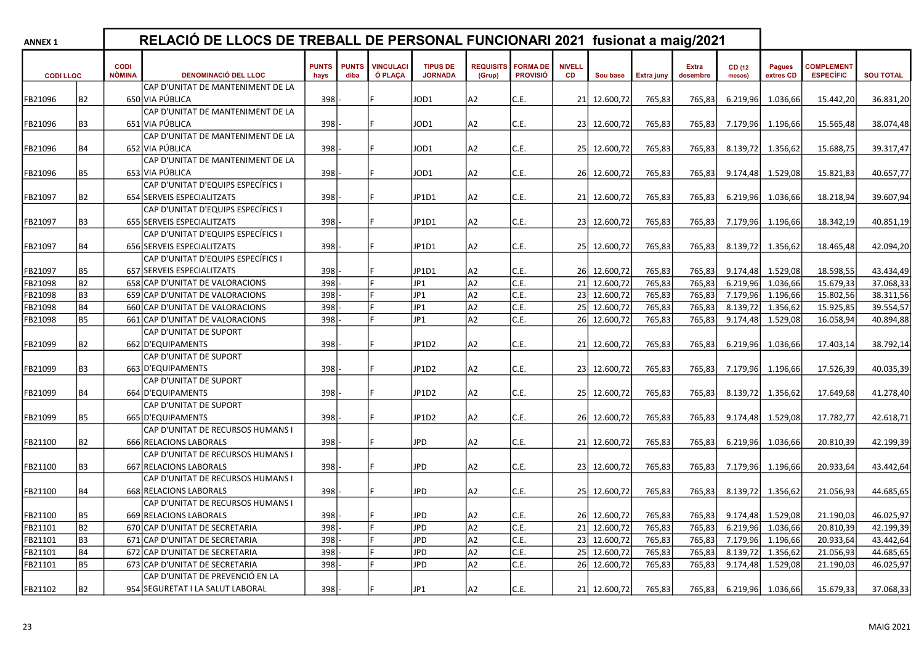| <b>ANNEX 1</b>  |                |                              | RELACIÓ DE LLOCS DE TREBALL DE PERSONAL FUNCIONARI 2021 fusionat a maig/2021 |                      |                      |                             |                                   |                            |                                    |                            |              |            |                          |                  |                            |                                       |                  |
|-----------------|----------------|------------------------------|------------------------------------------------------------------------------|----------------------|----------------------|-----------------------------|-----------------------------------|----------------------------|------------------------------------|----------------------------|--------------|------------|--------------------------|------------------|----------------------------|---------------------------------------|------------------|
| <b>CODILLOC</b> |                | <b>CODI</b><br><b>NÒMINA</b> | <b>DENOMINACIÓ DEL LLOC</b>                                                  | <b>PUNTS</b><br>hays | <b>PUNTS</b><br>diba | <b>VINCULACI</b><br>Ó PLACA | <b>TIPUS DE</b><br><b>JORNADA</b> | <b>REQUISITS</b><br>(Grup) | <b>FORMA DE</b><br><b>PROVISIÓ</b> | <b>NIVELL</b><br><b>CD</b> | Sou base     | Extra juny | <b>Extra</b><br>desembre | CD (12<br>mesos) | <b>Pagues</b><br>extres CD | <b>COMPLEMENT</b><br><b>ESPECÍFIC</b> | <b>SOU TOTAL</b> |
|                 |                |                              | CAP D'UNITAT DE MANTENIMENT DE LA                                            |                      |                      |                             |                                   |                            |                                    |                            |              |            |                          |                  |                            |                                       |                  |
| FB21096         | B2             |                              | 650 VIA PÚBLICA                                                              | 398                  |                      |                             | JOD1                              | A <sub>2</sub>             | C.E.                               |                            | 21 12.600,72 | 765,83     | 765,83                   | 6.219,96         | 1.036,66                   | 15.442,20                             | 36.831,20        |
|                 |                |                              | CAP D'UNITAT DE MANTENIMENT DE LA                                            |                      |                      |                             |                                   |                            |                                    |                            |              |            |                          |                  |                            |                                       |                  |
| FB21096         | B3             |                              | 651 VIA PÚBLICA                                                              | 398                  |                      |                             | JOD1                              | A <sub>2</sub>             | C.E.                               |                            | 23 12.600,72 | 765,83     | 765,83                   | 7.179,96         | 1.196,66                   | 15.565,48                             | 38.074,48        |
|                 |                |                              | CAP D'UNITAT DE MANTENIMENT DE LA                                            |                      |                      |                             |                                   |                            |                                    |                            |              |            |                          |                  |                            |                                       |                  |
| FB21096         | Β4             |                              | 652 VIA PÚBLICA                                                              | 398                  |                      |                             | JOD1                              | A <sub>2</sub>             | C.E.                               |                            | 25 12.600,72 | 765,83     | 765,83                   | 8.139,72         | 1.356,62                   | 15.688,75                             | 39.317,47        |
|                 |                |                              | CAP D'UNITAT DE MANTENIMENT DE LA                                            |                      |                      |                             |                                   |                            |                                    |                            |              |            |                          |                  |                            |                                       |                  |
| FB21096         | <b>B5</b>      |                              | 653 VIA PÚBLICA                                                              | 398                  |                      |                             | JOD1                              | A2                         | C.E.                               |                            | 26 12.600,72 | 765,83     | 765,83                   | 9.174,48         | 1.529,08                   | 15.821,83                             | 40.657,77        |
|                 |                |                              | CAP D'UNITAT D'EQUIPS ESPECÍFICS I                                           |                      |                      |                             |                                   |                            |                                    |                            |              |            |                          |                  |                            |                                       |                  |
| FB21097         | B2             |                              | 654 SERVEIS ESPECIALITZATS                                                   | 398                  |                      |                             | JP1D1                             | A2                         | C.E.                               |                            | 21 12.600,72 | 765,83     | 765,83                   | 6.219,96         | 1.036,66                   | 18.218,94                             | 39.607,94        |
|                 |                |                              | CAP D'UNITAT D'EQUIPS ESPECÍFICS I                                           |                      |                      |                             |                                   |                            |                                    |                            |              |            |                          |                  |                            |                                       |                  |
| FB21097         | B3             |                              | 655 SERVEIS ESPECIALITZATS                                                   | 398                  |                      |                             | JP1D1                             | A <sub>2</sub>             | C.E.                               |                            | 23 12.600,72 | 765,83     | 765,83                   | 7.179,96         | 1.196,66                   | 18.342,19                             | 40.851,19        |
|                 |                |                              | CAP D'UNITAT D'EQUIPS ESPECÍFICS I                                           |                      |                      |                             |                                   |                            |                                    |                            |              |            |                          |                  |                            |                                       |                  |
| FB21097         | <b>B4</b>      |                              | 656 SERVEIS ESPECIALITZATS                                                   | 398                  |                      |                             | JP1D1                             | A <sub>2</sub>             | C.E.                               |                            | 25 12.600,72 | 765,83     | 765,83                   | 8.139,72         | 1.356,62                   | 18.465,48                             | 42.094,20        |
|                 |                |                              | CAP D'UNITAT D'EQUIPS ESPECÍFICS I                                           |                      |                      |                             |                                   |                            |                                    |                            |              |            |                          |                  |                            |                                       |                  |
| FB21097         | <b>B5</b>      |                              | 657 SERVEIS ESPECIALITZATS                                                   | 398                  |                      |                             | JP1D1                             | A <sub>2</sub>             | C.E.                               |                            | 26 12.600,72 | 765,83     | 765,83                   | 9.174,48         | 1.529,08                   | 18.598,55                             | 43.434,49        |
| FB21098         | <b>B2</b>      |                              | 658 CAP D'UNITAT DE VALORACIONS                                              | 398                  |                      |                             | JP1                               | A2                         | C.E.                               |                            | 21 12.600,72 | 765,83     | 765,83                   | 6.219,96         | 1.036,66                   | 15.679,33                             | 37.068,33        |
| FB21098         | B <sub>3</sub> |                              | 659 CAP D'UNITAT DE VALORACIONS                                              | 398                  |                      |                             | JP1                               | A <sub>2</sub>             | C.E.                               |                            | 23 12.600,72 | 765,83     | 765,83                   | 7.179,96         | 1.196,66                   | 15.802,56                             | 38.311,56        |
| FB21098         | <b>B4</b>      |                              | 660 CAP D'UNITAT DE VALORACIONS                                              | 398                  |                      |                             | JP1                               | A <sub>2</sub>             | C.E.                               |                            | 25 12.600,72 | 765,83     | 765,83                   | 8.139,72         | 1.356,62                   | 15.925,85                             | 39.554,57        |
| FB21098         | <b>B5</b>      |                              | 661 CAP D'UNITAT DE VALORACIONS                                              | 398                  |                      |                             | JP1                               | A2                         | C.E.                               |                            | 26 12.600,72 | 765,83     | 765,83                   | 9.174,48         | 1.529,08                   | 16.058,94                             | 40.894,88        |
|                 |                |                              | CAP D'UNITAT DE SUPORT                                                       |                      |                      |                             |                                   |                            |                                    |                            |              |            |                          |                  |                            |                                       |                  |
| FB21099         | <b>B2</b>      |                              | 662 D'EQUIPAMENTS                                                            | 398                  |                      |                             | JP1D2                             | A <sub>2</sub>             | C.E.                               |                            | 21 12.600,72 | 765,83     | 765,83                   | 6.219,96         | 1.036,66                   | 17.403,14                             | 38.792,14        |
|                 |                |                              | CAP D'UNITAT DE SUPORT                                                       |                      |                      |                             |                                   |                            |                                    |                            |              |            |                          |                  |                            |                                       |                  |
| FB21099         | B3             |                              | 663 D'EQUIPAMENTS                                                            | 398                  |                      |                             | JP1D2                             | A2                         | C.E.                               |                            | 23 12.600,72 | 765,83     | 765,83                   | 7.179,96         | 1.196,66                   | 17.526,39                             | 40.035,39        |
|                 |                |                              | CAP D'UNITAT DE SUPORT                                                       |                      |                      |                             |                                   |                            |                                    |                            |              |            |                          |                  |                            |                                       |                  |
| FB21099         | <b>B4</b>      |                              | 664 D'EQUIPAMENTS                                                            | 398                  |                      |                             | JP1D2                             | A2                         | C.E.                               |                            | 25 12.600,72 | 765.83     | 765.83                   | 8.139,72         | 1.356,62                   | 17.649,68                             | 41.278,40        |
|                 |                |                              | CAP D'UNITAT DE SUPORT                                                       |                      |                      |                             |                                   |                            |                                    |                            |              |            |                          |                  |                            |                                       |                  |
| FB21099         | <b>B5</b>      |                              | 665 D'EQUIPAMENTS                                                            | 398                  |                      |                             | JP1D2                             | A2                         | C.E.                               |                            | 26 12.600,72 | 765,83     | 765.83                   | 9.174,48         | 1.529,08                   | 17.782,77                             | 42.618,71        |
|                 |                |                              | CAP D'UNITAT DE RECURSOS HUMANS I                                            |                      |                      |                             |                                   |                            |                                    |                            |              |            |                          |                  |                            |                                       |                  |
| FB21100         | <b>B2</b>      |                              | 666 RELACIONS LABORALS                                                       | 398                  |                      |                             | <b>JPD</b>                        | A <sub>2</sub>             | C.E.                               |                            | 21 12.600,72 | 765,83     | 765.83                   | 6.219,96         | 1.036,66                   | 20.810,39                             | 42.199,39        |
|                 |                |                              | CAP D'UNITAT DE RECURSOS HUMANS I                                            |                      |                      |                             |                                   |                            |                                    |                            |              |            |                          |                  |                            |                                       |                  |
| FB21100         | B <sub>3</sub> |                              | 667 RELACIONS LABORALS                                                       | 398                  |                      |                             | <b>JPD</b>                        | A <sub>2</sub>             | C.E.                               |                            | 23 12.600,72 | 765,83     | 765,83                   | 7.179,96         | 1.196,66                   | 20.933,64                             | 43.442,64        |
|                 |                |                              | CAP D'UNITAT DE RECURSOS HUMANS I                                            |                      |                      |                             |                                   |                            |                                    |                            |              |            |                          |                  |                            |                                       |                  |
| FB21100         | <b>B4</b>      |                              | 668 RELACIONS LABORALS                                                       | 398                  |                      |                             | <b>JPD</b>                        | A2                         | C.E.                               |                            | 25 12.600,72 | 765,83     | 765,83                   | 8.139,72         | 1.356,62                   | 21.056,93                             | 44.685,65        |
|                 |                |                              | CAP D'UNITAT DE RECURSOS HUMANS I                                            |                      |                      |                             |                                   |                            |                                    |                            |              |            |                          |                  |                            |                                       |                  |
| FB21100         | <b>B5</b>      |                              | 669 RELACIONS LABORALS                                                       | 398                  |                      |                             | <b>JPD</b>                        | A2                         | C.E.                               |                            | 26 12.600,72 | 765,83     | 765,83                   | 9.174,48         | 1.529,08                   | 21.190,03                             | 46.025,97        |
| FB21101         | <b>B2</b>      |                              | 670 CAP D'UNITAT DE SECRETARIA                                               | 398                  |                      |                             | <b>JPD</b>                        | la2                        | C.E.                               |                            | 21 12.600,72 | 765,83     | 765,83                   | 6.219,96         | 1.036,66                   | 20.810.39                             | 42.199,39        |
| FB21101         | B3             |                              | 671 CAP D'UNITAT DE SECRETARIA                                               | 398                  |                      |                             | <b>JPD</b>                        | A <sub>2</sub>             | C.E.                               |                            | 23 12.600,72 | 765,83     | 765,83                   | 7.179,96         | 1.196,66                   | 20.933,64                             | 43.442,64        |
| FB21101         | <b>B4</b>      |                              | 672 CAP D'UNITAT DE SECRETARIA                                               | 398                  |                      |                             | <b>JPD</b>                        | A2                         | C.E.                               |                            | 25 12.600,72 | 765,83     | 765,83                   | 8.139,72         | 1.356,62                   | 21.056,93                             | 44.685,65        |
| FB21101         | <b>B5</b>      |                              | 673 CAP D'UNITAT DE SECRETARIA                                               | 398                  |                      |                             | <b>JPD</b>                        | A2                         | C.E.                               |                            | 26 12.600,72 | 765,83     | 765.83                   | 9.174,48         | 1.529,08                   | 21.190,03                             | 46.025,97        |
|                 |                |                              | CAP D'UNITAT DE PREVENCIÓ EN LA                                              |                      |                      |                             |                                   |                            |                                    |                            |              |            |                          |                  |                            |                                       |                  |
| FB21102         | <b>B2</b>      |                              | 954 SEGURETAT I LA SALUT LABORAL                                             | 398                  |                      |                             | JP1                               | A <sub>2</sub>             | C.E.                               |                            | 21 12.600,72 | 765,83     | 765,83                   |                  | 6.219,96 1.036,66          | 15.679,33                             | 37.068,33        |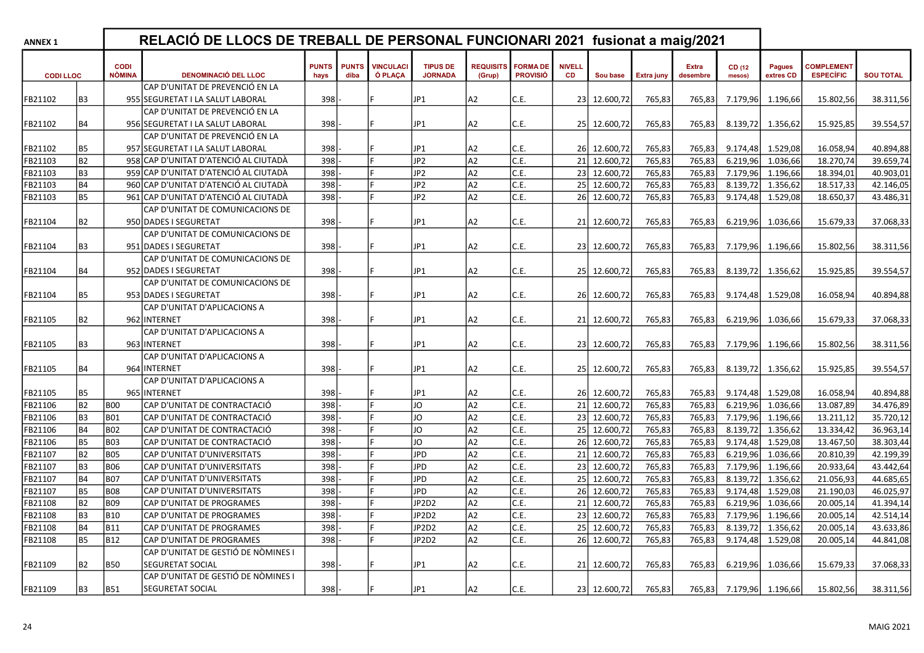| <b>ANNEX 1</b>  |                |                              | RELACIÓ DE LLOCS DE TREBALL DE PERSONAL FUNCIONARI 2021 fusionat a maig/2021 |                      |                      |                             |                                   |                            |                                    |                     |                           |                   |                   |                  |                     |                                       |                  |
|-----------------|----------------|------------------------------|------------------------------------------------------------------------------|----------------------|----------------------|-----------------------------|-----------------------------------|----------------------------|------------------------------------|---------------------|---------------------------|-------------------|-------------------|------------------|---------------------|---------------------------------------|------------------|
| <b>CODILLOC</b> |                | <b>CODI</b><br><b>NÒMINA</b> | <b>DENOMINACIÓ DEL LLOC</b>                                                  | <b>PUNTS</b><br>hays | <b>PUNTS</b><br>diba | <b>VINCULACI</b><br>Ó PLACA | <b>TIPUS DE</b><br><b>JORNADA</b> | <b>REQUISITS</b><br>(Grup) | <b>FORMA DE</b><br><b>PROVISIÓ</b> | <b>NIVELL</b><br>CD | Sou base                  | <b>Extra juny</b> | Extra<br>desembre | CD (12<br>mesos) | Pagues<br>extres CD | <b>COMPLEMENT</b><br><b>ESPECÍFIC</b> | <b>SOU TOTAL</b> |
|                 |                |                              | CAP D'UNITAT DE PREVENCIÓ EN LA                                              |                      |                      |                             |                                   |                            |                                    |                     |                           |                   |                   |                  |                     |                                       |                  |
| FB21102         | B <sub>3</sub> |                              | 955 SEGURETAT I LA SALUT LABORAL                                             | 398                  |                      |                             | JP1                               | A <sub>2</sub>             | C.E.                               |                     | 23 12.600,72              | 765,83            | 765,83            | 7.179,96         | 1.196,66            | 15.802,56                             | 38.311,56        |
|                 |                |                              | CAP D'UNITAT DE PREVENCIÓ EN LA                                              |                      |                      |                             |                                   |                            |                                    |                     |                           |                   |                   |                  |                     |                                       |                  |
| FB21102         | <b>B4</b>      |                              | 956 SEGURETAT I LA SALUT LABORAL                                             | 398                  |                      |                             | JP1                               | A <sub>2</sub>             | C.E.                               |                     | 25 12.600,72              | 765,83            | 765,83            | 8.139,72         | 1.356,62            | 15.925,85                             | 39.554,57        |
|                 |                |                              | CAP D'UNITAT DE PREVENCIÓ EN LA                                              |                      |                      |                             |                                   |                            |                                    |                     |                           |                   |                   |                  |                     |                                       |                  |
| FB21102         | <b>B5</b>      |                              | 957 SEGURETAT I LA SALUT LABORAL                                             | 398                  |                      |                             | JP1                               | A2                         | C.E.                               |                     | 26 12.600,72              | 765,83            | 765,83            | 9.174,48         | 1.529,08            | 16.058.94                             | 40.894,88        |
| FB21103         | <b>B2</b>      |                              | 958 CAP D'UNITAT D'ATENCIÓ AL CIUTADÀ                                        | 398                  |                      |                             | JP <sub>2</sub>                   | A <sub>2</sub>             | C.E.                               |                     | $\overline{21}$ 12.600,72 | 765,83            | 765,83            | 6.219,96         | 1.036,66            | 18.270,74                             | 39.659,74        |
| FB21103         | B <sub>3</sub> |                              | 959 CAP D'UNITAT D'ATENCIÓ AL CIUTADÀ                                        | 398                  |                      |                             | JP <sub>2</sub>                   | A <sub>2</sub>             | C.E.                               |                     | 23 12.600,72              | 765,83            | 765,83            | 7.179,96         | 1.196,66            | 18.394,01                             | 40.903,01        |
| FB21103         | <b>B4</b>      |                              | 960 CAP D'UNITAT D'ATENCIÓ AL CIUTADÀ                                        | 398                  |                      |                             | JP <sub>2</sub>                   | A <sub>2</sub>             | C.E.                               |                     | 25 12.600,72              | 765,83            | 765,83            | 8.139,72         | 1.356,62            | 18.517,33                             | 42.146,05        |
| FB21103         | <b>B5</b>      |                              | 961 CAP D'UNITAT D'ATENCIÓ AL CIUTADÀ                                        | 398                  |                      |                             | JP <sub>2</sub>                   | A <sub>2</sub>             | C.E.                               |                     | 26 12.600,72              | 765,83            | 765,83            | 9.174,48         | 1.529,08            | 18.650,37                             | 43.486,31        |
|                 |                |                              | CAP D'UNITAT DE COMUNICACIONS DE                                             |                      |                      |                             |                                   |                            |                                    |                     |                           |                   |                   |                  |                     |                                       |                  |
| FB21104         | B2             |                              | 950 DADES I SEGURETAT                                                        | 398                  |                      |                             | JP1                               | A <sub>2</sub>             | C.E.                               |                     | 21 12.600,72              | 765,83            | 765,83            | 6.219,96         | 1.036,66            | 15.679,33                             | 37.068,33        |
|                 |                |                              | CAP D'UNITAT DE COMUNICACIONS DE                                             |                      |                      |                             |                                   |                            |                                    |                     |                           |                   |                   |                  |                     |                                       |                  |
| FB21104         | B <sub>3</sub> |                              | 951 DADES I SEGURETAT                                                        | 398                  |                      |                             | JP1                               | A <sub>2</sub>             | C.E.                               |                     | 23 12.600,72              | 765,83            | 765,83            | 7.179,96         | 1.196,66            | 15.802,56                             | 38.311,56        |
|                 |                |                              | CAP D'UNITAT DE COMUNICACIONS DE                                             |                      |                      |                             |                                   |                            |                                    |                     |                           |                   |                   |                  |                     |                                       |                  |
| FB21104         | Β4             |                              | 952 DADES I SEGURETAT                                                        | 398                  |                      |                             | JP1                               | A <sub>2</sub>             | C.E.                               |                     | 25 12.600,72              | 765,83            | 765,83            | 8.139,72         | 1.356,62            | 15.925,85                             | 39.554,57        |
|                 |                |                              | CAP D'UNITAT DE COMUNICACIONS DE                                             |                      |                      |                             |                                   |                            |                                    |                     |                           |                   |                   |                  |                     |                                       |                  |
| FB21104         | B5             |                              | 953 DADES I SEGURETAT                                                        | 398                  |                      |                             | JP1                               | A <sub>2</sub>             | C.E.                               |                     | 26 12.600,72              | 765,83            | 765,83            | 9.174,48         | 1.529,08            | 16.058,94                             | 40.894,88        |
|                 |                |                              | CAP D'UNITAT D'APLICACIONS A                                                 |                      |                      |                             |                                   |                            |                                    |                     |                           |                   |                   |                  |                     |                                       |                  |
| FB21105         | B2             |                              | 962 INTERNET                                                                 | 398                  |                      |                             | JP1                               | A <sub>2</sub>             | C.E.                               |                     | 21 12.600,72              | 765,83            | 765,83            | 6.219,96         | 1.036,66            | 15.679,33                             | 37.068,33        |
|                 |                |                              | CAP D'UNITAT D'APLICACIONS A                                                 |                      |                      |                             |                                   |                            |                                    |                     |                           |                   |                   |                  |                     |                                       |                  |
| FB21105         | B <sub>3</sub> |                              | 963 INTERNET                                                                 | 398                  |                      |                             | JP1                               | A <sub>2</sub>             | C.E.                               |                     | 23 12.600.72              | 765.83            | 765.83            | 7.179,96         | 1.196,66            | 15.802.56                             | 38.311,56        |
|                 |                |                              | CAP D'UNITAT D'APLICACIONS A                                                 |                      |                      |                             |                                   |                            |                                    |                     |                           |                   |                   |                  |                     |                                       |                  |
| FB21105         | Β4             |                              | 964 INTERNET                                                                 | 398                  |                      |                             | JP1                               | A2                         | C.E.                               |                     | 25 12.600,72              | 765,83            | 765,83            | 8.139,72         | 1.356,62            | 15.925.85                             | 39.554,57        |
|                 |                |                              | CAP D'UNITAT D'APLICACIONS A                                                 |                      |                      |                             |                                   |                            |                                    |                     |                           |                   |                   |                  |                     |                                       |                  |
| FB21105         | <b>B5</b>      |                              | 965 INTERNET                                                                 | 398                  |                      |                             | JP1                               | A <sub>2</sub>             | C.E.                               |                     | 26 12.600,72              | 765,83            | 765,83            | 9.174,48         | 1.529,08            | 16.058,94                             | 40.894,88        |
| FB21106         | <b>B2</b>      | <b>BOO</b>                   | CAP D'UNITAT DE CONTRACTACIÓ                                                 | 398                  |                      |                             | JO                                | A <sub>2</sub>             | C.E.                               |                     | 21 12.600,72              | 765,83            | 765.83            | 6.219.96         | 1.036,66            | 13.087,89                             | 34.476,89        |
| FB21106         | B <sub>3</sub> | <b>B01</b>                   | CAP D'UNITAT DE CONTRACTACIÓ                                                 | 398                  |                      |                             | JO                                | A <sub>2</sub>             | C.E.                               |                     | 23 12.600,72              | 765,83            | 765,83            | 7.179,96         | 1.196,66            | 13.211,12                             | 35.720,12        |
| FB21106         | <b>B4</b>      | <b>BO2</b>                   | CAP D'UNITAT DE CONTRACTACIÓ                                                 | 398                  |                      |                             | JO                                | A <sub>2</sub>             | C.E.                               |                     | 25 12.600,72              | 765,83            | 765,83            | 8.139,72         | 1.356,62            | 13.334,42                             | 36.963,14        |
| FB21106         | <b>B5</b>      | <b>B03</b>                   | CAP D'UNITAT DE CONTRACTACIÓ                                                 | 398                  |                      |                             | JO                                | A <sub>2</sub>             | C.E.                               |                     | 26 12.600,72              | 765,83            | 765,83            | 9.174,48         | 1.529,08            | 13.467,50                             | 38.303,44        |
| FB21107         | <b>B2</b>      | <b>B05</b>                   | CAP D'UNITAT D'UNIVERSITATS                                                  | 398                  |                      |                             | <b>JPD</b>                        | A <sub>2</sub>             | C.E.                               |                     | 21 12.600,72              | 765,83            | 765,83            | 6.219,96         | 1.036,66            | 20.810,39                             | 42.199,39        |
| FB21107         | B <sub>3</sub> | <b>BO6</b>                   | CAP D'UNITAT D'UNIVERSITATS                                                  | 398                  |                      |                             | <b>JPD</b>                        | A <sub>2</sub>             | C.E.                               |                     | 23 12.600,72              | 765,83            | 765,83            | 7.179,96         | 1.196,66            | 20.933,64                             | 43.442,64        |
| FB21107         | B4             | <b>B07</b>                   | CAP D'UNITAT D'UNIVERSITATS                                                  | 398                  |                      |                             | <b>JPD</b>                        | A <sub>2</sub>             | C.E.                               |                     | 25 12.600,72              | 765,83            | 765,83            | 8.139,72         | 1.356,62            | 21.056,93                             | 44.685,65        |
| FB21107         | <b>B5</b>      | <b>B08</b>                   | CAP D'UNITAT D'UNIVERSITATS                                                  | 398                  |                      |                             | <b>JPD</b>                        | A <sub>2</sub>             | C.E.                               |                     | 26 12.600,72              | 765,83            | 765,83            | 9.174,48         | 1.529,08            | 21.190,03                             | 46.025,97        |
| FB21108         | <b>B2</b>      | <b>B09</b>                   | CAP D'UNITAT DE PROGRAMES                                                    | 398                  |                      |                             | JP2D2                             | A <sub>2</sub>             | C.E.                               |                     | 21 12.600,72              | 765,83            | 765,83            | 6.219,96         | 1.036,66            | 20.005,14                             | 41.394,14        |
| FB21108         | B <sub>3</sub> | <b>B10</b>                   | CAP D'UNITAT DE PROGRAMES                                                    | 398                  |                      |                             | JP2D2                             | A <sub>2</sub>             | C.E.                               |                     | 23 12.600,72              | 765,83            | 765,83            | 7.179,96         | 1.196,66            | 20.005,14                             | 42.514,14        |
| FB21108         | <b>B4</b>      | <b>B11</b>                   | CAP D'UNITAT DE PROGRAMES                                                    | 398                  |                      |                             | JP2D2                             | A <sub>2</sub>             | C.E.                               | 25                  | 12.600,72                 | 765,83            | 765,83            | 8.139,72         | 1.356,62            | 20.005,14                             | 43.633,86        |
| FB21108         | <b>B5</b>      | <b>B12</b>                   | CAP D'UNITAT DE PROGRAMES                                                    | 398                  |                      |                             | JP2D2                             | A <sub>2</sub>             | C.E.                               |                     | 26 12.600,72              | 765,83            | 765,83            | 9.174,48         | 1.529,08            | 20.005,14                             | 44.841,08        |
|                 |                |                              | CAP D'UNITAT DE GESTIÓ DE NÒMINES I                                          |                      |                      |                             |                                   |                            |                                    |                     |                           |                   |                   |                  |                     |                                       |                  |
| FB21109         | B2             | B50                          | SEGURETAT SOCIAL                                                             | 398                  |                      |                             | JP1                               | A <sub>2</sub>             | C.E.                               |                     | 21 12.600,72              | 765,83            | 765,83            | 6.219,96         | 1.036,66            | 15.679,33                             | 37.068,33        |
|                 |                |                              | CAP D'UNITAT DE GESTIÓ DE NÒMINES I                                          |                      |                      |                             |                                   |                            |                                    |                     |                           |                   |                   |                  |                     |                                       |                  |
| FB21109         | B <sub>3</sub> | B51                          | SEGURETAT SOCIAL                                                             | 398                  |                      |                             | JP1                               | A <sub>2</sub>             | C.E.                               |                     | 23 12.600,72              | 765,83            | 765,83            |                  | 7.179,96 1.196,66   | 15.802,56                             | 38.311,56        |
|                 |                |                              |                                                                              |                      |                      |                             |                                   |                            |                                    |                     |                           |                   |                   |                  |                     |                                       |                  |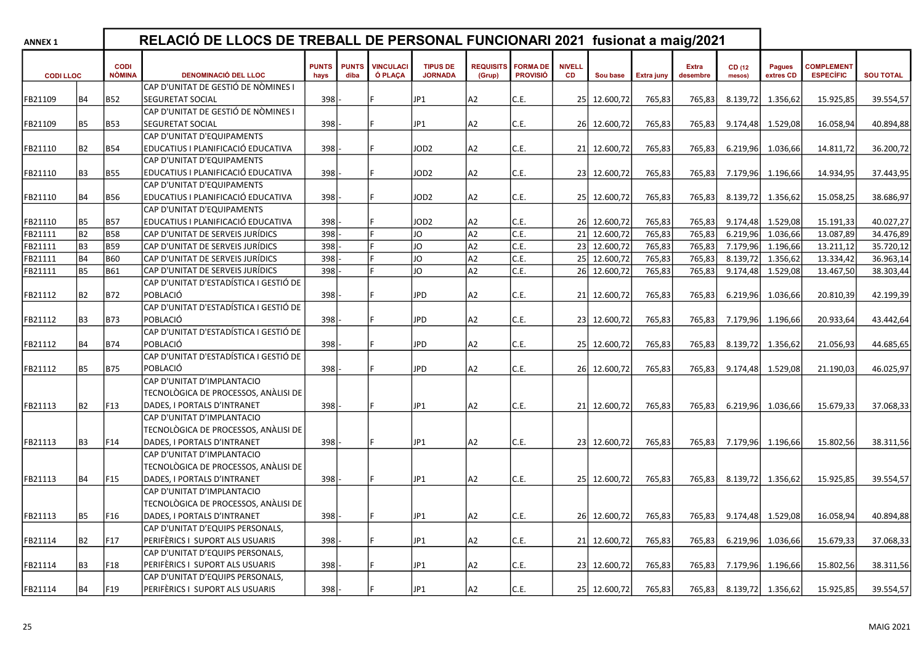| <b>ANNEX 1</b>  |                |                              | RELACIÓ DE LLOCS DE TREBALL DE PERSONAL FUNCIONARI 2021 fusionat a maig/2021 |                      |                      |                             |                                   |                            |                                    |                            |              |                   |                          |                  |                            |                                       |                  |
|-----------------|----------------|------------------------------|------------------------------------------------------------------------------|----------------------|----------------------|-----------------------------|-----------------------------------|----------------------------|------------------------------------|----------------------------|--------------|-------------------|--------------------------|------------------|----------------------------|---------------------------------------|------------------|
| <b>CODILLOC</b> |                | <b>CODI</b><br><b>NÒMINA</b> | <b>DENOMINACIÓ DEL LLOC</b>                                                  | <b>PUNTS</b><br>hays | <b>PUNTS</b><br>diba | <b>VINCULACI</b><br>Ó PLACA | <b>TIPUS DE</b><br><b>JORNADA</b> | <b>REQUISITS</b><br>(Grup) | <b>FORMA DE</b><br><b>PROVISIÓ</b> | <b>NIVELL</b><br><b>CD</b> | Sou base     | <b>Extra juny</b> | <b>Extra</b><br>desembre | CD (12<br>mesos) | <b>Pagues</b><br>extres CD | <b>COMPLEMENT</b><br><b>ESPECÍFIC</b> | <b>SOU TOTAL</b> |
|                 |                |                              | CAP D'UNITAT DE GESTIÓ DE NÒMINES I                                          |                      |                      |                             |                                   |                            |                                    |                            |              |                   |                          |                  |                            |                                       |                  |
| FB21109         | <b>B4</b>      | B52                          | SEGURETAT SOCIAL                                                             | 398                  |                      |                             | JP1                               | A <sub>2</sub>             | C.E.                               |                            | 25 12.600,72 | 765,83            | 765,83                   | 8.139,72         | 1.356,62                   | 15.925,85                             | 39.554,57        |
|                 |                |                              | CAP D'UNITAT DE GESTIÓ DE NÒMINES I                                          |                      |                      |                             |                                   |                            |                                    |                            |              |                   |                          |                  |                            |                                       |                  |
| FB21109         | <b>B5</b>      | B53                          | SEGURETAT SOCIAL                                                             | 398                  |                      |                             | JP1                               | A2                         | C.E.                               |                            | 26 12.600,72 | 765,83            | 765.83                   | 9.174,48         | 1.529,08                   | 16.058,94                             | 40.894,88        |
|                 |                |                              | CAP D'UNITAT D'EQUIPAMENTS                                                   |                      |                      |                             |                                   |                            |                                    |                            |              |                   |                          |                  |                            |                                       |                  |
| FB21110         | <b>B2</b>      | IB54                         | EDUCATIUS I PLANIFICACIÓ EDUCATIVA                                           | 398                  |                      |                             | JOD <sub>2</sub>                  | A <sub>2</sub>             | C.E.                               |                            | 21 12.600,72 | 765,83            | 765,83                   | 6.219,96         | 1.036,66                   | 14.811,72                             | 36.200,72        |
|                 |                |                              | CAP D'UNITAT D'EQUIPAMENTS                                                   |                      |                      |                             |                                   |                            |                                    |                            |              |                   |                          |                  |                            |                                       |                  |
| FB21110         | B <sub>3</sub> | B55                          | EDUCATIUS I PLANIFICACIÓ EDUCATIVA                                           | 398                  |                      |                             | JOD <sub>2</sub>                  | A <sub>2</sub>             | C.E.                               |                            | 23 12.600,72 | 765,83            | 765,83                   | 7.179,96         | 1.196,66                   | 14.934,95                             | 37.443,95        |
|                 |                |                              | CAP D'UNITAT D'EQUIPAMENTS                                                   |                      |                      |                             |                                   |                            |                                    |                            |              |                   |                          |                  |                            |                                       |                  |
| FB21110         | <b>B4</b>      | B56                          | EDUCATIUS I PLANIFICACIÓ EDUCATIVA                                           | 398                  |                      |                             | JOD <sub>2</sub>                  | A <sub>2</sub>             | C.E.                               |                            | 25 12.600,72 | 765,83            | 765,83                   | 8.139,72         | 1.356,62                   | 15.058,25                             | 38.686,97        |
|                 |                |                              | CAP D'UNITAT D'EQUIPAMENTS                                                   |                      |                      |                             |                                   |                            |                                    |                            |              |                   |                          |                  |                            |                                       |                  |
| FB21110         | <b>B5</b>      | B57                          | EDUCATIUS I PLANIFICACIÓ EDUCATIVA                                           | 398                  |                      |                             | JOD <sub>2</sub>                  | A2                         | C.E.                               |                            | 26 12.600,72 | 765,83            | 765,83                   | 9.174,48         | 1.529,08                   | 15.191,33                             | 40.027,27        |
| FB21111         | <b>B2</b>      | <b>B58</b>                   | CAP D'UNITAT DE SERVEIS JURÍDICS                                             | 398                  |                      |                             | JO                                | A2                         | C.E.                               |                            | 21 12.600,72 | 765,83            | 765,83                   | 6.219,96         | 1.036,66                   | 13.087,89                             | 34.476,89        |
| FB21111         | B <sub>3</sub> | <b>B59</b>                   | CAP D'UNITAT DE SERVEIS JURÍDICS                                             | 398                  |                      |                             | JO.                               | A2                         | C.E.                               |                            | 23 12.600,72 | 765,83            | 765,83                   | 7.179,96         | 1.196,66                   | 13.211,12                             | 35.720,12        |
| FB21111         | <b>B4</b>      | <b>B60</b>                   | CAP D'UNITAT DE SERVEIS JURÍDICS                                             | 398                  |                      |                             | JO                                | la2                        | C.E.                               |                            | 25 12.600,72 | 765,83            | 765,83                   | 8.139,72         | 1.356,62                   | 13.334,42                             | 36.963,14        |
| FB21111         | <b>B5</b>      | <b>B61</b>                   | CAP D'UNITAT DE SERVEIS JURÍDICS                                             | 398                  |                      |                             | JO                                | A <sub>2</sub>             | C.E.                               |                            | 26 12.600,72 | 765,83            | 765,83                   | 9.174,48         | 1.529,08                   | 13.467,50                             | 38.303,44        |
|                 |                |                              | CAP D'UNITAT D'ESTADÍSTICA I GESTIÓ DE                                       |                      |                      |                             |                                   |                            |                                    |                            |              |                   |                          |                  |                            |                                       |                  |
| FB21112         | B2             | B72                          | POBLACIÓ                                                                     | 398                  |                      |                             | <b>JPD</b>                        | A <sub>2</sub>             | C.E.                               |                            | 21 12.600,72 | 765,83            | 765,83                   | 6.219,96         | 1.036,66                   | 20.810,39                             | 42.199,39        |
|                 |                |                              | CAP D'UNITAT D'ESTADÍSTICA I GESTIÓ DE                                       |                      |                      |                             |                                   |                            |                                    |                            |              |                   |                          |                  |                            |                                       |                  |
| FB21112         | B3             | l B73                        | POBLACIÓ                                                                     | 398                  |                      |                             | <b>JPD</b>                        | A <sub>2</sub>             | C.E.                               |                            | 23 12.600,72 | 765,83            | 765,83                   | 7.179,96         | 1.196,66                   | 20.933,64                             | 43.442,64        |
|                 |                |                              | CAP D'UNITAT D'ESTADÍSTICA I GESTIÓ DE                                       |                      |                      |                             |                                   |                            |                                    |                            |              |                   |                          |                  |                            |                                       |                  |
| FB21112         | <b>B4</b>      | l B74                        | POBLACIÓ                                                                     | 398                  |                      |                             | <b>JPD</b>                        | A2                         | C.E.                               |                            | 25 12.600,72 | 765,83            | 765.83                   | 8.139,72         | 1.356,62                   | 21.056,93                             | 44.685,65        |
|                 |                |                              | CAP D'UNITAT D'ESTADÍSTICA I GESTIÓ DE                                       |                      |                      |                             |                                   |                            |                                    |                            |              |                   |                          |                  |                            |                                       |                  |
| FB21112         | <b>B5</b>      | B75                          | POBLACIÓ                                                                     | 398                  |                      |                             | <b>JPD</b>                        | A2                         | C.E.                               |                            | 26 12.600,72 | 765,83            | 765,83                   | 9.174,48         | 1.529,08                   | 21.190,03                             | 46.025,97        |
|                 |                |                              | CAP D'UNITAT D'IMPLANTACIO                                                   |                      |                      |                             |                                   |                            |                                    |                            |              |                   |                          |                  |                            |                                       |                  |
|                 |                |                              | TECNOLÒGICA DE PROCESSOS, ANÀLISI DE                                         |                      |                      |                             |                                   |                            |                                    |                            |              |                   |                          |                  |                            |                                       |                  |
| FB21113         | <b>B2</b>      | F13                          | DADES, I PORTALS D'INTRANET                                                  | 398                  |                      |                             | JP1                               | A2                         | C.E.                               |                            | 21 12.600,72 | 765,83            | 765,83                   | 6.219,96         | 1.036,66                   | 15.679,33                             | 37.068,33        |
|                 |                |                              | CAP D'UNITAT D'IMPLANTACIO                                                   |                      |                      |                             |                                   |                            |                                    |                            |              |                   |                          |                  |                            |                                       |                  |
|                 |                |                              | TECNOLÒGICA DE PROCESSOS, ANÀLISI DE                                         |                      |                      |                             |                                   |                            |                                    |                            |              |                   |                          |                  |                            |                                       |                  |
| FB21113         | B <sub>3</sub> | F14                          | DADES, I PORTALS D'INTRANET                                                  | 398                  |                      |                             | JP1                               | A2                         | C.E.                               |                            | 23 12.600,72 | 765,83            | 765,83                   |                  | 7.179,96 1.196,66          | 15.802,56                             | 38.311,56        |
|                 |                |                              | CAP D'UNITAT D'IMPLANTACIO                                                   |                      |                      |                             |                                   |                            |                                    |                            |              |                   |                          |                  |                            |                                       |                  |
|                 |                |                              | TECNOLÒGICA DE PROCESSOS, ANÀLISI DE                                         |                      |                      |                             |                                   |                            |                                    |                            |              |                   |                          |                  |                            |                                       |                  |
| FB21113         | <b>B4</b>      | F15                          | DADES, I PORTALS D'INTRANET                                                  | 398                  |                      |                             | JP1                               | A <sub>2</sub>             | C.E.                               |                            | 25 12.600,72 | 765,83            | 765,83                   | 8.139,72         | 1.356,62                   | 15.925,85                             | 39.554,57        |
|                 |                |                              | CAP D'UNITAT D'IMPLANTACIO                                                   |                      |                      |                             |                                   |                            |                                    |                            |              |                   |                          |                  |                            |                                       |                  |
|                 |                |                              | TECNOLÒGICA DE PROCESSOS, ANÀLISI DE                                         |                      |                      |                             |                                   |                            |                                    |                            |              |                   |                          |                  |                            |                                       |                  |
| FB21113         | <b>B5</b>      | F16                          | DADES, I PORTALS D'INTRANET                                                  | 398                  |                      |                             | JP1                               | A2                         | C.E.                               |                            | 26 12.600,72 | 765,83            | 765,83                   |                  | 9.174,48 1.529,08          | 16.058,94                             | 40.894,88        |
|                 |                |                              | CAP D'UNITAT D'EQUIPS PERSONALS,                                             |                      |                      |                             |                                   |                            |                                    |                            |              |                   |                          |                  |                            |                                       |                  |
| FB21114         | <b>B2</b>      | F17                          | PERIFÈRICS I SUPORT ALS USUARIS                                              | 398                  |                      |                             | JP1                               | A2                         | C.E.                               |                            | 21 12.600,72 | 765,83            | 765,83                   | 6.219,96         | 1.036,66                   | 15.679,33                             | 37.068,33        |
|                 |                |                              | CAP D'UNITAT D'EQUIPS PERSONALS,                                             |                      |                      |                             |                                   |                            |                                    |                            |              |                   |                          |                  |                            |                                       |                  |
|                 | B <sub>3</sub> | F18                          | PERIFÈRICS I SUPORT ALS USUARIS                                              | 398                  |                      |                             | JP1                               | A2                         | C.E.                               |                            | 23 12.600,72 | 765,83            |                          | 7.179,96         | 1.196,66                   | 15.802,56                             | 38.311,56        |
| FB21114         |                |                              | CAP D'UNITAT D'EQUIPS PERSONALS,                                             |                      |                      |                             |                                   |                            |                                    |                            |              |                   | 765,83                   |                  |                            |                                       |                  |
|                 |                |                              |                                                                              |                      |                      |                             |                                   |                            |                                    |                            |              |                   |                          |                  |                            |                                       |                  |
| FB21114         | <b>B4</b>      | F19                          | PERIFÈRICS I SUPORT ALS USUARIS                                              | $398$ -              |                      |                             | JP1                               | A2                         | C.E.                               |                            | 25 12.600,72 | 765,83            | 765,83                   |                  | 8.139,72 1.356,62          | 15.925,85                             | 39.554,57        |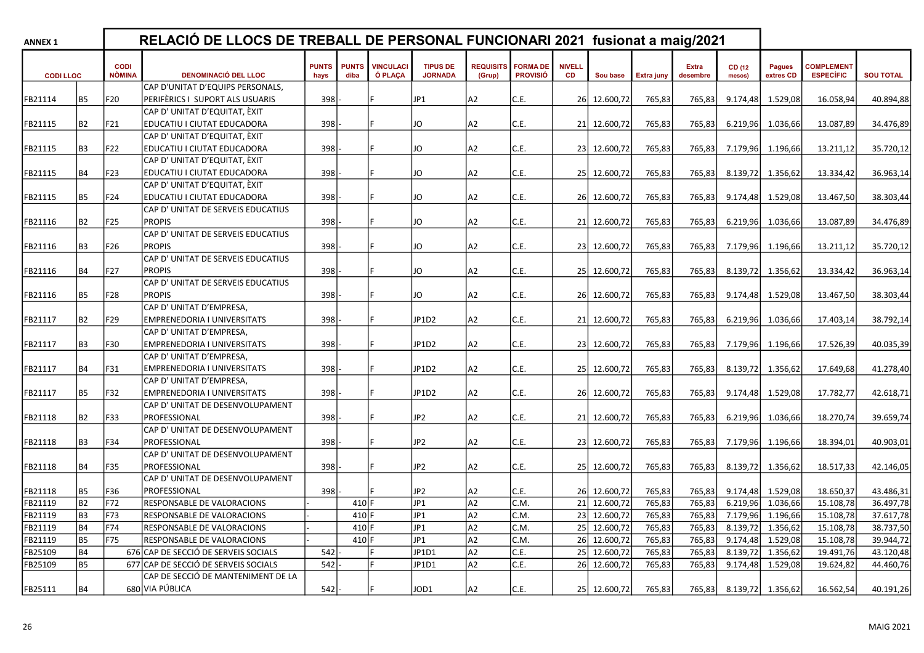| <b>ANNEX 1</b>  |                |                       | RELACIÓ DE LLOCS DE TREBALL DE PERSONAL FUNCIONARI 2021 fusionat a maig/2021 |                      |                      |                             |                                   |                            |                                    |                            |              |            |                          |                  |                            |                                       |                  |
|-----------------|----------------|-----------------------|------------------------------------------------------------------------------|----------------------|----------------------|-----------------------------|-----------------------------------|----------------------------|------------------------------------|----------------------------|--------------|------------|--------------------------|------------------|----------------------------|---------------------------------------|------------------|
| <b>CODILLOC</b> |                | <b>CODI</b><br>NÒMINA | <b>DENOMINACIÓ DEL LLOC</b>                                                  | <b>PUNTS</b><br>hays | <b>PUNTS</b><br>diba | <b>VINCULACI</b><br>Ó PLACA | <b>TIPUS DE</b><br><b>JORNADA</b> | <b>REQUISITS</b><br>(Grup) | <b>FORMA DE</b><br><b>PROVISIÓ</b> | <b>NIVELL</b><br><b>CD</b> | Sou base     | Extra juny | <b>Extra</b><br>desembre | CD (12<br>mesos) | <b>Pagues</b><br>extres CD | <b>COMPLEMENT</b><br><b>ESPECÍFIC</b> | <b>SOU TOTAL</b> |
|                 |                |                       | CAP D'UNITAT D'EQUIPS PERSONALS,                                             |                      |                      |                             |                                   |                            |                                    |                            |              |            |                          |                  |                            |                                       |                  |
| FB21114         | <b>B5</b>      | F20                   | PERIFÈRICS I SUPORT ALS USUARIS                                              | 398                  |                      |                             | JP1                               | IA2                        | C.E.                               |                            | 26 12.600,72 | 765,83     | 765,83                   | 9.174,48         | 1.529,08                   | 16.058,94                             | 40.894,88        |
|                 |                |                       | CAP D' UNITAT D'EQUITAT, ÈXIT                                                |                      |                      |                             |                                   |                            |                                    |                            |              |            |                          |                  |                            |                                       |                  |
| FB21115         | <b>B2</b>      | F21                   | EDUCATIU I CIUTAT EDUCADORA                                                  | 398                  |                      |                             | JO                                | A2                         | C.E.                               |                            | 21 12.600,72 | 765,83     | 765,83                   | 6.219,96         | 1.036,66                   | 13.087,89                             | 34.476,89        |
|                 |                |                       | CAP D' UNITAT D'EQUITAT, ÈXIT                                                |                      |                      |                             |                                   |                            |                                    |                            |              |            |                          |                  |                            |                                       |                  |
| FB21115         | B <sub>3</sub> | F22                   | EDUCATIU I CIUTAT EDUCADORA                                                  | 398                  |                      |                             | JO                                | A2                         | C.E.                               |                            | 23 12.600,72 | 765,83     | 765,83                   | 7.179,96         | 1.196,66                   | 13.211,12                             | 35.720,12        |
|                 |                |                       | CAP D' UNITAT D'EQUITAT, ÈXIT                                                |                      |                      |                             |                                   |                            |                                    |                            |              |            |                          |                  |                            |                                       |                  |
| FB21115         | <b>B4</b>      | IF23                  | EDUCATIU I CIUTAT EDUCADORA                                                  | 398                  |                      |                             | JO                                | A <sub>2</sub>             | C.E.                               |                            | 25 12.600,72 | 765,83     | 765,83                   | 8.139,72         | 1.356,62                   | 13.334,42                             | 36.963,14        |
|                 |                |                       | CAP D' UNITAT D'EQUITAT, ÈXIT                                                |                      |                      |                             |                                   |                            |                                    |                            |              |            |                          |                  |                            |                                       |                  |
| FB21115         | <b>B5</b>      | F <sub>24</sub>       | EDUCATIU I CIUTAT EDUCADORA                                                  | 398                  |                      |                             | JO                                | A2                         | C.E.                               |                            | 26 12.600,72 | 765,83     | 765,83                   | 9.174,48         | 1.529,08                   | 13.467,50                             | 38.303,44        |
|                 |                |                       | CAP D' UNITAT DE SERVEIS EDUCATIUS                                           |                      |                      |                             |                                   |                            |                                    |                            |              |            |                          |                  |                            |                                       |                  |
| FB21116         | <b>B2</b>      | F25                   | <b>PROPIS</b>                                                                | 398                  |                      |                             | JO                                | A <sub>2</sub>             | C.E.                               |                            | 21 12.600,72 | 765,83     | 765,83                   | 6.219,96         | 1.036,66                   | 13.087,89                             | 34.476,89        |
|                 |                |                       | CAP D' UNITAT DE SERVEIS EDUCATIUS                                           |                      |                      |                             |                                   |                            |                                    |                            |              |            |                          |                  |                            |                                       |                  |
| FB21116         | B <sub>3</sub> | F26                   | <b>PROPIS</b>                                                                | 398                  |                      |                             | JO                                | A <sub>2</sub>             | C.E.                               | 23                         | 12.600,72    | 765,83     | 765,83                   | 7.179,96         | 1.196,66                   | 13.211,12                             | 35.720,12        |
|                 |                |                       | CAP D' UNITAT DE SERVEIS EDUCATIUS                                           |                      |                      |                             |                                   |                            |                                    |                            |              |            |                          |                  |                            |                                       |                  |
| FB21116         | <b>B4</b>      | F <sub>27</sub>       | <b>PROPIS</b>                                                                | 398                  |                      |                             | JO                                | A <sub>2</sub>             | C.E.                               |                            | 25 12.600,72 | 765,83     | 765,83                   | 8.139,72         | 1.356,62                   | 13.334,42                             | 36.963,14        |
|                 |                |                       | CAP D' UNITAT DE SERVEIS EDUCATIUS                                           |                      |                      |                             |                                   |                            |                                    |                            |              |            |                          |                  |                            |                                       |                  |
| FB21116         | <b>B5</b>      | F28                   | <b>PROPIS</b>                                                                | 398                  |                      |                             | JO                                | A <sub>2</sub>             | C.E.                               |                            | 26 12.600,72 | 765,83     | 765,83                   | 9.174,48         | 1.529,08                   | 13.467,50                             | 38.303,44        |
|                 |                |                       | CAP D' UNITAT D'EMPRESA,                                                     |                      |                      |                             |                                   |                            |                                    |                            |              |            |                          |                  |                            |                                       |                  |
| FB21117         | <b>B2</b>      | F <sub>29</sub>       | <b>EMPRENEDORIA I UNIVERSITATS</b>                                           | 398                  |                      |                             | JP1D2                             | A <sub>2</sub>             | C.E.                               |                            | 21 12.600,72 | 765,83     | 765,83                   | 6.219,96         | 1.036,66                   | 17.403,14                             | 38.792,14        |
|                 |                |                       | CAP D' UNITAT D'EMPRESA,                                                     |                      |                      |                             |                                   |                            |                                    |                            |              |            |                          |                  |                            |                                       |                  |
| FB21117         | l B3           | lF30                  | <b>EMPRENEDORIA I UNIVERSITATS</b>                                           | 398                  |                      |                             | JP1D2                             | A2                         | C.E.                               |                            | 23 12.600,72 | 765,83     | 765,83                   | 7.179,96         | 1.196,66                   | 17.526,39                             | 40.035,39        |
|                 |                |                       | CAP D' UNITAT D'EMPRESA                                                      |                      |                      |                             |                                   |                            |                                    |                            |              |            |                          |                  |                            |                                       |                  |
| FB21117         | <b>B4</b>      | F31                   | <b>EMPRENEDORIA I UNIVERSITATS</b>                                           | 398                  |                      |                             | JP1D2                             | A <sub>2</sub>             | C.E.                               |                            | 25 12.600,72 | 765,83     | 765,83                   | 8.139,72         | 1.356,62                   | 17.649,68                             | 41.278,40        |
|                 |                |                       | CAP D' UNITAT D'EMPRESA,                                                     |                      |                      |                             |                                   |                            |                                    |                            |              |            |                          |                  |                            |                                       |                  |
| FB21117         | <b>B5</b>      | F <sub>32</sub>       | <b>EMPRENEDORIA I UNIVERSITATS</b>                                           | 398                  |                      |                             | JP1D2                             | A <sub>2</sub>             | C.E.                               |                            | 26 12.600,72 | 765,83     | 765,83                   | 9.174,48         | 1.529,08                   | 17.782,77                             | 42.618,71        |
|                 |                |                       | CAP D' UNITAT DE DESENVOLUPAMENT                                             |                      |                      |                             |                                   |                            |                                    |                            |              |            |                          |                  |                            |                                       |                  |
| FB21118         | <b>B2</b>      | F33                   | PROFESSIONAL                                                                 | 398                  |                      |                             | JP <sub>2</sub>                   | A2                         | C.E.                               |                            | 21 12.600,72 | 765,83     | 765,83                   | 6.219,96         | 1.036,66                   | 18.270,74                             | 39.659,74        |
|                 |                |                       | CAP D' UNITAT DE DESENVOLUPAMENT                                             |                      |                      |                             |                                   |                            |                                    |                            |              |            |                          |                  |                            |                                       |                  |
| FB21118         | B <sub>3</sub> | F34                   | PROFESSIONAL                                                                 | 398                  |                      |                             | JP <sub>2</sub>                   | A2                         | C.E.                               |                            | 23 12.600,72 | 765,83     | 765,83                   | 7.179,96         | 1.196,66                   | 18.394,01                             | 40.903,01        |
|                 |                |                       | CAP D' UNITAT DE DESENVOLUPAMENT                                             |                      |                      |                             |                                   |                            |                                    |                            |              |            |                          |                  |                            |                                       |                  |
| FB21118         | <b>B4</b>      | F35                   | PROFESSIONAL                                                                 | 398                  |                      |                             | JP <sub>2</sub>                   | A2                         | C.E.                               |                            | 25 12.600,72 | 765,83     | 765,83                   | 8.139,72         | 1.356,62                   | 18.517,33                             | 42.146,05        |
|                 |                |                       | CAP D' UNITAT DE DESENVOLUPAMENT                                             |                      |                      |                             |                                   |                            |                                    |                            |              |            |                          |                  |                            |                                       |                  |
| FB21118         | B <sub>5</sub> | F36                   | PROFESSIONAL                                                                 | 398                  |                      |                             | JP <sub>2</sub>                   | A2                         | C.E.                               |                            | 26 12.600,72 | 765,83     | 765,83                   |                  | 9.174,48 1.529,08          | 18.650,37                             | 43.486,31        |
| FB21119         | <b>B2</b>      | F72                   | RESPONSABLE DE VALORACIONS                                                   |                      | 410 <sub>F</sub>     |                             | JP <sub>1</sub>                   | la2                        | C.M.                               |                            | 21 12.600,72 | 765,83     | 765,83                   | 6.219,96         | 1.036,66                   | 15.108,78                             | 36.497,78        |
| FB21119         | l B3           | F73                   | RESPONSABLE DE VALORACIONS                                                   |                      | 410 F                |                             | JP1                               | A <sub>2</sub>             | C.M.                               |                            | 23 12.600,72 | 765,83     | 765,83                   | 7.179,96         | 1.196,66                   | 15.108,78                             | 37.617,78        |
| FB21119         | <b>B4</b>      | F74                   | RESPONSABLE DE VALORACIONS                                                   |                      | 410                  |                             | JP1                               | A <sub>2</sub>             | C.M.                               |                            | 25 12.600,72 | 765,83     | 765,83                   | 8.139,72         | 1.356,62                   | 15.108,78                             | 38.737,50        |
| FB21119         | <b>B5</b>      | F75                   | RESPONSABLE DE VALORACIONS                                                   |                      | 410 F                |                             | JP1                               | A <sub>2</sub>             | C.M.                               |                            | 26 12.600,72 | 765,83     | 765,83                   | 9.174,48         | 1.529,08                   | 15.108,78                             | 39.944,72        |
| FB25109         | <b>B4</b>      |                       | 676 CAP DE SECCIÓ DE SERVEIS SOCIALS                                         | 542                  |                      |                             | JP1D1                             | A2                         | C.E.                               |                            | 25 12.600,72 | 765,83     | 765,83                   | 8.139,72         | 1.356,62                   | 19.491,76                             | 43.120,48        |
| FB25109         | <b>B5</b>      |                       | 677 CAP DE SECCIÓ DE SERVEIS SOCIALS                                         | 542                  |                      |                             | JP1D1                             | la2                        | C.E.                               |                            | 26 12.600,72 | 765,83     | 765,83                   | 9.174,48         | 1.529,08                   | 19.624,82                             | 44.460,76        |
|                 |                |                       | CAP DE SECCIÓ DE MANTENIMENT DE LA                                           |                      |                      |                             |                                   |                            |                                    |                            |              |            |                          |                  |                            |                                       |                  |
| FB25111         | <b>B4</b>      |                       | 680 VIA PÚBLICA                                                              | 542                  |                      |                             | JOD1                              | A2                         | C.E.                               |                            | 25 12.600,72 | 765,83     | 765,83                   |                  | 8.139,72 1.356,62          | 16.562,54                             | 40.191,26        |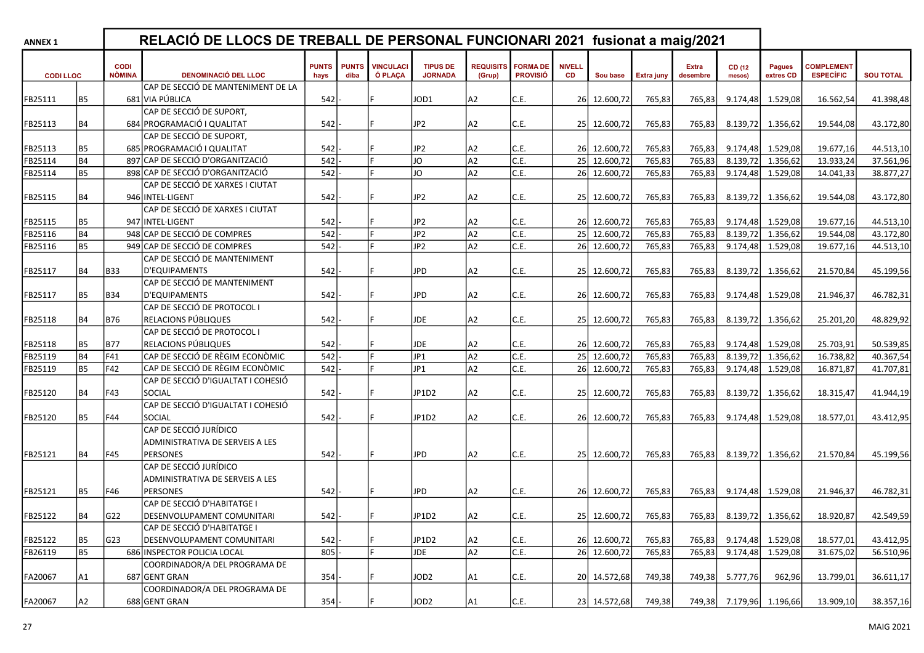| <b>ANNEX 1</b>  |           |                              | RELACIÓ DE LLOCS DE TREBALL DE PERSONAL FUNCIONARI 2021 fusionat a maig/2021 |                      |                      |                             |                                   |                            |                                    |                     |              |                   |                          |                  |                            |                                       |                  |
|-----------------|-----------|------------------------------|------------------------------------------------------------------------------|----------------------|----------------------|-----------------------------|-----------------------------------|----------------------------|------------------------------------|---------------------|--------------|-------------------|--------------------------|------------------|----------------------------|---------------------------------------|------------------|
| <b>CODILLOC</b> |           | <b>CODI</b><br><b>NÒMINA</b> | <b>DENOMINACIÓ DEL LLOC</b>                                                  | <b>PUNTS</b><br>hays | <b>PUNTS</b><br>diba | <b>VINCULACI</b><br>Ó PLAÇA | <b>TIPUS DE</b><br><b>JORNADA</b> | <b>REQUISITS</b><br>(Grup) | <b>FORMA DE</b><br><b>PROVISIÓ</b> | <b>NIVELL</b><br>CD | Sou base     | <b>Extra juny</b> | <b>Extra</b><br>desembre | CD (12<br>mesos) | <b>Pagues</b><br>extres CD | <b>COMPLEMENT</b><br><b>ESPECÍFIC</b> | <b>SOU TOTAL</b> |
|                 |           |                              | CAP DE SECCIÓ DE MANTENIMENT DE LA                                           |                      |                      |                             |                                   |                            |                                    |                     |              |                   |                          |                  |                            |                                       |                  |
| FB25111         | <b>B5</b> |                              | 681 VIA PÚBLICA                                                              | 542                  |                      |                             | JOD1                              | A <sub>2</sub>             | C.E.                               |                     | 26 12.600,72 | 765,83            | 765,83                   | 9.174,48         | 1.529,08                   | 16.562,54                             | 41.398,48        |
|                 |           |                              | CAP DE SECCIÓ DE SUPORT,                                                     |                      |                      |                             |                                   |                            |                                    |                     |              |                   |                          |                  |                            |                                       |                  |
| FB25113         | <b>B4</b> |                              | 684 PROGRAMACIÓ I QUALITAT                                                   | 542                  |                      |                             | JP2                               | A <sub>2</sub>             | C.E.                               |                     | 25 12.600,72 | 765,83            | 765,83                   | 8.139,72         | 1.356,62                   | 19.544,08                             | 43.172,80        |
|                 |           |                              | CAP DE SECCIÓ DE SUPORT,                                                     |                      |                      |                             |                                   |                            |                                    |                     |              |                   |                          |                  |                            |                                       |                  |
| FB25113         | B5        |                              | 685 PROGRAMACIÓ I QUALITAT                                                   | 542                  |                      |                             | JP <sub>2</sub>                   | A <sub>2</sub>             | C.E.                               |                     | 26 12.600,72 | 765,83            | 765,83                   | 9.174,48         | 1.529,08                   | 19.677,16                             | 44.513,10        |
| FB25114         | <b>B4</b> |                              | 897 CAP DE SECCIÓ D'ORGANITZACIÓ                                             | 542                  |                      |                             | <b>JO</b>                         | A <sub>2</sub>             | C.E.                               |                     | 25 12.600,72 | 765,83            | 765,83                   | 8.139,72         | 1.356,62                   | 13.933,24                             | 37.561,96        |
| FB25114         | <b>B5</b> |                              | 898 CAP DE SECCIÓ D'ORGANITZACIÓ                                             | 542                  |                      |                             | JO                                | $\overline{A2}$            | C.E.                               |                     | 26 12.600,72 | 765,83            | 765,83                   | 9.174,48         | 1.529,08                   | 14.041,33                             | 38.877,27        |
|                 |           |                              | CAP DE SECCIÓ DE XARXES I CIUTAT                                             |                      |                      |                             |                                   |                            |                                    |                     |              |                   |                          |                  |                            |                                       |                  |
| FB25115         | <b>B4</b> |                              | 946 INTEL·LIGENT                                                             | 542                  |                      |                             | JP2                               | A <sub>2</sub>             | C.E.                               |                     | 25 12.600,72 | 765,83            | 765,83                   | 8.139,72         | 1.356,62                   | 19.544,08                             | 43.172,80        |
|                 |           |                              | CAP DE SECCIÓ DE XARXES I CIUTAT                                             |                      |                      |                             |                                   |                            |                                    |                     |              |                   |                          |                  |                            |                                       |                  |
| FB25115         | <b>B5</b> |                              | 947 INTEL-LIGENT                                                             | 542                  |                      |                             | JP <sub>2</sub>                   | A <sub>2</sub>             | C.E.                               |                     | 26 12.600,72 | 765,83            | 765,83                   |                  | 9.174,48 1.529,08          | 19.677,16                             | 44.513,10        |
| FB25116         | <b>B4</b> |                              | 948 CAP DE SECCIÓ DE COMPRES                                                 | 542                  |                      |                             | JP <sub>2</sub>                   | $\overline{A2}$            | C.E.                               |                     | 25 12.600,72 | 765,83            | 765,83                   | 8.139,72         | 1.356,62                   | 19.544,08                             | 43.172,80        |
| FB25116         | <b>B5</b> |                              | 949 CAP DE SECCIÓ DE COMPRES                                                 | 542                  |                      |                             | JP <sub>2</sub>                   | A <sub>2</sub>             | C.E.                               |                     | 26 12.600,72 | 765,83            | 765,83                   | 9.174,48         | 1.529,08                   | 19.677,16                             | 44.513,10        |
|                 |           |                              | CAP DE SECCIÓ DE MANTENIMENT                                                 |                      |                      |                             |                                   |                            |                                    |                     |              |                   |                          |                  |                            |                                       |                  |
| FB25117         | <b>B4</b> | B33                          | D'EQUIPAMENTS                                                                | 542                  |                      |                             | <b>JPD</b>                        | A <sub>2</sub>             | C.E.                               |                     | 25 12.600,72 | 765,83            | 765,83                   | 8.139,72         | 1.356,62                   | 21.570,84                             | 45.199,56        |
|                 |           |                              | CAP DE SECCIÓ DE MANTENIMENT                                                 |                      |                      |                             |                                   |                            |                                    |                     |              |                   |                          |                  |                            |                                       |                  |
| FB25117         | <b>B5</b> | B34                          | D'EQUIPAMENTS                                                                | 542                  |                      |                             | <b>JPD</b>                        | A <sub>2</sub>             | C.E.                               |                     | 26 12.600,72 | 765,83            | 765,83                   | 9.174,48         | 1.529,08                   | 21.946,37                             | 46.782,31        |
|                 |           |                              | CAP DE SECCIÓ DE PROTOCOL I                                                  |                      |                      |                             |                                   |                            |                                    |                     |              |                   |                          |                  |                            |                                       |                  |
| FB25118         | <b>B4</b> | B76                          | RELACIONS PÚBLIQUES                                                          | 542                  |                      |                             | JDE                               | A <sub>2</sub>             | C.E.                               |                     | 25 12.600,72 | 765,83            | 765,83                   | 8.139,72         | 1.356,62                   | 25.201,20                             | 48.829,92        |
|                 |           |                              | CAP DE SECCIÓ DE PROTOCOL I                                                  |                      |                      |                             |                                   |                            |                                    |                     |              |                   |                          |                  |                            |                                       |                  |
| FB25118         | <b>B5</b> | B77                          | RELACIONS PÚBLIQUES                                                          | 542                  |                      |                             | <b>JDE</b>                        | A <sub>2</sub>             | C.E.                               |                     | 26 12.600,72 | 765,83            | 765,83                   | 9.174,48         | 1.529,08                   | 25.703,91                             | 50.539,85        |
| FB25119         | <b>B4</b> | F41                          | CAP DE SECCIÓ DE RÈGIM ECONÒMIC                                              | 542                  |                      |                             | JP1                               | A <sub>2</sub>             | C.E.                               |                     | 25 12.600,72 | 765,83            | 765,83                   | 8.139,72         | 1.356,62                   | 16.738,82                             | 40.367,54        |
| FB25119         | <b>B5</b> | F42                          | CAP DE SECCIÓ DE RÈGIM ECONÒMIC                                              | 542                  |                      |                             | JP1                               | A <sub>2</sub>             | C.E.                               |                     | 26 12.600,72 | 765,83            | 765,83                   | 9.174,48         | 1.529,08                   | 16.871,87                             | 41.707,81        |
|                 |           |                              | CAP DE SECCIÓ D'IGUALTAT I COHESIÓ                                           |                      |                      |                             |                                   |                            |                                    |                     |              |                   |                          |                  |                            |                                       |                  |
| FB25120         | <b>B4</b> | F43                          | <b>SOCIAL</b>                                                                | 542                  |                      |                             | JP1D2                             | A <sub>2</sub>             | C.E.                               |                     | 25 12.600,72 | 765,83            | 765,83                   | 8.139,72         | 1.356,62                   | 18.315,47                             | 41.944,19        |
|                 |           |                              | CAP DE SECCIÓ D'IGUALTAT I COHESIÓ                                           |                      |                      |                             |                                   |                            |                                    |                     |              |                   |                          |                  |                            |                                       |                  |
| FB25120         | <b>B5</b> | F44                          | <b>SOCIAL</b>                                                                | 542                  |                      |                             | JP1D2                             | A <sub>2</sub>             | C.E.                               |                     | 26 12.600,72 | 765,83            | 765,83                   | 9.174,48         | 1.529,08                   | 18.577,01                             | 43.412,95        |
|                 |           |                              | CAP DE SECCIÓ JURÍDICO                                                       |                      |                      |                             |                                   |                            |                                    |                     |              |                   |                          |                  |                            |                                       |                  |
|                 |           |                              | ADMINISTRATIVA DE SERVEIS A LES                                              |                      |                      |                             |                                   |                            |                                    |                     |              |                   |                          |                  |                            |                                       |                  |
| FB25121         | <b>B4</b> | F45                          | <b>PERSONES</b>                                                              | 542                  |                      |                             | <b>JPD</b>                        | A <sub>2</sub>             | C.E.                               |                     | 25 12.600,72 | 765,83            | 765,83                   |                  | 8.139,72 1.356,62          | 21.570,84                             | 45.199,56        |
|                 |           |                              | CAP DE SECCIÓ JURÍDICO                                                       |                      |                      |                             |                                   |                            |                                    |                     |              |                   |                          |                  |                            |                                       |                  |
|                 |           |                              | ADMINISTRATIVA DE SERVEIS A LES                                              |                      |                      |                             |                                   |                            |                                    |                     |              |                   |                          |                  |                            |                                       |                  |
| FB25121         | <b>B5</b> | F46                          | <b>PERSONES</b>                                                              | 542                  |                      |                             | <b>JPD</b>                        | A2                         | C.E.                               |                     | 26 12.600,72 | 765,83            | 765,83                   |                  | $9.174,48$ 1.529,08        | 21.946,37                             | 46.782,31        |
|                 |           |                              | CAP DE SECCIÓ D'HABITATGE I                                                  |                      |                      |                             |                                   |                            |                                    |                     |              |                   |                          |                  |                            |                                       |                  |
| FB25122         | <b>B4</b> | G22                          | DESENVOLUPAMENT COMUNITARI                                                   | 542                  |                      |                             | JP1D2                             | A <sub>2</sub>             | C.E.                               |                     | 25 12.600,72 | 765,83            | 765,83                   |                  | 8.139,72 1.356,62          | 18.920,87                             | 42.549,59        |
|                 |           |                              | CAP DE SECCIÓ D'HABITATGE I                                                  |                      |                      |                             |                                   |                            |                                    |                     |              |                   |                          |                  |                            |                                       |                  |
| FB25122         | <b>B5</b> | G23                          | DESENVOLUPAMENT COMUNITARI                                                   | 542                  |                      |                             | JP1D2                             | A <sub>2</sub>             | C.E.                               |                     | 26 12.600,72 | 765,83            | 765,83                   | 9.174,48         | 1.529,08                   | 18.577,01                             | 43.412,95        |
| FB26119         | <b>B5</b> |                              | 686 INSPECTOR POLICIA LOCAL                                                  | 805                  |                      |                             | <b>JDE</b>                        | A <sub>2</sub>             | C.E.                               |                     | 26 12.600,72 | 765,83            | 765,83                   | 9.174,48         | 1.529,08                   | 31.675,02                             | 56.510,96        |
|                 |           |                              | COORDINADOR/A DEL PROGRAMA DE                                                |                      |                      |                             |                                   |                            |                                    |                     |              |                   |                          |                  |                            |                                       |                  |
| FA20067         | A1        |                              | 687 GENT GRAN                                                                | 354                  |                      |                             | JOD <sub>2</sub>                  | A1                         | C.E.                               |                     | 20 14.572,68 | 749,38            | 749,38                   | 5.777,76         | 962,96                     | 13.799,01                             | 36.611,17        |
|                 |           |                              | COORDINADOR/A DEL PROGRAMA DE                                                |                      |                      |                             |                                   |                            |                                    |                     |              |                   |                          |                  |                            |                                       |                  |
|                 | A2        |                              | 688 GENT GRAN                                                                |                      |                      |                             |                                   |                            | C.E.                               |                     |              |                   |                          |                  |                            |                                       |                  |
| FA20067         |           |                              |                                                                              | 354                  |                      |                             | JOD <sub>2</sub>                  | A <sub>1</sub>             |                                    |                     | 23 14.572,68 | 749,38            | 749,38                   |                  | 7.179,96 1.196,66          | 13.909,10                             | 38.357,16        |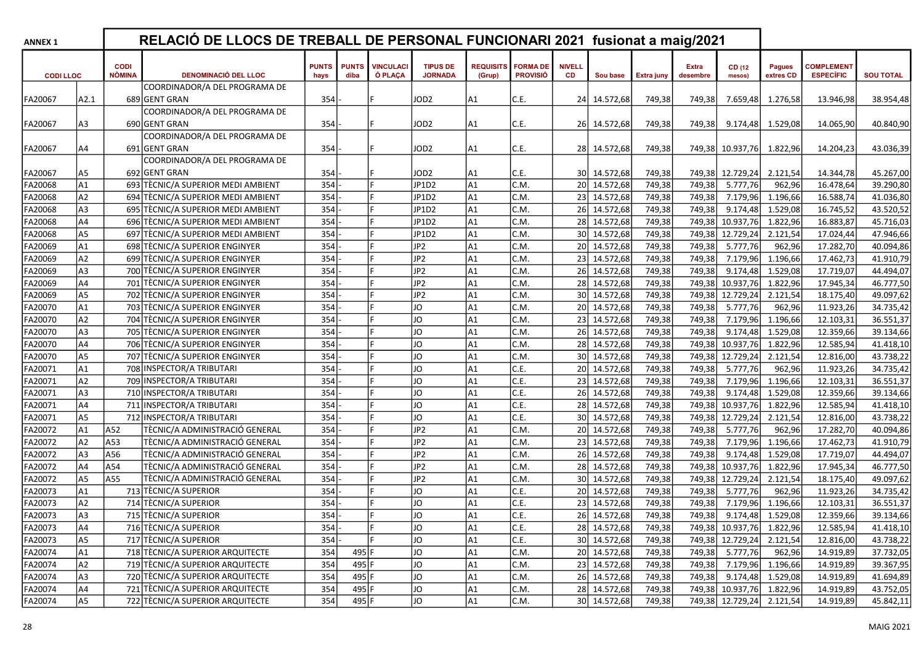| <b>ANNEX 1</b>  |                |                       | RELACIÓ DE LLOCS DE TREBALL DE PERSONAL FUNCIONARI 2021 fusionat a maig/2021 |                      |                      |                             |                                   |                            |                                    |                     |              |            |                          |                           |                            |                                       |                  |
|-----------------|----------------|-----------------------|------------------------------------------------------------------------------|----------------------|----------------------|-----------------------------|-----------------------------------|----------------------------|------------------------------------|---------------------|--------------|------------|--------------------------|---------------------------|----------------------------|---------------------------------------|------------------|
| <b>CODILLOC</b> |                | <b>CODI</b><br>NÒMINA | <b>DENOMINACIÓ DEL LLOC</b>                                                  | <b>PUNTS</b><br>hays | <b>PUNTS</b><br>diba | <b>VINCULACI</b><br>Ó PLAÇA | <b>TIPUS DE</b><br><b>JORNADA</b> | <b>REQUISITS</b><br>(Grup) | <b>FORMA DE</b><br><b>PROVISIÓ</b> | <b>NIVELL</b><br>CD | Sou base     | Extra juny | <b>Extra</b><br>desembre | CD (12<br>mesos)          | <b>Pagues</b><br>extres CD | <b>COMPLEMENT</b><br><b>ESPECÍFIC</b> | <b>SOU TOTAL</b> |
|                 |                |                       | COORDINADOR/A DEL PROGRAMA DE                                                |                      |                      |                             |                                   |                            |                                    |                     |              |            |                          |                           |                            |                                       |                  |
| FA20067         | A2.1           |                       | 689 GENT GRAN                                                                | 354                  |                      |                             | JOD <sub>2</sub>                  | A1                         | C.E.                               |                     | 24 14.572,68 | 749,38     | 749,38                   | 7.659,48                  | 1.276,58                   | 13.946,98                             | 38.954,48        |
|                 |                |                       | COORDINADOR/A DEL PROGRAMA DE                                                |                      |                      |                             |                                   |                            |                                    |                     |              |            |                          |                           |                            |                                       |                  |
| FA20067         | A3             |                       | 690 GENT GRAN                                                                | 354                  |                      |                             | JOD <sub>2</sub>                  | A1                         | C.E.                               |                     | 26 14.572,68 | 749,38     | 749,38                   | 9.174,48                  | 1.529,08                   | 14.065,90                             | 40.840,90        |
|                 |                |                       | COORDINADOR/A DEL PROGRAMA DE                                                |                      |                      |                             |                                   |                            |                                    |                     |              |            |                          |                           |                            |                                       |                  |
| FA20067         | A4             |                       | 691 GENT GRAN                                                                | 354                  |                      |                             | JOD <sub>2</sub>                  | A1                         | C.E.                               |                     | 28 14.572,68 | 749,38     |                          | 749,38 10.937,76          | 1.822,96                   | 14.204,23                             | 43.036,39        |
|                 |                |                       | COORDINADOR/A DEL PROGRAMA DE                                                |                      |                      |                             |                                   |                            |                                    |                     |              |            |                          |                           |                            |                                       |                  |
| FA20067         | A5             |                       | 692 GENT GRAN                                                                | 354                  |                      |                             | JOD <sub>2</sub>                  | A1                         | C.E.                               |                     | 30 14.572,68 | 749,38     |                          | 749,38 12.729,24          | 2.121,54                   | 14.344,78                             | 45.267,00        |
| FA20068         | A1             |                       | 693 TÈCNIC/A SUPERIOR MEDI AMBIENT                                           | 354                  |                      |                             | JP1D2                             | A <sub>1</sub>             | C.M.                               |                     | 20 14.572,68 | 749,38     | 749,38                   | 5.777,76                  | 962,96                     | 16.478,64                             | 39.290,80        |
| FA20068         | A2             |                       | 694 TÈCNIC/A SUPERIOR MEDI AMBIENT                                           | 354                  |                      |                             | JP1D2                             | A1                         | C.M.                               |                     | 23 14.572,68 | 749,38     | 749,38                   | 7.179,96                  | 1.196,66                   | 16.588,74                             | 41.036,80        |
| FA20068         | A3             |                       | 695 TÈCNIC/A SUPERIOR MEDI AMBIENT                                           | 354                  |                      |                             | JP1D2                             | A1                         | C.M.                               |                     | 26 14.572,68 | 749,38     | 749,38                   | 9.174,48                  | 1.529,08                   | 16.745,52                             | 43.520,52        |
| FA20068         | A4             |                       | 696 TÈCNIC/A SUPERIOR MEDI AMBIENT                                           | 354                  |                      |                             | JP1D2                             | A1                         | C.M.                               |                     | 28 14.572,68 | 749,38     | 749,38                   | 10.937,76                 | 1.822,96                   | 16.883,87                             | 45.716,03        |
| FA20068         | A5             |                       | 697 TÈCNIC/A SUPERIOR MEDI AMBIENT                                           | 354                  |                      |                             | JP1D2                             | A1                         | C.M.                               |                     | 30 14.572,68 | 749,38     | 749,38                   | 12.729,24                 | 2.121,54                   | 17.024,44                             | 47.946,66        |
| FA20069         | A1             |                       | 698 TÈCNIC/A SUPERIOR ENGINYER                                               | 354                  |                      |                             | JP <sub>2</sub>                   | A1                         | C.M.                               |                     | 20 14.572,68 | 749,38     | 749,38                   | 5.777,76                  | 962,96                     | 17.282,70                             | 40.094,86        |
| FA20069         | A2             |                       | 699 TÈCNIC/A SUPERIOR ENGINYER                                               | 354                  |                      |                             | JP <sub>2</sub>                   | A1                         | C.M.                               |                     | 23 14.572,68 | 749,38     | 749,38                   | 7.179,96                  | 1.196,66                   | 17.462,73                             | 41.910,79        |
| FA20069         | A3             |                       | 700 TÈCNIC/A SUPERIOR ENGINYER                                               | 354                  |                      |                             | JP <sub>2</sub>                   | A1                         | C.M.                               |                     | 26 14.572,68 | 749,38     | 749,38                   | 9.174,48                  | 1.529,08                   | 17.719,07                             | 44.494,07        |
| FA20069         | A4             |                       | 701 TÈCNIC/A SUPERIOR ENGINYER                                               | 354                  |                      |                             | JP <sub>2</sub>                   | A1                         | C.M.                               |                     | 28 14.572,68 | 749,38     | 749,38                   | 10.937,76                 | 1.822,96                   | 17.945,34                             | 46.777,50        |
| FA20069         | A5             |                       | 702 TÈCNIC/A SUPERIOR ENGINYER                                               | 354                  |                      |                             | JP <sub>2</sub>                   | A1                         | C.M.                               |                     | 30 14.572,68 | 749,38     | 749,38                   | 12.729,24                 | 2.121,54                   | 18.175,40                             | 49.097,62        |
| FA20070         | A1             |                       | 703 TÈCNIC/A SUPERIOR ENGINYER                                               | 354                  |                      |                             | JO                                | A1                         | C.M.                               |                     | 20 14.572,68 | 749,38     | 749,38                   | 5.777,76                  | 962,96                     | 11.923,26                             | 34.735,42        |
| FA20070         | A <sub>2</sub> |                       | 704 TÈCNIC/A SUPERIOR ENGINYER                                               | 354                  |                      |                             | JO                                | A1                         | C.M.                               |                     | 23 14.572,68 | 749,38     | 749,38                   | 7.179,96                  | 1.196,66                   | 12.103,31                             | 36.551,37        |
| FA20070         | A <sub>3</sub> |                       | 705 TÈCNIC/A SUPERIOR ENGINYER                                               | 354                  |                      |                             | JO                                | A1                         | C.M.                               |                     | 26 14.572,68 | 749,38     | 749,38                   | 9.174,48                  | 1.529,08                   | 12.359,66                             | 39.134,66        |
| FA20070         | A4             |                       | 706 TÈCNIC/A SUPERIOR ENGINYER                                               | 354                  |                      |                             | JO                                | A1                         | C.M.                               |                     | 28 14.572,68 | 749,38     | 749,38                   | 10.937,76                 | 1.822,96                   | 12.585,94                             | 41.418,10        |
| FA20070         | A5             |                       | 707 TÈCNIC/A SUPERIOR ENGINYER                                               | 354                  |                      |                             | JO                                | A1                         | C.M.                               |                     | 30 14.572,68 | 749,38     | 749,38                   | 12.729,24                 | 2.121,54                   | 12.816,00                             | 43.738,22        |
| FA20071         | A1             |                       | 708 INSPECTOR/A TRIBUTARI                                                    | 354                  |                      |                             | JO                                | A1                         | C.E.                               |                     | 20 14.572,68 | 749,38     | 749,38                   | 5.777,76                  | 962,96                     | 11.923,26                             | 34.735,42        |
| FA20071         | A2             |                       | 709 INSPECTOR/A TRIBUTARI                                                    | 354                  |                      |                             | JO                                | A1                         | C.E.                               |                     | 23 14.572,68 | 749,38     | 749,38                   | 7.179,96                  | 1.196,66                   | 12.103,31                             | 36.551,37        |
| FA20071         | A <sub>3</sub> |                       | 710 INSPECTOR/A TRIBUTARI                                                    | 354                  |                      |                             | JO                                | A1                         | C.E.                               |                     | 26 14.572,68 | 749,38     | 749,38                   | 9.174,48                  | 1.529,08                   | 12.359,66                             | 39.134,66        |
| FA20071         | A4             |                       | 711 INSPECTOR/A TRIBUTARI                                                    | 354                  |                      |                             | JO                                | A1                         | C.E.                               |                     | 28 14.572,68 | 749,38     | 749,38                   | 10.937,76                 | 1.822,96                   | 12.585,94                             | 41.418,10        |
| FA20071         | A5             |                       | 712 INSPECTOR/A TRIBUTARI                                                    | 354                  |                      |                             | JO                                | A1                         | C.E.                               |                     | 30 14.572,68 | 749,38     | 749,38                   | 12.729,24                 | 2.121,54                   | 12.816,00                             | 43.738,22        |
| FA20072         | A1             | A52                   | TÈCNIC/A ADMINISTRACIÓ GENERAL                                               | 354                  |                      |                             | JP <sub>2</sub>                   | A <sub>1</sub>             | C.M.                               |                     | 20 14.572,68 | 749,38     | 749,38                   | 5.777,76                  | 962,96                     | 17.282,70                             | 40.094,86        |
| FA20072         | A2             | A53                   | TÈCNIC/A ADMINISTRACIÓ GENERAL                                               | 354                  |                      |                             | JP <sub>2</sub>                   | A1                         | C.M.                               |                     | 23 14.572,68 | 749,38     | 749,38                   | 7.179,96                  | 1.196,66                   | 17.462,73                             | 41.910,79        |
| FA20072         | A3             | A56                   | TÈCNIC/A ADMINISTRACIÓ GENERAL                                               | 354                  |                      |                             | JP <sub>2</sub>                   | A1                         | C.M.                               |                     | 26 14.572,68 | 749,38     | 749,38                   | 9.174,48                  | 1.529,08                   | 17.719,07                             | 44.494,07        |
| FA20072         | A4             | A54                   | TÈCNIC/A ADMINISTRACIÓ GENERAL                                               | 354                  |                      |                             | JP <sub>2</sub>                   | A1                         | C.M.                               |                     | 28 14.572,68 | 749,38     | 749,38                   | 10.937,76                 | 1.822,96                   | 17.945,34                             | 46.777,50        |
| FA20072         | A5             | A55                   | TÈCNIC/A ADMINISTRACIÓ GENERAL                                               | 354                  |                      |                             | JP <sub>2</sub>                   | A1                         | C.M.                               |                     | 30 14.572,68 | 749,38     | 749,38                   | 12.729,24                 | 2.121,54                   | 18.175,40                             | 49.097,62        |
| FA20073         | A1             |                       | 713 TÈCNIC/A SUPERIOR                                                        | 354                  |                      |                             | JO                                | A1                         | C.E.                               |                     | 20 14.572,68 | 749,38     | 749,38                   | 5.777,76                  | 962,96                     | 11.923,26                             | 34.735,42        |
| FA20073         | A2             |                       | 714 TÈCNIC/A SUPERIOR                                                        | 354                  |                      |                             | JO                                | A1                         | C.E.                               |                     | 23 14.572,68 | 749,38     | 749,38                   | 7.179,96                  | 1.196,66                   | 12.103,31                             | 36.551,37        |
| FA20073         | A <sub>3</sub> |                       | 715 TÈCNIC/A SUPERIOR                                                        | 354                  |                      |                             | <b>JO</b>                         | A1                         | C.E.                               |                     | 26 14.572,68 | 749,38     | 749,38                   | 9.174,48                  | 1.529,08                   | 12.359,66                             | 39.134,66        |
| FA20073         | A4             |                       | 716 TÈCNIC/A SUPERIOR                                                        | 354                  |                      | ١F                          | JO                                | A <sub>1</sub>             | C.E.                               |                     | 28 14.572,68 | 749,38     |                          | 749,38 10.937,76 1.822,96 |                            | 12.585,94                             | 41.418,10        |
| FA20073         | A5             |                       | 717 TÈCNIC/A SUPERIOR                                                        | 354                  |                      |                             | JO                                | A <sub>1</sub>             | C.E.                               |                     | 30 14.572,68 | 749,38     |                          | 749,38 12.729,24 2.121,54 |                            | 12.816,00                             | 43.738,22        |
| FA20074         | A1             |                       | 718 TÈCNIC/A SUPERIOR ARQUITECTE                                             | 354                  | 495 F                |                             | JO                                | A <sub>1</sub>             | C.M.                               |                     | 20 14.572,68 | 749,38     |                          | 749,38 5.777,76           | 962,96                     | 14.919,89                             | 37.732,05        |
| FA20074         | A2             |                       | 719 TÈCNIC/A SUPERIOR ARQUITECTE                                             | 354                  | 495 F                |                             | JO                                | A <sub>1</sub>             | C.M.                               |                     | 23 14.572,68 | 749,38     | 749,38                   |                           | 7.179,96 1.196,66          | 14.919,89                             | 39.367,95        |
| FA20074         | A3             |                       | 720 TÈCNIC/A SUPERIOR ARQUITECTE                                             | 354                  | 495 F                |                             | JO                                | A <sub>1</sub>             | C.M.                               |                     | 26 14.572,68 | 749,38     | 749,38                   |                           | 9.174,48 1.529,08          | 14.919,89                             | 41.694,89        |
| FA20074         | A4             |                       | 721 TÈCNIC/A SUPERIOR ARQUITECTE                                             | 354                  | 495 F                |                             | JO                                | A <sub>1</sub>             | C.M.                               |                     | 28 14.572,68 | 749,38     |                          | 749,38 10.937,76 1.822,96 |                            | 14.919,89                             | 43.752,05        |
| FA20074         | A5             |                       | 722 TÈCNIC/A SUPERIOR ARQUITECTE                                             | 354                  | 495 F                |                             | JO                                | A <sub>1</sub>             | C.M.                               |                     | 30 14.572,68 | 749,38     |                          | 749,38 12.729,24 2.121,54 |                            | 14.919,89                             | 45.842,11        |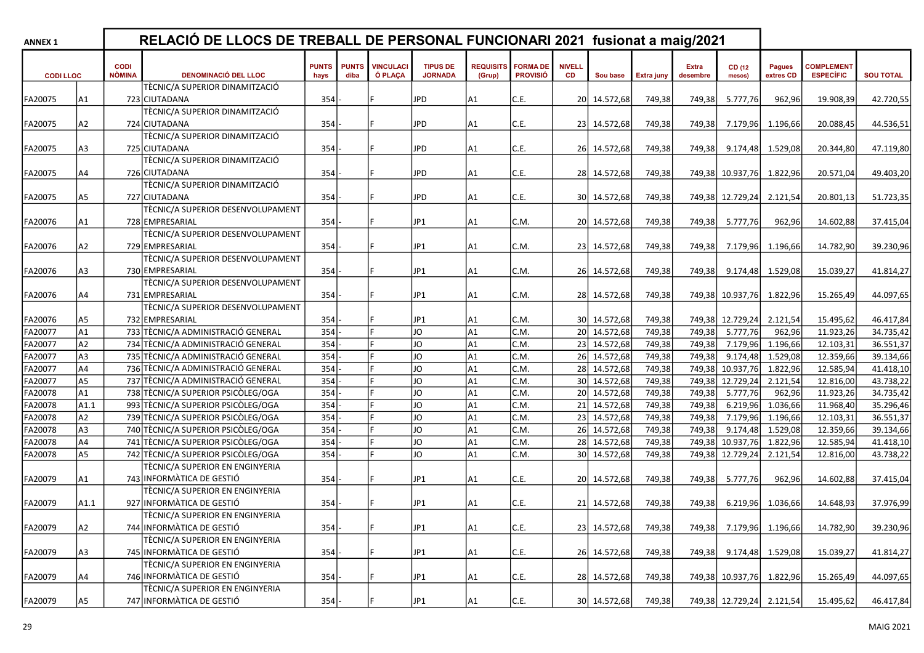| <b>ANNEX 1</b>     |                      |                              | RELACIÓ DE LLOCS DE TREBALL DE PERSONAL FUNCIONARI 2021 fusionat a maig/2021 |                      |                      |                             |                                   |                            |                                    |                     |                              |                   |                          |                           |                            |                                       |                        |
|--------------------|----------------------|------------------------------|------------------------------------------------------------------------------|----------------------|----------------------|-----------------------------|-----------------------------------|----------------------------|------------------------------------|---------------------|------------------------------|-------------------|--------------------------|---------------------------|----------------------------|---------------------------------------|------------------------|
| <b>CODILLOC</b>    |                      | <b>CODI</b><br><b>NÒMINA</b> | <b>DENOMINACIÓ DEL LLOC</b>                                                  | <b>PUNTS</b><br>hays | <b>PUNTS</b><br>diba | <b>VINCULACI</b><br>Ó PLAÇA | <b>TIPUS DE</b><br><b>JORNADA</b> | <b>REQUISITS</b><br>(Grup) | <b>FORMA DE</b><br><b>PROVISIÓ</b> | <b>NIVELL</b><br>CD | Sou base                     | <b>Extra juny</b> | <b>Extra</b><br>desembre | CD (12<br>mesos)          | <b>Pagues</b><br>extres CD | <b>COMPLEMENT</b><br><b>ESPECÍFIC</b> | <b>SOU TOTAL</b>       |
|                    |                      |                              | TÈCNIC/A SUPERIOR DINAMITZACIÓ                                               |                      |                      |                             |                                   |                            |                                    |                     |                              |                   |                          |                           |                            |                                       |                        |
| FA20075            | Α1                   |                              | 723 CIUTADANA                                                                | 354                  |                      |                             | <b>JPD</b>                        | A1                         | C.E.                               |                     | 20 14.572,68                 | 749,38            | 749,38                   | 5.777,76                  | 962,96                     | 19.908,39                             | 42.720,55              |
|                    |                      |                              | TÈCNIC/A SUPERIOR DINAMITZACIÓ                                               |                      |                      |                             |                                   |                            |                                    |                     |                              |                   |                          |                           |                            |                                       |                        |
| FA20075            | A2                   |                              | 724 CIUTADANA                                                                | 354                  |                      |                             | <b>JPD</b>                        | lA1                        | C.E.                               |                     | 23 14.572,68                 | 749,38            | 749,38                   | 7.179,96                  | 1.196,66                   | 20.088,45                             | 44.536,51              |
|                    |                      |                              | TÈCNIC/A SUPERIOR DINAMITZACIÓ                                               |                      |                      |                             |                                   |                            |                                    |                     |                              |                   |                          |                           |                            |                                       |                        |
| FA20075            | A3                   |                              | 725 CIUTADANA                                                                | 354                  |                      |                             | <b>JPD</b>                        | lA1                        | C.E.                               |                     | 26 14.572,68                 | 749,38            | 749,38                   |                           | 9.174,48 1.529,08          | 20.344,80                             | 47.119,80              |
|                    |                      |                              | TÈCNIC/A SUPERIOR DINAMITZACIÓ                                               |                      |                      |                             |                                   |                            |                                    |                     |                              |                   |                          |                           |                            |                                       |                        |
| FA20075            | A4                   |                              | 726 CIUTADANA                                                                | 354                  |                      |                             | <b>JPD</b>                        | A1                         | C.E.                               |                     | 28 14.572,68                 | 749,38            |                          | 749,38 10.937,76 1.822,96 |                            | 20.571,04                             | 49.403,20              |
|                    |                      |                              | TÈCNIC/A SUPERIOR DINAMITZACIÓ                                               |                      |                      |                             |                                   |                            |                                    |                     |                              |                   |                          |                           |                            |                                       |                        |
| FA20075            | A5                   |                              | 727 CIUTADANA                                                                | 354                  |                      |                             | <b>JPD</b>                        | IA1                        | C.E.                               |                     | 30 14.572,68                 | 749,38            |                          | 749,38 12.729,24          | 2.121,54                   | 20.801,13                             | 51.723,35              |
|                    |                      |                              | TÈCNIC/A SUPERIOR DESENVOLUPAMENT                                            |                      |                      |                             |                                   |                            |                                    |                     |                              |                   |                          |                           |                            |                                       |                        |
| FA20076            | A1                   |                              | 728 EMPRESARIAL                                                              | 354                  |                      |                             | JP1                               | lA1                        | C.M.                               |                     | 20 14.572,68                 | 749,38            | 749,38                   | 5.777,76                  | 962,96                     | 14.602,88                             | 37.415,04              |
|                    |                      |                              | TÈCNIC/A SUPERIOR DESENVOLUPAMENT                                            |                      |                      |                             |                                   |                            |                                    |                     |                              |                   |                          |                           |                            |                                       |                        |
| FA20076            | A2                   |                              | 729 EMPRESARIAL                                                              | 354                  |                      |                             | JP <sub>1</sub>                   | lA1                        | C.M.                               |                     | 23 14.572,68                 | 749,38            | 749,38                   |                           | 7.179,96 1.196,66          | 14.782,90                             | 39.230,96              |
|                    |                      |                              | TÈCNIC/A SUPERIOR DESENVOLUPAMENT                                            |                      |                      |                             |                                   |                            |                                    |                     |                              |                   |                          |                           |                            |                                       |                        |
| FA20076            | A3                   |                              | 730 EMPRESARIAL                                                              | 354                  |                      |                             | JP1                               | lA1                        | C.M.                               |                     | 26 14.572,68                 | 749,38            | 749,38                   | 9.174,48                  | 1.529,08                   | 15.039.27                             | 41.814,27              |
|                    |                      |                              | TÈCNIC/A SUPERIOR DESENVOLUPAMENT                                            |                      |                      |                             |                                   |                            |                                    |                     |                              |                   |                          |                           |                            |                                       |                        |
| FA20076            | A4                   |                              | 731 EMPRESARIAL                                                              | 354                  |                      |                             | JP1                               | lA1                        | C.M.                               |                     | 28 14.572,68                 | 749,38            |                          | 749,38 10.937,76          | 1.822,96                   | 15.265,49                             | 44.097,65              |
|                    |                      |                              | TÈCNIC/A SUPERIOR DESENVOLUPAMENT                                            |                      |                      |                             |                                   |                            |                                    |                     |                              |                   |                          |                           |                            |                                       |                        |
| FA20076            | A5                   |                              | 732 EMPRESARIAL                                                              | 354<br>354           |                      |                             | JP1<br>JO                         | lA1<br>lA1                 | C.M.<br>C.M.                       |                     | 30 14.572,68<br>20 14.572,68 | 749,38            | 749,38                   | 12.729,24                 | 2.121,54                   | 15.495,62                             | 46.417,84              |
| FA20077            | A1<br>A <sub>2</sub> |                              | 733 TÈCNIC/A ADMINISTRACIÓ GENERAL                                           | 354                  |                      |                             | JO                                | A1                         | C.M.                               |                     |                              | 749,38            | 749,38                   | 5.777,76                  | 962,96                     | 11.923,26                             | 34.735,42              |
| FA20077            | A3                   |                              | 734 TÈCNIC/A ADMINISTRACIÓ GENERAL                                           | 354                  |                      |                             | JO                                | A1                         | C.M.                               |                     | 23 14.572,68                 | 749,38<br>749,38  | 749,38                   | 7.179,96                  | 1.196,66                   | 12.103,31                             | 36.551,37              |
| FA20077<br>FA20077 | A4                   |                              | 735 TÈCNIC/A ADMINISTRACIÓ GENERAL<br>736 TÈCNIC/A ADMINISTRACIÓ GENERAL     | 354                  |                      |                             | JO                                | A1                         | C.M.                               |                     | 26 14.572,68                 |                   | 749,38                   | 9.174,48<br>10.937,76     | 1.529,08                   | 12.359,66<br>12.585,94                | 39.134,66              |
| FA20077            | A5                   |                              | 737 TÈCNIC/A ADMINISTRACIÓ GENERAL                                           | 354                  |                      |                             | JO                                | lA1                        | C.M.                               |                     | 28 14.572,68<br>30 14.572,68 | 749,38<br>749,38  | 749,38<br>749,38         | 12.729,24                 | 1.822,96<br>2.121,54       | 12.816,00                             | 41.418,10<br>43.738,22 |
|                    | A1                   |                              |                                                                              | 354                  |                      |                             | JO                                | lA1                        |                                    |                     | 20 14.572,68                 | 749,38            |                          | 5.777,76                  |                            |                                       |                        |
| FA20078            | A1.1                 |                              | 738 TÈCNIC/A SUPERIOR PSICÒLEG/OGA                                           | 354                  |                      |                             | JO                                | lA1                        | C.M.                               |                     |                              |                   | 749,38<br>749,38         | 6.219,96                  | 962,96                     | 11.923,26                             | 34.735,42              |
| FA20078            |                      |                              | 993 TÈCNIC/A SUPERIOR PSICÒLEG/OGA                                           |                      |                      |                             |                                   |                            | C.M.                               |                     | 21 14.572,68                 | 749,38            |                          |                           | 1.036,66                   | 11.968,40                             | 35.296,46              |
| FA20078            | A2                   |                              | 739 TÈCNIC/A SUPERIOR PSICÒLEG/OGA                                           | 354                  |                      |                             | JO<br>JO                          | A1                         | C.M.                               |                     | 23 14.572,68                 | 749,38            | 749,38                   | 7.179,96                  | 1.196,66                   | 12.103,31                             | 36.551,37              |
| FA20078            | A <sub>3</sub>       |                              | 740 TÈCNIC/A SUPERIOR PSICÒLEG/OGA                                           | 354                  |                      |                             |                                   | A1                         | C.M.                               |                     | 26 14.572,68                 | 749,38            | 749,38                   | 9.174,48                  | 1.529,08                   | 12.359,66                             | 39.134,66              |
| FA20078            | Α4                   |                              | 741 TÈCNIC/A SUPERIOR PSICÒLEG/OGA                                           | 354                  |                      |                             | JO<br>JO.                         | A1                         | C.M.                               |                     | 28 14.572,68                 | 749,38            | 749,38                   | 10.937,76                 | 1.822,96                   | 12.585,94                             | 41.418,10              |
| FA20078            | A5                   |                              | 742 TÈCNIC/A SUPERIOR PSICÒLEG/OGA                                           | 354                  |                      |                             |                                   | A1                         | C.M.                               |                     | 30 14.572,68                 | 749,38            | 749,38                   | 12.729,24                 | 2.121,54                   | 12.816,00                             | 43.738,22              |
|                    |                      |                              | TÈCNIC/A SUPERIOR EN ENGINYERIA<br>743 INFORMATICA DE GESTIÓ                 |                      |                      |                             |                                   |                            |                                    |                     |                              |                   |                          |                           |                            |                                       |                        |
| FA20079            | A1                   |                              |                                                                              | 354                  |                      |                             | JP1                               | lA1                        | C.E.                               |                     | 20 14.572,68                 | 749,38            | 749,38                   | 5.777,76                  | 962,96                     | 14.602,88                             | 37.415,04              |
|                    |                      |                              | TÈCNIC/A SUPERIOR EN ENGINYERIA                                              |                      |                      |                             |                                   |                            |                                    |                     |                              |                   |                          |                           |                            |                                       |                        |
| FA20079            | A1.1                 |                              | 927 INFORMÀTICA DE GESTIÓ                                                    | 354                  |                      |                             | JP1                               | IA1                        | C.E.                               |                     | 21 14.572,68                 | 749,38            | 749,38                   | 6.219,96                  | 1.036,66                   | 14.648,93                             | 37.976,99              |
|                    |                      |                              | TÈCNIC/A SUPERIOR EN ENGINYERIA                                              |                      |                      |                             |                                   |                            |                                    |                     |                              |                   |                          |                           |                            |                                       |                        |
| FA20079            | A <sub>2</sub>       |                              | 744 INFORMÀTICA DE GESTIÓ<br>TÈCNIC/A SUPERIOR EN ENGINYERIA                 | 354                  |                      | ١F                          | JP1                               | A <sub>1</sub>             | C.E.                               |                     | 23 14.572,68                 | 749,38            | 749,38                   |                           | 7.179,96 1.196,66          | 14.782,90                             | 39.230,96              |
|                    |                      |                              |                                                                              |                      |                      |                             |                                   |                            |                                    |                     |                              |                   |                          |                           |                            |                                       |                        |
| FA20079            | A <sub>3</sub>       |                              | 745 INFORMATICA DE GESTIÓ                                                    | 354                  |                      |                             | JP1                               | A <sub>1</sub>             | C.E.                               |                     | 26 14.572,68                 | 749,38            | 749,38                   |                           | 9.174,48 1.529,08          | 15.039,27                             | 41.814,27              |
|                    |                      |                              | TÈCNIC/A SUPERIOR EN ENGINYERIA                                              |                      |                      |                             |                                   |                            |                                    |                     |                              |                   |                          |                           |                            |                                       |                        |
| FA20079            | A4                   |                              | 746 INFORMÀTICA DE GESTIÓ                                                    | 354                  |                      |                             | JP1                               | A1                         | C.E.                               |                     | 28 14.572,68                 | 749,38            |                          | 749,38 10.937,76 1.822,96 |                            | 15.265,49                             | 44.097,65              |
|                    |                      |                              | TÈCNIC/A SUPERIOR EN ENGINYERIA                                              |                      |                      |                             |                                   |                            |                                    |                     |                              |                   |                          |                           |                            |                                       |                        |
| FA20079            | A <sub>5</sub>       |                              | 747 INFORMATICA DE GESTIÓ                                                    | 354                  |                      |                             | JP1                               | A <sub>1</sub>             | C.E.                               |                     | 30 14.572,68                 | 749,38            |                          | 749,38 12.729,24 2.121,54 |                            | 15.495,62                             | 46.417,84              |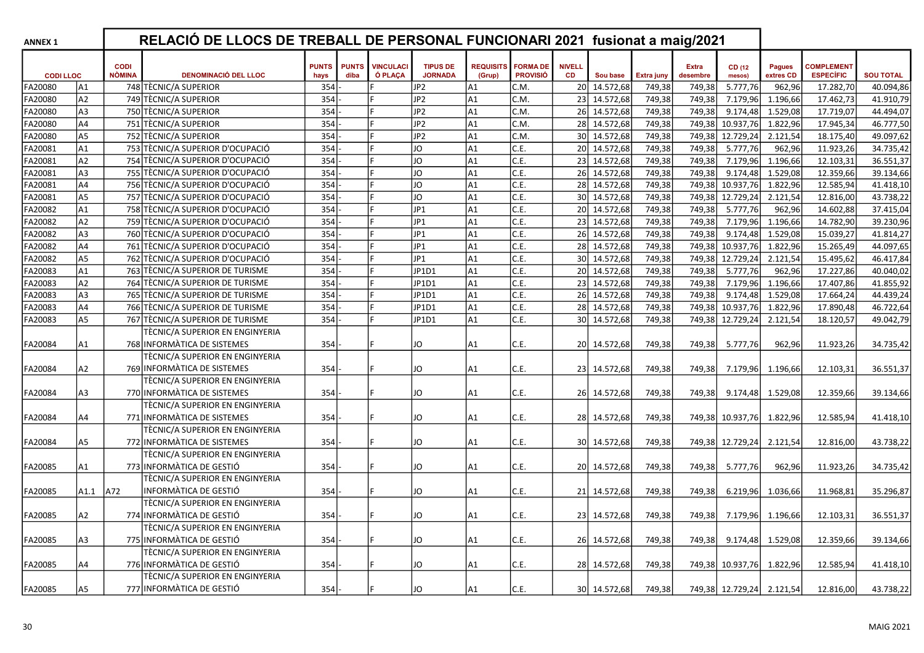| <b>ANNEX 1</b>  |                |                              | RELACIÓ DE LLOCS DE TREBALL DE PERSONAL FUNCIONARI 2021 fusionat a maig/2021 |                      |                      |                             |                                   |                            |                                    |                            |              |            |                   |                           |                     |                                       |                  |
|-----------------|----------------|------------------------------|------------------------------------------------------------------------------|----------------------|----------------------|-----------------------------|-----------------------------------|----------------------------|------------------------------------|----------------------------|--------------|------------|-------------------|---------------------------|---------------------|---------------------------------------|------------------|
| <b>CODILLOC</b> |                | <b>CODI</b><br><b>NÒMINA</b> | <b>DENOMINACIÓ DEL LLOC</b>                                                  | <b>PUNTS</b><br>hays | <b>PUNTS</b><br>diba | <b>VINCULACI</b><br>Ó PLACA | <b>TIPUS DE</b><br><b>JORNADA</b> | <b>REQUISITS</b><br>(Grup) | <b>FORMA DE</b><br><b>PROVISIÓ</b> | <b>NIVELL</b><br><b>CD</b> | Sou base     | Extra juny | Extra<br>desembre | CD (12<br>mesos)          | Pagues<br>extres CD | <b>COMPLEMENT</b><br><b>ESPECÍFIC</b> | <b>SOU TOTAL</b> |
| FA20080         | A <sub>1</sub> |                              | 748 TÈCNIC/A SUPERIOR                                                        | 354                  |                      |                             | JP <sub>2</sub>                   | lA1                        | C.M.                               | 20 l                       | 14.572,68    | 749,38     | 749,38            | 5.777,76                  | 962,96              | 17.282,70                             | 40.094,86        |
| FA20080         | A2             |                              | 749 TÈCNIC/A SUPERIOR                                                        | 354                  |                      |                             | JP <sub>2</sub>                   | A1                         | C.M.                               | 23 <sup>1</sup>            | 14.572,68    | 749,38     | 749,38            | 7.179,96                  | 1.196,66            | 17.462,73                             | 41.910,79        |
| FA20080         | A <sub>3</sub> |                              | 750 TÈCNIC/A SUPERIOR                                                        | 354                  |                      |                             | JP2                               | A1                         | C.M.                               | 26                         | 14.572,68    | 749,38     | 749,38            | 9.174,48                  | 1.529,08            | 17.719,07                             | 44.494,07        |
| FA20080         | A4             |                              | 751 TÈCNIC/A SUPERIOR                                                        | 354                  |                      |                             | JP <sub>2</sub>                   | la1                        | C.M.                               | 28                         | 14.572,68    | 749,38     | 749,38            | 10.937,76                 | 1.822,96            | 17.945,34                             | 46.777,50        |
| FA20080         | A5             |                              | 752 TÈCNIC/A SUPERIOR                                                        | 354                  |                      |                             | JP <sub>2</sub>                   | A1                         | C.M.                               |                            | 30 14.572,68 | 749,38     | 749,38            | 12.729,24                 | 2.121,54            | 18.175,40                             | 49.097,62        |
| FA20081         | A1             |                              | 753 TÈCNIC/A SUPERIOR D'OCUPACIÓ                                             | 354                  |                      |                             | <b>JO</b>                         | A1                         | C.E.                               | 20                         | 14.572,68    | 749,38     | 749,38            | 5.777,76                  | 962,96              | 11.923,26                             | 34.735,42        |
| FA20081         | A2             |                              | 754 TÈCNIC/A SUPERIOR D'OCUPACIÓ                                             | 354                  |                      |                             | JO                                | la1                        | C.E.                               | 23                         | 14.572,68    | 749,38     | 749,38            | 7.179,96                  | 1.196,66            | 12.103,31                             | 36.551,37        |
| FA20081         | A3             |                              | 755 TÈCNIC/A SUPERIOR D'OCUPACIÓ                                             | 354                  |                      |                             | <b>JO</b>                         | lA1                        | C.E.                               | 26                         | 14.572,68    | 749,38     | 749,38            | 9.174,48                  | 1.529,08            | 12.359,66                             | 39.134,66        |
| FA20081         | A4             |                              | 756 TÈCNIC/A SUPERIOR D'OCUPACIÓ                                             | 354                  |                      |                             | JO                                | la1                        | C.E.                               |                            | 28 14.572,68 | 749,38     | 749,38            | 10.937,76                 | 1.822,96            | 12.585,94                             | 41.418,10        |
| FA20081         | A5             |                              | 757 TÈCNIC/A SUPERIOR D'OCUPACIÓ                                             | 354                  |                      |                             | <b>JO</b>                         | lA1                        | C.E.                               |                            | 30 14.572,68 | 749,38     | 749,38            | 12.729,24                 | 2.121,54            | 12.816,00                             | 43.738,22        |
| FA20082         | A1             |                              | 758 TÈCNIC/A SUPERIOR D'OCUPACIÓ                                             | 354                  |                      |                             | JP1                               | A1                         | C.E.                               | 20 <sup>1</sup>            | 14.572,68    | 749,38     | 749,38            | 5.777,76                  | 962,96              | 14.602,88                             | 37.415,04        |
| FA20082         | A2             |                              | 759 TÈCNIC/A SUPERIOR D'OCUPACIÓ                                             | 354                  |                      |                             | JP1                               | la1                        | C.E.                               | 23                         | 14.572,68    | 749,38     | 749,38            | 7.179,96                  | 1.196,66            | 14.782,90                             | 39.230,96        |
| FA20082         | A3             |                              | 760 TÈCNIC/A SUPERIOR D'OCUPACIÓ                                             | 354                  |                      |                             | JP1                               | A1                         | C.E.                               | 26                         | 14.572,68    | 749,38     | 749,38            | 9.174,48                  | 1.529,08            | 15.039,27                             | 41.814,27        |
| FA20082         | A4             |                              | 761 TÈCNIC/A SUPERIOR D'OCUPACIÓ                                             | 354                  |                      |                             | JP1                               | A1                         | C.E.                               | 28                         | 14.572,68    | 749,38     | 749,38            | 10.937,76                 | 1.822,96            | 15.265,49                             | 44.097,65        |
| FA20082         | A5             |                              | 762 TÈCNIC/A SUPERIOR D'OCUPACIÓ                                             | 354                  |                      |                             | JP1                               | A1                         | C.E.                               | 30 <sup>1</sup>            | 14.572,68    | 749,38     | 749,38            | 12.729,24                 | 2.121,54            | 15.495,62                             | 46.417,84        |
| FA20083         | A1             |                              | 763 TÈCNIC/A SUPERIOR DE TURISME                                             | 354                  |                      |                             | JP1D1                             | lA1                        | C.E.                               |                            | 20 14.572,68 | 749,38     | 749,38            | 5.777,76                  | 962,96              | 17.227,86                             | 40.040,02        |
| FA20083         | A2             |                              | 764 TÈCNIC/A SUPERIOR DE TURISME                                             | 354                  |                      |                             | JP1D1                             | lA1                        | C.E.                               | 23 <sup>1</sup>            | 14.572,68    | 749,38     | 749.38            | 7.179,96                  | 1.196,66            | 17.407,86                             | 41.855,92        |
| FA20083         | A3             |                              | 765 TÈCNIC/A SUPERIOR DE TURISME                                             | 354                  |                      |                             | JP1D1                             | la1                        | C.E.                               |                            | 26 14.572,68 | 749,38     | 749,38            | 9.174,48                  | 1.529,08            | 17.664,24                             | 44.439,24        |
| FA20083         | A4             |                              | 766 TÈCNIC/A SUPERIOR DE TURISME                                             | 354                  |                      |                             | JP1D1                             | A1                         | C.E.                               | 28 l                       | 14.572,68    | 749,38     | 749.38            | 10.937.76                 | 1.822,96            | 17.890,48                             | 46.722,64        |
| FA20083         | A5             |                              | 767 TÈCNIC/A SUPERIOR DE TURISME                                             | 354                  |                      |                             | JP1D1                             | la1                        | C.E.                               |                            | 30 14.572,68 | 749,38     | 749,38            | 12.729,24                 | 2.121,54            | 18.120,57                             | 49.042,79        |
|                 |                |                              | TÈCNIC/A SUPERIOR EN ENGINYERIA                                              |                      |                      |                             |                                   |                            |                                    |                            |              |            |                   |                           |                     |                                       |                  |
| FA20084         | A1             |                              | 768 INFORMATICA DE SISTEMES                                                  | 354                  |                      |                             | JO                                | lA1                        | IC.E.                              |                            | 20 14.572,68 | 749,38     | 749,38            | 5.777,76                  | 962,96              | 11.923,26                             | 34.735,42        |
|                 |                |                              | TÈCNIC/A SUPERIOR EN ENGINYERIA                                              |                      |                      |                             |                                   |                            |                                    |                            |              |            |                   |                           |                     |                                       |                  |
| FA20084         | A2             |                              | 769 INFORMATICA DE SISTEMES                                                  | 354                  |                      |                             | JO                                | lA1                        | C.E.                               |                            | 23 14.572,68 | 749,38     | 749,38            | 7.179,96                  | 1.196,66            | 12.103,31                             | 36.551,37        |
|                 |                |                              | TÈCNIC/A SUPERIOR EN ENGINYERIA                                              |                      |                      |                             |                                   |                            |                                    |                            |              |            |                   |                           |                     |                                       |                  |
| FA20084         | A3             |                              | 770 INFORMATICA DE SISTEMES                                                  | 354                  |                      |                             | JO                                | lA1                        | C.E.                               | 26                         | 14.572,68    | 749,38     | 749,38            | 9.174,48                  | 1.529,08            | 12.359,66                             | 39.134,66        |
|                 |                |                              | TÈCNIC/A SUPERIOR EN ENGINYERIA                                              |                      |                      |                             |                                   |                            |                                    |                            |              |            |                   |                           |                     |                                       |                  |
| FA20084         | Α4             |                              | 771 INFORMATICA DE SISTEMES                                                  | 354                  |                      |                             | JO                                | lA1                        | C.E.                               |                            | 28 14.572,68 | 749,38     | 749,38            | 10.937,76                 | 1.822,96            | 12.585,94                             | 41.418,10        |
|                 |                |                              | TÈCNIC/A SUPERIOR EN ENGINYERIA                                              |                      |                      |                             |                                   |                            |                                    |                            |              |            |                   |                           |                     |                                       |                  |
| FA20084         | A5             |                              | 772 INFORMATICA DE SISTEMES                                                  | 354                  |                      |                             | JO                                | A1                         | C.E.                               |                            | 30 14.572,68 | 749,38     |                   | 749,38 12.729,24          | 2.121,54            | 12.816,00                             | 43.738,22        |
|                 |                |                              | TÈCNIC/A SUPERIOR EN ENGINYERIA                                              |                      |                      |                             |                                   |                            |                                    |                            |              |            |                   |                           |                     |                                       |                  |
| FA20085         | A1             |                              | 773 INFORMÀTICA DE GESTIÓ                                                    | 354                  |                      |                             | JO                                | A1                         | C.E.                               |                            | 20 14.572,68 | 749,38     | 749,38            | 5.777,76                  | 962,96              | 11.923,26                             | 34.735,42        |
|                 |                |                              | TÈCNIC/A SUPERIOR EN ENGINYERIA                                              |                      |                      |                             |                                   |                            |                                    |                            |              |            |                   |                           |                     |                                       |                  |
| FA20085         | A1.1           | A72                          | INFORMÀTICA DE GESTIÓ                                                        | 354                  |                      |                             | JO                                | A1                         | C.E.                               |                            | 21 14.572,68 | 749,38     | 749,38            | 6.219,96                  | 1.036,66            | 11.968,81                             | 35.296,87        |
|                 |                |                              | TÈCNIC/A SUPERIOR EN ENGINYERIA                                              |                      |                      |                             |                                   |                            |                                    |                            |              |            |                   |                           |                     |                                       |                  |
| FA20085         | A2             |                              | 774 INFORMATICA DE GESTIÓ                                                    | 354                  |                      |                             | JO                                | A1                         | C.E.                               |                            | 23 14.572,68 | 749,38     | 749,38            | 7.179,96                  | 1.196,66            | 12.103,31                             | 36.551,37        |
|                 |                |                              | TÈCNIC/A SUPERIOR EN ENGINYERIA                                              |                      |                      |                             |                                   |                            |                                    |                            |              |            |                   |                           |                     |                                       |                  |
| FA20085         | A3             |                              | 775 INFORMATICA DE GESTIÓ                                                    | 354                  |                      |                             | JO                                | lA1                        | C.E.                               |                            | 26 14.572,68 | 749,38     | 749,38            |                           | 9.174,48 1.529,08   | 12.359,66                             | 39.134,66        |
|                 |                |                              | TÈCNIC/A SUPERIOR EN ENGINYERIA                                              |                      |                      |                             |                                   |                            |                                    |                            |              |            |                   |                           |                     |                                       |                  |
| FA20085         | А4             |                              | 776 INFORMATICA DE GESTIÓ                                                    | 354                  |                      |                             | JO.                               | lA1                        | C.E.                               |                            | 28 14.572,68 | 749,38     |                   | 749,38 10.937,76          | 1.822,96            | 12.585,94                             | 41.418,10        |
|                 |                |                              | TÈCNIC/A SUPERIOR EN ENGINYERIA                                              |                      |                      |                             |                                   |                            |                                    |                            |              |            |                   |                           |                     |                                       |                  |
| FA20085         | A5             |                              | 777 INFORMATICA DE GESTIÓ                                                    | 354                  |                      |                             | JO                                | A1                         | C.E.                               |                            | 30 14.572,68 | 749,38     |                   | 749,38 12.729,24 2.121,54 |                     | 12.816,00                             | 43.738,22        |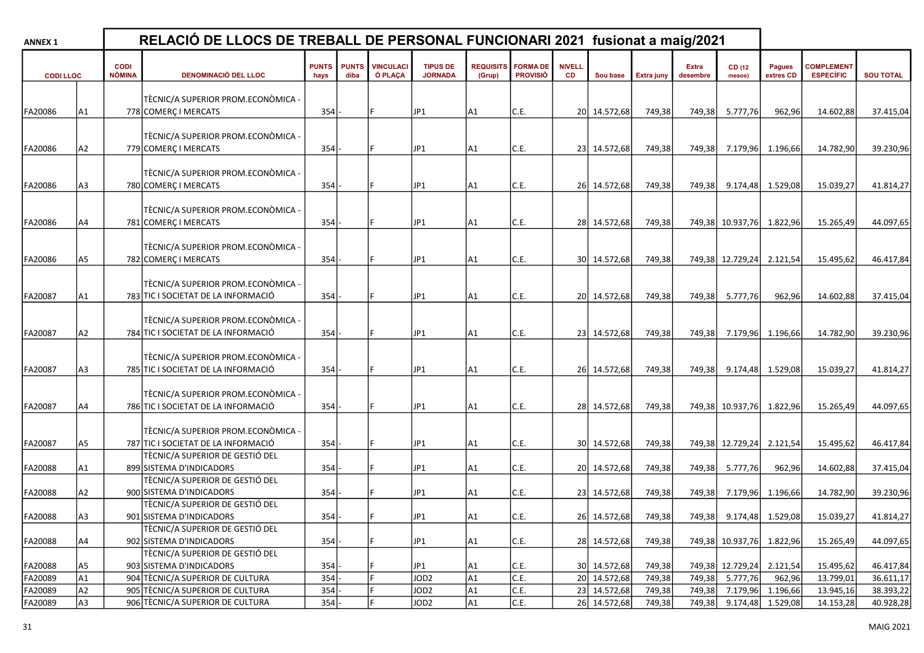| <b>ANNEX 1</b>     |                |                              | RELACIÓ DE LLOCS DE TREBALL DE PERSONAL FUNCIONARI 2021 fusionat a maig/2021                               |                      |                      |                             |                                      |                                  |                                    |                     |                              |                   |                          |                                                       |                                        |                                       |                        |
|--------------------|----------------|------------------------------|------------------------------------------------------------------------------------------------------------|----------------------|----------------------|-----------------------------|--------------------------------------|----------------------------------|------------------------------------|---------------------|------------------------------|-------------------|--------------------------|-------------------------------------------------------|----------------------------------------|---------------------------------------|------------------------|
| <b>CODILLOC</b>    |                | <b>CODI</b><br><b>NÒMINA</b> | <b>DENOMINACIÓ DEL LLOC</b>                                                                                | <b>PUNTS</b><br>hays | <b>PUNTS</b><br>diba | <b>VINCULACI</b><br>Ó PLAÇA | <b>TIPUS DE</b><br><b>JORNADA</b>    | <b>REQUISITS</b><br>(Grup)       | <b>FORMA DE</b><br><b>PROVISIÓ</b> | <b>NIVELL</b><br>CD | Sou base                     | <b>Extra juny</b> | <b>Extra</b><br>desembre | CD (12<br>mesos)                                      | <b>Pagues</b><br>extres CD             | <b>COMPLEMENT</b><br><b>ESPECÍFIC</b> | <b>SOU TOTAL</b>       |
| FA20086            | A1             |                              | TÈCNIC/A SUPERIOR PROM.ECONÒMICA -<br>778 COMERÇ I MERCATS                                                 | 354                  |                      |                             | JP1                                  | A1                               | C.E.                               |                     | 20 14.572,68                 | 749,38            | 749,38                   | 5.777,76                                              | 962,96                                 | 14.602,88                             | 37.415,04              |
| FA20086            | A2             |                              | TÈCNIC/A SUPERIOR PROM.ECONÒMICA<br>779 COMERÇ I MERCATS                                                   | 354                  |                      |                             | JP1                                  | A1                               | C.E.                               |                     | 23 14.572,68                 | 749,38            | 749,38                   |                                                       | 7.179,96 1.196,66                      | 14.782,90                             | 39.230,96              |
| FA20086            | A3             |                              | TÈCNIC/A SUPERIOR PROM.ECONÒMICA -<br>780 COMERC I MERCATS                                                 | 354                  |                      |                             | JP <sub>1</sub>                      | A1                               | C.E.                               |                     | 26 14.572,68                 | 749,38            | 749,38                   |                                                       | 9.174,48 1.529,08                      | 15.039,27                             | 41.814,27              |
| FA20086            | A4             |                              | TÈCNIC/A SUPERIOR PROM.ECONÒMICA -<br>781 COMERÇ I MERCATS                                                 | 354                  |                      |                             | JP1                                  | A1                               | C.E.                               |                     | 28 14.572,68                 | 749,38            |                          | 749,38 10.937,76 1.822,96                             |                                        | 15.265,49                             | 44.097,65              |
| FA20086            | A5             |                              | TÈCNIC/A SUPERIOR PROM.ECONÒMICA<br>782 COMERÇ I MERCATS                                                   | 354                  |                      |                             | JP1                                  | A1                               | C.E.                               |                     | 30 14.572,68                 | 749,38            |                          | 749,38 12.729,24 2.121,54                             |                                        | 15.495,62                             | 46.417,84              |
| FA20087            | A1             |                              | TÈCNIC/A SUPERIOR PROM.ECONÒMICA ·<br>783 TIC I SOCIETAT DE LA INFORMACIÓ                                  | 354                  |                      |                             | JP <sub>1</sub>                      | lA1                              | C.E.                               |                     | 20 14.572,68                 | 749,38            | 749,38                   | 5.777,76                                              | 962,96                                 | 14.602,88                             | 37.415,04              |
| FA20087            | А2             |                              | TÈCNIC/A SUPERIOR PROM.ECONÒMICA<br>784 TIC I SOCIETAT DE LA INFORMACIÓ                                    | 354                  |                      |                             | JP1                                  | A1                               | C.E.                               |                     | 23 14.572,68                 | 749,38            | 749,38                   |                                                       | 7.179,96 1.196,66                      | 14.782,90                             | 39.230,96              |
| FA20087            | A3             |                              | TÈCNIC/A SUPERIOR PROM.ECONÒMICA -<br>785 TIC I SOCIETAT DE LA INFORMACIÓ                                  | 354                  |                      |                             | JP <sub>1</sub>                      | A1                               | IC.E.                              |                     | 26 14.572,68                 | 749,38            | 749,38                   |                                                       | $9.174,48$ 1.529,08                    | 15.039,27                             | 41.814,27              |
| FA20087            | A4             |                              | TÈCNIC/A SUPERIOR PROM.ECONÒMICA -<br>786 TIC I SOCIETAT DE LA INFORMACIÓ                                  | 354                  |                      |                             | JP1                                  | A1                               | C.E.                               |                     | 28 14.572,68                 | 749,38            |                          | 749,38 10.937,76 1.822,96                             |                                        | 15.265,49                             | 44.097,65              |
| FA20087            | A <sub>5</sub> |                              | TÈCNIC/A SUPERIOR PROM.ECONÒMICA<br>787 TIC I SOCIETAT DE LA INFORMACIÓ<br>TÈCNIC/A SUPERIOR DE GESTIÓ DEL | 354                  |                      |                             | JP1                                  | A1                               | C.E.                               |                     | 30 14.572,68                 | 749,38            |                          | 749,38 12.729,24 2.121,54                             |                                        | 15.495,62                             | 46.417,84              |
| FA20088            | Α1             |                              | 899 SISTEMA D'INDICADORS<br>TÈCNIC/A SUPERIOR DE GESTIÓ DEL                                                | 354                  |                      |                             | JP1                                  | A1                               | C.E.                               |                     | 20 14.572,68                 | 749,38            | 749,38                   | 5.777,76                                              | 962,96                                 | 14.602,88                             | 37.415,04              |
| FA20088            | A2             |                              | 900 SISTEMA D'INDICADORS<br>TÈCNIC/A SUPERIOR DE GESTIÓ DEL                                                | 354                  |                      |                             | JP1                                  | A1                               | C.E.                               |                     | 23 14.572,68                 | 749,38            | 749,38                   | 7.179,96                                              | 1.196,66                               | 14.782,90                             | 39.230,96              |
| FA20088<br>FA20088 | A3<br>A4       |                              | 901 SISTEMA D'INDICADORS<br>TÈCNIC/A SUPERIOR DE GESTIÓ DEL<br>902 SISTEMA D'INDICADORS                    | $354$ -<br>354       |                      |                             | JP1<br>JP1                           | IA1<br>A <sub>1</sub>            | C.E.<br>C.E.                       |                     | 26 14.572,68<br>28 14.572,68 | 749,38<br>749,38  |                          | 749,38 9.174,48 1.529,08<br>749,38 10.937,76 1.822,96 |                                        | 15.039,27<br>15.265,49                | 41.814,27<br>44.097,65 |
| FA20088<br>FA20089 | A5<br>A1       |                              | TÈCNIC/A SUPERIOR DE GESTIÓ DEL<br>903 SISTEMA D'INDICADORS<br>904 TÈCNIC/A SUPERIOR DE CULTURA            | 354<br>354           |                      |                             | JP1<br>JOD <sub>2</sub>              | A1<br>A <sub>1</sub>             | C.E.<br>C.E.                       |                     | 30 14.572,68<br>20 14.572,68 | 749,38<br>749,38  | 749,38                   | 749,38 12.729,24 2.121,54<br>5.777,76                 | 962,96                                 | 15.495,62<br>13.799,01                | 46.417,84<br>36.611,17 |
| FA20089<br>FA20089 | A2<br>l A3     |                              | 905 TÈCNIC/A SUPERIOR DE CULTURA<br>906 TÈCNIC/A SUPERIOR DE CULTURA                                       | 354<br>$354 -$       |                      |                             | JOD <sub>2</sub><br>JOD <sub>2</sub> | A <sub>1</sub><br>A <sub>1</sub> | C.E.<br>C.E.                       |                     | 23 14.572,68<br>26 14.572,68 | 749,38<br>749,38  | 749,38<br>749,38         |                                                       | 7.179,96 1.196,66<br>9.174,48 1.529,08 | 13.945,16<br>14.153,28                | 38.393,22<br>40.928,28 |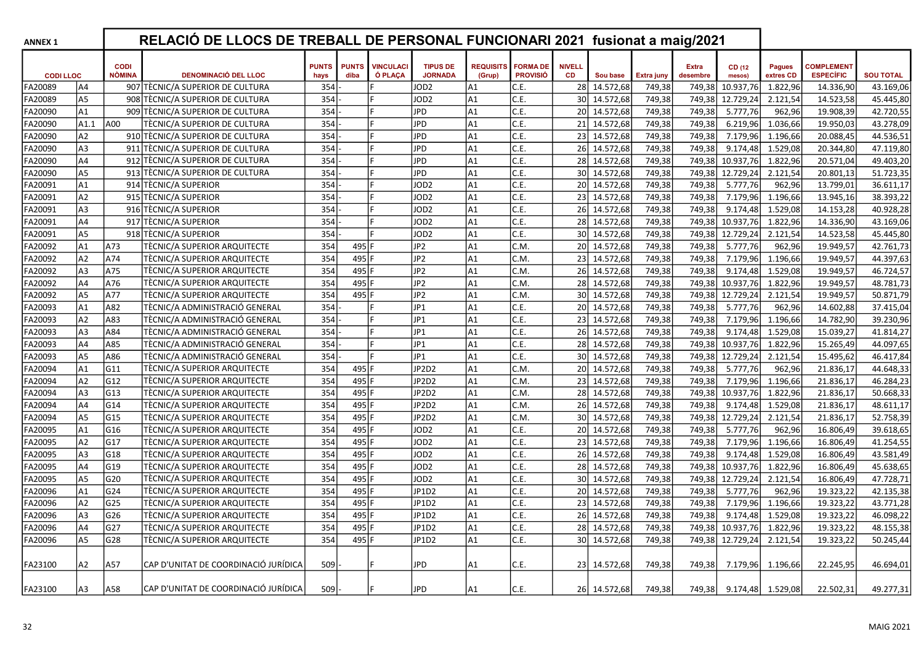| <b>ANNEX 1</b>  |                |                              | RELACIÓ DE LLOCS DE TREBALL DE PERSONAL FUNCIONARI 2021 fusionat a maig/2021 |                      |                      |                             |                                   |                            |                                    |                            |              |                   |                          |                  |                            |                                       |                  |
|-----------------|----------------|------------------------------|------------------------------------------------------------------------------|----------------------|----------------------|-----------------------------|-----------------------------------|----------------------------|------------------------------------|----------------------------|--------------|-------------------|--------------------------|------------------|----------------------------|---------------------------------------|------------------|
| <b>CODILLOC</b> |                | <b>CODI</b><br><b>NÒMINA</b> | <b>DENOMINACIÓ DEL LLOC</b>                                                  | <b>PUNTS</b><br>hays | <b>PUNTS</b><br>diba | <b>VINCULACI</b><br>Ó PLAÇA | <b>TIPUS DE</b><br><b>JORNADA</b> | <b>REQUISITS</b><br>(Grup) | <b>FORMA DE</b><br><b>PROVISIÓ</b> | <b>NIVELL</b><br><b>CD</b> | Sou base     | <b>Extra juny</b> | <b>Extra</b><br>desembre | CD (12<br>mesos) | <b>Pagues</b><br>extres CD | <b>COMPLEMENT</b><br><b>ESPECÍFIC</b> | <b>SOU TOTAL</b> |
| FA20089         | A4             |                              | 907 TÈCNIC/A SUPERIOR DE CULTURA                                             | 354                  |                      |                             | JOD <sub>2</sub>                  | A1                         | C.E.                               | 28                         | 14.572,68    | 749,38            | 749,38                   | 10.937,76        | 1.822,96                   | 14.336,90                             | 43.169,06        |
| FA20089         | A5             |                              | 908 TÈCNIC/A SUPERIOR DE CULTURA                                             | 354                  |                      |                             | JOD <sub>2</sub>                  | A1                         | C.E.                               | 30 <sup>1</sup>            | 14.572,68    | 749,38            | 749,38                   | 12.729,24        | 2.121,54                   | 14.523,58                             | 45.445,80        |
| FA20090         | A1             |                              | 909 TÈCNIC/A SUPERIOR DE CULTURA                                             | 354                  |                      |                             | <b>JPD</b>                        | lA1                        | C.E.                               | 20 l                       | 14.572,68    | 749,38            | 749,38                   | 5.777.76         | 962,96                     | 19.908,39                             | 42.720,55        |
| FA20090         | A1.1           | A00                          | TÈCNIC/A SUPERIOR DE CULTURA                                                 | 354                  |                      |                             | JPD                               | A1                         | C.E.                               | 21                         | 14.572,68    | 749,38            | 749,38                   | 6.219,96         | 1.036,66                   | 19.950,03                             | 43.278,09        |
| FA20090         | A2             |                              | 910 TÈCNIC/A SUPERIOR DE CULTURA                                             | 354                  |                      |                             | <b>JPD</b>                        | A1                         | C.E.                               | 23                         | 14.572,68    | 749,38            | 749,38                   | 7.179,96         | 1.196,66                   | 20.088,45                             | 44.536,51        |
| FA20090         | A3             |                              | 911 TÈCNIC/A SUPERIOR DE CULTURA                                             | 354                  |                      |                             | JPD                               | A1                         | C.E.                               | 26                         | 14.572,68    | 749,38            | 749,38                   | 9.174,48         | 1.529,08                   | 20.344,80                             | 47.119,80        |
| FA20090         | A4             |                              | 912 TÈCNIC/A SUPERIOR DE CULTURA                                             | 354                  |                      |                             | <b>JPD</b>                        | A1                         | C.E.                               | 28                         | 14.572,68    | 749,38            | 749,38                   | 10.937,76        | 1.822,96                   | 20.571,04                             | 49.403,20        |
| FA20090         | A5             |                              | 913 TÈCNIC/A SUPERIOR DE CULTURA                                             | 354                  |                      |                             | <b>JPD</b>                        | A1                         | C.E.                               | 30 <sup>1</sup>            | 14.572,68    | 749,38            | 749,38                   | 12.729,24        | 2.121,54                   | 20.801,13                             | 51.723,35        |
| FA20091         | A1             |                              | 914 TÈCNIC/A SUPERIOR                                                        | 354                  |                      |                             | JOD <sub>2</sub>                  | A1                         | C.E.                               | 20 <sup>1</sup>            | 14.572,68    | 749,38            | 749,38                   | 5.777,76         | 962,96                     | 13.799,01                             | 36.611,17        |
| FA20091         | A2             |                              | 915 TÈCNIC/A SUPERIOR                                                        | 354                  |                      |                             | JOD <sub>2</sub>                  | A1                         | C.E.                               | 23                         | 14.572,68    | 749,38            | 749,38                   | 7.179,96         | 1.196,66                   | 13.945,16                             | 38.393,22        |
| FA20091         | A3             |                              | 916 TÈCNIC/A SUPERIOR                                                        | 354                  |                      |                             | JOD <sub>2</sub>                  | A1                         | C.E.                               | 26                         | 14.572,68    | 749,38            | 749,38                   | 9.174,48         | 1.529,08                   | 14.153,28                             | 40.928,28        |
| FA20091         | A4             |                              | 917 TÈCNIC/A SUPERIOR                                                        | 354                  |                      |                             | JOD <sub>2</sub>                  | A1                         | C.E.                               | 28                         | 14.572,68    | 749,38            | 749,38                   | 10.937,76        | 1.822,96                   | 14.336,90                             | 43.169,06        |
| FA20091         | A <sub>5</sub> |                              | 918 TÈCNIC/A SUPERIOR                                                        | 354                  |                      |                             | JOD <sub>2</sub>                  | A1                         | C.E.                               | 30 <sup>1</sup>            | 14.572,68    | 749,38            | 749,38                   | 12.729,24        | 2.121,54                   | 14.523,58                             | 45.445,80        |
| FA20092         | A1             | A73                          | TÈCNIC/A SUPERIOR ARQUITECTE                                                 | 354                  | 495 F                |                             | JP <sub>2</sub>                   | A1                         | C.M.                               | 20 <sup>1</sup>            | 14.572,68    | 749,38            | 749,38                   | 5.777,76         | 962,96                     | 19.949,57                             | 42.761,73        |
| FA20092         | A <sub>2</sub> | A74                          | TÈCNIC/A SUPERIOR ARQUITECTE                                                 | 354                  | 495 F                |                             | JP <sub>2</sub>                   | A1                         | C.M.                               | 23                         | 14.572,68    | 749,38            | 749,38                   | 7.179,96         | 1.196,66                   | 19.949,57                             | 44.397,63        |
| FA20092         | A <sub>3</sub> | A75                          | TÈCNIC/A SUPERIOR ARQUITECTE                                                 | 354                  | 495 F                |                             | JP <sub>2</sub>                   | A1                         | C.M.                               | 26                         | 14.572,68    | 749,38            | 749,38                   | 9.174,48         | 1.529,08                   | 19.949,57                             | 46.724,57        |
| FA20092         | A4             | A76                          | TÈCNIC/A SUPERIOR ARQUITECTE                                                 | 354                  | 495 F                |                             | JP <sub>2</sub>                   | A1                         | C.M.                               | 28                         | 14.572,68    | 749,38            | 749,38                   | 10.937,76        | 1.822,96                   | 19.949,57                             | 48.781,73        |
| FA20092         | A <sub>5</sub> | A77                          | TÈCNIC/A SUPERIOR ARQUITECTE                                                 | 354                  | 495 F                |                             | JP <sub>2</sub>                   | A1                         | C.M.                               | 30 <sup>1</sup>            | 14.572,68    | 749,38            | 749,38                   | 12.729,24        | 2.121,54                   | 19.949,57                             | 50.871,79        |
| FA20093         | A1             | A82                          | TÈCNIC/A ADMINISTRACIÓ GENERAL                                               | 354                  |                      |                             | JP1                               | A1                         | C.E.                               | 20 <sup>1</sup>            | 14.572,68    | 749,38            | 749,38                   | 5.777,76         | 962,96                     | 14.602,88                             | 37.415,04        |
| FA20093         | A <sub>2</sub> | A83                          | TÈCNIC/A ADMINISTRACIÓ GENERAL                                               | 354                  |                      |                             | JP1                               | A1                         | C.E.                               | 23                         | 14.572,68    | 749,38            | 749,38                   | 7.179,96         | 1.196,66                   | 14.782,90                             | 39.230,96        |
| FA20093         | A <sub>3</sub> | A84                          | TÈCNIC/A ADMINISTRACIÓ GENERAL                                               | 354                  |                      |                             | JP1                               | A1                         | C.E.                               | 26                         | 14.572,68    | 749,38            | 749,38                   | 9.174,48         | 1.529,08                   | 15.039,27                             | 41.814,27        |
| FA20093         | A4             | A85                          | TÈCNIC/A ADMINISTRACIÓ GENERAL                                               | 354                  |                      |                             | JP1                               | A1                         | C.E.                               | 28                         | 14.572,68    | 749,38            | 749,38                   | 10.937,76        | 1.822,96                   | 15.265,49                             | 44.097,65        |
| FA20093         | A <sub>5</sub> | A86                          | TÈCNIC/A ADMINISTRACIÓ GENERAL                                               | 354                  |                      |                             | JP1                               | A1                         | C.E.                               | 30 <sup>1</sup>            | 14.572,68    | 749,38            | 749,38                   | 12.729,24        | 2.121,54                   | 15.495,62                             | 46.417,84        |
| FA20094         | A1             | G11                          | TÈCNIC/A SUPERIOR ARQUITECTE                                                 | 354                  | 495 F                |                             | JP2D2                             | A1                         | C.M.                               | 20                         | 14.572,68    | 749,38            | 749,38                   | 5.777,76         | 962,96                     | 21.836,17                             | 44.648,33        |
| FA20094         | A <sub>2</sub> | G12                          | TÈCNIC/A SUPERIOR ARQUITECTE                                                 | 354                  | 495 F                |                             | JP2D2                             | A1                         | C.M.                               | 23                         | 14.572,68    | 749,38            | 749,38                   | 7.179,96         | 1.196,66                   | 21.836,17                             | 46.284,23        |
| FA20094         | A <sub>3</sub> | G13                          | TÈCNIC/A SUPERIOR ARQUITECTE                                                 | 354                  | 495 F                |                             | JP2D2                             | lA1                        | C.M.                               | 28                         | 14.572,68    | 749,38            | 749,38                   | 10.937,76        | 1.822,96                   | 21.836,17                             | 50.668,33        |
| FA20094         | A4             | G14                          | TÈCNIC/A SUPERIOR ARQUITECTE                                                 | 354                  | 495 F                |                             | JP2D2                             | lA1                        | C.M.                               | 26                         | 14.572,68    | 749,38            | 749,38                   | 9.174,48         | 1.529,08                   | 21.836,17                             | 48.611,17        |
| FA20094         | A5             | G15                          | TÈCNIC/A SUPERIOR ARQUITECTE                                                 | 354                  | 495 F                |                             | JP2D2                             | lA1                        | C.M.                               | 30 l                       | 14.572,68    | 749,38            | 749,38                   | 12.729,24        | 2.121,54                   | 21.836,17                             | 52.758,39        |
| FA20095         | A1             | $\overline{G16}$             | TÈCNIC/A SUPERIOR ARQUITECTE                                                 | 354                  | 495 F                |                             | JOD <sub>2</sub>                  | A1                         | C.E.                               | 20                         | 14.572,68    | 749,38            | 749,38                   | 5.777,76         | 962,96                     | 16.806,49                             | 39.618,65        |
| FA20095         | A2             | G17                          | TÈCNIC/A SUPERIOR ARQUITECTE                                                 | 354                  | 495 F                |                             | JOD <sub>2</sub>                  | A1                         | C.E.                               | 23                         | 14.572,68    | 749,38            | 749,38                   | 7.179,96         | 1.196,66                   | 16.806,49                             | 41.254,55        |
| FA20095         | A <sub>3</sub> | G18                          | TÈCNIC/A SUPERIOR ARQUITECTE                                                 | 354                  | 495 F                |                             | JOD <sub>2</sub>                  | A1                         | C.E.                               | 26                         | 14.572,68    | 749,38            | 749,38                   | 9.174,48         | 1.529,08                   | 16.806,49                             | 43.581,49        |
| FA20095         | A4             | G19                          | TÈCNIC/A SUPERIOR ARQUITECTE                                                 | 354                  | 495 F                |                             | JOD <sub>2</sub>                  | A1                         | C.E.                               | 28                         | 14.572,68    | 749,38            | 749,38                   | 10.937,76        | 1.822,96                   | 16.806,49                             | 45.638,65        |
| FA20095         | A5             | G20                          | TÈCNIC/A SUPERIOR ARQUITECTE                                                 | 354                  | 495 F                |                             | JOD <sub>2</sub>                  | A1                         | C.E.                               | 30 <sup>1</sup>            | 14.572,68    | 749,38            | 749,38                   | 12.729,24        | 2.121,54                   | 16.806,49                             | 47.728,71        |
| FA20096         | A1             | G24                          | TÈCNIC/A SUPERIOR ARQUITECTE                                                 | 354                  | 495 F                |                             | JP1D2                             | A1                         | C.E.                               | 20                         | 14.572,68    | 749,38            | 749,38                   | 5.777,76         | 962,96                     | 19.323,22                             | 42.135,38        |
| FA20096         | A2             | G25                          | TÈCNIC/A SUPERIOR ARQUITECTE                                                 | 354                  | 495 F                |                             | JP1D2                             | lA1                        | C.E.                               | 23                         | 14.572,68    | 749,38            | 749,38                   | 7.179,96         | 1.196,66                   | 19.323,22                             | 43.771,28        |
| FA20096         | A <sub>3</sub> | G26                          | TÈCNIC/A SUPERIOR ARQUITECTE                                                 | 354                  | 495 F                |                             | JP1D2                             | lA1                        | C.E.                               | 26                         | 14.572,68    | 749,38            | 749,38                   | 9.174,48         | 1.529,08                   | 19.323,22                             | 46.098,22        |
| FA20096         | A4             | G27                          | TÈCNIC/A SUPERIOR ARQUITECTE                                                 | 354                  | 495                  |                             | JP1D2                             | A1                         | C.E.                               | 28                         | 14.572,68    | 749,38            | 749,38                   | 10.937,76        | 1.822,96                   | 19.323,22                             | 48.155,38        |
| FA20096         | A5             | G28                          | TÈCNIC/A SUPERIOR ARQUITECTE                                                 | 354                  | 495 F                |                             | JP1D2                             | A1                         | C.E.                               | 30 <sup>1</sup>            | 14.572,68    | 749,38            | 749,38                   | 12.729,24        | 2.121,54                   | 19.323,22                             | 50.245,44        |
|                 |                |                              |                                                                              |                      |                      |                             |                                   |                            |                                    |                            |              |                   |                          |                  |                            |                                       |                  |
| FA23100         | A2             | A57                          | CAP D'UNITAT DE COORDINACIÓ JURÍDICA                                         | 509                  |                      |                             | JPD.                              | A1                         | C.E.                               |                            | 23 14.572,68 | 749,38            | 749,38                   | 7.179,96         | 1.196,66                   | 22.245,95                             | 46.694,01        |
| FA23100         | A <sub>3</sub> | A58                          | CAP D'UNITAT DE COORDINACIÓ JURÍDICA                                         | 509                  |                      |                             | <b>JPD</b>                        | A1                         | C.E.                               |                            | 26 14.572,68 | 749,38            | 749,38                   |                  | 9.174,48 1.529,08          | 22.502,31                             | 49.277,31        |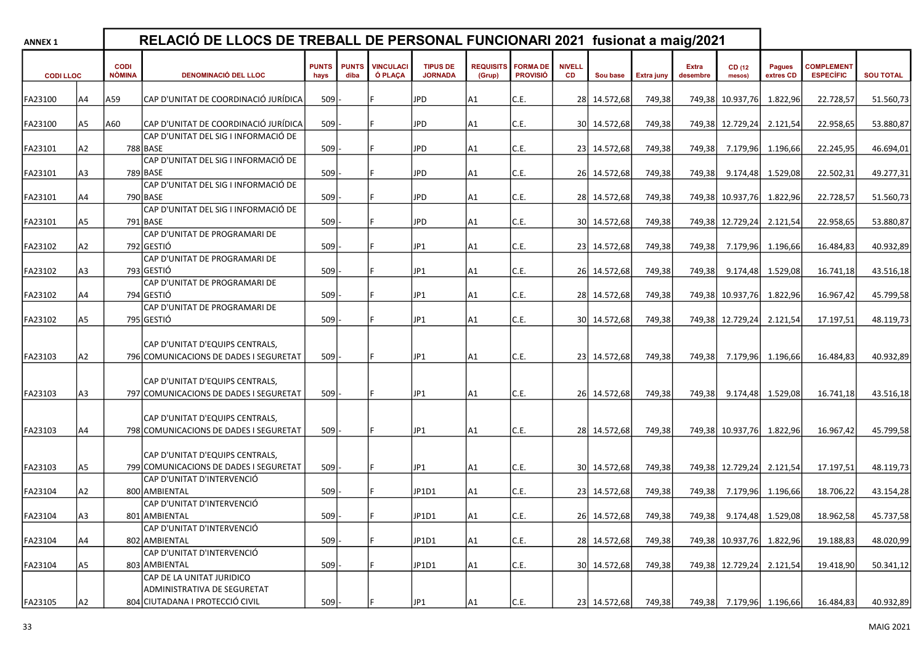| <b>CODI</b><br><b>NÒMINA</b> |                                      |                                                                                                                                                                                                                                                                                                                                                                                                                                                                                                                                                                                                                                                                                                                 | RELACIÓ DE LLOCS DE TREBALL DE PERSONAL FUNCIONARI 2021 fusionat a maig/2021<br><b>ANNEX 1</b> |                             |                                   |                                                             |                                    |                                |          |                                                                                                                              |                                                                                                                                                                              |                                                                                                                                          |                                                                              |                                                                                                                           |                                                                                                                                                                                                                                                                                                                                                                       |
|------------------------------|--------------------------------------|-----------------------------------------------------------------------------------------------------------------------------------------------------------------------------------------------------------------------------------------------------------------------------------------------------------------------------------------------------------------------------------------------------------------------------------------------------------------------------------------------------------------------------------------------------------------------------------------------------------------------------------------------------------------------------------------------------------------|------------------------------------------------------------------------------------------------|-----------------------------|-----------------------------------|-------------------------------------------------------------|------------------------------------|--------------------------------|----------|------------------------------------------------------------------------------------------------------------------------------|------------------------------------------------------------------------------------------------------------------------------------------------------------------------------|------------------------------------------------------------------------------------------------------------------------------------------|------------------------------------------------------------------------------|---------------------------------------------------------------------------------------------------------------------------|-----------------------------------------------------------------------------------------------------------------------------------------------------------------------------------------------------------------------------------------------------------------------------------------------------------------------------------------------------------------------|
|                              | <b>DENOMINACIÓ DEL LLOC</b>          | <b>PUNTS</b><br>hays                                                                                                                                                                                                                                                                                                                                                                                                                                                                                                                                                                                                                                                                                            | <b>PUNTS</b><br>diba                                                                           | <b>VINCULACI</b><br>Ó PLACA | <b>TIPUS DE</b><br><b>JORNADA</b> | <b>REQUISITS</b><br>(Grup)                                  | <b>FORMA DE</b><br><b>PROVISIÓ</b> | <b>NIVELL</b><br><b>CD</b>     | Sou base | <b>Extra juny</b>                                                                                                            | <b>Extra</b><br>desembre                                                                                                                                                     | CD (12<br>mesos)                                                                                                                         | <b>Pagues</b><br>extres CD                                                   | <b>COMPLEMENT</b><br><b>ESPECÍFIC</b>                                                                                     | <b>SOU TOTAL</b>                                                                                                                                                                                                                                                                                                                                                      |
| A59                          | CAP D'UNITAT DE COORDINACIÓ JURÍDICA |                                                                                                                                                                                                                                                                                                                                                                                                                                                                                                                                                                                                                                                                                                                 |                                                                                                |                             |                                   | A1                                                          | C.E.                               |                                |          |                                                                                                                              |                                                                                                                                                                              |                                                                                                                                          | 1.822,96                                                                     | 22.728,57                                                                                                                 | 51.560,73                                                                                                                                                                                                                                                                                                                                                             |
| A60                          | CAP D'UNITAT DE COORDINACIÓ JURÍDICA | 509                                                                                                                                                                                                                                                                                                                                                                                                                                                                                                                                                                                                                                                                                                             |                                                                                                |                             | <b>JPD</b>                        | A1                                                          | C.E.                               |                                |          |                                                                                                                              |                                                                                                                                                                              |                                                                                                                                          | 2.121,54                                                                     | 22.958,65                                                                                                                 | 53.880,87                                                                                                                                                                                                                                                                                                                                                             |
|                              | CAP D'UNITAT DEL SIG I INFORMACIÓ DE | 509                                                                                                                                                                                                                                                                                                                                                                                                                                                                                                                                                                                                                                                                                                             |                                                                                                |                             | <b>JPD</b>                        | A1                                                          | C.E.                               |                                |          | 749,38                                                                                                                       |                                                                                                                                                                              |                                                                                                                                          | 1.196,66                                                                     | 22.245,95                                                                                                                 | 46.694,01                                                                                                                                                                                                                                                                                                                                                             |
|                              | CAP D'UNITAT DEL SIG I INFORMACIÓ DE | 509                                                                                                                                                                                                                                                                                                                                                                                                                                                                                                                                                                                                                                                                                                             |                                                                                                |                             |                                   | A1                                                          | C.E.                               |                                |          |                                                                                                                              |                                                                                                                                                                              |                                                                                                                                          | 1.529,08                                                                     | 22.502,31                                                                                                                 | 49.277,31                                                                                                                                                                                                                                                                                                                                                             |
|                              | CAP D'UNITAT DEL SIG I INFORMACIÓ DE | 509                                                                                                                                                                                                                                                                                                                                                                                                                                                                                                                                                                                                                                                                                                             |                                                                                                |                             | <b>JPD</b>                        | A1                                                          | C.E.                               |                                |          |                                                                                                                              |                                                                                                                                                                              |                                                                                                                                          |                                                                              | 22.728,57                                                                                                                 | 51.560,73                                                                                                                                                                                                                                                                                                                                                             |
|                              | CAP D'UNITAT DEL SIG I INFORMACIÓ DE | 509                                                                                                                                                                                                                                                                                                                                                                                                                                                                                                                                                                                                                                                                                                             |                                                                                                |                             | <b>JPD</b>                        | A1                                                          | C.E.                               |                                |          | 749,38                                                                                                                       |                                                                                                                                                                              |                                                                                                                                          |                                                                              | 22.958,65                                                                                                                 | 53.880,87                                                                                                                                                                                                                                                                                                                                                             |
|                              |                                      | 509                                                                                                                                                                                                                                                                                                                                                                                                                                                                                                                                                                                                                                                                                                             |                                                                                                |                             | JP1                               | A <sub>1</sub>                                              | C.E.                               |                                |          | 749,38                                                                                                                       |                                                                                                                                                                              |                                                                                                                                          |                                                                              | 16.484,83                                                                                                                 | 40.932,89                                                                                                                                                                                                                                                                                                                                                             |
|                              |                                      | 509                                                                                                                                                                                                                                                                                                                                                                                                                                                                                                                                                                                                                                                                                                             |                                                                                                |                             | JP1                               | A <sub>1</sub>                                              | C.E.                               |                                |          |                                                                                                                              |                                                                                                                                                                              |                                                                                                                                          |                                                                              | 16.741,18                                                                                                                 | 43.516,18                                                                                                                                                                                                                                                                                                                                                             |
|                              |                                      | 509                                                                                                                                                                                                                                                                                                                                                                                                                                                                                                                                                                                                                                                                                                             |                                                                                                |                             | JP1                               | A1                                                          | C.E.                               |                                |          |                                                                                                                              |                                                                                                                                                                              |                                                                                                                                          | 1.822,96                                                                     | 16.967,42                                                                                                                 | 45.799,58                                                                                                                                                                                                                                                                                                                                                             |
|                              |                                      | 509                                                                                                                                                                                                                                                                                                                                                                                                                                                                                                                                                                                                                                                                                                             |                                                                                                |                             |                                   | A1                                                          | C.E.                               |                                |          |                                                                                                                              |                                                                                                                                                                              |                                                                                                                                          |                                                                              | 17.197,51                                                                                                                 | 48.119,73                                                                                                                                                                                                                                                                                                                                                             |
|                              | CAP D'UNITAT D'EQUIPS CENTRALS,      | 509                                                                                                                                                                                                                                                                                                                                                                                                                                                                                                                                                                                                                                                                                                             |                                                                                                |                             |                                   | A1                                                          | C.E.                               |                                |          |                                                                                                                              |                                                                                                                                                                              |                                                                                                                                          |                                                                              |                                                                                                                           | 40.932,89                                                                                                                                                                                                                                                                                                                                                             |
|                              | CAP D'UNITAT D'EQUIPS CENTRALS,      |                                                                                                                                                                                                                                                                                                                                                                                                                                                                                                                                                                                                                                                                                                                 |                                                                                                |                             |                                   |                                                             |                                    |                                |          |                                                                                                                              |                                                                                                                                                                              |                                                                                                                                          |                                                                              |                                                                                                                           | 43.516,18                                                                                                                                                                                                                                                                                                                                                             |
|                              | CAP D'UNITAT D'EQUIPS CENTRALS,      |                                                                                                                                                                                                                                                                                                                                                                                                                                                                                                                                                                                                                                                                                                                 |                                                                                                |                             |                                   |                                                             |                                    |                                |          |                                                                                                                              |                                                                                                                                                                              |                                                                                                                                          |                                                                              |                                                                                                                           |                                                                                                                                                                                                                                                                                                                                                                       |
|                              |                                      |                                                                                                                                                                                                                                                                                                                                                                                                                                                                                                                                                                                                                                                                                                                 |                                                                                                |                             |                                   |                                                             |                                    |                                |          |                                                                                                                              |                                                                                                                                                                              |                                                                                                                                          |                                                                              |                                                                                                                           | 45.799,58                                                                                                                                                                                                                                                                                                                                                             |
|                              |                                      | 509                                                                                                                                                                                                                                                                                                                                                                                                                                                                                                                                                                                                                                                                                                             |                                                                                                |                             |                                   | A1                                                          |                                    |                                |          |                                                                                                                              |                                                                                                                                                                              |                                                                                                                                          |                                                                              | 17.197,51                                                                                                                 | 48.119,73                                                                                                                                                                                                                                                                                                                                                             |
|                              |                                      | 509                                                                                                                                                                                                                                                                                                                                                                                                                                                                                                                                                                                                                                                                                                             |                                                                                                |                             | JP1D1                             | A1                                                          | C.E.                               |                                |          | 749,38                                                                                                                       |                                                                                                                                                                              |                                                                                                                                          |                                                                              | 18.706,22                                                                                                                 | 43.154,28                                                                                                                                                                                                                                                                                                                                                             |
|                              |                                      |                                                                                                                                                                                                                                                                                                                                                                                                                                                                                                                                                                                                                                                                                                                 |                                                                                                |                             | JP1D1                             | A <sub>1</sub>                                              | C.E.                               |                                |          |                                                                                                                              |                                                                                                                                                                              |                                                                                                                                          |                                                                              | 18.962,58                                                                                                                 | 45.737,58                                                                                                                                                                                                                                                                                                                                                             |
|                              |                                      | 509                                                                                                                                                                                                                                                                                                                                                                                                                                                                                                                                                                                                                                                                                                             |                                                                                                |                             | JP1D1                             | A1                                                          | C.E.                               |                                |          | 749,38                                                                                                                       |                                                                                                                                                                              |                                                                                                                                          |                                                                              | 19.188,83                                                                                                                 | 48.020,99                                                                                                                                                                                                                                                                                                                                                             |
|                              |                                      | 509                                                                                                                                                                                                                                                                                                                                                                                                                                                                                                                                                                                                                                                                                                             |                                                                                                |                             | JP1D1                             | A1                                                          | C.E.                               |                                |          |                                                                                                                              |                                                                                                                                                                              |                                                                                                                                          | 2.121,54                                                                     | 19.418,90                                                                                                                 | 50.341,12                                                                                                                                                                                                                                                                                                                                                             |
|                              | ADMINISTRATIVA DE SEGURETAT          |                                                                                                                                                                                                                                                                                                                                                                                                                                                                                                                                                                                                                                                                                                                 |                                                                                                |                             |                                   |                                                             |                                    |                                |          |                                                                                                                              |                                                                                                                                                                              |                                                                                                                                          |                                                                              |                                                                                                                           | 40.932,89                                                                                                                                                                                                                                                                                                                                                             |
|                              |                                      | 788 BASE<br>789 BASE<br>790 BASE<br>791 BASE<br>CAP D'UNITAT DE PROGRAMARI DE<br>792 GESTIÓ<br>CAP D'UNITAT DE PROGRAMARI DE<br>793 GESTIÓ<br>CAP D'UNITAT DE PROGRAMARI DE<br>794 GESTIÓ<br>CAP D'UNITAT DE PROGRAMARI DE<br>795 GESTIÓ<br>796 COMUNICACIONS DE DADES I SEGURETAT<br>797 COMUNICACIONS DE DADES I SEGURETAT<br>798 COMUNICACIONS DE DADES I SEGURETAT<br>CAP D'UNITAT D'EQUIPS CENTRALS,<br>799 COMUNICACIONS DE DADES I SEGURETAT<br>CAP D'UNITAT D'INTERVENCIÓ<br>800 AMBIENTAL<br>CAP D'UNITAT D'INTERVENCIÓ<br>801 AMBIENTAL<br>CAP D'UNITAT D'INTERVENCIÓ<br>802 AMBIENTAL<br>CAP D'UNITAT D'INTERVENCIÓ<br>803 AMBIENTAL<br>CAP DE LA UNITAT JURIDICO<br>804 CIUTADANA I PROTECCIÓ CIVIL | 509<br>509                                                                                     | 509<br>509<br>509           |                                   | <b>JPD</b><br>JPD<br>JP1<br>JP1<br>JP1<br>JP1<br>JP1<br>JP1 | A1<br>A <sub>1</sub><br>A1         | C.E.<br>IC.E.<br>IC.E.<br>C.E. |          | 30 14.572,68<br>23 14.572,68<br>26 14.572,68<br>23 14.572,68<br>26 14.572,68<br>28 14.572,68<br>30 14.572,68<br>28 14.572,68 | 28 14.572,68<br>28 14.572,68<br>30 14.572,68<br>23 14.572,68<br>26 14.572,68<br>28 14.572,68<br>30 14.572,68<br>23 14.572,68<br>26 14.572,68<br>30 14.572,68<br>23 14.572,68 | 749,38<br>749,38<br>749,38<br>749,38<br>749,38<br>749,38<br>749,38<br>749,38<br>749,38<br>749,38<br>749,38<br>749,38<br>749,38<br>749,38 | 749,38<br>749,38<br>749,38<br>749,38<br>749,38<br>749,38<br>749,38<br>749,38 | 749,38 10.937,76<br>749,38 12.729,24<br>7.179,96<br>9.174,48<br>7.179,96 1.196,66<br>749,38 10.937,76<br>749,38 12.729,24 | 749,38 10.937,76 1.822,96<br>749,38 12.729,24 2.121,54<br>$9.174,48$ 1.529,08<br>749,38 12.729,24 2.121,54<br>7.179,96 1.196,66<br>16.484,83<br>9.174,48 1.529,08<br>16.741,18<br>749,38 10.937,76 1.822,96<br>16.967,42<br>749,38 12.729,24 2.121,54<br>7.179,96 1.196,66<br>749,38 9.174,48 1.529,08<br>749,38 10.937,76 1.822,96<br>7.179,96 1.196,66<br>16.484,83 |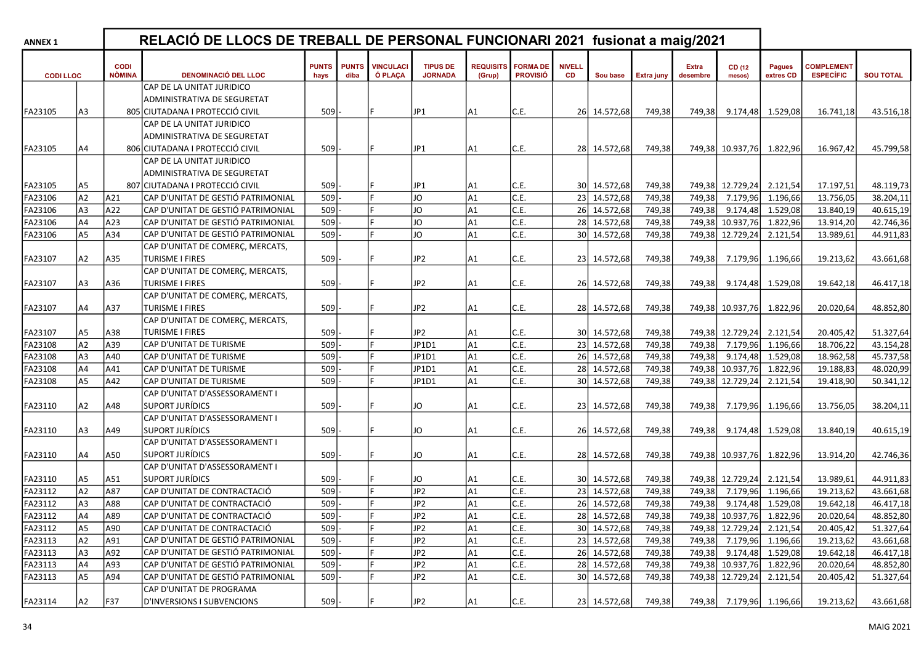| <b>ANNEX 1</b>  |                |                       | RELACIÓ DE LLOCS DE TREBALL DE PERSONAL FUNCIONARI 2021 fusionat a maig/2021 |                      |                      |                             |                                   |                            |                                    |                     |              |                   |                   |                           |                            |                                       |                  |
|-----------------|----------------|-----------------------|------------------------------------------------------------------------------|----------------------|----------------------|-----------------------------|-----------------------------------|----------------------------|------------------------------------|---------------------|--------------|-------------------|-------------------|---------------------------|----------------------------|---------------------------------------|------------------|
| <b>CODILLOC</b> |                | <b>CODI</b><br>NÒMINA | <b>DENOMINACIÓ DEL LLOC</b>                                                  | <b>PUNTS</b><br>hays | <b>PUNTS</b><br>diba | <b>VINCULACI</b><br>Ó PLAÇA | <b>TIPUS DE</b><br><b>JORNADA</b> | <b>REQUISITS</b><br>(Grup) | <b>FORMA DE</b><br><b>PROVISIÓ</b> | <b>NIVELL</b><br>CD | Sou base     | <b>Extra juny</b> | Extra<br>desembre | CD (12<br>mesos)          | <b>Pagues</b><br>extres CD | <b>COMPLEMENT</b><br><b>ESPECÍFIC</b> | <b>SOU TOTAL</b> |
|                 |                |                       | CAP DE LA UNITAT JURIDICO                                                    |                      |                      |                             |                                   |                            |                                    |                     |              |                   |                   |                           |                            |                                       |                  |
|                 |                |                       | <b>ADMINISTRATIVA DE SEGURETAT</b>                                           |                      |                      |                             |                                   |                            |                                    |                     |              |                   |                   |                           |                            |                                       |                  |
| FA23105         | A3             |                       | 805 CIUTADANA I PROTECCIÓ CIVIL                                              | 509                  |                      |                             | JP1                               | A1.                        | C.E.                               |                     | 26 14.572,68 | 749,38            | 749,38            |                           | 9.174,48 1.529,08          | 16.741,18                             | 43.516,18        |
|                 |                |                       | CAP DE LA UNITAT JURIDICO                                                    |                      |                      |                             |                                   |                            |                                    |                     |              |                   |                   |                           |                            |                                       |                  |
|                 |                |                       | ADMINISTRATIVA DE SEGURETAT                                                  |                      |                      |                             |                                   |                            |                                    |                     |              |                   |                   |                           |                            |                                       |                  |
| FA23105         | A4             |                       | 806 CIUTADANA I PROTECCIÓ CIVIL                                              | 509                  |                      |                             | JP1                               | A1                         | C.E.                               |                     | 28 14.572,68 | 749,38            |                   | 749,38 10.937,76 1.822,96 |                            | 16.967,42                             | 45.799,58        |
|                 |                |                       | CAP DE LA UNITAT JURIDICO                                                    |                      |                      |                             |                                   |                            |                                    |                     |              |                   |                   |                           |                            |                                       |                  |
|                 |                |                       | ADMINISTRATIVA DE SEGURETAT                                                  |                      |                      |                             |                                   |                            |                                    |                     |              |                   |                   |                           |                            |                                       |                  |
| FA23105         | A5             |                       | 807 CIUTADANA I PROTECCIÓ CIVIL                                              | 509                  |                      |                             | JP1                               | A1.                        | C.E.                               |                     | 30 14.572,68 | 749,38            |                   | 749,38 12.729,24 2.121,54 |                            | 17.197,51                             | 48.119,73        |
| FA23106         | A2             | A21                   | CAP D'UNITAT DE GESTIÓ PATRIMONIAL                                           | 509                  |                      |                             | <b>JO</b>                         | A1                         | C.E.                               |                     | 23 14.572,68 | 749,38            | 749,38            | 7.179,96                  | 1.196,66                   | 13.756,05                             | 38.204,11        |
| FA23106         | A3             | A22                   | CAP D'UNITAT DE GESTIÓ PATRIMONIAL                                           | 509                  |                      |                             | <b>JO</b>                         | A1                         | C.E.                               | 26                  | 14.572,68    | 749,38            | 749,38            | 9.174,48                  | 1.529,08                   | 13.840,19                             | 40.615,19        |
| FA23106         | A4             | A23                   | CAP D'UNITAT DE GESTIÓ PATRIMONIAL                                           | 509                  |                      |                             | <b>JO</b>                         | A1                         | C.E.                               |                     | 28 14.572,68 | 749,38            | 749,38            | 10.937,76                 | 1.822,96                   | 13.914,20                             | 42.746,36        |
| FA23106         | A5             | A34                   | CAP D'UNITAT DE GESTIÓ PATRIMONIAL                                           | 509                  |                      |                             | JO                                | lA1                        | C.E.                               |                     | 30 14.572,68 | 749,38            | 749,38            | 12.729,24                 | 2.121,54                   | 13.989,61                             | 44.911,83        |
|                 |                |                       | CAP D'UNITAT DE COMERÇ, MERCATS,                                             |                      |                      |                             |                                   |                            |                                    |                     |              |                   |                   |                           |                            |                                       |                  |
| FA23107         | A2             | A35                   | <b>TURISME I FIRES</b>                                                       | 509                  |                      |                             | JP <sub>2</sub>                   | lA1                        | C.E.                               |                     | 23 14.572,68 | 749,38            | 749,38            |                           | 7.179,96 1.196,66          | 19.213,62                             | 43.661,68        |
|                 |                |                       | CAP D'UNITAT DE COMERÇ, MERCATS,                                             |                      |                      |                             |                                   |                            |                                    |                     |              |                   |                   |                           |                            |                                       |                  |
| FA23107         | A3             | A36                   | <b>TURISME I FIRES</b>                                                       | 509                  |                      |                             | JP <sub>2</sub>                   | A1                         | C.E.                               |                     | 26 14.572,68 | 749,38            | 749,38            | 9.174,48                  | 1.529,08                   | 19.642,18                             | 46.417,18        |
|                 |                |                       | CAP D'UNITAT DE COMERÇ, MERCATS,<br>TURISME I FIRES                          |                      |                      |                             |                                   |                            |                                    |                     |              |                   |                   |                           |                            |                                       |                  |
| FA23107         | Α4             | A37                   | CAP D'UNITAT DE COMERÇ, MERCATS,                                             | 509                  |                      |                             | JP <sub>2</sub>                   | lA1                        | C.E.                               |                     | 28 14.572,68 | 749,38            |                   | 749,38 10.937,76          | 1.822,96                   | 20.020,64                             | 48.852,80        |
| FA23107         | A5             | A38                   | <b>TURISME I FIRES</b>                                                       | 509                  |                      |                             | JP2                               | A1                         | C.E.                               |                     | 30 14.572,68 | 749,38            | 749,38            | 12.729,24                 | 2.121,54                   | 20.405,42                             | 51.327,64        |
| FA23108         | A2             | A39                   | CAP D'UNITAT DE TURISME                                                      | 509                  |                      |                             | JP1D1                             | A <sub>1</sub>             | C.E.                               | 23                  | 14.572,68    | 749,38            | 749,38            | 7.179,96                  | 1.196,66                   | 18.706,22                             | 43.154,28        |
| FA23108         | A <sub>3</sub> | A40                   | CAP D'UNITAT DE TURISME                                                      | 509                  |                      |                             | JP1D1                             | A1                         | C.E.                               |                     | 26 14.572,68 | 749,38            | 749,38            | 9.174,48                  | 1.529,08                   | 18.962,58                             | 45.737,58        |
| FA23108         | A4             | A41                   | CAP D'UNITAT DE TURISME                                                      | 509                  |                      |                             | JP1D1                             | A <sub>1</sub>             | C.E.                               |                     | 28 14.572,68 | 749,38            | 749,38            | 10.937,76                 | 1.822,96                   | 19.188,83                             | 48.020,99        |
| FA23108         | A5             | A42                   | CAP D'UNITAT DE TURISME                                                      | 509                  |                      |                             | JP1D1                             | A <sub>1</sub>             | C.E.                               |                     | 30 14.572,68 | 749,38            | 749,38            | 12.729,24                 | 2.121,54                   | 19.418,90                             | 50.341,12        |
|                 |                |                       | CAP D'UNITAT D'ASSESSORAMENT I                                               |                      |                      |                             |                                   |                            |                                    |                     |              |                   |                   |                           |                            |                                       |                  |
| FA23110         | A2             | A48                   | <b>SUPORT JURÍDICS</b>                                                       | 509                  |                      |                             | JO                                | IA1                        | C.E.                               |                     | 23 14.572,68 | 749,38            | 749,38            |                           | 7.179,96 1.196,66          | 13.756,05                             | 38.204,11        |
|                 |                |                       | CAP D'UNITAT D'ASSESSORAMENT I                                               |                      |                      |                             |                                   |                            |                                    |                     |              |                   |                   |                           |                            |                                       |                  |
| FA23110         | A3             | A49                   | <b>SUPORT JURÍDICS</b>                                                       | 509                  |                      |                             | JO                                | lA1                        | C.E.                               |                     | 26 14.572,68 | 749,38            | 749,38            |                           | 9.174,48 1.529,08          | 13.840,19                             | 40.615,19        |
|                 |                |                       | CAP D'UNITAT D'ASSESSORAMENT I                                               |                      |                      |                             |                                   |                            |                                    |                     |              |                   |                   |                           |                            |                                       |                  |
| FA23110         | Α4             | A50                   | <b>SUPORT JURÍDICS</b>                                                       | 509                  |                      |                             | JO                                | A1                         | C.E.                               |                     | 28 14.572,68 | 749,38            | 749,38            | 10.937,76                 | 1.822,96                   | 13.914,20                             | 42.746,36        |
|                 |                |                       | CAP D'UNITAT D'ASSESSORAMENT I                                               |                      |                      |                             |                                   |                            |                                    |                     |              |                   |                   |                           |                            |                                       |                  |
| FA23110         | A5             | A51                   | <b>SUPORT JURÍDICS</b>                                                       | 509                  |                      |                             | JO                                | lA1                        | C.E.                               |                     | 30 14.572,68 | 749,38            | 749,38            | 12.729,24                 | 2.121,54                   | 13.989,61                             | 44.911,83        |
| FA23112         | A2             | A87                   | CAP D'UNITAT DE CONTRACTACIÓ                                                 | 509                  |                      |                             | JP <sub>2</sub>                   | A <sub>1</sub>             | C.E.                               |                     | 23 14.572,68 | 749,38            | 749,38            | 7.179,96                  | 1.196.66                   | 19.213,62                             | 43.661,68        |
| FA23112         | A3             | A88                   | CAP D'UNITAT DE CONTRACTACIÓ                                                 | 509                  |                      |                             | JP <sub>2</sub>                   | A1                         | C.E.                               |                     | 26 14.572,68 | 749,38            | 749,38            | 9.174,48                  | 1.529,08                   | 19.642,18                             | 46.417,18        |
| FA23112         | A4             | la89                  | CAP D'UNITAT DE CONTRACTACIÓ                                                 | 509                  |                      |                             | JP <sub>2</sub>                   | A1                         | C.E.                               |                     | 28 14.572,68 | 749,38            |                   | 749,38 10.937,76 1.822,96 |                            | 20.020,64                             | 48.852,80        |
| FA23112         | A5             | A90                   | CAP D'UNITAT DE CONTRACTACIÓ                                                 | 509                  |                      | F                           | JP <sub>2</sub>                   | A <sub>1</sub>             | C.E.                               |                     | 30 14.572,68 | 749,38            |                   | 749,38 12.729,24 2.121,54 |                            | 20.405,42                             | 51.327,64        |
| FA23113         | A2             | A91                   | CAP D'UNITAT DE GESTIÓ PATRIMONIAL                                           | 509                  |                      |                             | JP <sub>2</sub>                   | A <sub>1</sub>             | C.E.                               |                     | 23 14.572,68 | 749,38            | 749,38            |                           | 7.179,96 1.196,66          | 19.213,62                             | 43.661,68        |
| FA23113         | A <sub>3</sub> | A92                   | CAP D'UNITAT DE GESTIÓ PATRIMONIAL                                           | 509                  |                      |                             | JP <sub>2</sub>                   | A <sub>1</sub>             | C.E.                               |                     | 26 14.572,68 | 749,38            | 749,38            |                           | 9.174,48 1.529,08          | 19.642,18                             | 46.417,18        |
| FA23113         | A4             | A93                   | CAP D'UNITAT DE GESTIÓ PATRIMONIAL                                           | 509                  |                      |                             | JP <sub>2</sub>                   | A <sub>1</sub>             | C.E.                               |                     | 28 14.572,68 | 749,38            |                   | 749,38 10.937,76 1.822,96 |                            | 20.020,64                             | 48.852,80        |
| FA23113         | la5            | A94                   | CAP D'UNITAT DE GESTIÓ PATRIMONIAL                                           | 509                  |                      |                             | JP <sub>2</sub>                   | A <sub>1</sub>             | C.E.                               |                     | 30 14.572,68 | 749,38            |                   | 749,38 12.729,24 2.121,54 |                            | 20.405,42                             | 51.327,64        |
|                 |                |                       | CAP D'UNITAT DE PROGRAMA                                                     |                      |                      |                             |                                   |                            |                                    |                     |              |                   |                   |                           |                            |                                       |                  |
| FA23114         | A2             | F37                   | D'INVERSIONS I SUBVENCIONS                                                   | 509                  |                      |                             | JP <sub>2</sub>                   | A <sub>1</sub>             | C.E.                               |                     | 23 14.572,68 | 749,38            | 749,38            |                           | 7.179,96 1.196,66          | 19.213,62                             | 43.661,68        |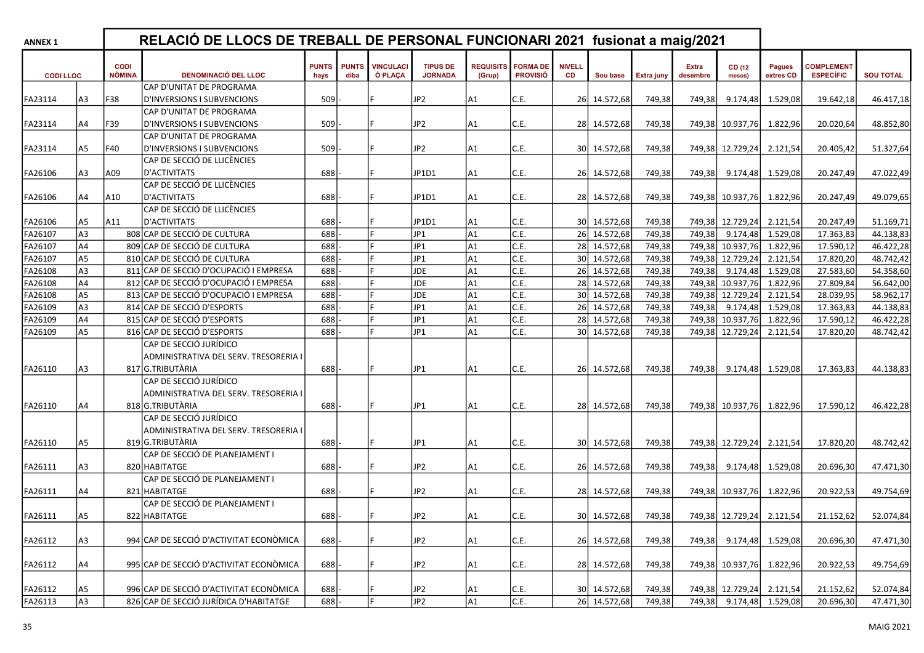| <b>ANNEX 1</b>  |                |                       | RELACIÓ DE LLOCS DE TREBALL DE PERSONAL FUNCIONARI 2021 fusionat a maig/2021        |                      |                      |                             |                                   |                            |                                    |                     |              |            |                          |                           |                            |                                       |                  |
|-----------------|----------------|-----------------------|-------------------------------------------------------------------------------------|----------------------|----------------------|-----------------------------|-----------------------------------|----------------------------|------------------------------------|---------------------|--------------|------------|--------------------------|---------------------------|----------------------------|---------------------------------------|------------------|
| <b>CODILLOC</b> |                | <b>CODI</b><br>NÒMINA | <b>DENOMINACIÓ DEL LLOC</b>                                                         | <b>PUNTS</b><br>hays | <b>PUNTS</b><br>diba | <b>VINCULACI</b><br>Ó PLAÇA | <b>TIPUS DE</b><br><b>JORNADA</b> | <b>REQUISITS</b><br>(Grup) | <b>FORMA DE</b><br><b>PROVISIÓ</b> | <b>NIVELL</b><br>CD | Sou base     | Extra juny | <b>Extra</b><br>desembre | CD (12<br>mesos)          | <b>Pagues</b><br>extres CD | <b>COMPLEMENT</b><br><b>ESPECÍFIC</b> | <b>SOU TOTAL</b> |
|                 |                |                       | CAP D'UNITAT DE PROGRAMA                                                            |                      |                      |                             |                                   |                            |                                    |                     |              |            |                          |                           |                            |                                       |                  |
| FA23114         | A3             | F38                   | D'INVERSIONS I SUBVENCIONS                                                          | 509                  |                      |                             | JP2                               | IA1                        | C.E.                               |                     | 26 14.572,68 | 749,38     | 749,38                   | 9.174,48                  | 1.529,08                   | 19.642,18                             | 46.417,18        |
|                 |                |                       | CAP D'UNITAT DE PROGRAMA                                                            |                      |                      |                             |                                   |                            |                                    |                     |              |            |                          |                           |                            |                                       |                  |
| FA23114         | A4             | F39                   | D'INVERSIONS I SUBVENCIONS                                                          | 509                  |                      |                             | JP <sub>2</sub>                   | IA1                        | C.E.                               |                     | 28 14.572,68 | 749,38     |                          | 749,38 10.937,76          | 1.822,96                   | 20.020,64                             | 48.852,80        |
|                 |                |                       | CAP D'UNITAT DE PROGRAMA                                                            |                      |                      |                             |                                   |                            |                                    |                     |              |            |                          |                           |                            |                                       |                  |
| FA23114         | A5             | F40                   | <b>D'INVERSIONS I SUBVENCIONS</b>                                                   | 509                  |                      |                             | JP <sub>2</sub>                   | A1                         | C.E.                               |                     | 30 14.572,68 | 749,38     |                          | 749,38 12.729,24          | 2.121,54                   | 20.405,42                             | 51.327,64        |
|                 |                |                       | CAP DE SECCIÓ DE LLICÈNCIES                                                         |                      |                      |                             |                                   |                            |                                    |                     |              |            |                          |                           |                            |                                       |                  |
| FA26106         | A3             | A09                   | D'ACTIVITATS                                                                        | 688                  |                      |                             | JP1D1                             | A1                         | C.E.                               |                     | 26 14.572,68 | 749,38     | 749,38                   | 9.174,48                  | 1.529,08                   | 20.247,49                             | 47.022,49        |
|                 |                |                       | CAP DE SECCIÓ DE LLICÈNCIES                                                         |                      |                      |                             |                                   |                            |                                    |                     |              |            |                          |                           |                            |                                       |                  |
| FA26106         | A4             | A10                   | D'ACTIVITATS                                                                        | 688                  |                      |                             | JP1D1                             | A1                         | C.E.                               |                     | 28 14.572,68 | 749,38     |                          | 749,38 10.937,76          | 1.822,96                   | 20.247,49                             | 49.079,65        |
|                 |                |                       | CAP DE SECCIÓ DE LLICÈNCIES                                                         |                      |                      |                             |                                   |                            |                                    |                     |              |            |                          |                           |                            |                                       |                  |
| FA26106         | A5             | A11                   | D'ACTIVITATS                                                                        | 688                  |                      |                             | JP1D1                             | A1                         | C.E.                               |                     | 30 14.572,68 | 749,38     |                          | 749,38 12.729,24          | 2.121,54                   | 20.247,49                             | 51.169,71        |
| FA26107         | A3             |                       | 808 CAP DE SECCIÓ DE CULTURA                                                        | 688                  |                      |                             | JP <sub>1</sub>                   | A <sub>1</sub>             | C.E.                               |                     | 26 14.572,68 | 749,38     | 749,38                   | 9.174,48                  | 1.529,08                   | 17.363,83                             | 44.138,83        |
| FA26107         | A4             |                       | 809 CAP DE SECCIÓ DE CULTURA                                                        | 688                  |                      |                             | JP <sub>1</sub>                   | A <sub>1</sub>             | C.E.                               | 28 l                | 14.572,68    | 749,38     |                          | 749,38 10.937,76          | 1.822,96                   | 17.590,12                             | 46.422,28        |
| FA26107         | las.           |                       | 810 CAP DE SECCIÓ DE CULTURA                                                        | 688                  |                      |                             | JP <sub>1</sub>                   | A <sub>1</sub>             | C.E.                               | 30 <sup>1</sup>     | 14.572,68    | 749,38     |                          | 749,38 12.729,24          | 2.121,54                   | 17.820,20                             | 48.742,42        |
| FA26108         | A <sub>3</sub> |                       | 811 CAP DE SECCIÓ D'OCUPACIÓ I EMPRESA                                              | 688                  |                      |                             | <b>JDE</b>                        | A <sub>1</sub>             | C.E.                               | 26                  | 14.572,68    | 749,38     | 749,38                   | 9.174,48                  | 1.529,08                   | 27.583,60                             | 54.358,60        |
| FA26108         | A4             |                       | 812 CAP DE SECCIÓ D'OCUPACIÓ I EMPRESA                                              | 688                  |                      |                             | <b>JDE</b>                        | A <sub>1</sub>             | C.E.                               | 28 <sup>1</sup>     | 14.572,68    | 749,38     |                          | 749,38 10.937,76          | 1.822,96                   | 27.809,84                             | 56.642,00        |
| FA26108         | A5             |                       | 813 CAP DE SECCIÓ D'OCUPACIÓ I EMPRESA                                              | 688                  |                      |                             | <b>JDE</b>                        | A <sub>1</sub>             | C.E.                               | 30 l                | 14.572,68    | 749,38     |                          | 749,38 12.729,24          | 2.121,54                   | 28.039,95                             | 58.962,17        |
| FA26109         | A3             |                       | 814 CAP DE SECCIÓ D'ESPORTS                                                         | 688                  |                      |                             | JP <sub>1</sub>                   | A <sub>1</sub>             | C.E.                               | 26                  | 14.572,68    | 749,38     | 749,38                   | 9.174,48                  | 1.529,08                   | 17.363,83                             | 44.138,83        |
| FA26109         | A4             |                       | 815 CAP DE SECCIÓ D'ESPORTS                                                         | 688                  |                      |                             | JP <sub>1</sub>                   | A <sub>1</sub>             | C.E.                               |                     | 28 14.572,68 | 749,38     |                          | 749,38 10.937,76          | 1.822,96                   | 17.590,12                             | 46.422,28        |
| FA26109         | A5             |                       | 816 CAP DE SECCIÓ D'ESPORTS                                                         | 688                  |                      |                             | JP1                               | A <sub>1</sub>             | C.E.                               |                     | 30 14.572,68 | 749,38     |                          | 749,38 12.729,24          | 2.121,54                   | 17.820,20                             | 48.742,42        |
|                 |                |                       | CAP DE SECCIÓ JURÍDICO<br>ADMINISTRATIVA DEL SERV. TRESORERIA I                     |                      |                      |                             |                                   |                            |                                    |                     |              |            |                          |                           |                            |                                       |                  |
| FA26110         | lA3            |                       | 817 G.TRIBUTÀRIA<br>CAP DE SECCIÓ JURÍDICO<br>ADMINISTRATIVA DEL SERV. TRESORERIA I | 688                  |                      |                             | JP1                               | A1                         | C.E.                               |                     | 26 14.572,68 | 749,38     | 749,38                   | 9.174,48                  | 1.529,08                   | 17.363,83                             | 44.138,83        |
| FA26110         | IA4            |                       | 818 G.TRIBUTÀRIA                                                                    | 688                  |                      |                             | JP1                               | IA1                        | C.E.                               |                     | 28 14.572,68 | 749,38     |                          | 749,38 10.937,76 1.822,96 |                            | 17.590,12                             | 46.422,28        |
|                 |                |                       | CAP DE SECCIÓ JURÍDICO                                                              |                      |                      |                             |                                   |                            |                                    |                     |              |            |                          |                           |                            |                                       |                  |
|                 |                |                       | ADMINISTRATIVA DEL SERV. TRESORERIA I                                               |                      |                      |                             |                                   |                            |                                    |                     |              |            |                          |                           |                            |                                       |                  |
| FA26110         | lA5            |                       | 819 G.TRIBUTÀRIA                                                                    | 688                  |                      |                             | JP1                               | lA1                        | C.E.                               |                     | 30 14.572,68 | 749,38     |                          | 749,38 12.729,24          | 2.121,54                   | 17.820,20                             | 48.742,42        |
|                 |                |                       | CAP DE SECCIÓ DE PLANEJAMENT I                                                      |                      |                      |                             |                                   |                            |                                    |                     |              |            |                          |                           |                            |                                       |                  |
| FA26111         | A3             |                       | 820 HABITATGE                                                                       | 688                  |                      |                             | JP <sub>2</sub>                   | IA1                        | C.E.                               |                     | 26 14.572,68 | 749,38     | 749,38                   | 9.174,48                  | 1.529,08                   | 20.696,30                             | 47.471,30        |
|                 |                |                       | CAP DE SECCIÓ DE PLANEJAMENT I                                                      |                      |                      |                             |                                   |                            |                                    |                     |              |            |                          |                           |                            |                                       |                  |
| FA26111         | A4             |                       | 821 HABITATGE                                                                       | 688                  |                      |                             | JP2                               | IA1                        | C.E.                               |                     | 28 14.572,68 | 749,38     |                          | 749,38 10.937,76 1.822,96 |                            | 20.922,53                             | 49.754,69        |
|                 |                |                       | CAP DE SECCIÓ DE PLANEJAMENT I                                                      |                      |                      |                             |                                   |                            |                                    |                     |              |            |                          |                           |                            |                                       |                  |
| FA26111         | A5             |                       | 822 HABITATGE                                                                       | 688                  |                      |                             | JP <sub>2</sub>                   | IA1                        | C.E.                               |                     | 30 14.572,68 | 749,38     |                          | 749,38 12.729,24 2.121,54 |                            | 21.152,62                             | 52.074,84        |
| FA26112         | A3             |                       | 994 CAP DE SECCIÓ D'ACTIVITAT ECONÒMICA                                             | 688                  |                      |                             | JP2                               | A1                         | C.E.                               |                     | 26 14.572,68 | 749,38     | 749,38                   | 9.174,48                  | 1.529,08                   | 20.696,30                             | 47.471,30        |
| FA26112         | lA4            |                       | 995 CAP DE SECCIÓ D'ACTIVITAT ECONÒMICA                                             | 688                  |                      |                             | JP <sub>2</sub>                   | A1                         | C.E.                               |                     | 28 14.572,68 | 749,38     |                          | 749,38 10.937,76          | 1.822,96                   | 20.922,53                             | 49.754,69        |
| FA26112         | A5             |                       | 996 CAP DE SECCIÓ D'ACTIVITAT ECONÒMICA                                             | 688                  |                      |                             | JP <sub>2</sub>                   | A1                         | C.E.                               |                     | 30 14.572,68 | 749,38     |                          | 749,38 12.729,24          | 2.121,54                   | 21.152,62                             | 52.074,84        |
| FA26113         | A <sub>3</sub> |                       | 826 CAP DE SECCIÓ JURÍDICA D'HABITATGE                                              | 688                  |                      |                             | JP2                               | A <sub>1</sub>             | C.E.                               |                     | 26 14.572,68 | 749,38     | 749,38                   | 9.174,48                  | 1.529,08                   | 20.696,30                             | 47.471,30        |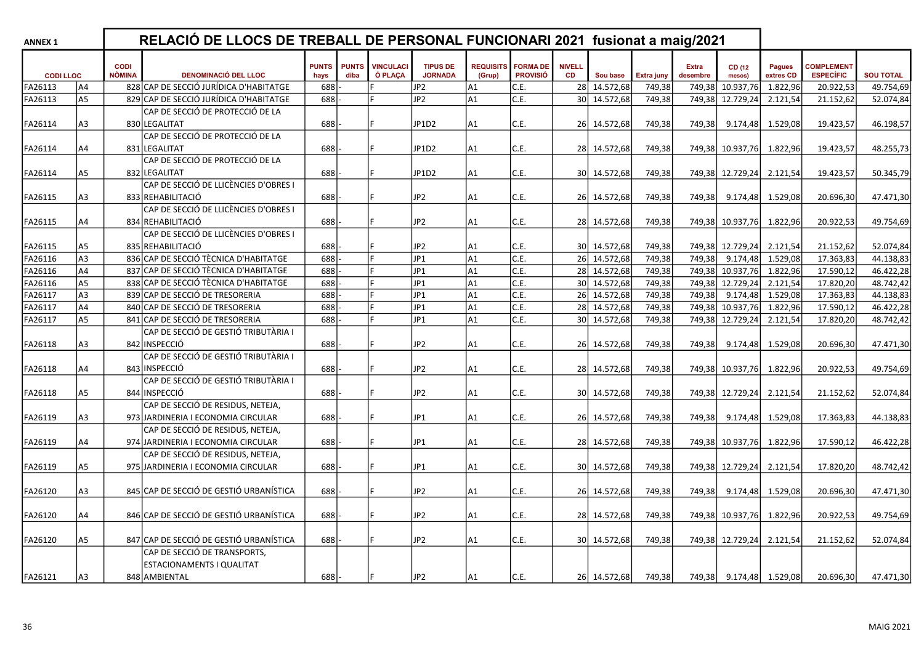| <b>PUNTS</b><br><b>PUNTS</b><br><b>VINCULACI</b><br><b>TIPUS DE</b><br><b>REQUISITS</b><br><b>FORMA DE</b><br><b>NIVELL</b><br><b>COMPLEMENT</b><br><b>CODI</b><br><b>Extra</b><br><b>Pagues</b><br>CD (12<br>NÒMINA<br><b>DENOMINACIÓ DEL LLOC</b><br>Ó PLACA<br><b>JORNADA</b><br><b>PROVISIÓ</b><br><b>ESPECÍFIC</b><br><b>SOU TOTAL</b><br><b>CODILLOC</b><br>diba<br><b>CD</b><br>Sou base<br>Extra juny<br>desembre<br>extres CD<br>hays<br>(Grup)<br>mesos)<br>JP <sub>2</sub><br>14.572,68<br>A4<br>828 CAP DE SECCIÓ JURÍDICA D'HABITATGE<br>lA1<br>28<br>749,38<br>10.937,76<br>FA26113<br>688<br>C.E.<br>749,38<br>1.822,96<br>20.922,53<br>49.754,69<br>JP <sub>2</sub><br>829 CAP DE SECCIÓ JURÍDICA D'HABITATGE<br>A <sub>1</sub><br>C.E.<br>30 14.572,68<br>FA26113<br>A5<br>688<br>749,38<br>749,38 12.729,24<br>2.121,54<br>21.152,62<br>52.074,84<br>CAP DE SECCIÓ DE PROTECCIÓ DE LA<br>JP1D2<br>C.E.<br>FA26114<br>A3<br>830 LEGALITAT<br>688<br>A <sub>1</sub><br>26 14.572,68<br>749,38<br>749,38<br>9.174,48<br>1.529,08<br>19.423,57<br>46.198,57<br>CAP DE SECCIÓ DE PROTECCIÓ DE LA<br>831 LEGALITAT<br>C.E.<br>FA26114<br>A4<br>688<br>JP1D2<br>A1<br>28 14.572,68<br>749,38<br>749,38 10.937,76<br>1.822,96<br>19.423,57<br>48.255,73<br>CAP DE SECCIÓ DE PROTECCIÓ DE LA<br>FA26114<br>A5<br>832 LEGALITAT<br>688<br>JP1D2<br>A1<br>C.E.<br>30 14.572,68<br>749,38<br>749,38 12.729,24<br>2.121,54<br>19.423,57<br>50.345,79<br>CAP DE SECCIÓ DE LLICÈNCIES D'OBRES I<br>JP <sub>2</sub><br>C.E.<br>FA26115<br>A3<br>833 REHABILITACIÓ<br>688<br>A1<br>26 14.572,68<br>749,38<br>749,38<br>9.174,48<br>1.529,08<br>20.696,30<br>47.471,30<br>CAP DE SECCIÓ DE LLICÈNCIES D'OBRES I<br>834 REHABILITACIÓ<br>688<br>JP <sub>2</sub><br>C.E.<br>28 14.572,68<br>749,38<br>749,38 10.937,76<br>1.822,96<br>20.922,53<br>49.754,69<br>FA26115<br>A4<br>lA1<br>CAP DE SECCIÓ DE LLICÈNCIES D'OBRES I<br>835 REHABILITACIÓ<br>688<br>30 14.572,68<br>2.121,54<br>FA26115<br>JP <sub>2</sub><br>C.E.<br>749,38<br>749,38 12.729,24<br>21.152,62<br>52.074,84<br>A5<br>A1<br>JP <sub>1</sub><br>836 CAP DE SECCIÓ TÈCNICA D'HABITATGE<br>688<br>la1<br>C.E.<br>26 14.572,68<br>749,38<br>749,38<br>9.174,48<br>1.529,08<br>17.363,83<br>FA26116<br>A3<br>44.138,83<br>JP1<br>la1<br>C.E.<br>28 14.572,68<br>17.590,12<br>FA26116<br>A4<br>837 CAP DE SECCIÓ TÈCNICA D'HABITATGE<br>688<br>749,38<br>749,38 10.937,76<br>1.822,96<br>46.422,28<br>JP <sub>1</sub><br>688<br>A1<br>C.E.<br>30 14.572,68<br>749,38<br>12.729,24<br>FA26116<br>A5<br>838 CAP DE SECCIÓ TÈCNICA D'HABITATGE<br>749,38<br>2.121,54<br>17.820,20<br>48.742,42<br>JP1<br>A <sub>1</sub><br>688<br>C.E.<br>26 14.572,68<br>749,38<br>749,38<br>9.174,48<br>FA26117<br>A3<br>839 CAP DE SECCIÓ DE TRESORERIA<br>1.529,08<br>17.363,83<br>44.138,83<br>840 CAP DE SECCIÓ DE TRESORERIA<br>688<br>JP1<br>A <sub>1</sub><br>C.E.<br>28<br>14.572,68<br>749,38<br>10.937,76<br>1.822,96<br>17.590,12<br>FA26117<br>AA<br>749,38<br>46.422,28<br>JPI<br>A <sub>1</sub><br>C.E.<br>30 14.572,68<br>FA26117<br>A5<br>841 CAP DE SECCIÓ DE TRESORERIA<br>688<br>749,38<br>749,38<br>12.729,24<br>2.121,54<br>17.820,20<br>48.742,42<br>CAP DE SECCIÓ DE GESTIÓ TRIBUTÀRIA I<br>842 INSPECCIÓ<br>JP <sub>2</sub><br>749,38<br>FA26118<br>A3<br>688<br>lA1<br>C.E.<br>26 14.572,68<br>749,38<br>9.174,48<br>1.529,08<br>20.696,30<br>47.471,30<br>CAP DE SECCIÓ DE GESTIÓ TRIBUTÀRIA I<br>843 INSPECCIÓ<br>JP <sub>2</sub><br>688<br>C.E.<br>28 14.572,68<br>749,38<br>749,38 10.937,76<br>1.822,96<br>20.922,53<br>FA26118<br>A4<br>A1<br>49.754,69<br>CAP DE SECCIÓ DE GESTIÓ TRIBUTÀRIA I<br>844 INSPECCIÓ<br>JP <sub>2</sub><br>A5<br>lA1<br>C.E.<br>30 14.572,68<br>749,38<br>749,38 12.729,24<br>2.121,54<br>21.152,62<br>52.074,84<br>FA26118<br>688<br>CAP DE SECCIÓ DE RESIDUS, NETEJA,<br>973 JARDINERIA I ECONOMIA CIRCULAR<br>FA26119<br>A3<br>688<br>JP1<br>A1<br>C.E.<br>26 14.572,68<br>749,38<br>749,38<br>9.174,48<br>1.529,08<br>17.363,83<br>44.138,83<br>CAP DE SECCIÓ DE RESIDUS, NETEJA,<br>FA26119<br>974 JARDINERIA I ECONOMIA CIRCULAR<br>688<br>JP1<br>A1<br>C.E.<br>28 14.572,68<br>749,38<br>749,38 10.937,76<br>1.822,96<br>17.590,12<br>46.422,28<br>A4<br>CAP DE SECCIÓ DE RESIDUS, NETEJA,<br>A5<br>975 JARDINERIA I ECONOMIA CIRCULAR<br>688<br>JP <sub>1</sub><br>C.E.<br>30 14.572,68<br>749,38<br>749,38 12.729,24<br>2.121,54<br>17.820,20<br>48.742,42<br>FA26119<br>lA1<br>JP <sub>2</sub><br>A3<br>845 CAP DE SECCIÓ DE GESTIÓ URBANÍSTICA<br>688<br>C.E.<br>26 14.572,68<br>749,38<br>9.174,48<br>1.529,08<br>20.696,30<br>FA26120<br>A1<br>749,38<br>47.471,30<br>846 CAP DE SECCIÓ DE GESTIÓ URBANÍSTICA<br>JP <sub>2</sub><br>28 14.572,68<br>749,38<br>1.822,96<br>FA26120<br>A4<br>688<br>A1<br>C.E.<br>749,38 10.937,76<br>20.922,53<br>49.754,69<br>847 CAP DE SECCIÓ DE GESTIÓ URBANÍSTICA<br>JP <sub>2</sub><br>FA26120<br>A5<br>688<br>C.E.<br>30 14.572,68<br>749,38<br>749,38 12.729,24<br>2.121,54<br>21.152,62<br>52.074,84<br>A1<br>CAP DE SECCIÓ DE TRANSPORTS,<br>ESTACIONAMENTS I QUALITAT | <b>ANNEX 1</b> |  | RELACIÓ DE LLOCS DE TREBALL DE PERSONAL FUNCIONARI 2021 fusionat a maig/2021 |  |                 |      |  |  |  |  |
|---------------------------------------------------------------------------------------------------------------------------------------------------------------------------------------------------------------------------------------------------------------------------------------------------------------------------------------------------------------------------------------------------------------------------------------------------------------------------------------------------------------------------------------------------------------------------------------------------------------------------------------------------------------------------------------------------------------------------------------------------------------------------------------------------------------------------------------------------------------------------------------------------------------------------------------------------------------------------------------------------------------------------------------------------------------------------------------------------------------------------------------------------------------------------------------------------------------------------------------------------------------------------------------------------------------------------------------------------------------------------------------------------------------------------------------------------------------------------------------------------------------------------------------------------------------------------------------------------------------------------------------------------------------------------------------------------------------------------------------------------------------------------------------------------------------------------------------------------------------------------------------------------------------------------------------------------------------------------------------------------------------------------------------------------------------------------------------------------------------------------------------------------------------------------------------------------------------------------------------------------------------------------------------------------------------------------------------------------------------------------------------------------------------------------------------------------------------------------------------------------------------------------------------------------------------------------------------------------------------------------------------------------------------------------------------------------------------------------------------------------------------------------------------------------------------------------------------------------------------------------------------------------------------------------------------------------------------------------------------------------------------------------------------------------------------------------------------------------------------------------------------------------------------------------------------------------------------------------------------------------------------------------------------------------------------------------------------------------------------------------------------------------------------------------------------------------------------------------------------------------------------------------------------------------------------------------------------------------------------------------------------------------------------------------------------------------------------------------------------------------------------------------------------------------------------------------------------------------------------------------------------------------------------------------------------------------------------------------------------------------------------------------------------------------------------------------------------------------------------------------------------------------------------------------------------------------------------------------------------------------------------------------------------------------------------------------------------------------------------------------------------------------------------------------------------------------------------------------------------------------------------------------------------------------------------------------------------------------------------------------------------------------------------------------------------------------------------------------------------------------------------------------------------------------------------------------------------------------------------------------------------------------------------------------------------------------------------------------------------------------------------------------------------------------------------------------------------------------------------------------------------|----------------|--|------------------------------------------------------------------------------|--|-----------------|------|--|--|--|--|
|                                                                                                                                                                                                                                                                                                                                                                                                                                                                                                                                                                                                                                                                                                                                                                                                                                                                                                                                                                                                                                                                                                                                                                                                                                                                                                                                                                                                                                                                                                                                                                                                                                                                                                                                                                                                                                                                                                                                                                                                                                                                                                                                                                                                                                                                                                                                                                                                                                                                                                                                                                                                                                                                                                                                                                                                                                                                                                                                                                                                                                                                                                                                                                                                                                                                                                                                                                                                                                                                                                                                                                                                                                                                                                                                                                                                                                                                                                                                                                                                                                                                                                                                                                                                                                                                                                                                                                                                                                                                                                                                                                                                                                                                                                                                                                                                                                                                                                                                                                                                                                                                                                                                       |                |  |                                                                              |  |                 |      |  |  |  |  |
|                                                                                                                                                                                                                                                                                                                                                                                                                                                                                                                                                                                                                                                                                                                                                                                                                                                                                                                                                                                                                                                                                                                                                                                                                                                                                                                                                                                                                                                                                                                                                                                                                                                                                                                                                                                                                                                                                                                                                                                                                                                                                                                                                                                                                                                                                                                                                                                                                                                                                                                                                                                                                                                                                                                                                                                                                                                                                                                                                                                                                                                                                                                                                                                                                                                                                                                                                                                                                                                                                                                                                                                                                                                                                                                                                                                                                                                                                                                                                                                                                                                                                                                                                                                                                                                                                                                                                                                                                                                                                                                                                                                                                                                                                                                                                                                                                                                                                                                                                                                                                                                                                                                                       |                |  |                                                                              |  |                 |      |  |  |  |  |
|                                                                                                                                                                                                                                                                                                                                                                                                                                                                                                                                                                                                                                                                                                                                                                                                                                                                                                                                                                                                                                                                                                                                                                                                                                                                                                                                                                                                                                                                                                                                                                                                                                                                                                                                                                                                                                                                                                                                                                                                                                                                                                                                                                                                                                                                                                                                                                                                                                                                                                                                                                                                                                                                                                                                                                                                                                                                                                                                                                                                                                                                                                                                                                                                                                                                                                                                                                                                                                                                                                                                                                                                                                                                                                                                                                                                                                                                                                                                                                                                                                                                                                                                                                                                                                                                                                                                                                                                                                                                                                                                                                                                                                                                                                                                                                                                                                                                                                                                                                                                                                                                                                                                       |                |  |                                                                              |  |                 |      |  |  |  |  |
|                                                                                                                                                                                                                                                                                                                                                                                                                                                                                                                                                                                                                                                                                                                                                                                                                                                                                                                                                                                                                                                                                                                                                                                                                                                                                                                                                                                                                                                                                                                                                                                                                                                                                                                                                                                                                                                                                                                                                                                                                                                                                                                                                                                                                                                                                                                                                                                                                                                                                                                                                                                                                                                                                                                                                                                                                                                                                                                                                                                                                                                                                                                                                                                                                                                                                                                                                                                                                                                                                                                                                                                                                                                                                                                                                                                                                                                                                                                                                                                                                                                                                                                                                                                                                                                                                                                                                                                                                                                                                                                                                                                                                                                                                                                                                                                                                                                                                                                                                                                                                                                                                                                                       |                |  |                                                                              |  |                 |      |  |  |  |  |
|                                                                                                                                                                                                                                                                                                                                                                                                                                                                                                                                                                                                                                                                                                                                                                                                                                                                                                                                                                                                                                                                                                                                                                                                                                                                                                                                                                                                                                                                                                                                                                                                                                                                                                                                                                                                                                                                                                                                                                                                                                                                                                                                                                                                                                                                                                                                                                                                                                                                                                                                                                                                                                                                                                                                                                                                                                                                                                                                                                                                                                                                                                                                                                                                                                                                                                                                                                                                                                                                                                                                                                                                                                                                                                                                                                                                                                                                                                                                                                                                                                                                                                                                                                                                                                                                                                                                                                                                                                                                                                                                                                                                                                                                                                                                                                                                                                                                                                                                                                                                                                                                                                                                       |                |  |                                                                              |  |                 |      |  |  |  |  |
|                                                                                                                                                                                                                                                                                                                                                                                                                                                                                                                                                                                                                                                                                                                                                                                                                                                                                                                                                                                                                                                                                                                                                                                                                                                                                                                                                                                                                                                                                                                                                                                                                                                                                                                                                                                                                                                                                                                                                                                                                                                                                                                                                                                                                                                                                                                                                                                                                                                                                                                                                                                                                                                                                                                                                                                                                                                                                                                                                                                                                                                                                                                                                                                                                                                                                                                                                                                                                                                                                                                                                                                                                                                                                                                                                                                                                                                                                                                                                                                                                                                                                                                                                                                                                                                                                                                                                                                                                                                                                                                                                                                                                                                                                                                                                                                                                                                                                                                                                                                                                                                                                                                                       |                |  |                                                                              |  |                 |      |  |  |  |  |
|                                                                                                                                                                                                                                                                                                                                                                                                                                                                                                                                                                                                                                                                                                                                                                                                                                                                                                                                                                                                                                                                                                                                                                                                                                                                                                                                                                                                                                                                                                                                                                                                                                                                                                                                                                                                                                                                                                                                                                                                                                                                                                                                                                                                                                                                                                                                                                                                                                                                                                                                                                                                                                                                                                                                                                                                                                                                                                                                                                                                                                                                                                                                                                                                                                                                                                                                                                                                                                                                                                                                                                                                                                                                                                                                                                                                                                                                                                                                                                                                                                                                                                                                                                                                                                                                                                                                                                                                                                                                                                                                                                                                                                                                                                                                                                                                                                                                                                                                                                                                                                                                                                                                       |                |  |                                                                              |  |                 |      |  |  |  |  |
|                                                                                                                                                                                                                                                                                                                                                                                                                                                                                                                                                                                                                                                                                                                                                                                                                                                                                                                                                                                                                                                                                                                                                                                                                                                                                                                                                                                                                                                                                                                                                                                                                                                                                                                                                                                                                                                                                                                                                                                                                                                                                                                                                                                                                                                                                                                                                                                                                                                                                                                                                                                                                                                                                                                                                                                                                                                                                                                                                                                                                                                                                                                                                                                                                                                                                                                                                                                                                                                                                                                                                                                                                                                                                                                                                                                                                                                                                                                                                                                                                                                                                                                                                                                                                                                                                                                                                                                                                                                                                                                                                                                                                                                                                                                                                                                                                                                                                                                                                                                                                                                                                                                                       |                |  |                                                                              |  |                 |      |  |  |  |  |
|                                                                                                                                                                                                                                                                                                                                                                                                                                                                                                                                                                                                                                                                                                                                                                                                                                                                                                                                                                                                                                                                                                                                                                                                                                                                                                                                                                                                                                                                                                                                                                                                                                                                                                                                                                                                                                                                                                                                                                                                                                                                                                                                                                                                                                                                                                                                                                                                                                                                                                                                                                                                                                                                                                                                                                                                                                                                                                                                                                                                                                                                                                                                                                                                                                                                                                                                                                                                                                                                                                                                                                                                                                                                                                                                                                                                                                                                                                                                                                                                                                                                                                                                                                                                                                                                                                                                                                                                                                                                                                                                                                                                                                                                                                                                                                                                                                                                                                                                                                                                                                                                                                                                       |                |  |                                                                              |  |                 |      |  |  |  |  |
|                                                                                                                                                                                                                                                                                                                                                                                                                                                                                                                                                                                                                                                                                                                                                                                                                                                                                                                                                                                                                                                                                                                                                                                                                                                                                                                                                                                                                                                                                                                                                                                                                                                                                                                                                                                                                                                                                                                                                                                                                                                                                                                                                                                                                                                                                                                                                                                                                                                                                                                                                                                                                                                                                                                                                                                                                                                                                                                                                                                                                                                                                                                                                                                                                                                                                                                                                                                                                                                                                                                                                                                                                                                                                                                                                                                                                                                                                                                                                                                                                                                                                                                                                                                                                                                                                                                                                                                                                                                                                                                                                                                                                                                                                                                                                                                                                                                                                                                                                                                                                                                                                                                                       |                |  |                                                                              |  |                 |      |  |  |  |  |
|                                                                                                                                                                                                                                                                                                                                                                                                                                                                                                                                                                                                                                                                                                                                                                                                                                                                                                                                                                                                                                                                                                                                                                                                                                                                                                                                                                                                                                                                                                                                                                                                                                                                                                                                                                                                                                                                                                                                                                                                                                                                                                                                                                                                                                                                                                                                                                                                                                                                                                                                                                                                                                                                                                                                                                                                                                                                                                                                                                                                                                                                                                                                                                                                                                                                                                                                                                                                                                                                                                                                                                                                                                                                                                                                                                                                                                                                                                                                                                                                                                                                                                                                                                                                                                                                                                                                                                                                                                                                                                                                                                                                                                                                                                                                                                                                                                                                                                                                                                                                                                                                                                                                       |                |  |                                                                              |  |                 |      |  |  |  |  |
|                                                                                                                                                                                                                                                                                                                                                                                                                                                                                                                                                                                                                                                                                                                                                                                                                                                                                                                                                                                                                                                                                                                                                                                                                                                                                                                                                                                                                                                                                                                                                                                                                                                                                                                                                                                                                                                                                                                                                                                                                                                                                                                                                                                                                                                                                                                                                                                                                                                                                                                                                                                                                                                                                                                                                                                                                                                                                                                                                                                                                                                                                                                                                                                                                                                                                                                                                                                                                                                                                                                                                                                                                                                                                                                                                                                                                                                                                                                                                                                                                                                                                                                                                                                                                                                                                                                                                                                                                                                                                                                                                                                                                                                                                                                                                                                                                                                                                                                                                                                                                                                                                                                                       |                |  |                                                                              |  |                 |      |  |  |  |  |
|                                                                                                                                                                                                                                                                                                                                                                                                                                                                                                                                                                                                                                                                                                                                                                                                                                                                                                                                                                                                                                                                                                                                                                                                                                                                                                                                                                                                                                                                                                                                                                                                                                                                                                                                                                                                                                                                                                                                                                                                                                                                                                                                                                                                                                                                                                                                                                                                                                                                                                                                                                                                                                                                                                                                                                                                                                                                                                                                                                                                                                                                                                                                                                                                                                                                                                                                                                                                                                                                                                                                                                                                                                                                                                                                                                                                                                                                                                                                                                                                                                                                                                                                                                                                                                                                                                                                                                                                                                                                                                                                                                                                                                                                                                                                                                                                                                                                                                                                                                                                                                                                                                                                       |                |  |                                                                              |  |                 |      |  |  |  |  |
|                                                                                                                                                                                                                                                                                                                                                                                                                                                                                                                                                                                                                                                                                                                                                                                                                                                                                                                                                                                                                                                                                                                                                                                                                                                                                                                                                                                                                                                                                                                                                                                                                                                                                                                                                                                                                                                                                                                                                                                                                                                                                                                                                                                                                                                                                                                                                                                                                                                                                                                                                                                                                                                                                                                                                                                                                                                                                                                                                                                                                                                                                                                                                                                                                                                                                                                                                                                                                                                                                                                                                                                                                                                                                                                                                                                                                                                                                                                                                                                                                                                                                                                                                                                                                                                                                                                                                                                                                                                                                                                                                                                                                                                                                                                                                                                                                                                                                                                                                                                                                                                                                                                                       |                |  |                                                                              |  |                 |      |  |  |  |  |
|                                                                                                                                                                                                                                                                                                                                                                                                                                                                                                                                                                                                                                                                                                                                                                                                                                                                                                                                                                                                                                                                                                                                                                                                                                                                                                                                                                                                                                                                                                                                                                                                                                                                                                                                                                                                                                                                                                                                                                                                                                                                                                                                                                                                                                                                                                                                                                                                                                                                                                                                                                                                                                                                                                                                                                                                                                                                                                                                                                                                                                                                                                                                                                                                                                                                                                                                                                                                                                                                                                                                                                                                                                                                                                                                                                                                                                                                                                                                                                                                                                                                                                                                                                                                                                                                                                                                                                                                                                                                                                                                                                                                                                                                                                                                                                                                                                                                                                                                                                                                                                                                                                                                       |                |  |                                                                              |  |                 |      |  |  |  |  |
|                                                                                                                                                                                                                                                                                                                                                                                                                                                                                                                                                                                                                                                                                                                                                                                                                                                                                                                                                                                                                                                                                                                                                                                                                                                                                                                                                                                                                                                                                                                                                                                                                                                                                                                                                                                                                                                                                                                                                                                                                                                                                                                                                                                                                                                                                                                                                                                                                                                                                                                                                                                                                                                                                                                                                                                                                                                                                                                                                                                                                                                                                                                                                                                                                                                                                                                                                                                                                                                                                                                                                                                                                                                                                                                                                                                                                                                                                                                                                                                                                                                                                                                                                                                                                                                                                                                                                                                                                                                                                                                                                                                                                                                                                                                                                                                                                                                                                                                                                                                                                                                                                                                                       |                |  |                                                                              |  |                 |      |  |  |  |  |
|                                                                                                                                                                                                                                                                                                                                                                                                                                                                                                                                                                                                                                                                                                                                                                                                                                                                                                                                                                                                                                                                                                                                                                                                                                                                                                                                                                                                                                                                                                                                                                                                                                                                                                                                                                                                                                                                                                                                                                                                                                                                                                                                                                                                                                                                                                                                                                                                                                                                                                                                                                                                                                                                                                                                                                                                                                                                                                                                                                                                                                                                                                                                                                                                                                                                                                                                                                                                                                                                                                                                                                                                                                                                                                                                                                                                                                                                                                                                                                                                                                                                                                                                                                                                                                                                                                                                                                                                                                                                                                                                                                                                                                                                                                                                                                                                                                                                                                                                                                                                                                                                                                                                       |                |  |                                                                              |  |                 |      |  |  |  |  |
|                                                                                                                                                                                                                                                                                                                                                                                                                                                                                                                                                                                                                                                                                                                                                                                                                                                                                                                                                                                                                                                                                                                                                                                                                                                                                                                                                                                                                                                                                                                                                                                                                                                                                                                                                                                                                                                                                                                                                                                                                                                                                                                                                                                                                                                                                                                                                                                                                                                                                                                                                                                                                                                                                                                                                                                                                                                                                                                                                                                                                                                                                                                                                                                                                                                                                                                                                                                                                                                                                                                                                                                                                                                                                                                                                                                                                                                                                                                                                                                                                                                                                                                                                                                                                                                                                                                                                                                                                                                                                                                                                                                                                                                                                                                                                                                                                                                                                                                                                                                                                                                                                                                                       |                |  |                                                                              |  |                 |      |  |  |  |  |
|                                                                                                                                                                                                                                                                                                                                                                                                                                                                                                                                                                                                                                                                                                                                                                                                                                                                                                                                                                                                                                                                                                                                                                                                                                                                                                                                                                                                                                                                                                                                                                                                                                                                                                                                                                                                                                                                                                                                                                                                                                                                                                                                                                                                                                                                                                                                                                                                                                                                                                                                                                                                                                                                                                                                                                                                                                                                                                                                                                                                                                                                                                                                                                                                                                                                                                                                                                                                                                                                                                                                                                                                                                                                                                                                                                                                                                                                                                                                                                                                                                                                                                                                                                                                                                                                                                                                                                                                                                                                                                                                                                                                                                                                                                                                                                                                                                                                                                                                                                                                                                                                                                                                       |                |  |                                                                              |  |                 |      |  |  |  |  |
|                                                                                                                                                                                                                                                                                                                                                                                                                                                                                                                                                                                                                                                                                                                                                                                                                                                                                                                                                                                                                                                                                                                                                                                                                                                                                                                                                                                                                                                                                                                                                                                                                                                                                                                                                                                                                                                                                                                                                                                                                                                                                                                                                                                                                                                                                                                                                                                                                                                                                                                                                                                                                                                                                                                                                                                                                                                                                                                                                                                                                                                                                                                                                                                                                                                                                                                                                                                                                                                                                                                                                                                                                                                                                                                                                                                                                                                                                                                                                                                                                                                                                                                                                                                                                                                                                                                                                                                                                                                                                                                                                                                                                                                                                                                                                                                                                                                                                                                                                                                                                                                                                                                                       |                |  |                                                                              |  |                 |      |  |  |  |  |
|                                                                                                                                                                                                                                                                                                                                                                                                                                                                                                                                                                                                                                                                                                                                                                                                                                                                                                                                                                                                                                                                                                                                                                                                                                                                                                                                                                                                                                                                                                                                                                                                                                                                                                                                                                                                                                                                                                                                                                                                                                                                                                                                                                                                                                                                                                                                                                                                                                                                                                                                                                                                                                                                                                                                                                                                                                                                                                                                                                                                                                                                                                                                                                                                                                                                                                                                                                                                                                                                                                                                                                                                                                                                                                                                                                                                                                                                                                                                                                                                                                                                                                                                                                                                                                                                                                                                                                                                                                                                                                                                                                                                                                                                                                                                                                                                                                                                                                                                                                                                                                                                                                                                       |                |  |                                                                              |  |                 |      |  |  |  |  |
|                                                                                                                                                                                                                                                                                                                                                                                                                                                                                                                                                                                                                                                                                                                                                                                                                                                                                                                                                                                                                                                                                                                                                                                                                                                                                                                                                                                                                                                                                                                                                                                                                                                                                                                                                                                                                                                                                                                                                                                                                                                                                                                                                                                                                                                                                                                                                                                                                                                                                                                                                                                                                                                                                                                                                                                                                                                                                                                                                                                                                                                                                                                                                                                                                                                                                                                                                                                                                                                                                                                                                                                                                                                                                                                                                                                                                                                                                                                                                                                                                                                                                                                                                                                                                                                                                                                                                                                                                                                                                                                                                                                                                                                                                                                                                                                                                                                                                                                                                                                                                                                                                                                                       |                |  |                                                                              |  |                 |      |  |  |  |  |
|                                                                                                                                                                                                                                                                                                                                                                                                                                                                                                                                                                                                                                                                                                                                                                                                                                                                                                                                                                                                                                                                                                                                                                                                                                                                                                                                                                                                                                                                                                                                                                                                                                                                                                                                                                                                                                                                                                                                                                                                                                                                                                                                                                                                                                                                                                                                                                                                                                                                                                                                                                                                                                                                                                                                                                                                                                                                                                                                                                                                                                                                                                                                                                                                                                                                                                                                                                                                                                                                                                                                                                                                                                                                                                                                                                                                                                                                                                                                                                                                                                                                                                                                                                                                                                                                                                                                                                                                                                                                                                                                                                                                                                                                                                                                                                                                                                                                                                                                                                                                                                                                                                                                       |                |  |                                                                              |  |                 |      |  |  |  |  |
|                                                                                                                                                                                                                                                                                                                                                                                                                                                                                                                                                                                                                                                                                                                                                                                                                                                                                                                                                                                                                                                                                                                                                                                                                                                                                                                                                                                                                                                                                                                                                                                                                                                                                                                                                                                                                                                                                                                                                                                                                                                                                                                                                                                                                                                                                                                                                                                                                                                                                                                                                                                                                                                                                                                                                                                                                                                                                                                                                                                                                                                                                                                                                                                                                                                                                                                                                                                                                                                                                                                                                                                                                                                                                                                                                                                                                                                                                                                                                                                                                                                                                                                                                                                                                                                                                                                                                                                                                                                                                                                                                                                                                                                                                                                                                                                                                                                                                                                                                                                                                                                                                                                                       |                |  |                                                                              |  |                 |      |  |  |  |  |
|                                                                                                                                                                                                                                                                                                                                                                                                                                                                                                                                                                                                                                                                                                                                                                                                                                                                                                                                                                                                                                                                                                                                                                                                                                                                                                                                                                                                                                                                                                                                                                                                                                                                                                                                                                                                                                                                                                                                                                                                                                                                                                                                                                                                                                                                                                                                                                                                                                                                                                                                                                                                                                                                                                                                                                                                                                                                                                                                                                                                                                                                                                                                                                                                                                                                                                                                                                                                                                                                                                                                                                                                                                                                                                                                                                                                                                                                                                                                                                                                                                                                                                                                                                                                                                                                                                                                                                                                                                                                                                                                                                                                                                                                                                                                                                                                                                                                                                                                                                                                                                                                                                                                       |                |  |                                                                              |  |                 |      |  |  |  |  |
|                                                                                                                                                                                                                                                                                                                                                                                                                                                                                                                                                                                                                                                                                                                                                                                                                                                                                                                                                                                                                                                                                                                                                                                                                                                                                                                                                                                                                                                                                                                                                                                                                                                                                                                                                                                                                                                                                                                                                                                                                                                                                                                                                                                                                                                                                                                                                                                                                                                                                                                                                                                                                                                                                                                                                                                                                                                                                                                                                                                                                                                                                                                                                                                                                                                                                                                                                                                                                                                                                                                                                                                                                                                                                                                                                                                                                                                                                                                                                                                                                                                                                                                                                                                                                                                                                                                                                                                                                                                                                                                                                                                                                                                                                                                                                                                                                                                                                                                                                                                                                                                                                                                                       |                |  |                                                                              |  |                 |      |  |  |  |  |
|                                                                                                                                                                                                                                                                                                                                                                                                                                                                                                                                                                                                                                                                                                                                                                                                                                                                                                                                                                                                                                                                                                                                                                                                                                                                                                                                                                                                                                                                                                                                                                                                                                                                                                                                                                                                                                                                                                                                                                                                                                                                                                                                                                                                                                                                                                                                                                                                                                                                                                                                                                                                                                                                                                                                                                                                                                                                                                                                                                                                                                                                                                                                                                                                                                                                                                                                                                                                                                                                                                                                                                                                                                                                                                                                                                                                                                                                                                                                                                                                                                                                                                                                                                                                                                                                                                                                                                                                                                                                                                                                                                                                                                                                                                                                                                                                                                                                                                                                                                                                                                                                                                                                       |                |  |                                                                              |  |                 |      |  |  |  |  |
|                                                                                                                                                                                                                                                                                                                                                                                                                                                                                                                                                                                                                                                                                                                                                                                                                                                                                                                                                                                                                                                                                                                                                                                                                                                                                                                                                                                                                                                                                                                                                                                                                                                                                                                                                                                                                                                                                                                                                                                                                                                                                                                                                                                                                                                                                                                                                                                                                                                                                                                                                                                                                                                                                                                                                                                                                                                                                                                                                                                                                                                                                                                                                                                                                                                                                                                                                                                                                                                                                                                                                                                                                                                                                                                                                                                                                                                                                                                                                                                                                                                                                                                                                                                                                                                                                                                                                                                                                                                                                                                                                                                                                                                                                                                                                                                                                                                                                                                                                                                                                                                                                                                                       |                |  |                                                                              |  |                 |      |  |  |  |  |
|                                                                                                                                                                                                                                                                                                                                                                                                                                                                                                                                                                                                                                                                                                                                                                                                                                                                                                                                                                                                                                                                                                                                                                                                                                                                                                                                                                                                                                                                                                                                                                                                                                                                                                                                                                                                                                                                                                                                                                                                                                                                                                                                                                                                                                                                                                                                                                                                                                                                                                                                                                                                                                                                                                                                                                                                                                                                                                                                                                                                                                                                                                                                                                                                                                                                                                                                                                                                                                                                                                                                                                                                                                                                                                                                                                                                                                                                                                                                                                                                                                                                                                                                                                                                                                                                                                                                                                                                                                                                                                                                                                                                                                                                                                                                                                                                                                                                                                                                                                                                                                                                                                                                       |                |  |                                                                              |  |                 |      |  |  |  |  |
|                                                                                                                                                                                                                                                                                                                                                                                                                                                                                                                                                                                                                                                                                                                                                                                                                                                                                                                                                                                                                                                                                                                                                                                                                                                                                                                                                                                                                                                                                                                                                                                                                                                                                                                                                                                                                                                                                                                                                                                                                                                                                                                                                                                                                                                                                                                                                                                                                                                                                                                                                                                                                                                                                                                                                                                                                                                                                                                                                                                                                                                                                                                                                                                                                                                                                                                                                                                                                                                                                                                                                                                                                                                                                                                                                                                                                                                                                                                                                                                                                                                                                                                                                                                                                                                                                                                                                                                                                                                                                                                                                                                                                                                                                                                                                                                                                                                                                                                                                                                                                                                                                                                                       |                |  |                                                                              |  |                 |      |  |  |  |  |
|                                                                                                                                                                                                                                                                                                                                                                                                                                                                                                                                                                                                                                                                                                                                                                                                                                                                                                                                                                                                                                                                                                                                                                                                                                                                                                                                                                                                                                                                                                                                                                                                                                                                                                                                                                                                                                                                                                                                                                                                                                                                                                                                                                                                                                                                                                                                                                                                                                                                                                                                                                                                                                                                                                                                                                                                                                                                                                                                                                                                                                                                                                                                                                                                                                                                                                                                                                                                                                                                                                                                                                                                                                                                                                                                                                                                                                                                                                                                                                                                                                                                                                                                                                                                                                                                                                                                                                                                                                                                                                                                                                                                                                                                                                                                                                                                                                                                                                                                                                                                                                                                                                                                       |                |  |                                                                              |  |                 |      |  |  |  |  |
|                                                                                                                                                                                                                                                                                                                                                                                                                                                                                                                                                                                                                                                                                                                                                                                                                                                                                                                                                                                                                                                                                                                                                                                                                                                                                                                                                                                                                                                                                                                                                                                                                                                                                                                                                                                                                                                                                                                                                                                                                                                                                                                                                                                                                                                                                                                                                                                                                                                                                                                                                                                                                                                                                                                                                                                                                                                                                                                                                                                                                                                                                                                                                                                                                                                                                                                                                                                                                                                                                                                                                                                                                                                                                                                                                                                                                                                                                                                                                                                                                                                                                                                                                                                                                                                                                                                                                                                                                                                                                                                                                                                                                                                                                                                                                                                                                                                                                                                                                                                                                                                                                                                                       |                |  |                                                                              |  |                 |      |  |  |  |  |
|                                                                                                                                                                                                                                                                                                                                                                                                                                                                                                                                                                                                                                                                                                                                                                                                                                                                                                                                                                                                                                                                                                                                                                                                                                                                                                                                                                                                                                                                                                                                                                                                                                                                                                                                                                                                                                                                                                                                                                                                                                                                                                                                                                                                                                                                                                                                                                                                                                                                                                                                                                                                                                                                                                                                                                                                                                                                                                                                                                                                                                                                                                                                                                                                                                                                                                                                                                                                                                                                                                                                                                                                                                                                                                                                                                                                                                                                                                                                                                                                                                                                                                                                                                                                                                                                                                                                                                                                                                                                                                                                                                                                                                                                                                                                                                                                                                                                                                                                                                                                                                                                                                                                       |                |  |                                                                              |  |                 |      |  |  |  |  |
|                                                                                                                                                                                                                                                                                                                                                                                                                                                                                                                                                                                                                                                                                                                                                                                                                                                                                                                                                                                                                                                                                                                                                                                                                                                                                                                                                                                                                                                                                                                                                                                                                                                                                                                                                                                                                                                                                                                                                                                                                                                                                                                                                                                                                                                                                                                                                                                                                                                                                                                                                                                                                                                                                                                                                                                                                                                                                                                                                                                                                                                                                                                                                                                                                                                                                                                                                                                                                                                                                                                                                                                                                                                                                                                                                                                                                                                                                                                                                                                                                                                                                                                                                                                                                                                                                                                                                                                                                                                                                                                                                                                                                                                                                                                                                                                                                                                                                                                                                                                                                                                                                                                                       |                |  |                                                                              |  |                 |      |  |  |  |  |
|                                                                                                                                                                                                                                                                                                                                                                                                                                                                                                                                                                                                                                                                                                                                                                                                                                                                                                                                                                                                                                                                                                                                                                                                                                                                                                                                                                                                                                                                                                                                                                                                                                                                                                                                                                                                                                                                                                                                                                                                                                                                                                                                                                                                                                                                                                                                                                                                                                                                                                                                                                                                                                                                                                                                                                                                                                                                                                                                                                                                                                                                                                                                                                                                                                                                                                                                                                                                                                                                                                                                                                                                                                                                                                                                                                                                                                                                                                                                                                                                                                                                                                                                                                                                                                                                                                                                                                                                                                                                                                                                                                                                                                                                                                                                                                                                                                                                                                                                                                                                                                                                                                                                       |                |  |                                                                              |  |                 |      |  |  |  |  |
|                                                                                                                                                                                                                                                                                                                                                                                                                                                                                                                                                                                                                                                                                                                                                                                                                                                                                                                                                                                                                                                                                                                                                                                                                                                                                                                                                                                                                                                                                                                                                                                                                                                                                                                                                                                                                                                                                                                                                                                                                                                                                                                                                                                                                                                                                                                                                                                                                                                                                                                                                                                                                                                                                                                                                                                                                                                                                                                                                                                                                                                                                                                                                                                                                                                                                                                                                                                                                                                                                                                                                                                                                                                                                                                                                                                                                                                                                                                                                                                                                                                                                                                                                                                                                                                                                                                                                                                                                                                                                                                                                                                                                                                                                                                                                                                                                                                                                                                                                                                                                                                                                                                                       |                |  |                                                                              |  |                 |      |  |  |  |  |
|                                                                                                                                                                                                                                                                                                                                                                                                                                                                                                                                                                                                                                                                                                                                                                                                                                                                                                                                                                                                                                                                                                                                                                                                                                                                                                                                                                                                                                                                                                                                                                                                                                                                                                                                                                                                                                                                                                                                                                                                                                                                                                                                                                                                                                                                                                                                                                                                                                                                                                                                                                                                                                                                                                                                                                                                                                                                                                                                                                                                                                                                                                                                                                                                                                                                                                                                                                                                                                                                                                                                                                                                                                                                                                                                                                                                                                                                                                                                                                                                                                                                                                                                                                                                                                                                                                                                                                                                                                                                                                                                                                                                                                                                                                                                                                                                                                                                                                                                                                                                                                                                                                                                       |                |  |                                                                              |  |                 |      |  |  |  |  |
|                                                                                                                                                                                                                                                                                                                                                                                                                                                                                                                                                                                                                                                                                                                                                                                                                                                                                                                                                                                                                                                                                                                                                                                                                                                                                                                                                                                                                                                                                                                                                                                                                                                                                                                                                                                                                                                                                                                                                                                                                                                                                                                                                                                                                                                                                                                                                                                                                                                                                                                                                                                                                                                                                                                                                                                                                                                                                                                                                                                                                                                                                                                                                                                                                                                                                                                                                                                                                                                                                                                                                                                                                                                                                                                                                                                                                                                                                                                                                                                                                                                                                                                                                                                                                                                                                                                                                                                                                                                                                                                                                                                                                                                                                                                                                                                                                                                                                                                                                                                                                                                                                                                                       |                |  |                                                                              |  |                 |      |  |  |  |  |
|                                                                                                                                                                                                                                                                                                                                                                                                                                                                                                                                                                                                                                                                                                                                                                                                                                                                                                                                                                                                                                                                                                                                                                                                                                                                                                                                                                                                                                                                                                                                                                                                                                                                                                                                                                                                                                                                                                                                                                                                                                                                                                                                                                                                                                                                                                                                                                                                                                                                                                                                                                                                                                                                                                                                                                                                                                                                                                                                                                                                                                                                                                                                                                                                                                                                                                                                                                                                                                                                                                                                                                                                                                                                                                                                                                                                                                                                                                                                                                                                                                                                                                                                                                                                                                                                                                                                                                                                                                                                                                                                                                                                                                                                                                                                                                                                                                                                                                                                                                                                                                                                                                                                       |                |  |                                                                              |  |                 |      |  |  |  |  |
|                                                                                                                                                                                                                                                                                                                                                                                                                                                                                                                                                                                                                                                                                                                                                                                                                                                                                                                                                                                                                                                                                                                                                                                                                                                                                                                                                                                                                                                                                                                                                                                                                                                                                                                                                                                                                                                                                                                                                                                                                                                                                                                                                                                                                                                                                                                                                                                                                                                                                                                                                                                                                                                                                                                                                                                                                                                                                                                                                                                                                                                                                                                                                                                                                                                                                                                                                                                                                                                                                                                                                                                                                                                                                                                                                                                                                                                                                                                                                                                                                                                                                                                                                                                                                                                                                                                                                                                                                                                                                                                                                                                                                                                                                                                                                                                                                                                                                                                                                                                                                                                                                                                                       |                |  |                                                                              |  |                 |      |  |  |  |  |
|                                                                                                                                                                                                                                                                                                                                                                                                                                                                                                                                                                                                                                                                                                                                                                                                                                                                                                                                                                                                                                                                                                                                                                                                                                                                                                                                                                                                                                                                                                                                                                                                                                                                                                                                                                                                                                                                                                                                                                                                                                                                                                                                                                                                                                                                                                                                                                                                                                                                                                                                                                                                                                                                                                                                                                                                                                                                                                                                                                                                                                                                                                                                                                                                                                                                                                                                                                                                                                                                                                                                                                                                                                                                                                                                                                                                                                                                                                                                                                                                                                                                                                                                                                                                                                                                                                                                                                                                                                                                                                                                                                                                                                                                                                                                                                                                                                                                                                                                                                                                                                                                                                                                       |                |  |                                                                              |  |                 |      |  |  |  |  |
| 688<br>848 AMBIENTAL<br>26 14.572,68<br>749,38<br>749,38 9.174,48 1.529,08<br>20.696,30<br>47.471,30<br>A3<br>A1                                                                                                                                                                                                                                                                                                                                                                                                                                                                                                                                                                                                                                                                                                                                                                                                                                                                                                                                                                                                                                                                                                                                                                                                                                                                                                                                                                                                                                                                                                                                                                                                                                                                                                                                                                                                                                                                                                                                                                                                                                                                                                                                                                                                                                                                                                                                                                                                                                                                                                                                                                                                                                                                                                                                                                                                                                                                                                                                                                                                                                                                                                                                                                                                                                                                                                                                                                                                                                                                                                                                                                                                                                                                                                                                                                                                                                                                                                                                                                                                                                                                                                                                                                                                                                                                                                                                                                                                                                                                                                                                                                                                                                                                                                                                                                                                                                                                                                                                                                                                                      | FA26121        |  |                                                                              |  | JP <sub>2</sub> | C.E. |  |  |  |  |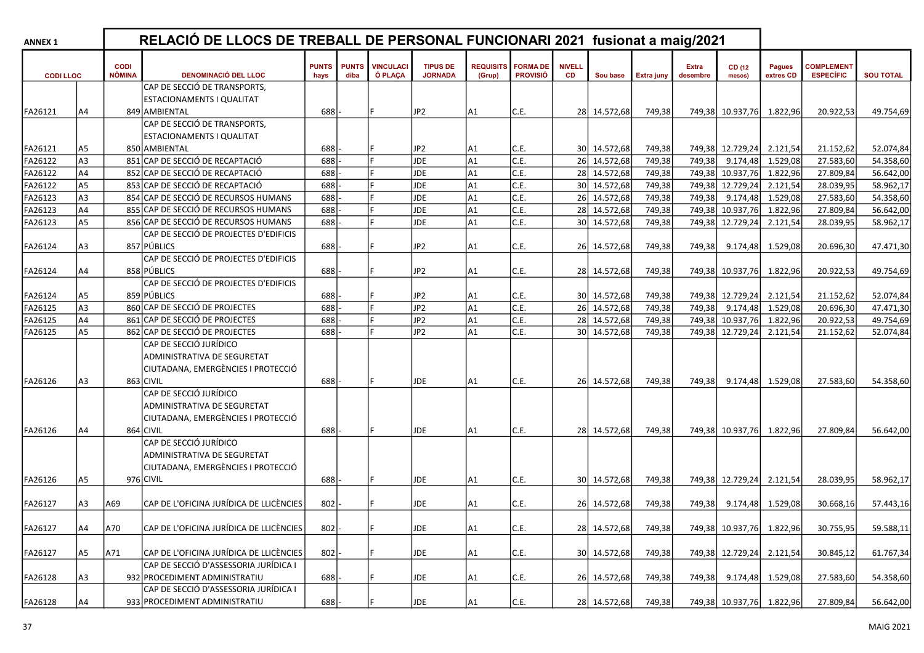| <b>ANNEX 1</b>  |                      |                              | RELACIÓ DE LLOCS DE TREBALL DE PERSONAL FUNCIONARI 2021 fusionat a maig/2021 |                      |                      |                             |                                    |                            |                                    |                     |                              |                  |                          |                              |                            |                                       |                  |
|-----------------|----------------------|------------------------------|------------------------------------------------------------------------------|----------------------|----------------------|-----------------------------|------------------------------------|----------------------------|------------------------------------|---------------------|------------------------------|------------------|--------------------------|------------------------------|----------------------------|---------------------------------------|------------------|
| <b>CODILLOC</b> |                      | <b>CODI</b><br><b>NÒMINA</b> | <b>DENOMINACIÓ DEL LLOC</b>                                                  | <b>PUNTS</b><br>hays | <b>PUNTS</b><br>diba | <b>VINCULACI</b><br>Ó PLACA | <b>TIPUS DE</b><br><b>JORNADA</b>  | <b>REQUISITS</b><br>(Grup) | <b>FORMA DE</b><br><b>PROVISIÓ</b> | <b>NIVELL</b><br>CD | Sou base                     | Extra juny       | <b>Extra</b><br>desembre | CD (12<br>mesos)             | <b>Pagues</b><br>extres CD | <b>COMPLEMENT</b><br><b>ESPECÍFIC</b> | <b>SOU TOTAL</b> |
|                 |                      |                              | CAP DE SECCIÓ DE TRANSPORTS,                                                 |                      |                      |                             |                                    |                            |                                    |                     |                              |                  |                          |                              |                            |                                       |                  |
|                 |                      |                              | <b>ESTACIONAMENTS I QUALITAT</b>                                             |                      |                      |                             |                                    |                            |                                    |                     |                              |                  |                          |                              |                            |                                       |                  |
| FA26121         | A4                   |                              | 849 AMBIENTAL                                                                | 688                  |                      |                             | JP <sub>2</sub>                    | A1                         | C.E.                               |                     | 28 14.572,68                 | 749,38           |                          | 749,38 10.937,76             | 1.822,96                   | 20.922,53                             | 49.754,69        |
|                 |                      |                              | CAP DE SECCIÓ DE TRANSPORTS,                                                 |                      |                      |                             |                                    |                            |                                    |                     |                              |                  |                          |                              |                            |                                       |                  |
|                 |                      |                              | <b>ESTACIONAMENTS I QUALITAT</b>                                             |                      |                      |                             |                                    |                            |                                    |                     |                              |                  |                          |                              |                            |                                       |                  |
| FA26121         | A5                   |                              | 850 AMBIENTAL                                                                | 688                  |                      |                             | JP <sub>2</sub>                    | A1.                        | C.E.                               |                     | 30 14.572,68                 | 749,38           |                          | 749,38 12.729,24             | 2.121,54                   | 21.152,62                             | 52.074,84        |
| FA26122         | A <sub>3</sub>       |                              | 851 CAP DE SECCIÓ DE RECAPTACIÓ                                              | 688                  |                      |                             | <b>JDE</b>                         | A <sub>1</sub>             | C.E.                               |                     | 26 14.572,68                 | 749,38           | 749,38                   | 9.174,48                     | 1.529,08                   | 27.583,60                             | 54.358,60        |
| FA26122         | A4                   |                              | 852 CAP DE SECCIÓ DE RECAPTACIÓ                                              | 688                  |                      |                             | <b>JDE</b>                         | A <sub>1</sub>             | C.E.                               |                     | 28 14.572,68                 | 749,38           | 749,38                   | 10.937,76                    | 1.822,96                   | 27.809,84                             | 56.642,00        |
| FA26122         | A <sub>5</sub>       |                              | 853 CAP DE SECCIÓ DE RECAPTACIÓ                                              | 688                  |                      |                             | <b>JDE</b>                         | A1                         | C.E.                               |                     | 30 14.572,68                 | 749,38           |                          | 749,38 12.729,24             | 2.121,54                   | 28.039,95                             | 58.962,17        |
| FA26123         | A <sub>3</sub>       |                              | 854 CAP DE SECCIÓ DE RECURSOS HUMANS                                         | 688                  |                      |                             | <b>JDE</b>                         | A1                         | C.E.                               |                     | 26 14.572,68                 | 749,38           | 749,38                   | 9.174,48                     | 1.529,08                   | 27.583,60                             | 54.358,60        |
| FA26123         | A4                   |                              | 855 CAP DE SECCIÓ DE RECURSOS HUMANS                                         | 688                  |                      |                             | <b>JDE</b>                         | A1                         | C.E.                               |                     | 28 14.572,68                 | 749,38           | 749,38                   | 10.937,76                    | 1.822,96                   | 27.809,84                             | 56.642,00        |
| FA26123         | A <sub>5</sub>       |                              | 856 CAP DE SECCIÓ DE RECURSOS HUMANS                                         | 688                  |                      |                             | <b>JDE</b>                         | lA1                        | C.E.                               |                     | 30 14.572,68                 | 749,38           |                          | 749,38 12.729,24             | 2.121,54                   | 28.039,95                             | 58.962,17        |
|                 |                      |                              | CAP DE SECCIÓ DE PROJECTES D'EDIFICIS                                        |                      |                      |                             |                                    |                            |                                    |                     |                              |                  |                          |                              |                            |                                       |                  |
| FA26124         | A <sub>3</sub>       |                              | 857 PÚBLICS                                                                  | 688                  |                      |                             | JP <sub>2</sub>                    | lA1                        | C.E.                               |                     | 26 14.572,68                 | 749,38           | 749,38                   | 9.174,48                     | 1.529,08                   | 20.696,30                             | 47.471,30        |
|                 |                      |                              | CAP DE SECCIÓ DE PROJECTES D'EDIFICIS                                        |                      |                      |                             |                                    |                            |                                    |                     |                              |                  |                          |                              |                            |                                       |                  |
| FA26124         | A4                   |                              | 858 PÚBLICS                                                                  | 688                  |                      |                             | JP <sub>2</sub>                    | A1                         | C.E.                               |                     | 28 14.572,68                 | 749,38           |                          | 749,38 10.937,76             | 1.822,96                   | 20.922,53                             | 49.754,69        |
|                 |                      |                              | CAP DE SECCIÓ DE PROJECTES D'EDIFICIS                                        |                      |                      |                             |                                    |                            |                                    |                     |                              |                  |                          |                              |                            |                                       |                  |
| FA26124         | A <sub>5</sub>       |                              | 859 PÚBLICS                                                                  | 688                  |                      |                             | JP <sub>2</sub><br>JP <sub>2</sub> | lA1                        | C.E.                               |                     | 30 14.572,68                 | 749,38           |                          | 749,38 12.729,24             | 2.121,54                   | 21.152,62                             | 52.074,84        |
| FA26125         | A <sub>3</sub><br>A4 |                              | 860 CAP DE SECCIÓ DE PROJECTES<br>861 CAP DE SECCIÓ DE PROJECTES             | 688<br>688           |                      |                             | JP <sub>2</sub>                    | A <sub>1</sub><br>A1       | C.E.<br>C.E.                       |                     | 26 14.572,68                 | 749,38           | 749,38                   | 9.174,48<br>749,38 10.937,76 | 1.529,08                   | 20.696,30                             | 47.471,30        |
| FA26125         | A <sub>5</sub>       |                              | 862 CAP DE SECCIÓ DE PROJECTES                                               | 688                  |                      |                             | JP <sub>2</sub>                    | A1                         | C.E.                               |                     | 28 14.572,68<br>30 14.572,68 | 749,38<br>749,38 |                          | 749,38 12.729,24             | 1.822,96                   | 20.922,53                             | 49.754,69        |
| FA26125         |                      |                              | CAP DE SECCIÓ JURÍDICO                                                       |                      |                      |                             |                                    |                            |                                    |                     |                              |                  |                          |                              | 2.121,54                   | 21.152,62                             | 52.074,84        |
|                 |                      |                              | ADMINISTRATIVA DE SEGURETAT                                                  |                      |                      |                             |                                    |                            |                                    |                     |                              |                  |                          |                              |                            |                                       |                  |
|                 |                      |                              | CIUTADANA, EMERGÈNCIES I PROTECCIÓ                                           |                      |                      |                             |                                    |                            |                                    |                     |                              |                  |                          |                              |                            |                                       |                  |
| FA26126         | A <sub>3</sub>       |                              | 863 CIVIL                                                                    | 688                  |                      |                             | JDE                                | lA1                        | C.E.                               |                     | 26 14.572,68                 | 749,38           | 749,38                   |                              | $9.174,48$ 1.529,08        | 27.583,60                             | 54.358,60        |
|                 |                      |                              | CAP DE SECCIÓ JURÍDICO                                                       |                      |                      |                             |                                    |                            |                                    |                     |                              |                  |                          |                              |                            |                                       |                  |
|                 |                      |                              | ADMINISTRATIVA DE SEGURETAT                                                  |                      |                      |                             |                                    |                            |                                    |                     |                              |                  |                          |                              |                            |                                       |                  |
|                 |                      |                              | CIUTADANA, EMERGÈNCIES I PROTECCIÓ                                           |                      |                      |                             |                                    |                            |                                    |                     |                              |                  |                          |                              |                            |                                       |                  |
| FA26126         | A4                   |                              | 864 CIVIL                                                                    | 688                  |                      |                             | <b>JDE</b>                         | lA1                        | C.E.                               |                     | 28 14.572,68                 | 749,38           |                          | 749,38 10.937,76             | 1.822,96                   | 27.809,84                             | 56.642,00        |
|                 |                      |                              | CAP DE SECCIÓ JURÍDICO                                                       |                      |                      |                             |                                    |                            |                                    |                     |                              |                  |                          |                              |                            |                                       |                  |
|                 |                      |                              | ADMINISTRATIVA DE SEGURETAT                                                  |                      |                      |                             |                                    |                            |                                    |                     |                              |                  |                          |                              |                            |                                       |                  |
|                 |                      |                              | CIUTADANA, EMERGÈNCIES I PROTECCIÓ                                           |                      |                      |                             |                                    |                            |                                    |                     |                              |                  |                          |                              |                            |                                       |                  |
| FA26126         | A5                   |                              | 976 CIVIL                                                                    | 688                  |                      |                             | JDE                                | lA1                        | C.E.                               |                     | 30 14.572,68                 | 749,38           |                          | 749,38 12.729,24             | 2.121,54                   | 28.039,95                             | 58.962,17        |
|                 |                      |                              |                                                                              |                      |                      |                             |                                    |                            |                                    |                     |                              |                  |                          |                              |                            |                                       |                  |
| FA26127         | A <sub>3</sub>       | A69                          | CAP DE L'OFICINA JURÍDICA DE LLICÈNCIES                                      | 802                  |                      |                             | JDE                                | A1                         | C.E.                               |                     | 26 14.572,68                 | 749,38           | 749,38                   | 9.174,48                     | 1.529,08                   | 30.668,16                             | 57.443,16        |
|                 |                      |                              |                                                                              |                      |                      |                             |                                    |                            |                                    |                     |                              |                  |                          |                              |                            |                                       |                  |
| FA26127         | lA4                  | A70                          | CAP DE L'OFICINA JURÍDICA DE LLICÈNCIES                                      | 802                  |                      | F                           | <b>JDE</b>                         | A <sub>1</sub>             | C.E.                               |                     | 28 14.572,68                 | 749,38           |                          | 749,38 10.937,76 1.822,96    |                            | 30.755,95                             | 59.588,11        |
|                 |                      |                              |                                                                              |                      |                      |                             |                                    |                            |                                    |                     |                              |                  |                          |                              |                            |                                       |                  |
| FA26127         | la5                  | A71                          | CAP DE L'OFICINA JURÍDICA DE LLICÈNCIES                                      | 802                  |                      |                             | <b>JDE</b>                         | A1                         | C.E.                               |                     | 30 14.572,68                 | 749,38           |                          | 749,38 12.729,24             | 2.121,54                   | 30.845,12                             | 61.767,34        |
|                 |                      |                              | CAP DE SECCIÓ D'ASSESSORIA JURÍDICA I                                        |                      |                      |                             |                                    |                            |                                    |                     |                              |                  |                          |                              |                            |                                       |                  |
| FA26128         | A <sub>3</sub>       |                              | 932 PROCEDIMENT ADMINISTRATIU                                                | 688                  |                      |                             | <b>JDE</b>                         | A1                         | C.E.                               |                     | 26 14.572,68                 | 749,38           | 749,38                   |                              | 9.174,48 1.529,08          | 27.583,60                             | 54.358,60        |
|                 |                      |                              | CAP DE SECCIÓ D'ASSESSORIA JURÍDICA I                                        |                      |                      |                             |                                    |                            |                                    |                     |                              |                  |                          |                              |                            |                                       |                  |
| FA26128         | A4                   |                              | 933 PROCEDIMENT ADMINISTRATIU                                                | 688                  |                      |                             | <b>JDE</b>                         | A <sub>1</sub>             | C.E.                               |                     | 28 14.572,68                 | 749,38           |                          | 749,38 10.937,76 1.822,96    |                            | 27.809,84                             | 56.642,00        |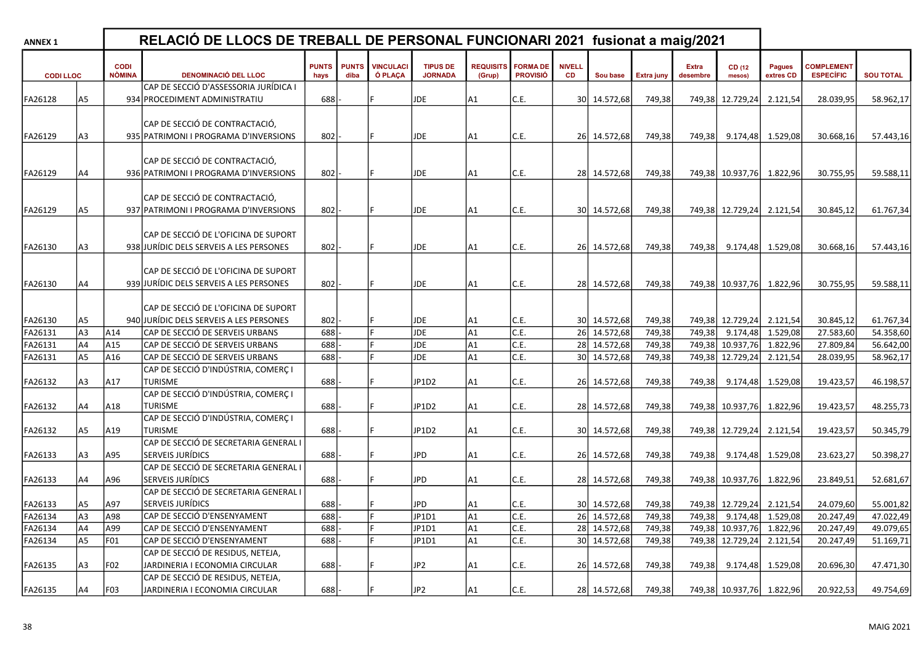| <b>ANNEX 1</b>  |                |                              |                                                                                 |                      | RELACIÓ DE LLOCS DE TREBALL DE PERSONAL FUNCIONARI 2021 fusionat a maig/2021 |                             |                                   |                            |                                    |                            |              |                   |                          |                           |                            |                                       |                  |
|-----------------|----------------|------------------------------|---------------------------------------------------------------------------------|----------------------|------------------------------------------------------------------------------|-----------------------------|-----------------------------------|----------------------------|------------------------------------|----------------------------|--------------|-------------------|--------------------------|---------------------------|----------------------------|---------------------------------------|------------------|
| <b>CODILLOC</b> |                | <b>CODI</b><br><b>NÒMINA</b> | <b>DENOMINACIÓ DEL LLOC</b>                                                     | <b>PUNTS</b><br>hays | <b>PUNTS</b><br>diba                                                         | <b>VINCULACI</b><br>Ó PLACA | <b>TIPUS DE</b><br><b>JORNADA</b> | <b>REQUISITS</b><br>(Grup) | <b>FORMA DE</b><br><b>PROVISIÓ</b> | <b>NIVELL</b><br><b>CD</b> | Sou base     | <b>Extra juny</b> | <b>Extra</b><br>desembre | CD (12<br>mesos)          | <b>Pagues</b><br>extres CD | <b>COMPLEMENT</b><br><b>ESPECÍFIC</b> | <b>SOU TOTAL</b> |
|                 |                |                              | CAP DE SECCIÓ D'ASSESSORIA JURÍDICA I                                           |                      |                                                                              |                             |                                   |                            |                                    |                            |              |                   |                          |                           |                            |                                       |                  |
| FA26128         | A5             |                              | 934 PROCEDIMENT ADMINISTRATIU                                                   | 688                  |                                                                              |                             | <b>JDE</b>                        | A1                         | C.E.                               |                            | 30 14.572,68 | 749,38            |                          | 749,38 12.729,24          | 2.121,54                   | 28.039,95                             | 58.962,17        |
|                 |                |                              |                                                                                 |                      |                                                                              |                             |                                   |                            |                                    |                            |              |                   |                          |                           |                            |                                       |                  |
|                 |                |                              | CAP DE SECCIÓ DE CONTRACTACIÓ,                                                  |                      |                                                                              |                             |                                   |                            |                                    |                            |              |                   |                          |                           |                            |                                       |                  |
| FA26129         | A <sub>3</sub> |                              | 935 PATRIMONI I PROGRAMA D'INVERSIONS                                           | 802                  |                                                                              |                             | <b>JDE</b>                        | A1                         | C.E.                               |                            | 26 14.572,68 | 749,38            | 749,38                   | 9.174,48                  | 1.529,08                   | 30.668,16                             | 57.443,16        |
|                 |                |                              | CAP DE SECCIÓ DE CONTRACTACIÓ,                                                  |                      |                                                                              |                             |                                   |                            |                                    |                            |              |                   |                          |                           |                            |                                       |                  |
| FA26129         | A4             |                              | 936 PATRIMONI I PROGRAMA D'INVERSIONS                                           | 802                  |                                                                              |                             | <b>JDE</b>                        | A1                         | C.E.                               |                            | 28 14.572,68 | 749,38            |                          | 749,38 10.937,76          | 1.822,96                   | 30.755,95                             | 59.588,11        |
|                 |                |                              | CAP DE SECCIÓ DE CONTRACTACIÓ,                                                  |                      |                                                                              |                             |                                   |                            |                                    |                            |              |                   |                          |                           |                            |                                       |                  |
| FA26129         | A <sub>5</sub> |                              | 937 PATRIMONI I PROGRAMA D'INVERSIONS                                           | 802                  |                                                                              |                             | <b>JDE</b>                        | A1                         | C.E.                               |                            | 30 14.572,68 | 749,38            |                          | 749,38 12.729,24          | 2.121,54                   | 30.845,12                             | 61.767,34        |
|                 |                |                              | CAP DE SECCIÓ DE L'OFICINA DE SUPORT                                            |                      |                                                                              |                             |                                   |                            |                                    |                            |              |                   |                          |                           |                            |                                       |                  |
| FA26130         | A <sub>3</sub> |                              | 938 JURÍDIC DELS SERVEIS A LES PERSONES                                         | 802                  |                                                                              |                             | <b>JDE</b>                        | A1                         | C.E.                               |                            | 26 14.572,68 | 749,38            | 749,38                   | 9.174,48                  | 1.529,08                   | 30.668,16                             | 57.443,16        |
| FA26130         | A4             |                              | CAP DE SECCIÓ DE L'OFICINA DE SUPORT<br>939 JURÍDIC DELS SERVEIS A LES PERSONES | 802                  |                                                                              |                             | <b>JDE</b>                        | A1                         | C.E.                               |                            | 28 14.572,68 | 749,38            |                          | 749,38 10.937,76 1.822,96 |                            | 30.755,95                             | 59.588,11        |
|                 |                |                              |                                                                                 |                      |                                                                              |                             |                                   |                            |                                    |                            |              |                   |                          |                           |                            |                                       |                  |
| FA26130         | A <sub>5</sub> |                              | CAP DE SECCIÓ DE L'OFICINA DE SUPORT<br>940 JURÍDIC DELS SERVEIS A LES PERSONES | 802                  |                                                                              |                             | <b>JDE</b>                        | A1                         | C.E.                               |                            | 30 14.572,68 | 749,38            |                          | 749,38 12.729,24          | 2.121,54                   | 30.845,12                             | 61.767,34        |
| FA26131         | A <sub>3</sub> | A14                          | CAP DE SECCIÓ DE SERVEIS URBANS                                                 | 688                  |                                                                              |                             | <b>JDE</b>                        | $\overline{A1}$            | C.E.                               |                            | 26 14.572,68 | 749,38            | 749,38                   | 9.174,48                  | 1.529,08                   | 27.583,60                             | 54.358,60        |
| FA26131         | A <sub>4</sub> | A <sub>15</sub>              | CAP DE SECCIÓ DE SERVEIS URBANS                                                 | 688                  |                                                                              |                             | <b>JDE</b>                        | A <sub>1</sub>             | C.E.                               |                            | 28 14.572,68 | 749,38            | 749,38                   | 10.937,76                 | 1.822,96                   | 27.809,84                             | 56.642,00        |
|                 | A <sub>5</sub> | A16                          | CAP DE SECCIÓ DE SERVEIS URBANS                                                 | 688                  |                                                                              |                             | <b>JDE</b>                        | A <sub>1</sub>             | C.E.                               |                            | 30 14.572,68 | 749,38            | 749,38                   | 12.729,24                 |                            |                                       | 58.962,17        |
| FA26131         |                |                              | CAP DE SECCIÓ D'INDÚSTRIA, COMERÇ I                                             |                      |                                                                              |                             |                                   |                            |                                    |                            |              |                   |                          |                           | 2.121,54                   | 28.039,95                             |                  |
| FA26132         | A <sub>3</sub> | A17                          | <b>TURISME</b>                                                                  | 688                  |                                                                              |                             | JP1D2                             | A1                         | C.E.                               |                            | 26 14.572,68 | 749,38            | 749,38                   | 9.174,48                  | 1.529,08                   | 19.423,57                             | 46.198,57        |
| FA26132         | A4             | A18                          | CAP DE SECCIÓ D'INDÚSTRIA, COMERÇ I<br><b>TURISME</b>                           | 688                  |                                                                              |                             | JP1D2                             | A1                         | C.E.                               |                            | 28 14.572,68 | 749,38            |                          | 749,38 10.937,76          | 1.822,96                   | 19.423,57                             | 48.255,73        |
| FA26132         | A5             | A19                          | CAP DE SECCIÓ D'INDÚSTRIA, COMERÇ I<br><b>TURISME</b>                           | 688                  |                                                                              |                             | JP1D2                             | A1                         | C.E.                               |                            | 30 14.572,68 | 749,38            |                          | 749,38 12.729,24          | 2.121,54                   | 19.423,57                             | 50.345,79        |
|                 |                |                              | CAP DE SECCIÓ DE SECRETARIA GENERAL I                                           |                      |                                                                              |                             |                                   |                            |                                    |                            |              |                   |                          |                           |                            |                                       |                  |
| FA26133         | A <sub>3</sub> | A95                          | <b>SERVEIS JURÍDICS</b>                                                         | 688                  |                                                                              |                             | <b>JPD</b>                        | A1                         | C.E.                               |                            | 26 14.572,68 | 749,38            | 749,38                   | 9.174,48                  | 1.529,08                   | 23.623,27                             | 50.398,27        |
| FA26133         | A4             | A96                          | CAP DE SECCIÓ DE SECRETARIA GENERAL I<br><b>SERVEIS JURÍDICS</b>                | 688                  |                                                                              |                             | <b>JPD</b>                        | lA1                        | C.E.                               |                            | 28 14.572,68 | 749,38            |                          | 749,38 10.937,76          | 1.822,96                   | 23.849,51                             | 52.681,67        |
|                 |                |                              | CAP DE SECCIÓ DE SECRETARIA GENERAL I                                           |                      |                                                                              |                             |                                   |                            |                                    |                            |              |                   |                          |                           |                            |                                       |                  |
| FA26133         | A <sub>5</sub> | A97                          | <b>SERVEIS JURÍDICS</b>                                                         | 688                  |                                                                              |                             | <b>JPD</b>                        | lA1                        | C.E.                               | 30 <sup>1</sup>            | 14.572,68    | 749,38            | 749,38                   | 12.729,24                 | 2.121,54                   | 24.079,60                             | 55.001,82        |
| FA26134         | A <sub>3</sub> | A98                          | CAP DE SECCIÓ D'ENSENYAMENT                                                     | 688                  |                                                                              |                             | JP1D1                             | $\overline{A1}$            | C.E.                               |                            | 26 14.572,68 | 749,38            | 749,38                   | 9.174,48                  | 1.529,08                   | 20.247,49                             | 47.022,49        |
| FA26134         | A <sub>4</sub> | A99                          | CAP DE SECCIÓ D'ENSENYAMENT                                                     | 688                  |                                                                              |                             | JP1D1                             | A1                         | C.E.                               | 28                         | 14.572,68    | 749,38            | 749,38                   | 10.937,76                 | 1.822,96                   | 20.247,49                             | 49.079,65        |
| FA26134         | A <sub>5</sub> | FO <sub>1</sub>              | CAP DE SECCIÓ D'ENSENYAMENT                                                     | 688                  |                                                                              |                             | JP1D1                             | A1                         | C.E.                               |                            | 30 14.572,68 | 749,38            |                          | 749,38 12.729,24          | 2.121,54                   | 20.247,49                             | 51.169,71        |
|                 |                |                              | CAP DE SECCIÓ DE RESIDUS, NETEJA,                                               |                      |                                                                              |                             |                                   |                            |                                    |                            |              |                   |                          |                           |                            |                                       |                  |
| FA26135         | A <sub>3</sub> | F <sub>02</sub>              | JARDINERIA I ECONOMIA CIRCULAR                                                  | 688                  |                                                                              |                             | JP2                               | lA1                        | C.E.                               |                            | 26 14.572,68 | 749,38            | 749,38                   | 9.174,48                  | 1.529,08                   | 20.696,30                             | 47.471,30        |
|                 |                |                              | CAP DE SECCIÓ DE RESIDUS, NETEJA,                                               |                      |                                                                              |                             |                                   |                            |                                    |                            |              |                   |                          |                           |                            |                                       |                  |
| FA26135         | A4             | F <sub>03</sub>              | JARDINERIA I ECONOMIA CIRCULAR                                                  | 688                  |                                                                              |                             | JP <sub>2</sub>                   | lA1                        | C.E.                               |                            | 28 14.572,68 | 749,38            |                          | 749,38 10.937,76 1.822,96 |                            | 20.922,53                             | 49.754,69        |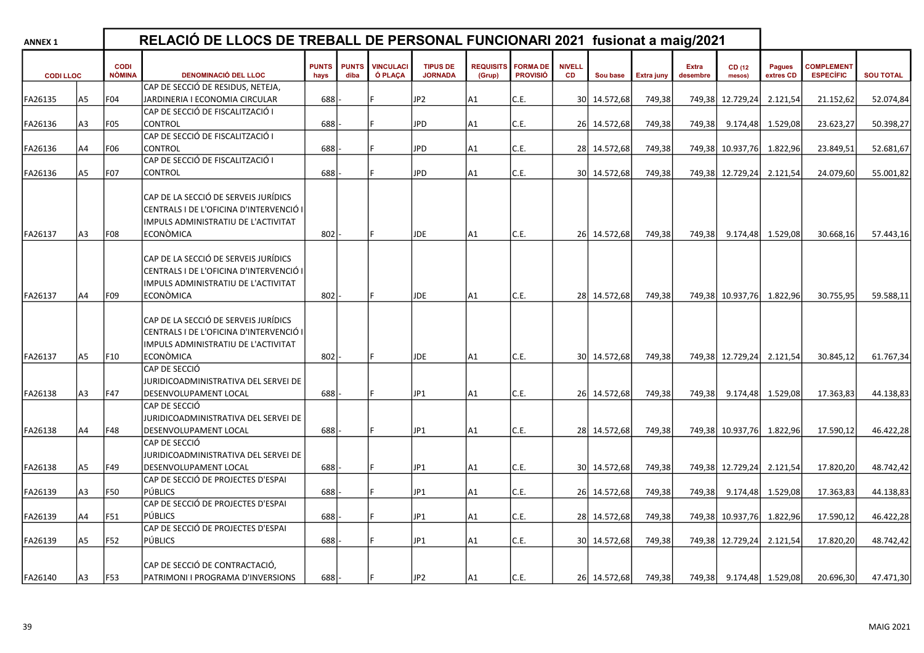| <b>ANNEX 1</b> |                 |                 | RELACIÓ DE LLOCS DE TREBALL DE PERSONAL FUNCIONARI 2021 fusionat a maig/2021                                                               |                      |                      |                             |                                   |                            |                                    |                     |              |                   |                   |                           |                            |                                       |                  |
|----------------|-----------------|-----------------|--------------------------------------------------------------------------------------------------------------------------------------------|----------------------|----------------------|-----------------------------|-----------------------------------|----------------------------|------------------------------------|---------------------|--------------|-------------------|-------------------|---------------------------|----------------------------|---------------------------------------|------------------|
|                | <b>CODILLOC</b> |                 | <b>NÒMINA</b><br><b>DENOMINACIÓ DEL LLOC</b>                                                                                               | <b>PUNTS</b><br>hays | <b>PUNTS</b><br>diba | <b>VINCULACI</b><br>Ó PLACA | <b>TIPUS DE</b><br><b>JORNADA</b> | <b>REQUISITS</b><br>(Grup) | <b>FORMA DE</b><br><b>PROVISIÓ</b> | <b>NIVELL</b><br>CD | Sou base     | <b>Extra juny</b> | Extra<br>desembre | CD (12<br>mesos)          | <b>Pagues</b><br>extres CD | <b>COMPLEMENT</b><br><b>ESPECÍFIC</b> | <b>SOU TOTAL</b> |
|                |                 |                 | CAP DE SECCIÓ DE RESIDUS, NETEJA,                                                                                                          |                      |                      |                             |                                   |                            |                                    |                     |              |                   |                   |                           |                            |                                       |                  |
| FA26135        | las.            | F04             | JARDINERIA I ECONOMIA CIRCULAR                                                                                                             | 688                  |                      |                             | JP2                               | A1                         | C.E.                               |                     | 30 14.572,68 | 749,38            |                   | 749,38 12.729,24          | 2.121,54                   | 21.152,62                             | 52.074,84        |
|                |                 |                 | CAP DE SECCIÓ DE FISCALITZACIÓ I                                                                                                           |                      |                      |                             |                                   |                            |                                    |                     |              |                   |                   |                           |                            |                                       |                  |
| FA26136        | lA3             | F05             | <b>CONTROL</b>                                                                                                                             | 688                  |                      |                             | <b>JPD</b>                        | A1                         | C.E.                               |                     | 26 14.572,68 | 749,38            | 749,38            | 9.174,48                  | 1.529,08                   | 23.623,27                             | 50.398,27        |
|                |                 |                 | CAP DE SECCIÓ DE FISCALITZACIÓ I                                                                                                           |                      |                      |                             |                                   |                            |                                    |                     |              |                   |                   |                           |                            |                                       |                  |
| FA26136        | lA4             | F06             | <b>CONTROL</b>                                                                                                                             | 688                  |                      |                             | <b>JPD</b>                        | A1                         | C.E.                               |                     | 28 14.572,68 | 749,38            |                   | 749,38 10.937,76          | 1.822,96                   | 23.849,51                             | 52.681,67        |
|                |                 |                 | CAP DE SECCIÓ DE FISCALITZACIÓ I                                                                                                           |                      |                      |                             |                                   |                            |                                    |                     |              |                   |                   |                           |                            |                                       |                  |
| FA26136        | las.            | F07             | <b>CONTROL</b>                                                                                                                             | 688                  |                      |                             | <b>JPD</b>                        | A1                         | C.E.                               |                     | 30 14.572,68 | 749,38            |                   | 749,38 12.729,24 2.121,54 |                            | 24.079,60                             | 55.001,82        |
| FA26137        | lA3             | FO8             | CAP DE LA SECCIÓ DE SERVEIS JURÍDICS<br>CENTRALS I DE L'OFICINA D'INTERVENCIÓ I<br>IMPULS ADMINISTRATIU DE L'ACTIVITAT<br><b>ECONOMICA</b> | 802                  |                      |                             | <b>JDE</b>                        | A1.                        | C.E.                               |                     | 26 14.572,68 | 749,38            | 749,38            |                           | $9.174,48$ 1.529,08        | 30.668,16                             | 57.443,16        |
| FA26137        | lA4             | F09             | CAP DE LA SECCIÓ DE SERVEIS JURÍDICS<br>CENTRALS I DE L'OFICINA D'INTERVENCIÓ I<br>IMPULS ADMINISTRATIU DE L'ACTIVITAT<br>ECONÒMICA        | 802                  |                      |                             | <b>JDE</b>                        | A1                         | C.E.                               |                     | 28 14.572,68 | 749,38            |                   | 749,38 10.937,76 1.822,96 |                            | 30.755,95                             | 59.588,11        |
|                | A <sub>5</sub>  |                 | CAP DE LA SECCIÓ DE SERVEIS JURÍDICS<br>CENTRALS I DE L'OFICINA D'INTERVENCIÓ I<br>IMPULS ADMINISTRATIU DE L'ACTIVITAT<br><b>ECONOMICA</b> | 802                  |                      |                             | <b>JDE</b>                        |                            |                                    |                     |              |                   |                   |                           |                            |                                       |                  |
| FA26137        |                 | F10             | CAP DE SECCIÓ                                                                                                                              |                      |                      |                             |                                   | A1                         | C.E.                               |                     | 30 14.572,68 | 749,38            |                   | 749,38 12.729,24 2.121,54 |                            | 30.845,12                             | 61.767,34        |
| FA26138        | lA3             | F47             | JURIDICOADMINISTRATIVA DEL SERVEI DE<br>DESENVOLUPAMENT LOCAL<br>CAP DE SECCIÓ                                                             | 688                  |                      |                             | JP1                               | A1                         | C.E.                               |                     | 26 14.572,68 | 749,38            | 749,38            |                           | 9.174,48 1.529,08          | 17.363,83                             | 44.138,83        |
|                |                 |                 | JURIDICOADMINISTRATIVA DEL SERVEI DE                                                                                                       |                      |                      |                             |                                   |                            |                                    |                     |              |                   |                   |                           |                            |                                       |                  |
| FA26138        | lA4             | F48             | DESENVOLUPAMENT LOCAL                                                                                                                      | 688                  |                      |                             | JP1                               | A1                         | C.E.                               |                     | 28 14.572,68 | 749,38            |                   | 749,38 10.937,76          | 1.822,96                   | 17.590,12                             | 46.422,28        |
| FA26138        | las             | F49             | CAP DE SECCIÓ<br>JURIDICOADMINISTRATIVA DEL SERVEI DE<br>DESENVOLUPAMENT LOCAL                                                             | 688                  |                      |                             | JP1                               | A1                         | C.E.                               |                     | 30 14.572,68 | 749,38            |                   | 749,38 12.729,24          | 2.121,54                   | 17.820,20                             | 48.742,42        |
|                |                 |                 | CAP DE SECCIÓ DE PROJECTES D'ESPAI                                                                                                         |                      |                      |                             |                                   |                            |                                    |                     |              |                   |                   |                           |                            |                                       |                  |
| FA26139        | lA3             | F50             | PÚBLICS                                                                                                                                    | 688                  |                      |                             | JP1                               | A1                         | C.E.                               |                     | 26 14.572,68 | 749,38            | 749,38            | 9.174,48                  | 1.529,08                   | 17.363,83                             | 44.138,83        |
|                |                 |                 | CAP DE SECCIÓ DE PROJECTES D'ESPAI                                                                                                         |                      |                      |                             |                                   |                            |                                    |                     |              |                   |                   |                           |                            |                                       |                  |
| FA26139        | lA4             | F51             | PÚBLICS                                                                                                                                    | 688                  |                      |                             | JP1                               | A1                         | C.E.                               |                     | 28 14.572,68 | 749,38            |                   | 749,38 10.937,76          | 1.822,96                   | 17.590,12                             | 46.422,28        |
|                |                 |                 | CAP DE SECCIÓ DE PROJECTES D'ESPAI                                                                                                         |                      |                      |                             |                                   |                            |                                    |                     |              |                   |                   |                           |                            |                                       |                  |
| FA26139        | las.            | F <sub>52</sub> | PÚBLICS                                                                                                                                    | 688                  |                      |                             | JP1                               | A1                         | C.E.                               |                     | 30 14.572,68 | 749,38            |                   | 749,38 12.729,24          | 2.121,54                   | 17.820,20                             | 48.742,42        |
| FA26140        | lA3             | F53             | CAP DE SECCIÓ DE CONTRACTACIÓ,<br>PATRIMONI I PROGRAMA D'INVERSIONS                                                                        | 688                  |                      |                             | JP <sub>2</sub>                   | A1                         | C.E.                               |                     | 26 14.572,68 | 749,38            |                   | 749,38 9.174,48 1.529,08  |                            | 20.696,30                             | 47.471,30        |
|                |                 |                 |                                                                                                                                            |                      |                      |                             |                                   |                            |                                    |                     |              |                   |                   |                           |                            |                                       |                  |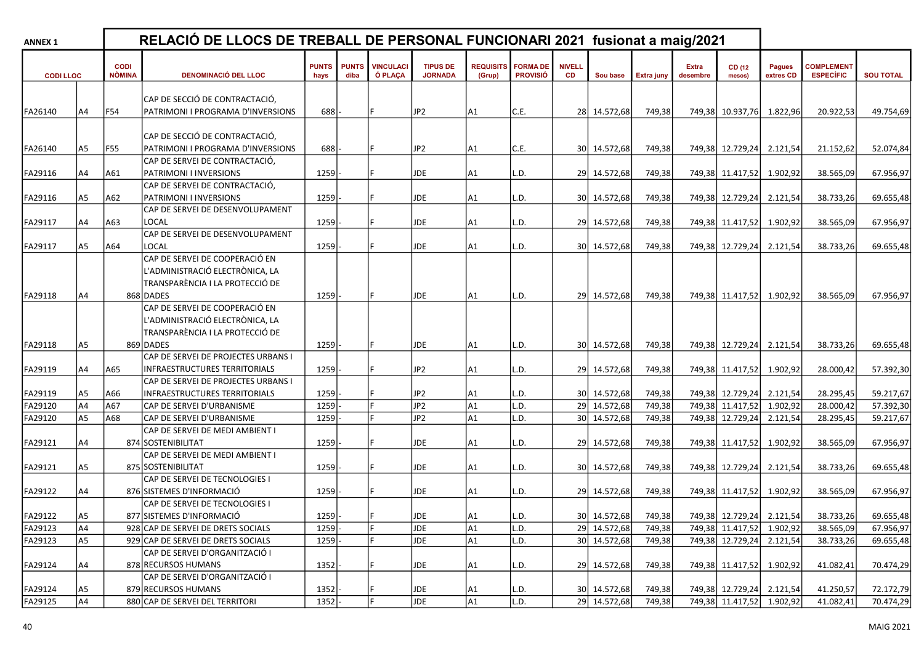| <b>ANNEX 1</b>  |                |                              | RELACIÓ DE LLOCS DE TREBALL DE PERSONAL FUNCIONARI 2021 fusionat a maig/2021 |                      |                      |                             |                                   |                            |                                    |                     |              |                   |                          |                           |                            |                                       |                  |
|-----------------|----------------|------------------------------|------------------------------------------------------------------------------|----------------------|----------------------|-----------------------------|-----------------------------------|----------------------------|------------------------------------|---------------------|--------------|-------------------|--------------------------|---------------------------|----------------------------|---------------------------------------|------------------|
| <b>CODILLOC</b> |                | <b>CODI</b><br><b>NÒMINA</b> | <b>DENOMINACIÓ DEL LLOC</b>                                                  | <b>PUNTS</b><br>hays | <b>PUNTS</b><br>diba | <b>VINCULACI</b><br>Ó PLAÇA | <b>TIPUS DE</b><br><b>JORNADA</b> | <b>REQUISITS</b><br>(Grup) | <b>FORMA DE</b><br><b>PROVISIÓ</b> | <b>NIVELL</b><br>CD | Sou base     | <b>Extra juny</b> | <b>Extra</b><br>desembre | CD (12<br>mesos)          | <b>Pagues</b><br>extres CD | <b>COMPLEMENT</b><br><b>ESPECÍFIC</b> | <b>SOU TOTAL</b> |
| FA26140         | A4             | F54                          | CAP DE SECCIÓ DE CONTRACTACIÓ,<br>PATRIMONI I PROGRAMA D'INVERSIONS          | 688                  |                      |                             | JP2                               | A1                         | C.E.                               |                     | 28 14.572,68 | 749,38            |                          | 749,38 10.937,76 1.822,96 |                            | 20.922,53                             | 49.754,69        |
|                 |                |                              |                                                                              |                      |                      |                             |                                   |                            |                                    |                     |              |                   |                          |                           |                            |                                       |                  |
| FA26140         | A5             | F55                          | CAP DE SECCIÓ DE CONTRACTACIÓ,<br>PATRIMONI I PROGRAMA D'INVERSIONS          | 688                  |                      |                             | JP <sub>2</sub>                   | A1                         | C.E.                               |                     | 30 14.572,68 | 749,38            |                          | 749,38 12.729,24 2.121,54 |                            | 21.152,62                             | 52.074,84        |
| FA29116         | A4             | A61                          | CAP DE SERVEI DE CONTRACTACIÓ,<br>PATRIMONI I INVERSIONS                     | 1259                 |                      |                             | <b>JDE</b>                        | A1                         | L.D.                               |                     | 29 14.572,68 | 749,38            |                          | 749,38 11.417,52          | 1.902,92                   | 38.565,09                             | 67.956,97        |
| FA29116         | A5             | A62                          | CAP DE SERVEI DE CONTRACTACIÓ,<br>PATRIMONI I INVERSIONS                     | 1259                 |                      |                             | JDE                               | A1                         | L.D.                               |                     | 30 14.572,68 | 749,38            |                          | 749,38 12.729,24          | 2.121,54                   | 38.733,26                             | 69.655,48        |
| FA29117         | A4             | A63                          | CAP DE SERVEI DE DESENVOLUPAMENT<br>LOCAL                                    | 1259                 |                      |                             | JDE                               | lA1                        | L.D.                               |                     | 29 14.572,68 | 749,38            |                          | 749,38 11.417,52 1.902,92 |                            | 38.565,09                             | 67.956,97        |
|                 |                |                              | CAP DE SERVEI DE DESENVOLUPAMENT                                             |                      |                      |                             |                                   |                            |                                    |                     |              |                   |                          |                           |                            |                                       |                  |
| FA29117         | A5             | A64                          | LOCAL<br>CAP DE SERVEI DE COOPERACIÓ EN                                      | 1259                 |                      |                             | JDE                               | lA1                        | L.D.                               |                     | 30 14.572,68 | 749,38            |                          | 749,38 12.729,24          | 2.121,54                   | 38.733,26                             | 69.655,48        |
|                 |                |                              | L'ADMINISTRACIÓ ELECTRÒNICA, LA<br>TRANSPARÈNCIA I LA PROTECCIÓ DE           |                      |                      |                             |                                   |                            |                                    |                     |              |                   |                          |                           |                            |                                       |                  |
| FA29118         | A4             |                              | 868 DADES<br>CAP DE SERVEI DE COOPERACIÓ EN                                  | 1259                 |                      |                             | JDE                               | lA1                        | L.D.                               |                     | 29 14.572,68 | 749,38            |                          | 749,38 11.417,52          | 1.902,92                   | 38.565,09                             | 67.956,97        |
|                 |                |                              | L'ADMINISTRACIÓ ELECTRÒNICA, LA<br>TRANSPARÈNCIA I LA PROTECCIÓ DE           |                      |                      |                             |                                   |                            |                                    |                     |              |                   |                          |                           |                            |                                       |                  |
| FA29118         | A5             |                              | 869 DADES                                                                    | 1259                 |                      |                             | <b>JDE</b>                        | lA1                        | L.D.                               |                     | 30 14.572,68 | 749,38            |                          | 749,38 12.729,24 2.121,54 |                            | 38.733,26                             | 69.655,48        |
| FA29119         | A4             | A65                          | CAP DE SERVEI DE PROJECTES URBANS I<br><b>INFRAESTRUCTURES TERRITORIALS</b>  | 1259                 |                      |                             | JP <sub>2</sub>                   | A1                         | L.D.                               |                     | 29 14.572,68 | 749,38            |                          | 749,38 11.417,52          | 1.902,92                   | 28.000,42                             | 57.392,30        |
| FA29119         | A <sub>5</sub> | A66                          | CAP DE SERVEI DE PROJECTES URBANS I<br>INFRAESTRUCTURES TERRITORIALS         | 1259                 |                      |                             | JP2                               | lA1                        | L.D.                               |                     | 30 14.572,68 | 749,38            |                          | 749,38 12.729,24 2.121,54 |                            | 28.295,45                             | 59.217,67        |
| FA29120         | A4             | A67                          | CAP DE SERVEI D'URBANISME                                                    | 1259                 |                      |                             | JP <sub>2</sub>                   | A <sub>1</sub>             | L.D.                               |                     | 29 14.572,68 | 749,38            |                          | 749,38 11.417,52          | 1.902,92                   | 28.000,42                             | 57.392,30        |
| FA29120         | A <sub>5</sub> | A68                          | CAP DE SERVEI D'URBANISME                                                    | 1259                 |                      |                             | JP <sub>2</sub>                   | A <sub>1</sub>             | L.D.                               |                     | 30 14.572,68 | 749,38            |                          | 749,38 12.729,24          | 2.121,54                   | 28.295,45                             | 59.217,67        |
| FA29121         | A4             |                              | CAP DE SERVEI DE MEDI AMBIENT I<br>874 SOSTENIBILITAT                        | 1259                 |                      |                             | <b>JDE</b>                        | lA1                        | L.D.                               |                     | 29 14.572,68 | 749,38            |                          | 749,38 11.417,52          | 1.902,92                   | 38.565,09                             | 67.956,97        |
|                 |                |                              | CAP DE SERVEI DE MEDI AMBIENT I                                              |                      |                      |                             |                                   |                            |                                    |                     |              |                   |                          |                           |                            |                                       |                  |
| FA29121         | A5             |                              | 875 SOSTENIBILITAT<br>CAP DE SERVEI DE TECNOLOGIES I                         | 1259                 |                      |                             | JDE                               | lA1                        | L.D.                               |                     | 30 14.572,68 | 749,38            |                          | 749,38 12.729,24          | 2.121,54                   | 38.733,26                             | 69.655,48        |
| FA29122         | A4             |                              | 876 SISTEMES D'INFORMACIÓ                                                    | 1259                 |                      |                             | JDE.                              | A1                         | L.D.                               |                     | 29 14.572,68 | 749,38            |                          | 749,38 11.417,52 1.902,92 |                            | 38.565,09                             | 67.956,97        |
|                 |                |                              | CAP DE SERVEI DE TECNOLOGIES I                                               |                      |                      |                             |                                   |                            |                                    |                     |              |                   |                          |                           |                            |                                       |                  |
| FA29122         | A <sub>5</sub> |                              | 877 SISTEMES D'INFORMACIÓ                                                    | $1259$ -             |                      |                             | <b>JDE</b>                        | lA1                        | L.D.                               |                     | 30 14.572,68 | 749,38            |                          | 749,38 12.729,24 2.121,54 |                            | 38.733,26                             | 69.655,48        |
| FA29123         | A4             |                              | 928 CAP DE SERVEI DE DRETS SOCIALS                                           | 1259                 |                      | ١F                          | <b>JDE</b>                        | A <sub>1</sub>             | L.D.                               |                     | 29 14.572,68 | 749,38            |                          | 749,38 11.417,52 1.902,92 |                            | 38.565,09                             | 67.956,97        |
| FA29123         | A <sub>5</sub> |                              | 929 CAP DE SERVEI DE DRETS SOCIALS<br>CAP DE SERVEI D'ORGANITZACIÓ I         | 1259                 |                      |                             | <b>JDE</b>                        | A <sub>1</sub>             | L.D.                               |                     | 30 14.572,68 | 749,38            |                          | 749,38 12.729,24          | 2.121,54                   | 38.733,26                             | 69.655,48        |
| FA29124         | A4             |                              | 878 RECURSOS HUMANS                                                          | 1352                 |                      |                             | JDE.                              | A1                         | L.D.                               |                     | 29 14.572,68 | 749,38            |                          | 749,38 11.417,52 1.902,92 |                            | 41.082,41                             | 70.474,29        |
|                 |                |                              | CAP DE SERVEI D'ORGANITZACIÓ I                                               |                      |                      |                             |                                   |                            |                                    |                     |              |                   |                          |                           |                            |                                       |                  |
| FA29124         | A5             |                              | 879 RECURSOS HUMANS                                                          | 1352                 |                      |                             | JDE                               | A1                         | L.D.                               |                     | 30 14.572,68 | 749,38            |                          | 749,38 12.729,24 2.121,54 |                            | 41.250,57                             | 72.172,79        |
| FA29125         | А4             |                              | 880 CAP DE SERVEI DEL TERRITORI                                              | 1352                 |                      |                             | <b>JDE</b>                        | A <sub>1</sub>             | L.D.                               |                     | 29 14.572,68 | 749,38            |                          | 749,38 11.417,52 1.902,92 |                            | 41.082,41                             | 70.474,29        |